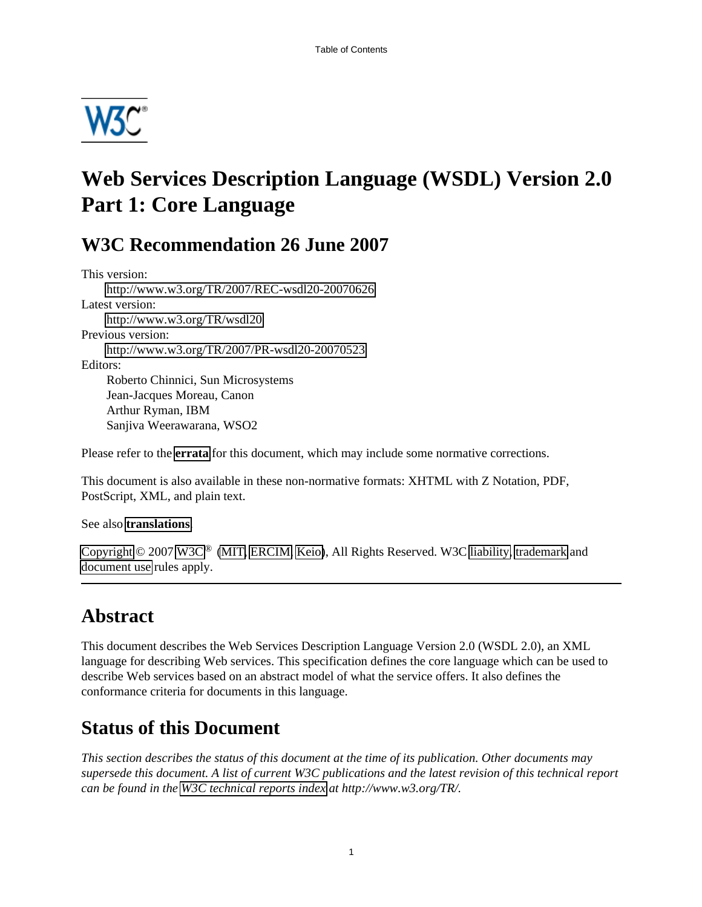

# **Web Services Description Language (WSDL) Version 2.0 Part 1: Core Language**

# **W3C Recommendation 26 June 2007**

This version: <http://www.w3.org/TR/2007/REC-wsdl20-20070626> Latest version: <http://www.w3.org/TR/wsdl20> Previous version: <http://www.w3.org/TR/2007/PR-wsdl20-20070523> Editors: Roberto Chinnici, Sun Microsystems Jean-Jacques Moreau, Canon Arthur Ryman, IBM Sanjiva Weerawarana, WSO2

Please refer to the **[errata](http://www.w3.org/2007/06/wsdl20-errata.html)** for this document, which may include some normative corrections.

This document is also available in these non-normative formats: XHTML with Z Notation, PDF, PostScript, XML, and plain text.

See also **[translations](http://www.w3.org/2003/03/Translations/byTechnology?technology=wsdl20)**.

[Copyright](http://www.w3.org/Consortium/Legal/ipr-notice#Copyright)  $\odot$  2007 [W3C](http://www.w3.org/) $\odot$  [\(MIT,](http://www.csail.mit.edu/) [ERCIM,](http://www.ercim.org/) [Keio\)](http://www.keio.ac.jp/), All Rights Reserved. W3C [liability,](http://www.w3.org/Consortium/Legal/ipr-notice#Legal_Disclaimer) [trademark](http://www.w3.org/Consortium/Legal/ipr-notice#W3C_Trademarks) and [document use](http://www.w3.org/Consortium/Legal/copyright-documents) rules apply.

# **Abstract**

This document describes the Web Services Description Language Version 2.0 (WSDL 2.0), an XML language for describing Web services. This specification defines the core language which can be used to describe Web services based on an abstract model of what the service offers. It also defines the conformance criteria for documents in this language.

## **Status of this Document**

*This section describes the status of this document at the time of its publication. Other documents may supersede this document. A list of current W3C publications and the latest revision of this technical report can be found in the [W3C technical reports index](http://www.w3.org/TR/) at http://www.w3.org/TR/.*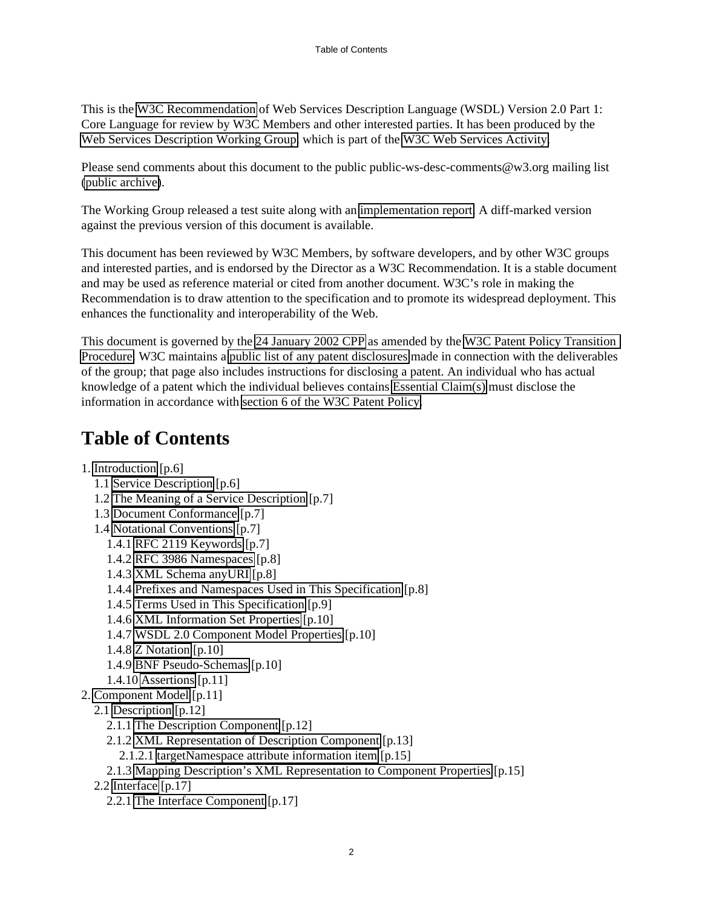This is the [W3C Recommendation](http://www.w3.org/2005/10/Process-20051014/tr.html#RecsW3C) of Web Services Description Language (WSDL) Version 2.0 Part 1: Core Language for review by W3C Members and other interested parties. It has been produced by the [Web Services Description Working Group,](http://www.w3.org/2002/ws/desc/) which is part of the [W3C Web Services Activity.](http://www.w3.org/2002/ws/Activity)

Please send comments about this document to the public public-ws-desc-comments@w3.org mailing list [\(public archive\)](http://lists.w3.org/Archives/Public/public-ws-desc-comments/).

The Working Group released a test suite along with an [implementation report.](http://www.w3.org/2002/ws/desc/5/impl-report/) A diff-marked version against the previous version of this document is available.

This document has been reviewed by W3C Members, by software developers, and by other W3C groups and interested parties, and is endorsed by the Director as a W3C Recommendation. It is a stable document and may be used as reference material or cited from another document. W3C's role in making the Recommendation is to draw attention to the specification and to promote its widespread deployment. This enhances the functionality and interoperability of the Web.

This document is governed by the [24 January 2002 CPP](http://www.w3.org/TR/2002/NOTE-patent-practice-20020124) as amended by the [W3C Patent Policy Transition](http://www.w3.org/2004/02/05-pp-transition)  [Procedure.](http://www.w3.org/2004/02/05-pp-transition) W3C maintains a [public list of any patent disclosures](http://www.w3.org/2002/ws/desc/2/04/24-IPR-statements.html) made in connection with the deliverables of the group; that page also includes instructions for disclosing a patent. An individual who has actual knowledge of a patent which the individual believes contains [Essential Claim\(s\)](http://www.w3.org/Consortium/Patent-Policy-20040205/#def-essential) must disclose the information in accordance with [section 6 of the W3C Patent Policy.](http://www.w3.org/Consortium/Patent-Policy-20040205/#sec-Disclosure)

## **Table of Contents**

1. [Introduction](#page-5-0) [p.6] 1.1 [Service Description](#page-5-1) [p.6] 1.2 [The Meaning of a Service Description](#page-6-0) [p.7] 1.3 [Document Conformance](#page-6-1) [p.7] 1.4 [Notational Conventions](#page-6-2) [p.7] 1.4.1 [RFC 2119 Keywords](#page-6-3) [p.7] 1.4.2 [RFC 3986 Namespaces](#page-7-0) [p.8] 1.4.3 [XML Schema anyURI](#page-7-1) [p.8] 1.4.4 [Prefixes and Namespaces Used in This Specification](#page-7-2) [p.8] 1.4.5 [Terms Used in This Specification](#page-8-0) [p.9] 1.4.6 [XML Information Set Properties](#page-9-0) [p.10] 1.4.7 [WSDL 2.0 Component Model Properties](#page-9-1) [p.10] 1.4.8 [Z Notation](#page-9-2) [p.10] 1.4.9 [BNF Pseudo-Schemas](#page-9-3) [p.10] 1.4.10 [Assertions](#page-10-0) [p.11] 2. [Component Model](#page-10-1) [p.11] 2.1 [Description](#page-11-0) [p.12] 2.1.1 [The Description Component](#page-11-1) [p.12] 2.1.2 [XML Representation of Description Component](#page-12-0) [p.13] 2.1.2.1 [targetNamespace attribute information item](#page-14-0) [p.15] 2.1.3 [Mapping Description's XML Representation to Component Properties](#page-14-1) [p.15] 2.2 [Interface](#page-16-0) [p.17] 2.2.1 [The Interface Component](#page-16-1) [p.17]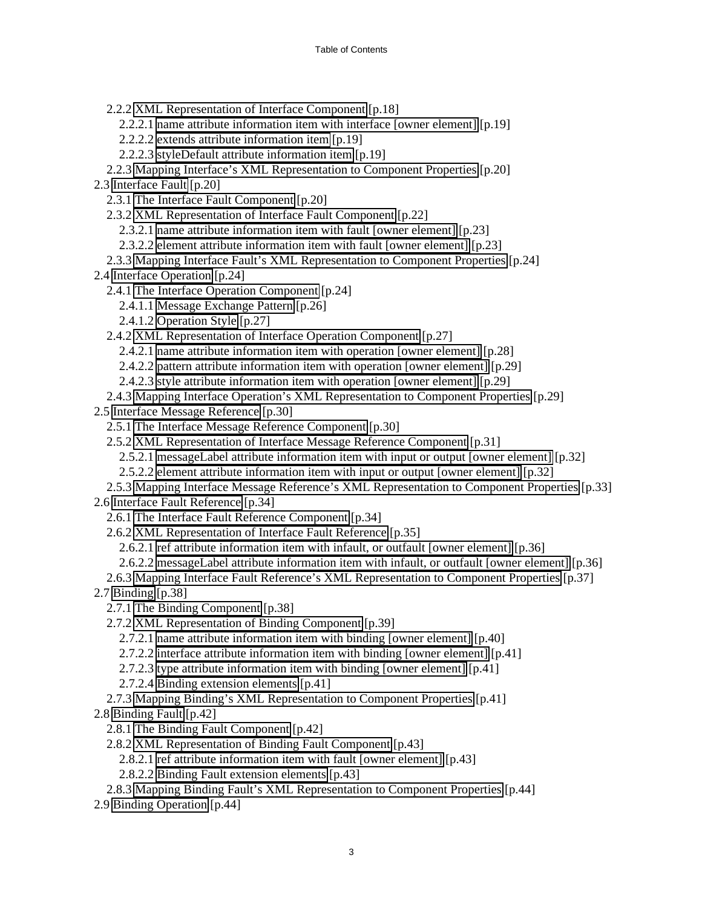- 2.2.2 [XML Representation of Interface Component](#page-17-0) [p.18]
	- 2.2.2.1 [name attribute information item with interface \[owner element\]](#page-18-0) [p.19]
	- 2.2.2.2 [extends attribute information item](#page-18-1) [p.19]
	- 2.2.2.3 [styleDefault attribute information item](#page-18-2) [p.19]
- 2.2.3 [Mapping Interface's XML Representation to Component Properties](#page-19-0) [p.20]
- 2.3 [Interface Fault](#page-19-1) [p.20]
	- 2.3.1 [The Interface Fault Component](#page-19-2) [p.20]
	- 2.3.2 [XML Representation of Interface Fault Component](#page-21-0) [p.22]
		- 2.3.2.1 [name attribute information item with fault \[owner element\]](#page-22-0) [p.23]
		- 2.3.2.2 [element attribute information item with fault \[owner element\]](#page-22-1) [p.23]
	- 2.3.3 [Mapping Interface Fault's XML Representation to Component Properties](#page-23-0) [p.24]
- 2.4 [Interface Operation](#page-23-1) [p.24]
	- 2.4.1 [The Interface Operation Component](#page-23-2) [p.24]
		- 2.4.1.1 [Message Exchange Pattern](#page-25-0) [p.26]
		- 2.4.1.2 [Operation Style](#page-26-0) [p.27]
	- 2.4.2 [XML Representation of Interface Operation Component](#page-26-1) [p.27]
		- 2.4.2.1 [name attribute information item with operation \[owner element\]](#page-27-0) [p.28]
		- 2.4.2.2 [pattern attribute information item with operation \[owner element\]](#page-28-0) [p.29]
		- 2.4.2.3 [style attribute information item with operation \[owner element\]](#page-28-1) [p.29]
	- 2.4.3 [Mapping Interface Operation's XML Representation to Component Properties](#page-28-2) [p.29]
- 2.5 [Interface Message Reference](#page-29-0) [p.30]
	- 2.5.1 [The Interface Message Reference Component](#page-29-1) [p.30]
	- 2.5.2 [XML Representation of Interface Message Reference Component](#page-30-0) [p.31]
		- 2.5.2.1 [messageLabel attribute information item with input or output \[owner element\]](#page-31-0) [p.32]
		- 2.5.2.2 [element attribute information item with input or output \[owner element\]](#page-31-1) [p.32]
- 2.5.3 [Mapping Interface Message Reference's XML Representation to Component Properties](#page-32-0) [p.33] 2.6 [Interface Fault Reference](#page-33-0) [p.34]
	- 2.6.1 [The Interface Fault Reference Component](#page-33-1) [p.34]
	- 2.6.2 [XML Representation of Interface Fault Reference](#page-34-0) [p.35]
		- 2.6.2.1 [ref attribute information item with infault, or outfault \[owner element\]](#page-35-0) [p.36]
		- 2.6.2.2 [messageLabel attribute information item with infault, or outfault \[owner element\]](#page-35-1) [p.36]
- 2.6.3 [Mapping Interface Fault Reference's XML Representation to Component Properties](#page-36-0) [p.37]
- 2.7 [Binding](#page-37-0) [p.38]
	- 2.7.1 [The Binding Component](#page-37-1) [p.38]
	- 2.7.2 [XML Representation of Binding Component](#page-38-0) [p.39]
		- 2.7.2.1 [name attribute information item with binding \[owner element\]](#page-39-0) [p.40]
		- 2.7.2.2 [interface attribute information item with binding \[owner element\]](#page-40-0) [p.41]
		- 2.7.2.3 [type attribute information item with binding \[owner element\]](#page-40-1) [p.41]
		- 2.7.2.4 [Binding extension elements](#page-40-2) [p.41]
	- 2.7.3 [Mapping Binding's XML Representation to Component Properties](#page-40-3) [p.41]
- 2.8 [Binding Fault](#page-41-0) [p.42]
	- 2.8.1 [The Binding Fault Component](#page-41-1) [p.42]
	- 2.8.2 [XML Representation of Binding Fault Component](#page-42-0) [p.43]
		- 2.8.2.1 [ref attribute information item with fault \[owner element\]](#page-42-1) [p.43]
		- 2.8.2.2 [Binding Fault extension elements](#page-42-2) [p.43]
- 2.8.3 [Mapping Binding Fault's XML Representation to Component Properties](#page-43-0) [p.44]
- 2.9 [Binding Operation](#page-43-1) [p.44]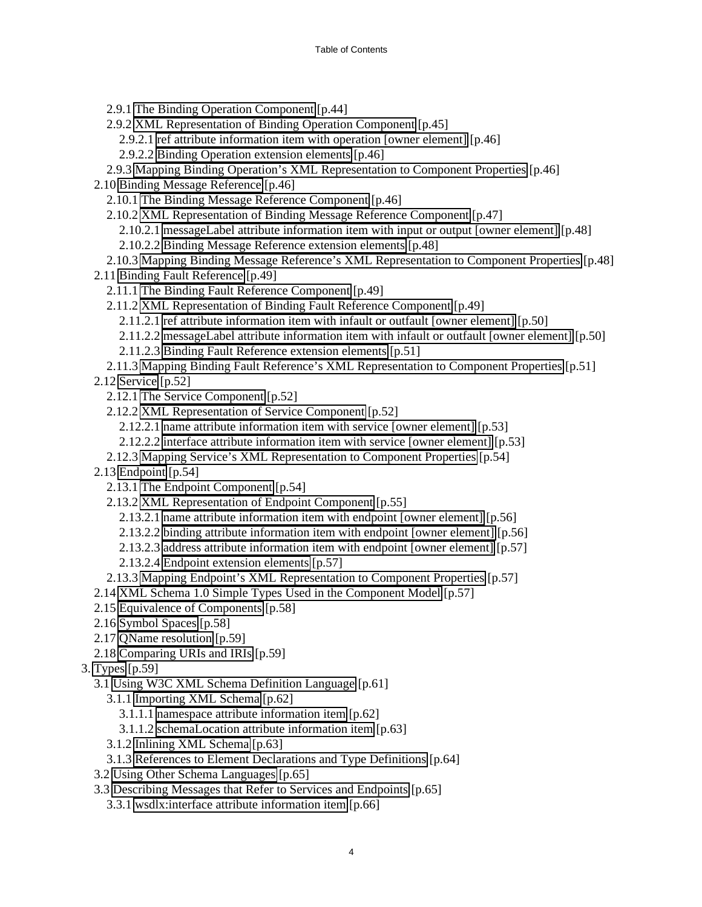- 2.9.1 [The Binding Operation Component](#page-43-2) [p.44]
- 2.9.2 [XML Representation of Binding Operation Component](#page-44-0) [p.45]
	- 2.9.2.1 [ref attribute information item with operation \[owner element\]](#page-45-0) [p.46]
	- 2.9.2.2 [Binding Operation extension elements](#page-45-1) [p.46]
- 2.9.3 [Mapping Binding Operation's XML Representation to Component Properties](#page-45-2) [p.46]
- 2.10 [Binding Message Reference](#page-45-3) [p.46]
	- 2.10.1 [The Binding Message Reference Component](#page-45-4) [p.46]
	- 2.10.2 [XML Representation of Binding Message Reference Component](#page-46-0) [p.47]
		- 2.10.2.1 [messageLabel attribute information item with input or output \[owner element\]](#page-47-0) [p.48]
		- 2.10.2.2 [Binding Message Reference extension elements](#page-47-1) [p.48]
- 2.10.3 [Mapping Binding Message Reference's XML Representation to Component Properties](#page-47-2) [p.48] 2.11 [Binding Fault Reference](#page-48-0) [p.49]
	- 2.11.1 [The Binding Fault Reference Component](#page-48-1) [p.49]
	- 2.11.2 [XML Representation of Binding Fault Reference Component](#page-48-2) [p.49]
		- 2.11.2.1 [ref attribute information item with infault or outfault \[owner element\]](#page-49-0) [p.50]
		- 2.11.2.2 [messageLabel attribute information item with infault or outfault \[owner element\]](#page-49-1) [p.50]
		- 2.11.2.3 [Binding Fault Reference extension elements](#page-50-0) [p.51]
	- 2.11.3 [Mapping Binding Fault Reference's XML Representation to Component Properties](#page-50-1) [p.51]
- 2.12 [Service](#page-51-0) [p.52]
	- 2.12.1 [The Service Component](#page-51-1) [p.52]
	- 2.12.2 [XML Representation of Service Component](#page-51-2) [p.52]
		- 2.12.2.1 [name attribute information item with service \[owner element\]](#page-52-0) [p.53]
		- 2.12.2.2 [interface attribute information item with service \[owner element\]](#page-52-1) [p.53]
	- 2.12.3 [Mapping Service's XML Representation to Component Properties](#page-53-0) [p.54]
- 2.13 [Endpoint](#page-53-1) [p.54]
	- 2.13.1 [The Endpoint Component](#page-53-2) [p.54]
	- 2.13.2 [XML Representation of Endpoint Component](#page-54-0) [p.55]
		- 2.13.2.1 [name attribute information item with endpoint \[owner element\]](#page-55-0) [p.56]
		- 2.13.2.2 [binding attribute information item with endpoint \[owner element\]](#page-55-1) [p.56]
		- 2.13.2.3 [address attribute information item with endpoint \[owner element\]](#page-56-0) [p.57]
		- 2.13.2.4 [Endpoint extension elements](#page-56-1) [p.57]
	- 2.13.3 [Mapping Endpoint's XML Representation to Component Properties](#page-56-2) [p.57]
- 2.14 [XML Schema 1.0 Simple Types Used in the Component Model](#page-56-3) [p.57]
- 2.15 [Equivalence of Components](#page-57-0) [p.58]
- 2.16 [Symbol Spaces](#page-57-1) [p.58]
- 2.17 [QName resolution](#page-58-0) [p.59]
- 2.18 [Comparing URIs and IRIs](#page-58-1) [p.59]
- 3. [Types](#page-58-2) [p.59]
	- 3.1 [Using W3C XML Schema Definition Language](#page-60-0) [p.61]
	- 3.1.1 [Importing XML Schema](#page-61-0) [p.62]
		- 3.1.1.1 [namespace attribute information item](#page-61-1) [p.62]
		- 3.1.1.2 [schemaLocation attribute information item](#page-62-0) [p.63]
	- 3.1.2 [Inlining XML Schema](#page-62-1) [p.63]
	- 3.1.3 [References to Element Declarations and Type Definitions](#page-63-0) [p.64]
	- 3.2 [Using Other Schema Languages](#page-64-0) [p.65]
	- 3.3 [Describing Messages that Refer to Services and Endpoints](#page-64-1) [p.65]
		- 3.3.1 [wsdlx:interface attribute information item](#page-65-0) [p.66]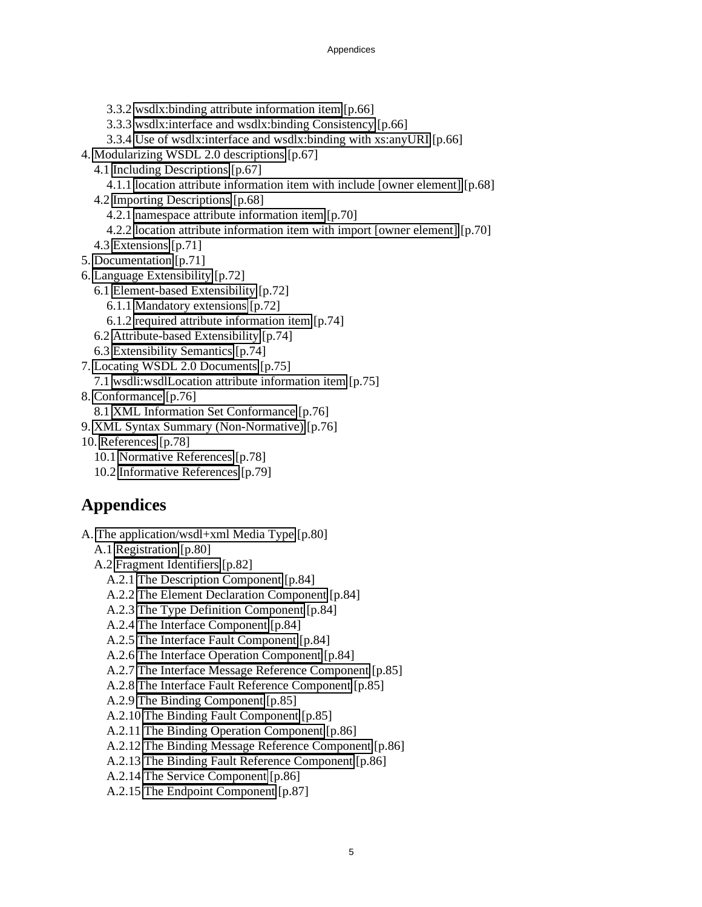3.3.2 [wsdlx:binding attribute information item](#page-65-1) [p.66] 3.3.3 [wsdlx:interface and wsdlx:binding Consistency](#page-65-2) [p.66] 3.3.4 [Use of wsdlx:interface and wsdlx:binding with xs:anyURI](#page-65-3) [p.66] 4. [Modularizing WSDL 2.0 descriptions](#page-66-0) [p.67] 4.1 [Including Descriptions](#page-66-1) [p.67] 4.1.1 [location attribute information item with include \[owner element\]](#page-67-0) [p.68] 4.2 [Importing Descriptions](#page-67-1) [p.68] 4.2.1 [namespace attribute information item](#page-69-0) [p.70] 4.2.2 [location attribute information item with import \[owner element\]](#page-69-1) [p.70] 4.3 [Extensions](#page-70-0) [p.71] 5. [Documentation](#page-70-1) [p.71] 6. [Language Extensibility](#page-71-0) [p.72] 6.1 [Element-based Extensibility](#page-71-1) [p.72] 6.1.1 [Mandatory extensions](#page-71-2) [p.72] 6.1.2 [required attribute information item](#page-72-0) [p.74] 6.2 [Attribute-based Extensibility](#page-73-0) [p.74] 6.3 [Extensibility Semantics](#page-73-1) [p.74] 7. [Locating WSDL 2.0 Documents](#page-74-0) [p.75] 7.1 [wsdli:wsdlLocation attribute information item](#page-74-1) [p.75] 8. [Conformance](#page-75-0) [p.76] 8.1 [XML Information Set Conformance](#page-75-1) [p.76] 9. [XML Syntax Summary \(Non-Normative\)](#page-75-2) [p.76] 10. [References](#page-77-0) [p.78] 10.1 [Normative References](#page-77-1) [p.78] 10.2 [Informative References](#page-78-0) [p.79]

## **Appendices**

A. [The application/wsdl+xml Media Type](#page-79-0) [p.80] A.1 [Registration](#page-79-1) [p.80] A.2 [Fragment Identifiers](#page-81-0) [p.82] A.2.1 [The Description Component](#page-83-0) [p.84] A.2.2 [The Element Declaration Component](#page-83-1) [p.84] A.2.3 [The Type Definition Component](#page-83-2) [p.84] A.2.4 [The Interface Component](#page-83-3) [p.84] A.2.5 [The Interface Fault Component](#page-83-4) [p.84] A.2.6 [The Interface Operation Component](#page-83-5) [p.84] A.2.7 [The Interface Message Reference Component](#page-84-0) [p.85] A.2.8 [The Interface Fault Reference Component](#page-84-1) [p.85] A.2.9 [The Binding Component](#page-84-2) [p.85] A.2.10 [The Binding Fault Component](#page-84-3) [p.85] A.2.11 [The Binding Operation Component](#page-85-0) [p.86] A.2.12 [The Binding Message Reference Component](#page-85-1) [p.86] A.2.13 [The Binding Fault Reference Component](#page-85-2) [p.86] A.2.14 [The Service Component](#page-85-3) [p.86] A.2.15 [The Endpoint Component](#page-86-0) [p.87]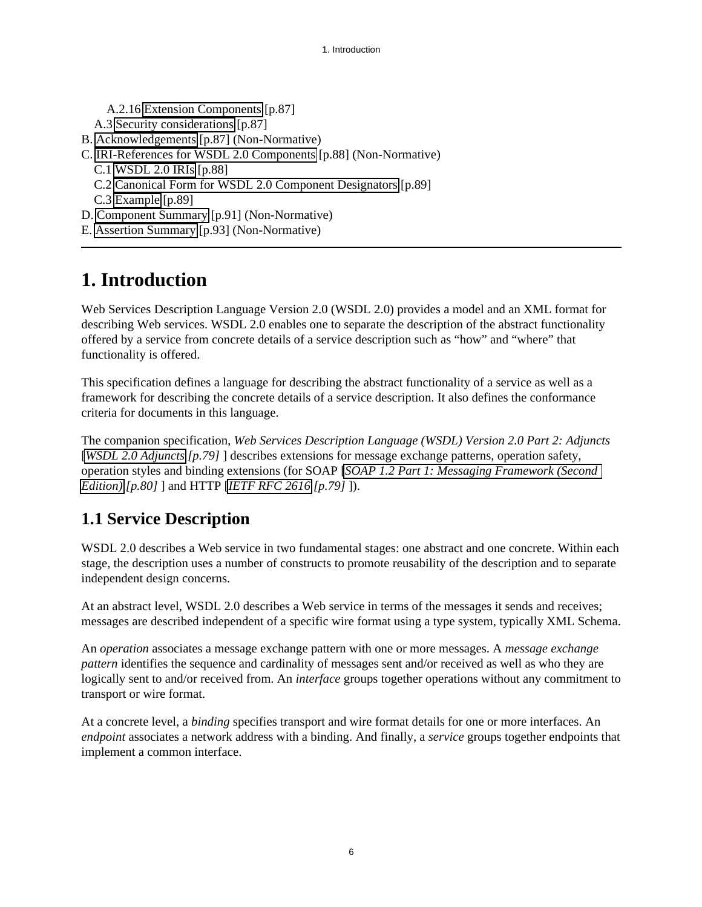A.2.16 [Extension Components](#page-86-1) [p.87]

A.3 [Security considerations](#page-86-2) [p.87]

- B. [Acknowledgements](#page-86-3) [p.87] (Non-Normative)
- C. [IRI-References for WSDL 2.0 Components](#page-87-0) [p.88] (Non-Normative)
	- C.1 [WSDL 2.0 IRIs](#page-87-1) [p.88]
	- C.2 [Canonical Form for WSDL 2.0 Component Designators](#page-88-0) [p.89]
	- C.3 [Example](#page-88-1) [p.89]
- D. [Component Summary](#page-90-0) [p.91] (Non-Normative)
- E. [Assertion Summary](#page-92-0) [p.93] (Non-Normative)

## <span id="page-5-0"></span>**1. Introduction**

Web Services Description Language Version 2.0 (WSDL 2.0) provides a model and an XML format for describing Web services. WSDL 2.0 enables one to separate the description of the abstract functionality offered by a service from concrete details of a service description such as "how" and "where" that functionality is offered.

This specification defines a language for describing the abstract functionality of a service as well as a framework for describing the concrete details of a service description. It also defines the conformance criteria for documents in this language.

The companion specification, *Web Services Description Language (WSDL) Version 2.0 Part 2: Adjuncts* [*[WSDL 2.0 Adjuncts](#page-78-1) [p.79]* ] describes extensions for message exchange patterns, operation safety, operation styles and binding extensions (for SOAP [*[SOAP 1.2 Part 1: Messaging Framework \(Second](#page-79-2)  [Edition\)](#page-79-2) [p.80]* ] and HTTP [*[IETF RFC 2616](#page-78-2) [p.79]* ]).

## <span id="page-5-1"></span>**1.1 Service Description**

WSDL 2.0 describes a Web service in two fundamental stages: one abstract and one concrete. Within each stage, the description uses a number of constructs to promote reusability of the description and to separate independent design concerns.

At an abstract level, WSDL 2.0 describes a Web service in terms of the messages it sends and receives; messages are described independent of a specific wire format using a type system, typically XML Schema.

An *operation* associates a message exchange pattern with one or more messages. A *message exchange pattern* identifies the sequence and cardinality of messages sent and/or received as well as who they are logically sent to and/or received from. An *interface* groups together operations without any commitment to transport or wire format.

At a concrete level, a *binding* specifies transport and wire format details for one or more interfaces. An *endpoint* associates a network address with a binding. And finally, a *service* groups together endpoints that implement a common interface.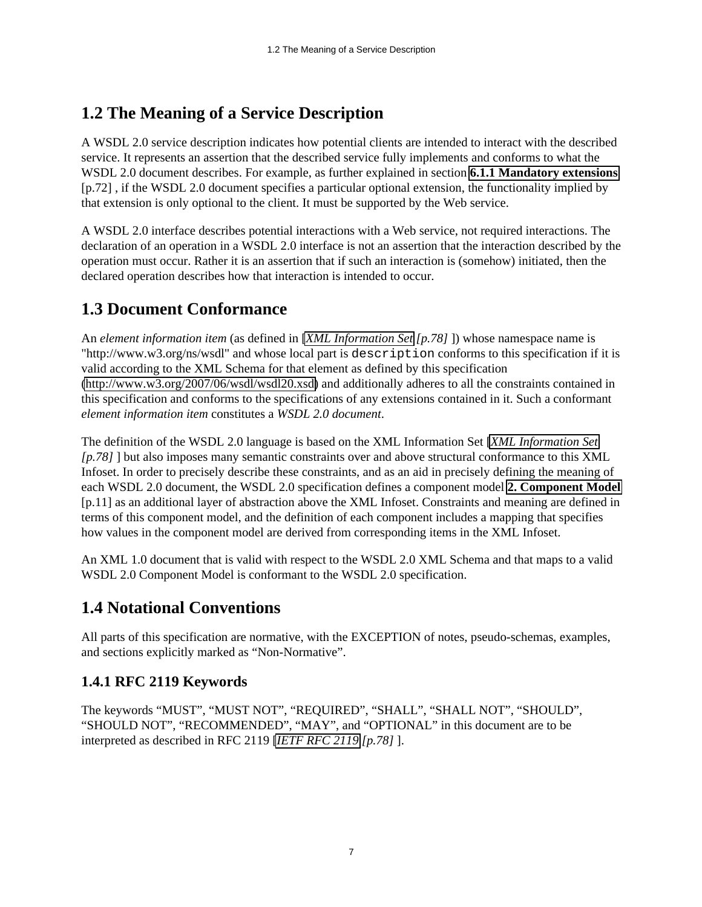## <span id="page-6-0"></span>**1.2 The Meaning of a Service Description**

A WSDL 2.0 service description indicates how potential clients are intended to interact with the described service. It represents an assertion that the described service fully implements and conforms to what the WSDL 2.0 document describes. For example, as further explained in section **[6.1.1 Mandatory extensions](#page-71-2)** [p.72] , if the WSDL 2.0 document specifies a particular optional extension, the functionality implied by that extension is only optional to the client. It must be supported by the Web service.

A WSDL 2.0 interface describes potential interactions with a Web service, not required interactions. The declaration of an operation in a WSDL 2.0 interface is not an assertion that the interaction described by the operation must occur. Rather it is an assertion that if such an interaction is (somehow) initiated, then the declared operation describes how that interaction is intended to occur.

## <span id="page-6-1"></span>**1.3 Document Conformance**

An *element information item* (as defined in [*[XML Information Set](#page-77-2) [p.78]* ]) whose namespace name is "http://www.w3.org/ns/wsdl" and whose local part is description conforms to this specification if it is valid according to the XML Schema for that element as defined by this specification [\(http://www.w3.org/2007/06/wsdl/wsdl20.xsd\)](http://www.w3.org/2007/06/wsdl/wsdl20.xsd) and additionally adheres to all the constraints contained in this specification and conforms to the specifications of any extensions contained in it. Such a conformant *element information item* constitutes a *WSDL 2.0 document*.

The definition of the WSDL 2.0 language is based on the XML Information Set [*[XML Information Set](#page-77-2)  [p.78]* ] but also imposes many semantic constraints over and above structural conformance to this XML Infoset. In order to precisely describe these constraints, and as an aid in precisely defining the meaning of each WSDL 2.0 document, the WSDL 2.0 specification defines a component model **[2. Component Model](#page-10-1)** [p.11] as an additional layer of abstraction above the XML Infoset. Constraints and meaning are defined in terms of this component model, and the definition of each component includes a mapping that specifies how values in the component model are derived from corresponding items in the XML Infoset.

An XML 1.0 document that is valid with respect to the WSDL 2.0 XML Schema and that maps to a valid WSDL 2.0 Component Model is conformant to the WSDL 2.0 specification.

## <span id="page-6-2"></span>**1.4 Notational Conventions**

All parts of this specification are normative, with the EXCEPTION of notes, pseudo-schemas, examples, and sections explicitly marked as "Non-Normative".

## <span id="page-6-3"></span>**1.4.1 RFC 2119 Keywords**

The keywords "MUST", "MUST NOT", "REQUIRED", "SHALL", "SHALL NOT", "SHOULD", "SHOULD NOT", "RECOMMENDED", "MAY", and "OPTIONAL" in this document are to be interpreted as described in RFC 2119 [*[IETF RFC 2119](#page-77-3) [p.78]* ].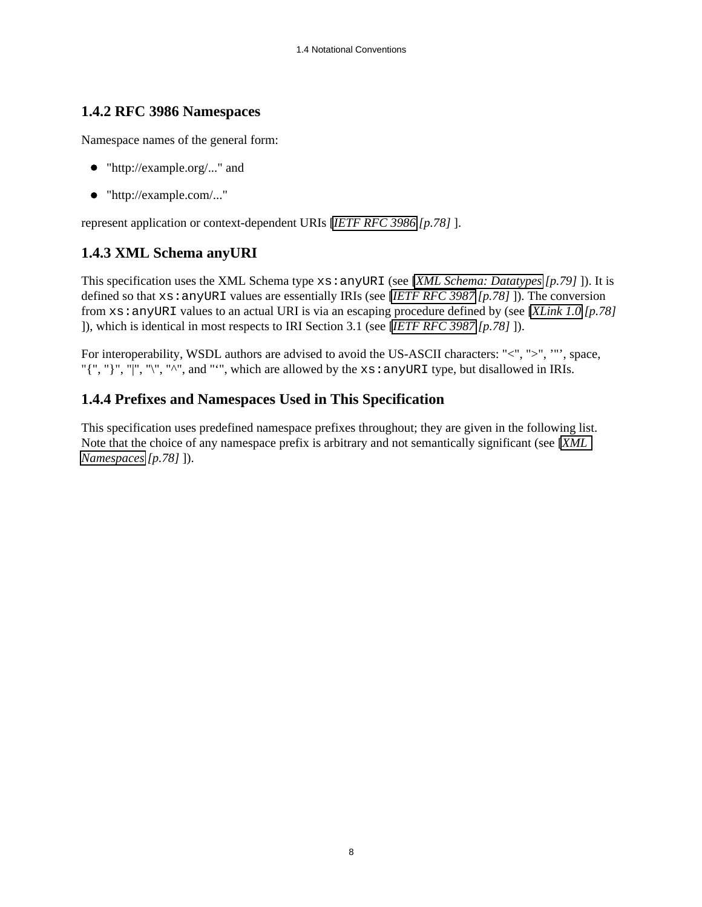### <span id="page-7-0"></span>**1.4.2 RFC 3986 Namespaces**

Namespace names of the general form:

- "http://example.org/..." and
- "http://example.com/..."

represent application or context-dependent URIs [*[IETF RFC 3986](#page-77-4) [p.78]* ].

### <span id="page-7-1"></span>**1.4.3 XML Schema anyURI**

This specification uses the XML Schema type xs:anyURI (see [*[XML Schema: Datatypes](#page-78-3) [p.79]* ]). It is defined so that xs:anyURI values are essentially IRIs (see [*[IETF RFC 3987](#page-77-5) [p.78]* ]). The conversion from xs:anyURI values to an actual URI is via an escaping procedure defined by (see [*[XLink 1.0](#page-77-6) [p.78]*  ]), which is identical in most respects to IRI Section 3.1 (see [*[IETF RFC 3987](#page-77-5) [p.78]* ]).

For interoperability, WSDL authors are advised to avoid the US-ASCII characters: "<", ">", '"', space, "{", "}", "|", "\", "^", and "'", which are allowed by the  $xs:any\text{URL type}, but disallowed in IRIs.$ 

### <span id="page-7-2"></span>**1.4.4 Prefixes and Namespaces Used in This Specification**

This specification uses predefined namespace prefixes throughout; they are given in the following list. Note that the choice of any namespace prefix is arbitrary and not semantically significant (see [*[XML](#page-77-7)  [Namespaces](#page-77-7) [p.78]* ]).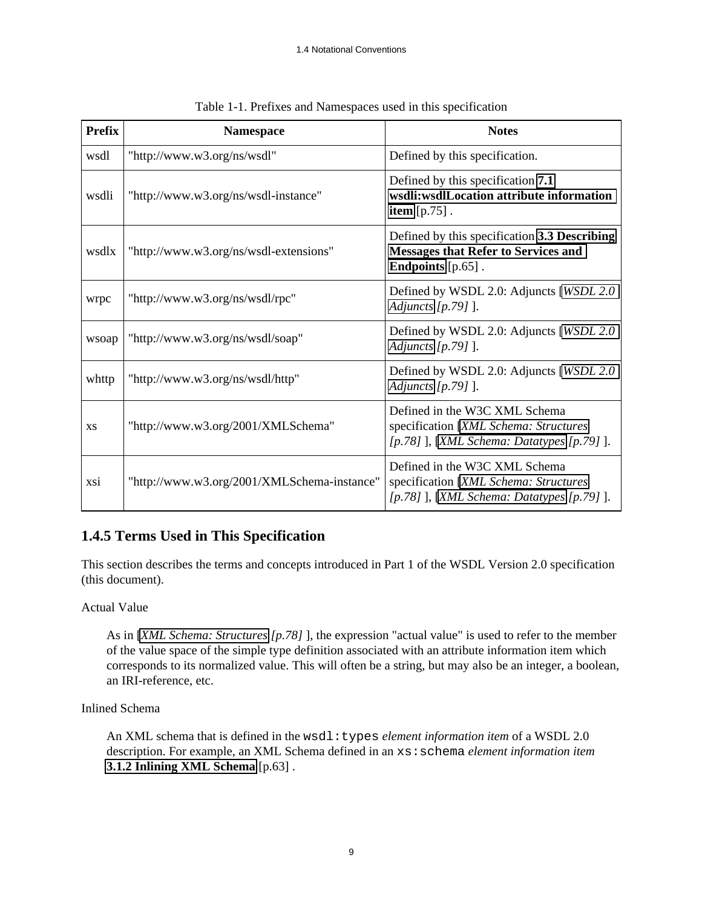| <b>Prefix</b> | <b>Namespace</b>                            | <b>Notes</b>                                                                                                                 |
|---------------|---------------------------------------------|------------------------------------------------------------------------------------------------------------------------------|
| wsdl          | "http://www.w3.org/ns/wsdl"                 | Defined by this specification.                                                                                               |
| wsdli         | "http://www.w3.org/ns/wsdl-instance"        | Defined by this specification 7.1<br>wsdli:wsdlLocation attribute information<br>item $[p.75]$ .                             |
| wsdlx         | "http://www.w3.org/ns/wsdl-extensions"      | Defined by this specification 3.3 Describing<br><b>Messages that Refer to Services and</b><br><b>Endpoints</b> $[p.65]$ .    |
| wrpc          | "http://www.w3.org/ns/wsdl/rpc"             | Defined by WSDL 2.0: Adjuncts [WSDL 2.0]<br>Adjuncts $[p.79]$ ].                                                             |
| wsoap         | "http://www.w3.org/ns/wsdl/soap"            | Defined by WSDL 2.0: Adjuncts [WSDL 2.0]<br>Adjuncts [p.79] ].                                                               |
| whttp         | "http://www.w3.org/ns/wsdl/http"            | Defined by WSDL 2.0: Adjuncts [WSDL 2.0]<br>Adjuncts [p.79] ].                                                               |
| XS            | "http://www.w3.org/2001/XMLSchema"          | Defined in the W3C XML Schema<br>specification [XML Schema: Structures<br>[p.78] ], [XML Schema: Datatypes [p.79] ].         |
| xsi           | "http://www.w3.org/2001/XMLSchema-instance" | Defined in the W3C XML Schema<br>specification [XML Schema: Structures<br>[ $p.78$ ] ], [XML Schema: Datatypes [ $p.79$ ] ]. |

Table 1-1. Prefixes and Namespaces used in this specification

### <span id="page-8-0"></span>**1.4.5 Terms Used in This Specification**

This section describes the terms and concepts introduced in Part 1 of the WSDL Version 2.0 specification (this document).

#### Actual Value

As in [*[XML Schema: Structures](#page-77-8) [p.78]* ], the expression "actual value" is used to refer to the member of the value space of the simple type definition associated with an attribute information item which corresponds to its normalized value. This will often be a string, but may also be an integer, a boolean, an IRI-reference, etc.

#### Inlined Schema

An XML schema that is defined in the wsdl:types *element information item* of a WSDL 2.0 description. For example, an XML Schema defined in an xs:schema *element information item* **[3.1.2 Inlining XML Schema](#page-62-1)** [p.63] .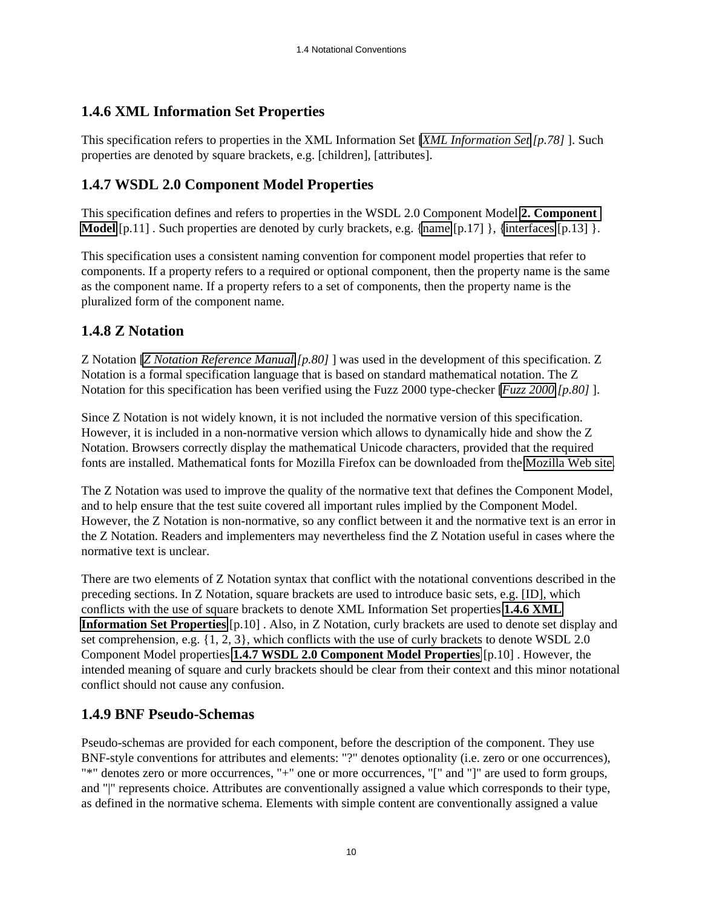### <span id="page-9-0"></span>**1.4.6 XML Information Set Properties**

This specification refers to properties in the XML Information Set [*[XML Information Set](#page-77-2) [p.78]* ]. Such properties are denoted by square brackets, e.g. [children], [attributes].

### <span id="page-9-1"></span>**1.4.7 WSDL 2.0 Component Model Properties**

This specification defines and refers to properties in the WSDL 2.0 Component Model **[2. Component](#page-10-1)  [Model](#page-10-1)** [p.11] . Such properties are denoted by curly brackets, e.g. [{name](#page-16-2) [p.17] }, [{interfaces](#page-12-1) [p.13] }.

This specification uses a consistent naming convention for component model properties that refer to components. If a property refers to a required or optional component, then the property name is the same as the component name. If a property refers to a set of components, then the property name is the pluralized form of the component name.

### <span id="page-9-2"></span>**1.4.8 Z Notation**

Z Notation [*[Z Notation Reference Manual](#page-79-3) [p.80]* ] was used in the development of this specification. Z Notation is a formal specification language that is based on standard mathematical notation. The Z Notation for this specification has been verified using the Fuzz 2000 type-checker [*[Fuzz 2000](#page-79-4) [p.80]* ].

Since Z Notation is not widely known, it is not included the normative version of this specification. However, it is included in a non-normative version which allows to dynamically hide and show the Z Notation. Browsers correctly display the mathematical Unicode characters, provided that the required fonts are installed. Mathematical fonts for Mozilla Firefox can be downloaded from the [Mozilla Web site.](http://www.mozilla.org/projects/mathml/fonts/)

The Z Notation was used to improve the quality of the normative text that defines the Component Model, and to help ensure that the test suite covered all important rules implied by the Component Model. However, the Z Notation is non-normative, so any conflict between it and the normative text is an error in the Z Notation. Readers and implementers may nevertheless find the Z Notation useful in cases where the normative text is unclear.

There are two elements of Z Notation syntax that conflict with the notational conventions described in the preceding sections. In Z Notation, square brackets are used to introduce basic sets, e.g. [ID], which conflicts with the use of square brackets to denote XML Information Set properties **[1.4.6 XML](#page-9-0) [Information Set Properties](#page-9-0)** [p.10] . Also, in Z Notation, curly brackets are used to denote set display and set comprehension, e.g. {1, 2, 3}, which conflicts with the use of curly brackets to denote WSDL 2.0 Component Model properties **[1.4.7 WSDL 2.0 Component Model Properties](#page-9-1)** [p.10] . However, the intended meaning of square and curly brackets should be clear from their context and this minor notational conflict should not cause any confusion.

### <span id="page-9-3"></span>**1.4.9 BNF Pseudo-Schemas**

Pseudo-schemas are provided for each component, before the description of the component. They use BNF-style conventions for attributes and elements: "?" denotes optionality (i.e. zero or one occurrences), "\*" denotes zero or more occurrences, "+" one or more occurrences, "[" and "]" are used to form groups, and "|" represents choice. Attributes are conventionally assigned a value which corresponds to their type, as defined in the normative schema. Elements with simple content are conventionally assigned a value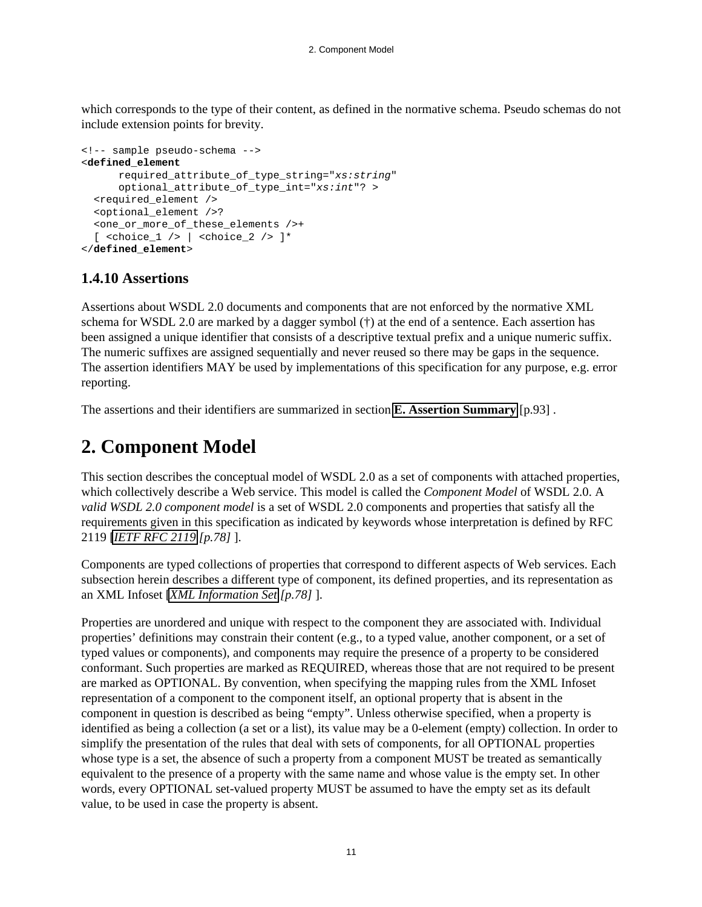which corresponds to the type of their content, as defined in the normative schema. Pseudo schemas do not include extension points for brevity.

```
<!-- sample pseudo-schema -->
<defined_element
       required_attribute_of_type_string="xs:string"
      optional_attribute_of_type_int="xs:int"? >
   <required_element />
   <optional_element />?
   <one_or_more_of_these_elements />+
   [ <choice_1 /> | <choice_2 /> ]*
</defined_element>
```
### <span id="page-10-0"></span>**1.4.10 Assertions**

Assertions about WSDL 2.0 documents and components that are not enforced by the normative XML schema for WSDL 2.0 are marked by a dagger symbol (†) at the end of a sentence. Each assertion has been assigned a unique identifier that consists of a descriptive textual prefix and a unique numeric suffix. The numeric suffixes are assigned sequentially and never reused so there may be gaps in the sequence. The assertion identifiers MAY be used by implementations of this specification for any purpose, e.g. error reporting.

The assertions and their identifiers are summarized in section **[E. Assertion Summary](#page-92-0)** [p.93] .

## <span id="page-10-1"></span>**2. Component Model**

This section describes the conceptual model of WSDL 2.0 as a set of components with attached properties, which collectively describe a Web service. This model is called the *Component Model* of WSDL 2.0. A *valid WSDL 2.0 component model* is a set of WSDL 2.0 components and properties that satisfy all the requirements given in this specification as indicated by keywords whose interpretation is defined by RFC 2119 [*[IETF RFC 2119](#page-77-3) [p.78]* ].

Components are typed collections of properties that correspond to different aspects of Web services. Each subsection herein describes a different type of component, its defined properties, and its representation as an XML Infoset [*[XML Information Set](#page-77-2) [p.78]* ].

Properties are unordered and unique with respect to the component they are associated with. Individual properties' definitions may constrain their content (e.g., to a typed value, another component, or a set of typed values or components), and components may require the presence of a property to be considered conformant. Such properties are marked as REQUIRED, whereas those that are not required to be present are marked as OPTIONAL. By convention, when specifying the mapping rules from the XML Infoset representation of a component to the component itself, an optional property that is absent in the component in question is described as being "empty". Unless otherwise specified, when a property is identified as being a collection (a set or a list), its value may be a 0-element (empty) collection. In order to simplify the presentation of the rules that deal with sets of components, for all OPTIONAL properties whose type is a set, the absence of such a property from a component MUST be treated as semantically equivalent to the presence of a property with the same name and whose value is the empty set. In other words, every OPTIONAL set-valued property MUST be assumed to have the empty set as its default value, to be used in case the property is absent.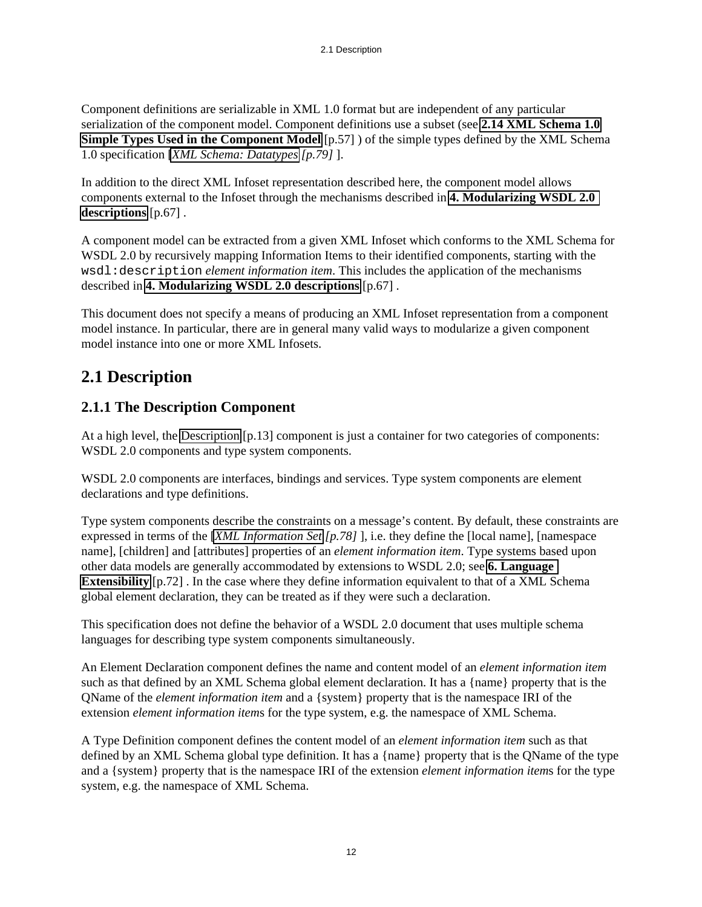Component definitions are serializable in XML 1.0 format but are independent of any particular serialization of the component model. Component definitions use a subset (see **[2.14 XML Schema 1.0](#page-56-3) [Simple Types Used in the Component Model](#page-56-3)** [p.57] ) of the simple types defined by the XML Schema 1.0 specification [*[XML Schema: Datatypes](#page-78-3) [p.79]* ].

In addition to the direct XML Infoset representation described here, the component model allows components external to the Infoset through the mechanisms described in **[4. Modularizing WSDL 2.0](#page-66-0)  [descriptions](#page-66-0)** [p.67] .

A component model can be extracted from a given XML Infoset which conforms to the XML Schema for WSDL 2.0 by recursively mapping Information Items to their identified components, starting with the wsdl:description *element information item*. This includes the application of the mechanisms described in **[4. Modularizing WSDL 2.0 descriptions](#page-66-0)** [p.67] .

This document does not specify a means of producing an XML Infoset representation from a component model instance. In particular, there are in general many valid ways to modularize a given component model instance into one or more XML Infosets.

## <span id="page-11-0"></span>**2.1 Description**

### <span id="page-11-1"></span>**2.1.1 The Description Component**

At a high level, the [Description](#page-12-2) [p.13] component is just a container for two categories of components: WSDL 2.0 components and type system components.

WSDL 2.0 components are interfaces, bindings and services. Type system components are element declarations and type definitions.

Type system components describe the constraints on a message's content. By default, these constraints are expressed in terms of the [*[XML Information Set](#page-77-2) [p.78]* ], i.e. they define the [local name], [namespace name], [children] and [attributes] properties of an *element information item*. Type systems based upon other data models are generally accommodated by extensions to WSDL 2.0; see **[6. Language](#page-71-0)  [Extensibility](#page-71-0)** [p.72]. In the case where they define information equivalent to that of a XML Schema global element declaration, they can be treated as if they were such a declaration.

This specification does not define the behavior of a WSDL 2.0 document that uses multiple schema languages for describing type system components simultaneously.

<span id="page-11-2"></span>An Element Declaration component defines the name and content model of an *element information item* such as that defined by an XML Schema global element declaration. It has a {name} property that is the QName of the *element information item* and a {system} property that is the namespace IRI of the extension *element information item*s for the type system, e.g. the namespace of XML Schema.

<span id="page-11-3"></span>A Type Definition component defines the content model of an *element information item* such as that defined by an XML Schema global type definition. It has a {name} property that is the QName of the type and a {system} property that is the namespace IRI of the extension *element information item*s for the type system, e.g. the namespace of XML Schema.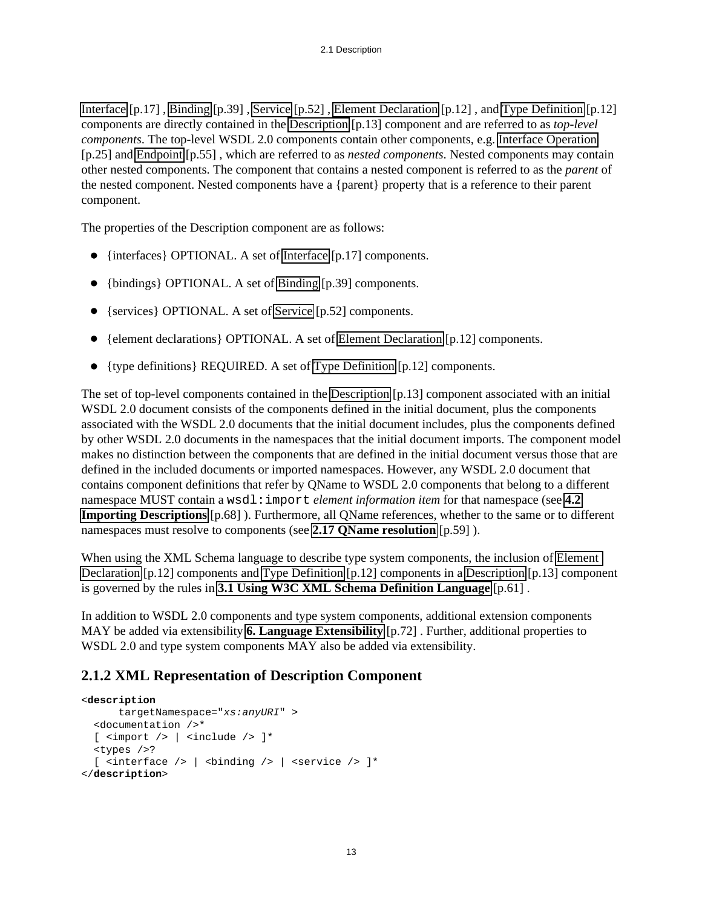[Interface](#page-16-3) [p.17] , [Binding](#page-38-1) [p.39] , [Service](#page-51-3) [p.52] , [Element Declaration](#page-11-2) [p.12] , and [Type Definition](#page-11-3) [p.12] components are directly contained in the [Description](#page-12-2) [p.13] component and are referred to as *top-level components*. The top-level WSDL 2.0 components contain other components, e.g. [Interface Operation](#page-24-0)  [p.25] and [Endpoint](#page-54-1) [p.55] , which are referred to as *nested components*. Nested components may contain other nested components. The component that contains a nested component is referred to as the *parent* of the nested component. Nested components have a {parent} property that is a reference to their parent component.

<span id="page-12-2"></span><span id="page-12-1"></span>The properties of the Description component are as follows:

- {interfaces} OPTIONAL. A set of [Interface](#page-16-3) [p.17] components.
- <span id="page-12-3"></span>{bindings} OPTIONAL. A set of [Binding](#page-38-1) [p.39] components.
- <span id="page-12-4"></span>• {services} OPTIONAL. A set of [Service](#page-51-3) [p.52] components.
- <span id="page-12-5"></span>• {element declarations} OPTIONAL. A set of [Element Declaration](#page-11-2) [p.12] components.
- {type definitions} REQUIRED. A set of [Type Definition](#page-11-3) [p.12] components.

<span id="page-12-6"></span>The set of top-level components contained in the [Description](#page-12-2) [p.13] component associated with an initial WSDL 2.0 document consists of the components defined in the initial document, plus the components associated with the WSDL 2.0 documents that the initial document includes, plus the components defined by other WSDL 2.0 documents in the namespaces that the initial document imports. The component model makes no distinction between the components that are defined in the initial document versus those that are defined in the included documents or imported namespaces. However, any WSDL 2.0 document that contains component definitions that refer by QName to WSDL 2.0 components that belong to a different namespace MUST contain a wsdl:import *element information item* for that namespace (see **[4.2](#page-67-1) [Importing Descriptions](#page-67-1)** [p.68] ). Furthermore, all QName references, whether to the same or to different namespaces must resolve to components (see **[2.17 QName resolution](#page-58-0)** [p.59] ).

When using the XML Schema language to describe type system components, the inclusion of [Element](#page-11-2)  [Declaration](#page-11-2) [p.12] components and [Type Definition](#page-11-3) [p.12] components in a [Description](#page-12-2) [p.13] component is governed by the rules in **[3.1 Using W3C XML Schema Definition Language](#page-60-0)** [p.61] .

In addition to WSDL 2.0 components and type system components, additional extension components MAY be added via extensibility **[6. Language Extensibility](#page-71-0)** [p.72] . Further, additional properties to WSDL 2.0 and type system components MAY also be added via extensibility.

#### <span id="page-12-0"></span>**2.1.2 XML Representation of Description Component**

```
<description
       targetNamespace="xs:anyURI" >
   <documentation />*
  [ <import /> | <include /> ]*
   <types />?
  [ <interface /> | <br/> <br/>kinding /> | <service /> ] *
</description>
```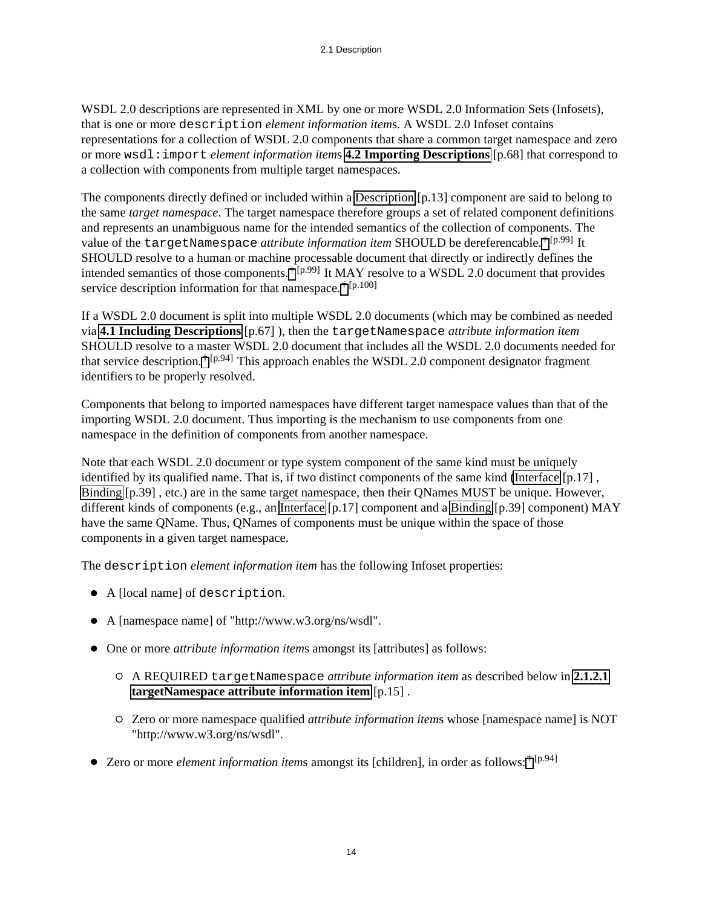WSDL 2.0 descriptions are represented in XML by one or more WSDL 2.0 Information Sets (Infosets), that is one or more description *element information item*s. A WSDL 2.0 Infoset contains representations for a collection of WSDL 2.0 components that share a common target namespace and zero or more wsdl:import *element information item*s **[4.2 Importing Descriptions](#page-67-1)** [p.68] that correspond to a collection with components from multiple target namespaces.

The components directly defined or included within a [Description](#page-12-2) [p.13] component are said to belong to the same *target namespace*. The target namespace therefore groups a set of related component definitions and represents an unambiguous name for the intended semantics of the collection of components. The value of the targetNamespace *attribute information item* SHOULD be dereferencable. [†](#page-98-0) [p.99] It SHOULD resolve to a human or machine processable document that directly or indirectly defines the intended semantics of those components.  $\hat{f}[p.99]$  It MAY resolve to a WSDL 2.0 document that provides service description information for that namespace.<sup>[†](#page-99-0) [p.100]</sup>

If a WSDL 2.0 document is split into multiple WSDL 2.0 documents (which may be combined as needed via **[4.1 Including Descriptions](#page-66-1)** [p.67] ), then the targetNamespace *attribute information item* SHOULD resolve to a master WSDL 2.0 document that includes all the WSDL 2.0 documents needed for that service description.<sup>[†](#page-93-0) [p.94]</sup> This approach enables the WSDL 2.0 component designator fragment identifiers to be properly resolved.

Components that belong to imported namespaces have different target namespace values than that of the importing WSDL 2.0 document. Thus importing is the mechanism to use components from one namespace in the definition of components from another namespace.

Note that each WSDL 2.0 document or type system component of the same kind must be uniquely identified by its qualified name. That is, if two distinct components of the same kind [\(Interface](#page-16-3) [p.17] , [Binding](#page-38-1) [p.39] , etc.) are in the same target namespace, then their QNames MUST be unique. However, different kinds of components (e.g., an [Interface](#page-16-3) [p.17] component and a [Binding](#page-38-1) [p.39] component) MAY have the same QName. Thus, QNames of components must be unique within the space of those components in a given target namespace.

The description *element information item* has the following Infoset properties:

- A [local name] of description.
- A [namespace name] of "http://www.w3.org/ns/wsdl".
- One or more *attribute information item*s amongst its [attributes] as follows:
	- A REQUIRED targetNamespace *attribute information item* as described below in **[2.1.2.1](#page-14-0) [targetNamespace attribute information item](#page-14-0)** [p.15] .
	- Zero or more namespace qualified *attribute information item*s whose [namespace name] is NOT "http://www.w3.org/ns/wsdl".
- Zero or more *element information items* amongst its [children], in order as follows:<sup>[†](#page-93-0) [p.94]</sup>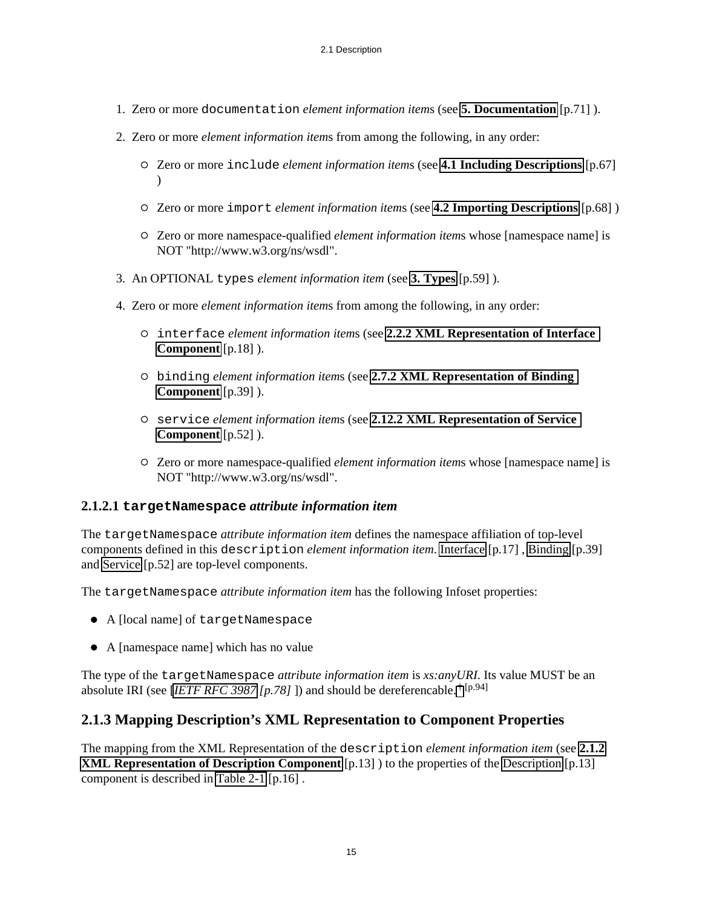- 1. Zero or more documentation *element information item*s (see **[5. Documentation](#page-70-1)** [p.71] ).
- 2. Zero or more *element information item*s from among the following, in any order:
	- Zero or more include *element information item*s (see **[4.1 Including Descriptions](#page-66-1)** [p.67]  $\lambda$
	- Zero or more import *element information item*s (see **[4.2 Importing Descriptions](#page-67-1)** [p.68] )
	- Zero or more namespace-qualified *element information item*s whose [namespace name] is NOT "http://www.w3.org/ns/wsdl".
- 3. An OPTIONAL types *element information item* (see **[3. Types](#page-58-2)** [p.59] ).
- 4. Zero or more *element information item*s from among the following, in any order:
	- interface *element information item*s (see **[2.2.2 XML Representation of Interface](#page-17-0)  [Component](#page-17-0)** [p.18] ).
	- binding *element information item*s (see **[2.7.2 XML Representation of Binding](#page-38-0)  [Component](#page-38-0)** [p.39] ).
	- service *element information item*s (see **[2.12.2 XML Representation of Service](#page-51-2)  [Component](#page-51-2)** [p.52] ).
	- Zero or more namespace-qualified *element information item*s whose [namespace name] is NOT "http://www.w3.org/ns/wsdl".

#### <span id="page-14-0"></span>**2.1.2.1 targetNamespace** *attribute information item*

The targetNamespace *attribute information item* defines the namespace affiliation of top-level components defined in this description *element information item*. [Interface](#page-16-3) [p.17] , [Binding](#page-38-1) [p.39] and [Service](#page-51-3) [p.52] are top-level components.

The targetNamespace *attribute information item* has the following Infoset properties:

- A [local name] of targetNamespace
- A [namespace name] which has no value

The type of the targetNamespace *attribute information item* is *xs:anyURI*. Its value MUST be an absolute IRI (see [*[IETF RFC 3987](#page-77-5) [p.78]* ]) and should be dereferencable. [†](#page-93-0) [p.94]

#### <span id="page-14-1"></span>**2.1.3 Mapping Description's XML Representation to Component Properties**

The mapping from the XML Representation of the description *element information item* (see **[2.1.2](#page-12-0) [XML Representation of Description Component](#page-12-0)** [p.13] ) to the properties of the [Description](#page-12-2) [p.13] component is described in [Table 2-1](#page-15-0) [p.16] .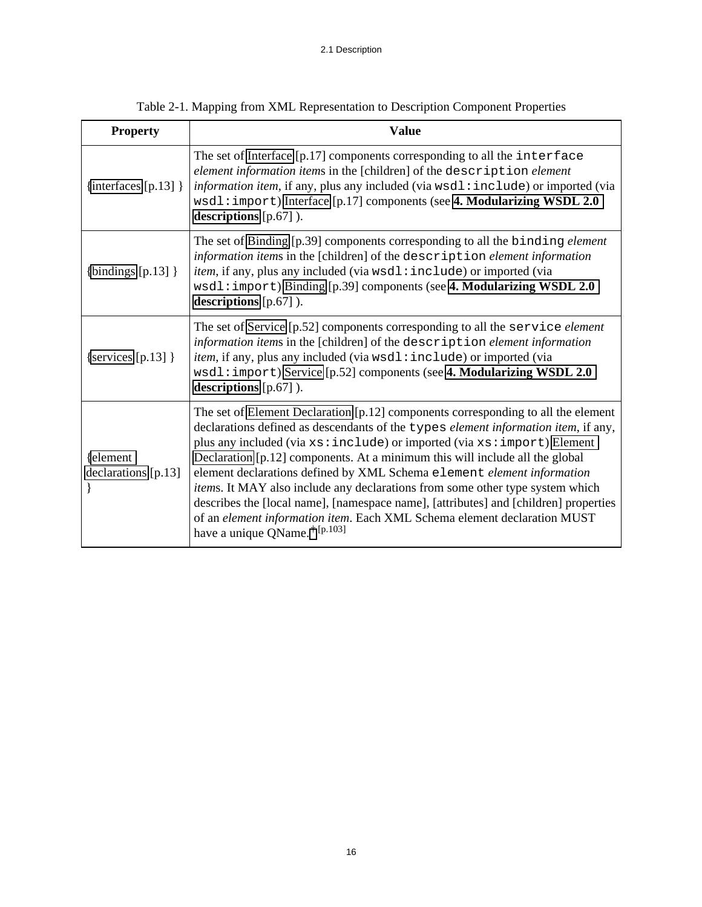<span id="page-15-0"></span>

| <b>Property</b>                 | <b>Value</b>                                                                                                                                                                                                                                                                                                                                                                                                                                                                                                                                                                                                                                                                                                          |
|---------------------------------|-----------------------------------------------------------------------------------------------------------------------------------------------------------------------------------------------------------------------------------------------------------------------------------------------------------------------------------------------------------------------------------------------------------------------------------------------------------------------------------------------------------------------------------------------------------------------------------------------------------------------------------------------------------------------------------------------------------------------|
| {interfaces $[p.13]$ }          | The set of Interface [p.17] components corresponding to all the interface<br>element information items in the [children] of the description element<br>information item, if any, plus any included (via wsdl:include) or imported (via<br>wsdl: import) Interface [p.17] components (see 4. Modularizing WSDL 2.0<br>descriptions $[p.67]$ ).                                                                                                                                                                                                                                                                                                                                                                         |
| {bindings $[p.13]$ }            | The set of Binding [p.39] components corresponding to all the binding <i>element</i><br>information items in the [children] of the description element information<br><i>item</i> , if any, plus any included (via wsdl:include) or imported (via<br>wsdl: import) Binding [p.39] components (see 4. Modularizing WSDL 2.0<br>descriptions $[p.67]$ ).                                                                                                                                                                                                                                                                                                                                                                |
| {services $[p.13]$ }            | The set of Service [p.52] components corresponding to all the service element<br>information items in the [children] of the description element information<br><i>item</i> , if any, plus any included (via wsdl:include) or imported (via<br>wsdl: import) Service [p.52] components (see 4. Modularizing WSDL 2.0<br>descriptions $[p.67]$ ).                                                                                                                                                                                                                                                                                                                                                                       |
| {element<br>declarations [p.13] | The set of Element Declaration [p.12] components corresponding to all the element<br>declarations defined as descendants of the types element information item, if any,<br>plus any included (via xs:include) or imported (via xs:import) Element<br>Declaration [p.12] components. At a minimum this will include all the global<br>element declarations defined by XML Schema element element information<br><i>items</i> . It MAY also include any declarations from some other type system which<br>describes the [local name], [namespace name], [attributes] and [children] properties<br>of an element information item. Each XML Schema element declaration MUST<br>have a unique QName. <sup>† [p.103]</sup> |

|  | Table 2-1. Mapping from XML Representation to Description Component Properties |
|--|--------------------------------------------------------------------------------|
|  |                                                                                |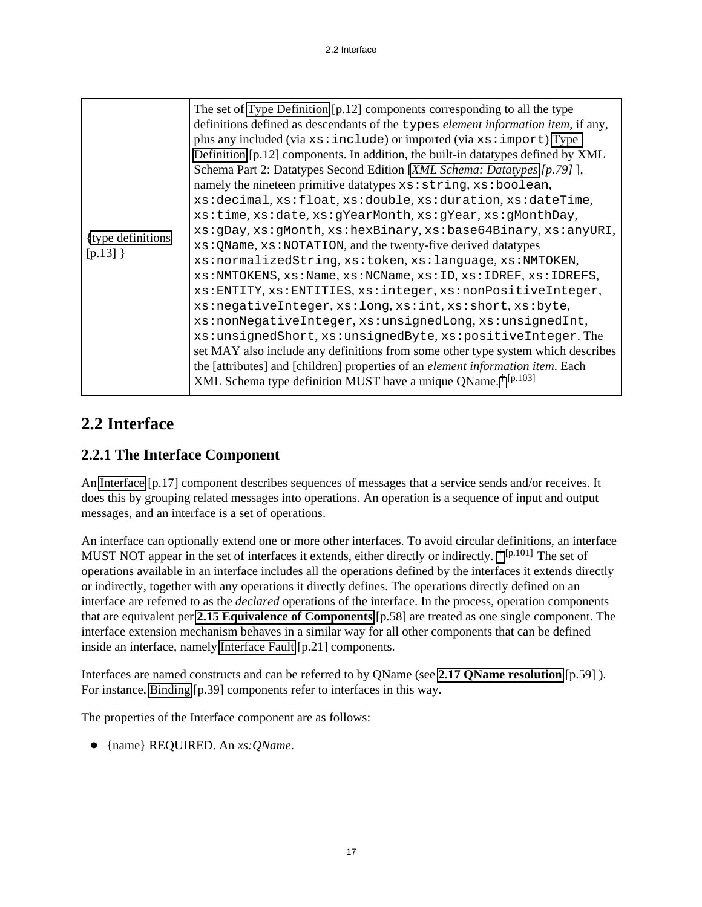| {type definitions}<br>$[p.13]$ } | The set of Type Definition [p.12] components corresponding to all the type<br>definitions defined as descendants of the types element information item, if any,<br>plus any included (via xs:include) or imported (via xs:import) Type<br>Definition [p.12] components. In addition, the built-in datatypes defined by XML<br>Schema Part 2: Datatypes Second Edition [XML Schema: Datatypes [p.79]],<br>namely the nineteen primitive datatypes xs: string, xs: boolean,<br>xs:decimal, xs:float, xs:double, xs:duration, xs:dateTime,<br>xs:time, xs:date, xs:gYearMonth, xs:gYear, xs:gMonthDay,<br>xs:gDay, xs:gMonth, xs:hexBinary, xs:base64Binary, xs:anyURI,<br>xs: QName, xs: NOTATION, and the twenty-five derived datatypes<br>xs:normalizedString, xs:token, xs:language, xs:NMTOKEN,<br>xs:NMTOKENS, xs:Name, xs:NCName, xs:ID, xs:IDREF, xs:IDREFS,<br>xs:ENTITY, xs:ENTITIES, xs:integer, xs:nonPositiveInteger,<br>xs:negativeInteger, xs:long, xs:int, xs:short, xs:byte,<br>xs:nonNegativeInteger, xs:unsignedLong, xs:unsignedInt,<br>xs:unsignedShort, xs:unsignedByte, xs:positiveInteger. The<br>set MAY also include any definitions from some other type system which describes<br>the [attributes] and [children] properties of an <i>element information item</i> . Each<br>XML Schema type definition MUST have a unique QName. <sup>† [p.103]</sup> |
|----------------------------------|---------------------------------------------------------------------------------------------------------------------------------------------------------------------------------------------------------------------------------------------------------------------------------------------------------------------------------------------------------------------------------------------------------------------------------------------------------------------------------------------------------------------------------------------------------------------------------------------------------------------------------------------------------------------------------------------------------------------------------------------------------------------------------------------------------------------------------------------------------------------------------------------------------------------------------------------------------------------------------------------------------------------------------------------------------------------------------------------------------------------------------------------------------------------------------------------------------------------------------------------------------------------------------------------------------------------------------------------------------------------------------|
|----------------------------------|---------------------------------------------------------------------------------------------------------------------------------------------------------------------------------------------------------------------------------------------------------------------------------------------------------------------------------------------------------------------------------------------------------------------------------------------------------------------------------------------------------------------------------------------------------------------------------------------------------------------------------------------------------------------------------------------------------------------------------------------------------------------------------------------------------------------------------------------------------------------------------------------------------------------------------------------------------------------------------------------------------------------------------------------------------------------------------------------------------------------------------------------------------------------------------------------------------------------------------------------------------------------------------------------------------------------------------------------------------------------------------|

## <span id="page-16-0"></span>**2.2 Interface**

### <span id="page-16-1"></span>**2.2.1 The Interface Component**

An [Interface](#page-16-3) [p.17] component describes sequences of messages that a service sends and/or receives. It does this by grouping related messages into operations. An operation is a sequence of input and output messages, and an interface is a set of operations.

An interface can optionally extend one or more other interfaces. To avoid circular definitions, an interface MUST NOT appear in the set of interfaces it extends, either directly or indirectly. <sup>[†](#page-100-0) [p.101]</sup> The set of operations available in an interface includes all the operations defined by the interfaces it extends directly or indirectly, together with any operations it directly defines. The operations directly defined on an interface are referred to as the *declared* operations of the interface. In the process, operation components that are equivalent per **[2.15 Equivalence of Components](#page-57-0)** [p.58] are treated as one single component. The interface extension mechanism behaves in a similar way for all other components that can be defined inside an interface, namely [Interface Fault](#page-20-0) [p.21] components.

Interfaces are named constructs and can be referred to by QName (see **[2.17 QName resolution](#page-58-0)** [p.59] ). For instance, [Binding](#page-38-1) [p.39] components refer to interfaces in this way.

<span id="page-16-3"></span><span id="page-16-2"></span>The properties of the Interface component are as follows:

{name} REQUIRED. An *xs:QName*.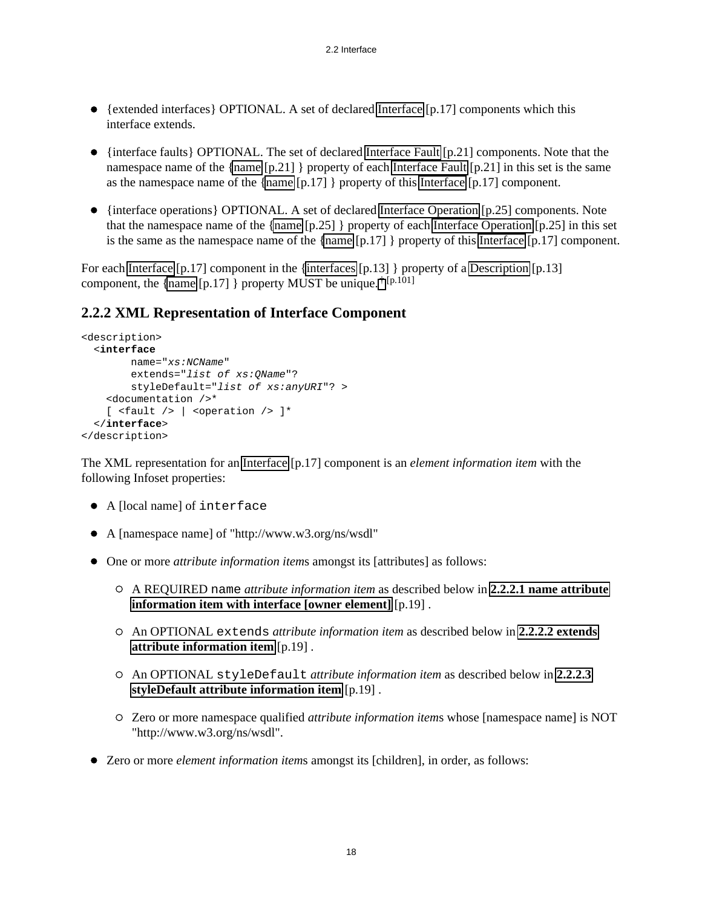- <span id="page-17-1"></span> $\bullet$  {extended interfaces} OPTIONAL. A set of declared [Interface](#page-16-3) [p.17] components which this interface extends.
- <span id="page-17-2"></span> $\bullet$  {interface faults} OPTIONAL. The set of declared [Interface Fault](#page-20-0) [p.21] components. Note that the namespace name of the [{name](#page-20-1)  $[p.21]$  } property of each [Interface Fault](#page-20-0)  $[p.21]$  in this set is the same as the namespace name of the  $\{name [p.17] \}$  $\{name [p.17] \}$  $\{name [p.17] \}$  property of this [Interface](#page-16-3)  $[p.17]$  component.
- <span id="page-17-3"></span>• {interface operations} OPTIONAL. A set of declared [Interface Operation](#page-24-0) [p.25] components. Note that the namespace name of the [{name](#page-24-1) [p.25] } property of each [Interface Operation](#page-24-0) [p.25] in this set is the same as the namespace name of the [{name](#page-16-2) [p.17] } property of this [Interface](#page-16-3) [p.17] component.

For each [Interface](#page-16-3) [p.17] component in the [{interfaces](#page-12-1) [p.13] } property of a [Description](#page-12-2) [p.13] component, the [{name](#page-16-2) [p.17] } property MUST be unique.<sup>[†](#page-100-0) [p.101]</sup>

### <span id="page-17-0"></span>**2.2.2 XML Representation of Interface Component**

```
<description>
   <interface
         name="xs:NCName" 
         extends="list of xs:QName"?
         styleDefault="list of xs:anyURI"? >
     <documentation />*
    [ <fault /> | <operation /> ]*
   </interface>
</description>
```
The XML representation for an [Interface](#page-16-3) [p.17] component is an *element information item* with the following Infoset properties:

- A [local name] of interface
- A [namespace name] of "http://www.w3.org/ns/wsdl"
- One or more *attribute information item*s amongst its [attributes] as follows:
	- A REQUIRED name *attribute information item* as described below in **[2.2.2.1 name attribute](#page-18-0) [information item with interface \[owner element\]](#page-18-0)** [p.19] .
	- An OPTIONAL extends *attribute information item* as described below in **[2.2.2.2 extends](#page-18-1) [attribute information item](#page-18-1)** [p.19] .
	- An OPTIONAL styleDefault *attribute information item* as described below in **[2.2.2.3](#page-18-2) [styleDefault attribute information item](#page-18-2)** [p.19] .
	- Zero or more namespace qualified *attribute information item*s whose [namespace name] is NOT "http://www.w3.org/ns/wsdl".
- Zero or more *element information item*s amongst its [children], in order, as follows: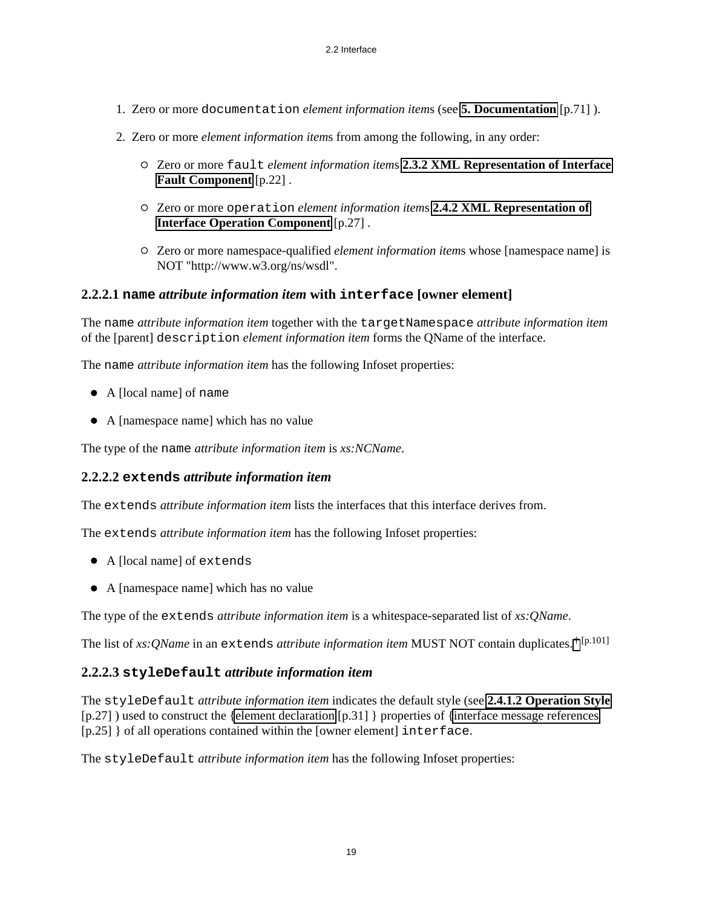- 1. Zero or more documentation *element information item*s (see **[5. Documentation](#page-70-1)** [p.71] ).
- 2. Zero or more *element information item*s from among the following, in any order:
	- Zero or more fault *element information item*s **[2.3.2 XML Representation of Interface](#page-21-0) [Fault Component](#page-21-0)** [p.22] .
	- Zero or more operation *element information item*s **[2.4.2 XML Representation of](#page-26-1) [Interface Operation Component](#page-26-1)** [p.27] .
	- Zero or more namespace-qualified *element information item*s whose [namespace name] is NOT "http://www.w3.org/ns/wsdl".

#### <span id="page-18-0"></span>**2.2.2.1 name** *attribute information item* **with interface [owner element]**

The name *attribute information item* together with the targetNamespace *attribute information item* of the [parent] description *element information item* forms the QName of the interface.

The name *attribute information item* has the following Infoset properties:

- A [local name] of name
- A [namespace name] which has no value

The type of the name *attribute information item* is *xs:NCName*.

#### <span id="page-18-1"></span>**2.2.2.2 extends** *attribute information item*

The extends *attribute information item* lists the interfaces that this interface derives from.

The extends *attribute information item* has the following Infoset properties:

- A [local name] of extends
- A [namespace name] which has no value

The type of the extends *attribute information item* is a whitespace-separated list of *xs:QName*.

The list of *xs:QName* in an extends *attribute information item* MUST NOT contain duplicates. [†](#page-100-0) [p.101]

#### <span id="page-18-2"></span>**2.2.2.3 styleDefault** *attribute information item*

The styleDefault *attribute information item* indicates the default style (see **[2.4.1.2 Operation Style](#page-26-0)** [p.27] ) used to construct the [{element declaration](#page-30-1) [p.31] } properties of [{interface message references](#page-24-2)  [p.25] } of all operations contained within the [owner element] interface.

The styleDefault *attribute information item* has the following Infoset properties: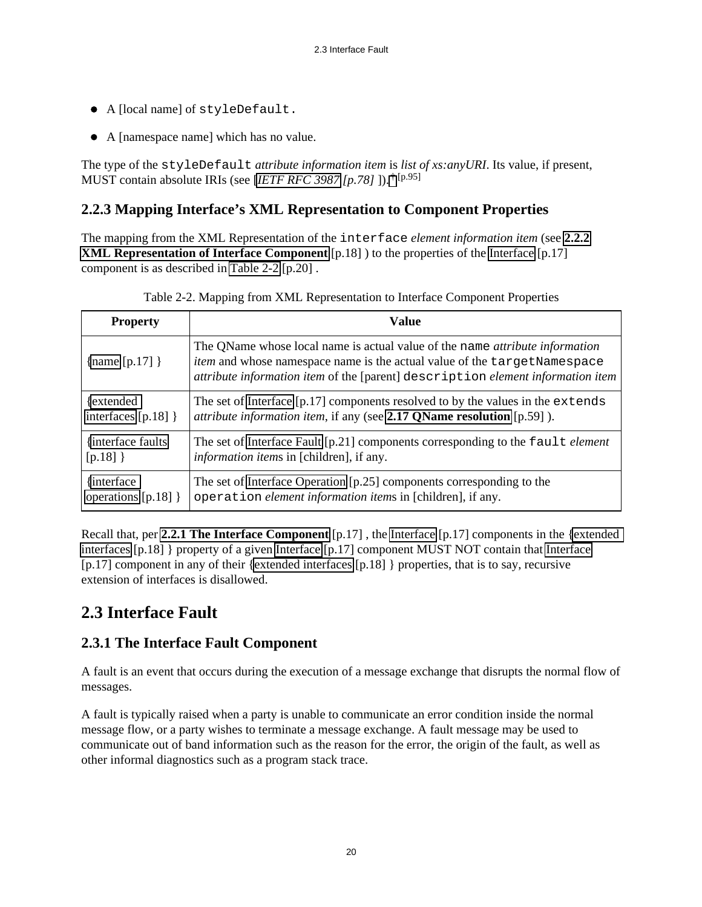- A [local name] of styleDefault.
- A [namespace name] which has no value.

The type of the styleDefault *attribute information item* is *list of xs:anyURI*. Its value, if present, MUST contain absolute IRIs (see [*[IETF RFC 3987](#page-77-5) [p.78]* ]). [†](#page-94-0) [p.95]

### <span id="page-19-0"></span>**2.2.3 Mapping Interface's XML Representation to Component Properties**

The mapping from the XML Representation of the interface *element information item* (see **[2.2.2](#page-17-0) [XML Representation of Interface Component](#page-17-0)** [p.18] ) to the properties of the [Interface](#page-16-3) [p.17] component is as described in [Table 2-2](#page-19-3) [p.20] .

<span id="page-19-3"></span>

| <b>Property</b>       | Value                                                                                                                                                                                                                                                     |
|-----------------------|-----------------------------------------------------------------------------------------------------------------------------------------------------------------------------------------------------------------------------------------------------------|
| $\{name[p.17]\}$      | The QName whose local name is actual value of the name <i>attribute information</i><br><i>item</i> and whose namespace name is the actual value of the targetNamespace<br>attribute information item of the [parent] description element information item |
| {extended}            | The set of Interface $[p.17]$ components resolved to by the values in the extends                                                                                                                                                                         |
| interfaces $[p.18]$ } | <i>attribute information item, if any (see 2.17 QName resolution [p.59]).</i>                                                                                                                                                                             |
| {interface faults}    | The set of Interface Fault [p.21] components corresponding to the fault <i>element</i>                                                                                                                                                                    |
| $[p.18]$ }            | <i>information items</i> in [children], if any.                                                                                                                                                                                                           |
| {interface}           | The set of Interface Operation [p.25] components corresponding to the                                                                                                                                                                                     |
| operations $[p.18]$ } | operation element information items in [children], if any.                                                                                                                                                                                                |

|  | Table 2-2. Mapping from XML Representation to Interface Component Properties |  |  |
|--|------------------------------------------------------------------------------|--|--|
|  |                                                                              |  |  |

Recall that, per **[2.2.1 The Interface Component](#page-16-1)** [p.17] , the [Interface](#page-16-3) [p.17] components in the [{extended](#page-17-1)  [interfaces](#page-17-1) [p.18] } property of a given [Interface](#page-16-3) [p.17] component MUST NOT contain that [Interface](#page-16-3)  [p.17] component in any of their [{extended interfaces](#page-17-1) [p.18] } properties, that is to say, recursive extension of interfaces is disallowed.

## <span id="page-19-1"></span>**2.3 Interface Fault**

### <span id="page-19-2"></span>**2.3.1 The Interface Fault Component**

A fault is an event that occurs during the execution of a message exchange that disrupts the normal flow of messages.

A fault is typically raised when a party is unable to communicate an error condition inside the normal message flow, or a party wishes to terminate a message exchange. A fault message may be used to communicate out of band information such as the reason for the error, the origin of the fault, as well as other informal diagnostics such as a program stack trace.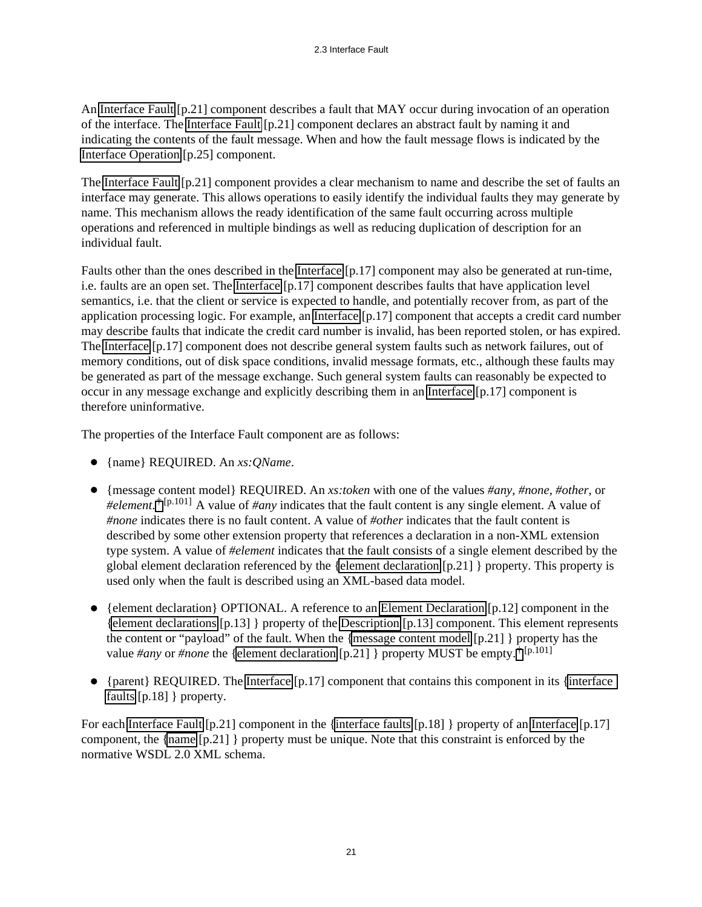An [Interface Fault](#page-20-0) [p.21] component describes a fault that MAY occur during invocation of an operation of the interface. The [Interface Fault](#page-20-0) [p.21] component declares an abstract fault by naming it and indicating the contents of the fault message. When and how the fault message flows is indicated by the [Interface Operation](#page-24-0) [p.25] component.

The [Interface Fault](#page-20-0) [p.21] component provides a clear mechanism to name and describe the set of faults an interface may generate. This allows operations to easily identify the individual faults they may generate by name. This mechanism allows the ready identification of the same fault occurring across multiple operations and referenced in multiple bindings as well as reducing duplication of description for an individual fault.

Faults other than the ones described in the [Interface](#page-16-3) [p.17] component may also be generated at run-time, i.e. faults are an open set. The [Interface](#page-16-3) [p.17] component describes faults that have application level semantics, i.e. that the client or service is expected to handle, and potentially recover from, as part of the application processing logic. For example, an [Interface](#page-16-3) [p.17] component that accepts a credit card number may describe faults that indicate the credit card number is invalid, has been reported stolen, or has expired. The [Interface](#page-16-3) [p.17] component does not describe general system faults such as network failures, out of memory conditions, out of disk space conditions, invalid message formats, etc., although these faults may be generated as part of the message exchange. Such general system faults can reasonably be expected to occur in any message exchange and explicitly describing them in an [Interface](#page-16-3) [p.17] component is therefore uninformative.

<span id="page-20-1"></span><span id="page-20-0"></span>The properties of the Interface Fault component are as follows:

- {name} REQUIRED. An *xs:QName*.
- <span id="page-20-3"></span>{message content model} REQUIRED. An *xs:token* with one of the values *#any*, *#none*, *#other*, or *#element*. [†](#page-100-0) [p.101] A value of *#any* indicates that the fault content is any single element. A value of *#none* indicates there is no fault content. A value of *#other* indicates that the fault content is described by some other extension property that references a declaration in a non-XML extension type system. A value of *#element* indicates that the fault consists of a single element described by the global element declaration referenced by the [{element declaration](#page-20-2) [p.21] } property. This property is used only when the fault is described using an XML-based data model.
- <span id="page-20-2"></span>• {element declaration} OPTIONAL. A reference to an [Element Declaration](#page-11-2) [p.12] component in the [{element declarations](#page-12-5) [p.13] } property of the [Description](#page-12-2) [p.13] component. This element represents the content or "payload" of the fault. When the [{message content model](#page-20-3) [p.21] } property has the value *#any* or *#none* the [{element declaration](#page-20-2)  $[p.21]$  } property MUST be empty. <sup>[†](#page-100-0) [p.101]</sup>
- <span id="page-20-4"></span> $\bullet$  {parent} REQUIRED. The [Interface](#page-16-3) [p.17] component that contains this component in its {interface} [faults](#page-17-2) [p.18] } property.

For each [Interface Fault](#page-20-0) [p.21] component in the [{interface faults](#page-17-2) [p.18] } property of an [Interface](#page-16-3) [p.17] component, the [{name](#page-20-1) [p.21] } property must be unique. Note that this constraint is enforced by the normative WSDL 2.0 XML schema.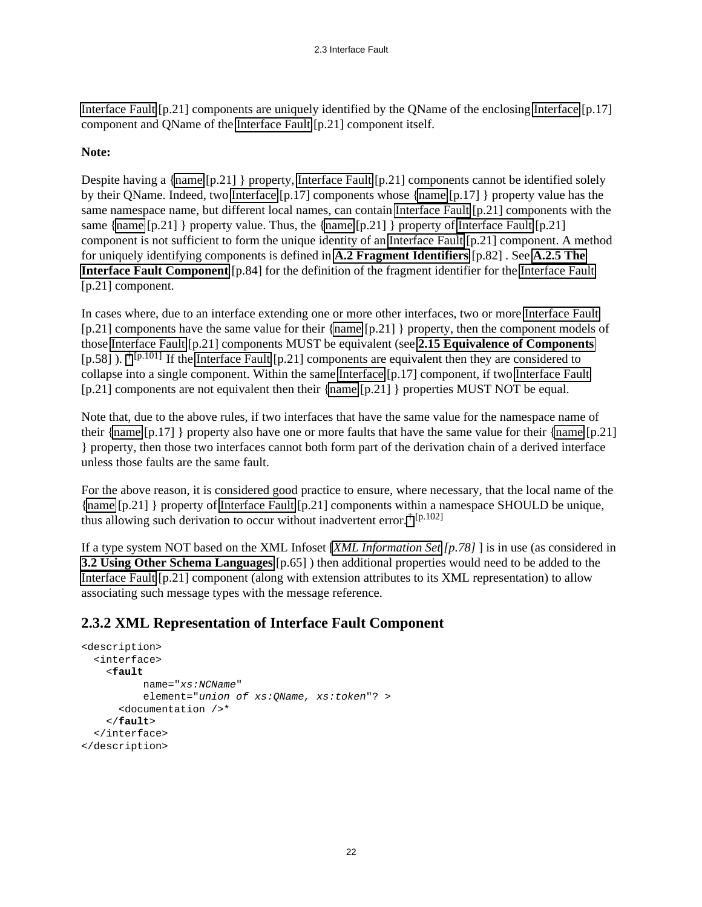[Interface Fault](#page-20-0) [p.21] components are uniquely identified by the QName of the enclosing [Interface](#page-16-3) [p.17] component and QName of the [Interface Fault](#page-20-0) [p.21] component itself.

#### **Note:**

Despite having a [{name](#page-20-1) [p.21] } property, [Interface Fault](#page-20-0) [p.21] components cannot be identified solely by their QName. Indeed, two [Interface](#page-16-3) [p.17] components whose [{name](#page-16-2) [p.17] } property value has the same namespace name, but different local names, can contain [Interface Fault](#page-20-0) [p.21] components with the same [{name](#page-20-1) [p.21] } property value. Thus, the {name [p.21] } property of [Interface Fault](#page-20-0) [p.21] component is not sufficient to form the unique identity of an [Interface Fault](#page-20-0) [p.21] component. A method for uniquely identifying components is defined in **[A.2 Fragment Identifiers](#page-81-0)** [p.82] . See **[A.2.5 The](#page-83-4) [Interface Fault Component](#page-83-4)** [p.84] for the definition of the fragment identifier for the [Interface Fault](#page-20-0)  [p.21] component.

In cases where, due to an interface extending one or more other interfaces, two or more [Interface Fault](#page-20-0)  [p.21] components have the same value for their [{name](#page-20-1) [p.21] } property, then the component models of those [Interface Fault](#page-20-0) [p.21] components MUST be equivalent (see **[2.15 Equivalence of Components](#page-57-0)** [p.58] ). [†](#page-100-0) [p.101] If the [Interface Fault](#page-20-0) [p.21] components are equivalent then they are considered to collapse into a single component. Within the same [Interface](#page-16-3) [p.17] component, if two [Interface Fault](#page-20-0)  [p.21] components are not equivalent then their [{name](#page-20-1) [p.21] } properties MUST NOT be equal.

Note that, due to the above rules, if two interfaces that have the same value for the namespace name of their [{name](#page-20-1)  $[p.17]$ } property also have one or more faults that have the same value for their {name  $[p.21]$ } } property, then those two interfaces cannot both form part of the derivation chain of a derived interface unless those faults are the same fault.

For the above reason, it is considered good practice to ensure, where necessary, that the local name of the [{name](#page-20-1) [p.21] } property of [Interface Fault](#page-20-0) [p.21] components within a namespace SHOULD be unique, thus allowing such derivation to occur without inadvertent error.<sup>[†](#page-101-0) [p.102]</sup>

If a type system NOT based on the XML Infoset [*[XML Information Set](#page-77-2) [p.78]* ] is in use (as considered in **[3.2 Using Other Schema Languages](#page-64-0)** [p.65] ) then additional properties would need to be added to the [Interface Fault](#page-20-0) [p.21] component (along with extension attributes to its XML representation) to allow associating such message types with the message reference.

### <span id="page-21-0"></span>**2.3.2 XML Representation of Interface Fault Component**

```
<description>
   <interface>
     <fault
           name="xs:NCName" 
           element="union of xs:QName, xs:token"? >
       <documentation />*
     </fault>
   </interface>
</description>
```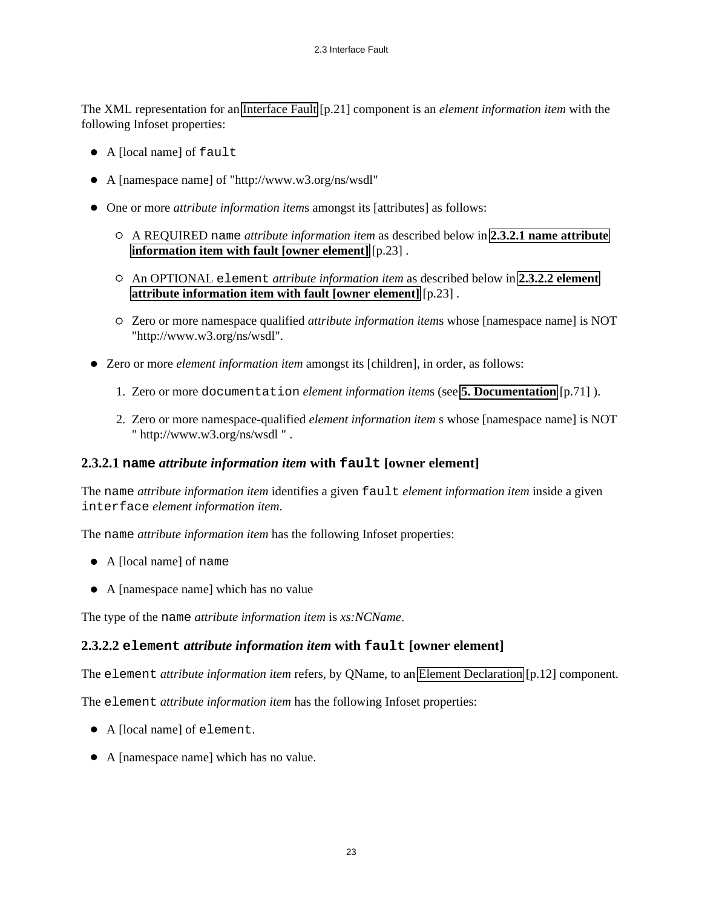The XML representation for an [Interface Fault](#page-20-0) [p.21] component is an *element information item* with the following Infoset properties:

- A [local name] of fault
- A [namespace name] of "http://www.w3.org/ns/wsdl"
- One or more *attribute information item*s amongst its [attributes] as follows:
	- A REQUIRED name *attribute information item* as described below in **[2.3.2.1 name attribute](#page-22-0) [information item with fault \[owner element\]](#page-22-0)** [p.23] .
	- An OPTIONAL element *attribute information item* as described below in **[2.3.2.2 element](#page-22-1) [attribute information item with fault \[owner element\]](#page-22-1)** [p.23] .
	- Zero or more namespace qualified *attribute information item*s whose [namespace name] is NOT "http://www.w3.org/ns/wsdl".
- Zero or more *element information item* amongst its [children], in order, as follows:
	- 1. Zero or more documentation *element information item*s (see **[5. Documentation](#page-70-1)** [p.71] ).
	- 2. Zero or more namespace-qualified *element information item* s whose [namespace name] is NOT " http://www.w3.org/ns/wsdl " .

#### <span id="page-22-0"></span>**2.3.2.1 name** *attribute information item* **with fault [owner element]**

The name *attribute information item* identifies a given fault *element information item* inside a given interface *element information item*.

The name *attribute information item* has the following Infoset properties:

- A [local name] of name
- A [namespace name] which has no value

The type of the name *attribute information item* is *xs:NCName*.

#### <span id="page-22-1"></span>**2.3.2.2 element** *attribute information item* **with fault [owner element]**

The element *attribute information item* refers, by QName, to an [Element Declaration](#page-11-2) [p.12] component.

The element *attribute information item* has the following Infoset properties:

- A [local name] of element.
- A [namespace name] which has no value.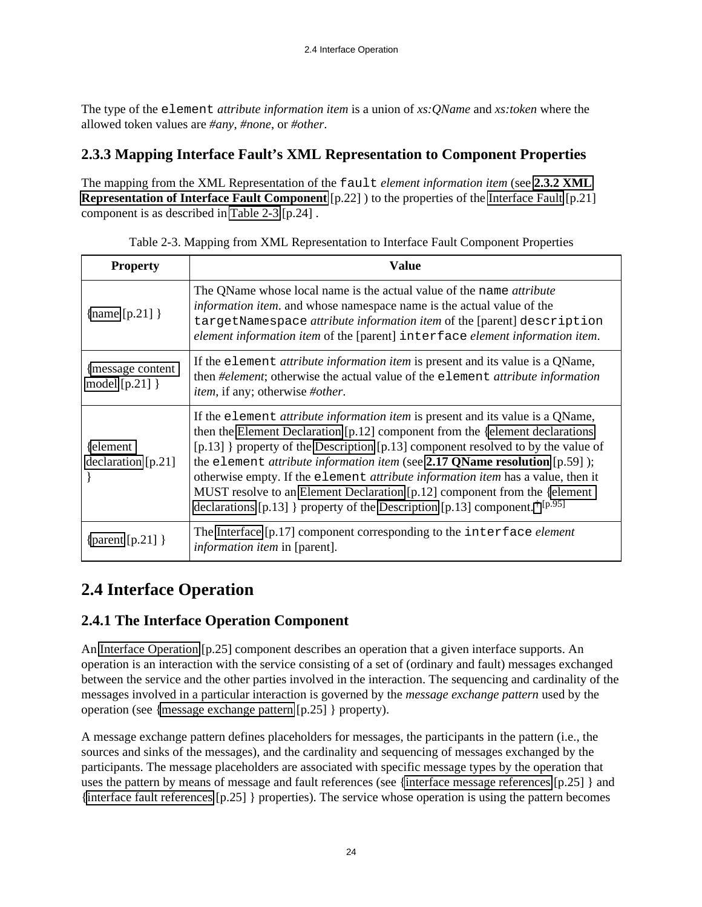The type of the element *attribute information item* is a union of *xs:QName* and *xs:token* where the allowed token values are *#any*, *#none*, or *#other*.

### <span id="page-23-0"></span>**2.3.3 Mapping Interface Fault's XML Representation to Component Properties**

The mapping from the XML Representation of the fault *element information item* (see **[2.3.2 XML](#page-21-0) [Representation of Interface Fault Component](#page-21-0)** [p.22] ) to the properties of the [Interface Fault](#page-20-0) [p.21] component is as described in [Table 2-3](#page-23-3) [p.24] .

<span id="page-23-3"></span>

| <b>Property</b>                     | <b>Value</b>                                                                                                                                                                                                                                                                                                                                                                                                                                                                                                                                                                                                     |
|-------------------------------------|------------------------------------------------------------------------------------------------------------------------------------------------------------------------------------------------------------------------------------------------------------------------------------------------------------------------------------------------------------------------------------------------------------------------------------------------------------------------------------------------------------------------------------------------------------------------------------------------------------------|
| $\{name[p.21]\}$                    | The QName whose local name is the actual value of the name <i>attribute</i><br><i>information item.</i> and whose namespace name is the actual value of the<br>targetNamespace attribute information item of the [parent] description<br>element information item of the [parent] interface element information item.                                                                                                                                                                                                                                                                                            |
| message content<br>model $[p.21]$ } | If the element <i>attribute information item</i> is present and its value is a QName,<br>then #element; otherwise the actual value of the element <i>attribute information</i><br><i>item</i> , if any; otherwise #other.                                                                                                                                                                                                                                                                                                                                                                                        |
| $\{element$<br>declaration [p.21]   | If the element <i>attribute information item</i> is present and its value is a QName,<br>then the Element Declaration [p.12] component from the {element declarations<br>[p.13] } property of the Description [p.13] component resolved to by the value of<br>the element <i>attribute information item</i> (see $2.17$ QName resolution [p.59]);<br>otherwise empty. If the element <i>attribute information item</i> has a value, then it<br>MUST resolve to an Element Declaration [p.12] component from the {element<br>declarations [p.13] } property of the Description [p.13] component. $\dagger$ [p.95] |
| {parent $[p.21]$ }                  | The Interface [p.17] component corresponding to the interface element<br><i>information item</i> in [parent].                                                                                                                                                                                                                                                                                                                                                                                                                                                                                                    |

| Table 2-3. Mapping from XML Representation to Interface Fault Component Properties |  |  |  |
|------------------------------------------------------------------------------------|--|--|--|
|                                                                                    |  |  |  |

## <span id="page-23-1"></span>**2.4 Interface Operation**

### <span id="page-23-2"></span>**2.4.1 The Interface Operation Component**

An [Interface Operation](#page-24-0) [p.25] component describes an operation that a given interface supports. An operation is an interaction with the service consisting of a set of (ordinary and fault) messages exchanged between the service and the other parties involved in the interaction. The sequencing and cardinality of the messages involved in a particular interaction is governed by the *message exchange pattern* used by the operation (see [{message exchange pattern](#page-24-3) [p.25] } property).

A message exchange pattern defines placeholders for messages, the participants in the pattern (i.e., the sources and sinks of the messages), and the cardinality and sequencing of messages exchanged by the participants. The message placeholders are associated with specific message types by the operation that uses the pattern by means of message and fault references (see [{interface message references](#page-24-2) [p.25] } and [{interface fault references](#page-24-4) [p.25] } properties). The service whose operation is using the pattern becomes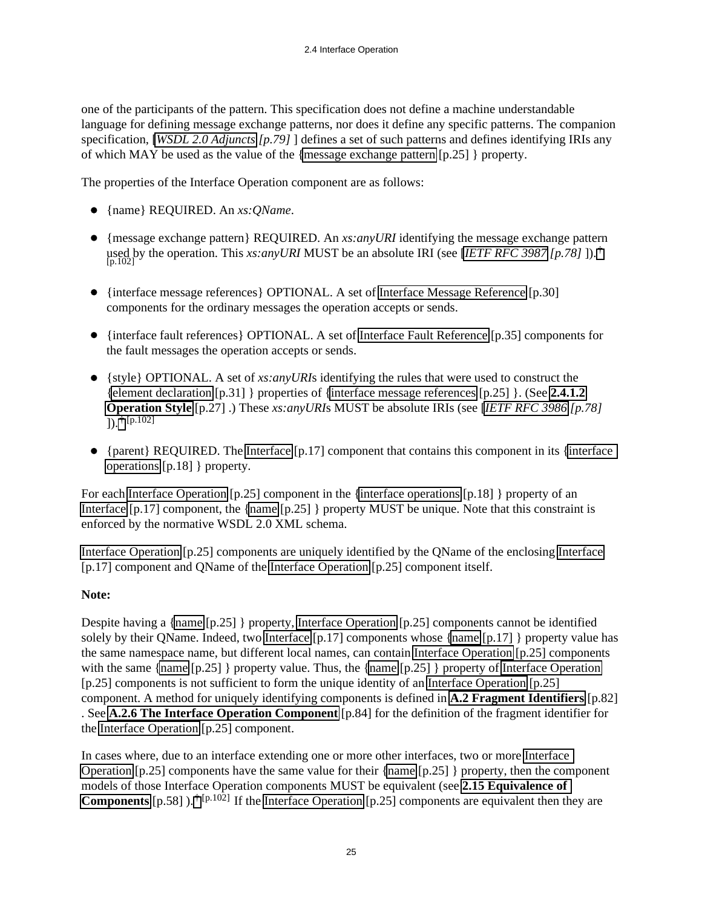one of the participants of the pattern. This specification does not define a machine understandable language for defining message exchange patterns, nor does it define any specific patterns. The companion specification, [*[WSDL 2.0 Adjuncts](#page-78-1) [p.79]* ] defines a set of such patterns and defines identifying IRIs any of which MAY be used as the value of the [{message exchange pattern](#page-24-3) [p.25] } property.

<span id="page-24-1"></span><span id="page-24-0"></span>The properties of the Interface Operation component are as follows:

- {name} REQUIRED. An *xs:QName*.
- <span id="page-24-3"></span>{message exchange pattern} REQUIRED. An *xs:anyURI* identifying the message exchange pattern used by the operation. This *xs:anyURI* MUST be an absolute IRI (see [*[IETF RFC 3987](#page-77-5) [p.78]* ]). [†](#page-101-0)   $[p.102]$
- <span id="page-24-2"></span>• {interface message references} OPTIONAL. A set of [Interface Message Reference](#page-29-2) [p.30] components for the ordinary messages the operation accepts or sends.
- <span id="page-24-4"></span>• {interface fault references} OPTIONAL. A set of [Interface Fault Reference](#page-34-1) [p.35] components for the fault messages the operation accepts or sends.
- <span id="page-24-5"></span>{style} OPTIONAL. A set of *xs:anyURI*s identifying the rules that were used to construct the [{element declaration](#page-30-1) [p.31] } properties of [{interface message references](#page-24-2) [p.25] }. (See **[2.4.1.2](#page-26-0) [Operation Style](#page-26-0)** [p.27] .) These *xs:anyURI*s MUST be absolute IRIs (see [*[IETF RFC 3986](#page-77-4) [p.78]*  ]). [†](#page-101-0) [p.102]
- <span id="page-24-6"></span>• {parent} REQUIRED. The [Interface](#page-16-3) [p.17] component that contains this component in its {interface} [operations](#page-17-3) [p.18] } property.

For each [Interface Operation](#page-24-0) [p.25] component in the [{interface operations](#page-17-3) [p.18] } property of an [Interface](#page-16-3) [p.17] component, the  $\{\text{name }[p.25]\}$  $\{\text{name }[p.25]\}$  $\{\text{name }[p.25]\}$  property MUST be unique. Note that this constraint is enforced by the normative WSDL 2.0 XML schema.

[Interface Operation](#page-24-0) [p.25] components are uniquely identified by the QName of the enclosing [Interface](#page-16-3)  [p.17] component and QName of the [Interface Operation](#page-24-0) [p.25] component itself.

#### **Note:**

Despite having a [{name](#page-24-1) [p.25] } property, [Interface Operation](#page-24-0) [p.25] components cannot be identified solely by their QName. Indeed, two [Interface](#page-16-3)  $[p.17]$  components whose  $\{\text{name }[p.17] \}$  $\{\text{name }[p.17] \}$  $\{\text{name }[p.17] \}$  property value has the same namespace name, but different local names, can contain [Interface Operation](#page-24-0) [p.25] components with the same [{name](#page-24-1) [p.25] } property value. Thus, the {name [p.25] } property of Interface Operation [p.25] components is not sufficient to form the unique identity of an [Interface Operation](#page-24-0) [p.25] component. A method for uniquely identifying components is defined in **[A.2 Fragment Identifiers](#page-81-0)** [p.82] . See **[A.2.6 The Interface Operation Component](#page-83-5)** [p.84] for the definition of the fragment identifier for the [Interface Operation](#page-24-0) [p.25] component.

In cases where, due to an interface extending one or more other interfaces, two or more [Interface](#page-24-0)  [Operation](#page-24-0) [p.25] components have the same value for their [{name](#page-24-1)  $[p.25]$  } property, then the component models of those Interface Operation components MUST be equivalent (see **[2.15 Equivalence of](#page-57-0)  [Components](#page-57-0)** [p.58] ). <sup>[†](#page-101-0) [p.102]</sup> If the [Interface Operation](#page-24-0) [p.25] components are equivalent then they are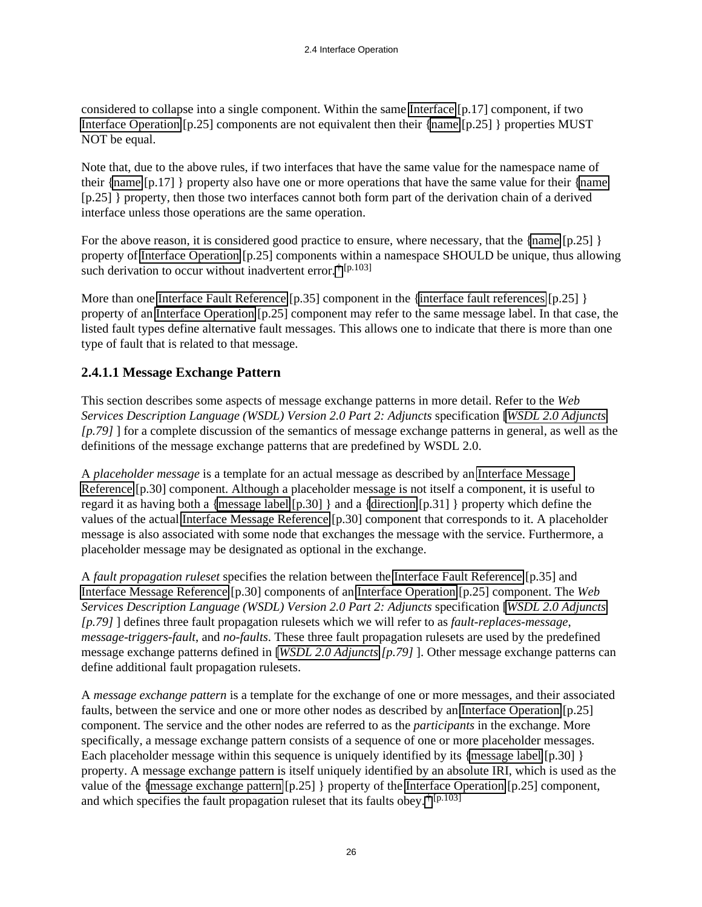considered to collapse into a single component. Within the same [Interface](#page-16-3) [p.17] component, if two [Interface Operation](#page-24-0) [p.25] components are not equivalent then their [{name](#page-24-1) [p.25] } properties MUST NOT be equal.

Note that, due to the above rules, if two interfaces that have the same value for the namespace name of their [{name](#page-16-2) [p.17] } property also have one or more operations that have the same value for their [{name](#page-24-1)  [p.25] } property, then those two interfaces cannot both form part of the derivation chain of a derived interface unless those operations are the same operation.

For the above reason, it is considered good practice to ensure, where necessary, that the [{name](#page-24-1) [p.25] } property of [Interface Operation](#page-24-0) [p.25] components within a namespace SHOULD be unique, thus allowing such derivation to occur without inadvertent error.<sup>[†](#page-102-0) [p.103]</sup>

More than one [Interface Fault Reference](#page-34-1) [p.35] component in the [{interface fault references](#page-24-4) [p.25] } property of an [Interface Operation](#page-24-0) [p.25] component may refer to the same message label. In that case, the listed fault types define alternative fault messages. This allows one to indicate that there is more than one type of fault that is related to that message.

#### <span id="page-25-0"></span>**2.4.1.1 Message Exchange Pattern**

This section describes some aspects of message exchange patterns in more detail. Refer to the *Web Services Description Language (WSDL) Version 2.0 Part 2: Adjuncts* specification [*[WSDL 2.0 Adjuncts](#page-78-1)  [p.79]* ] for a complete discussion of the semantics of message exchange patterns in general, as well as the definitions of the message exchange patterns that are predefined by WSDL 2.0.

A *placeholder message* is a template for an actual message as described by an [Interface Message](#page-29-2)  [Reference](#page-29-2) [p.30] component. Although a placeholder message is not itself a component, it is useful to regard it as having both a [{message label](#page-29-3) [p.30] } and a [{direction](#page-30-2) [p.31] } property which define the values of the actual [Interface Message Reference](#page-29-2) [p.30] component that corresponds to it. A placeholder message is also associated with some node that exchanges the message with the service. Furthermore, a placeholder message may be designated as optional in the exchange.

A *fault propagation ruleset* specifies the relation between the [Interface Fault Reference](#page-34-1) [p.35] and [Interface Message Reference](#page-29-2) [p.30] components of an [Interface Operation](#page-24-0) [p.25] component. The *Web Services Description Language (WSDL) Version 2.0 Part 2: Adjuncts* specification [*[WSDL 2.0 Adjuncts](#page-78-1)  [p.79]* ] defines three fault propagation rulesets which we will refer to as *fault-replaces-message*, *message-triggers-fault*, and *no-faults*. These three fault propagation rulesets are used by the predefined message exchange patterns defined in [*[WSDL 2.0 Adjuncts](#page-78-1) [p.79]* ]. Other message exchange patterns can define additional fault propagation rulesets.

A *message exchange pattern* is a template for the exchange of one or more messages, and their associated faults, between the service and one or more other nodes as described by an [Interface Operation](#page-24-0) [p.25] component. The service and the other nodes are referred to as the *participants* in the exchange. More specifically, a message exchange pattern consists of a sequence of one or more placeholder messages. Each placeholder message within this sequence is uniquely identified by its [{message label](#page-29-3)  $[p.30]$  } property. A message exchange pattern is itself uniquely identified by an absolute IRI, which is used as the value of the [{message exchange pattern](#page-24-3) [p.25] } property of the [Interface Operation](#page-24-0) [p.25] component, and which specifies the fault propagation ruleset that its faults obey.<sup>[†](#page-102-0) [p.103]</sup>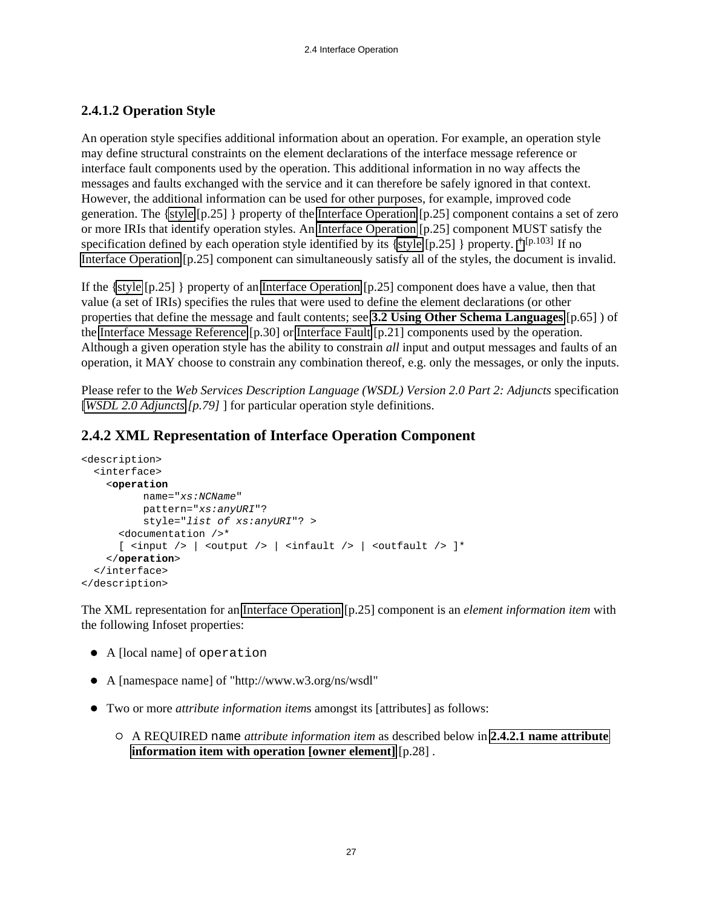#### <span id="page-26-0"></span>**2.4.1.2 Operation Style**

An operation style specifies additional information about an operation. For example, an operation style may define structural constraints on the element declarations of the interface message reference or interface fault components used by the operation. This additional information in no way affects the messages and faults exchanged with the service and it can therefore be safely ignored in that context. However, the additional information can be used for other purposes, for example, improved code generation. The [{style](#page-24-5) [p.25] } property of the [Interface Operation](#page-24-0) [p.25] component contains a set of zero or more IRIs that identify operation styles. An [Interface Operation](#page-24-0) [p.25] component MUST satisfy the specification defined by each operation style identified by its [{style](#page-24-5)  $[p.25]$  } property.  $\dagger$  [p.103] If no [Interface Operation](#page-24-0) [p.25] component can simultaneously satisfy all of the styles, the document is invalid.

If the [{style](#page-24-5) [p.25] } property of an [Interface Operation](#page-24-0) [p.25] component does have a value, then that value (a set of IRIs) specifies the rules that were used to define the element declarations (or other properties that define the message and fault contents; see **[3.2 Using Other Schema Languages](#page-64-0)** [p.65] ) of the [Interface Message Reference](#page-29-2) [p.30] or [Interface Fault](#page-20-0) [p.21] components used by the operation. Although a given operation style has the ability to constrain *all* input and output messages and faults of an operation, it MAY choose to constrain any combination thereof, e.g. only the messages, or only the inputs.

Please refer to the *Web Services Description Language (WSDL) Version 2.0 Part 2: Adjuncts* specification [*[WSDL 2.0 Adjuncts](#page-78-1) [p.79]* ] for particular operation style definitions.

#### <span id="page-26-1"></span>**2.4.2 XML Representation of Interface Operation Component**

```
<description>
    <interface>
       <operation
               name="xs:NCName" 
                pattern="xs:anyURI"?
                style="list of xs:anyURI"? >
         <documentation />*
         [ \begin{array}{l} \hbox{ <i>input</i> /> } \end{array} \; ] \hbox{ <i>output</i> /> } \; ] \hbox{ <i>simfull</i> /> } \; ] \hbox{ <i>outfault</i> /> } \; ]^{\star} </operation>
    </interface>
</description>
```
The XML representation for an [Interface Operation](#page-24-0) [p.25] component is an *element information item* with the following Infoset properties:

- A [local name] of operation
- A [namespace name] of "http://www.w3.org/ns/wsdl"
- Two or more *attribute information item*s amongst its [attributes] as follows:
	- A REQUIRED name *attribute information item* as described below in **[2.4.2.1 name attribute](#page-27-0) [information item with operation \[owner element\]](#page-27-0)** [p.28] .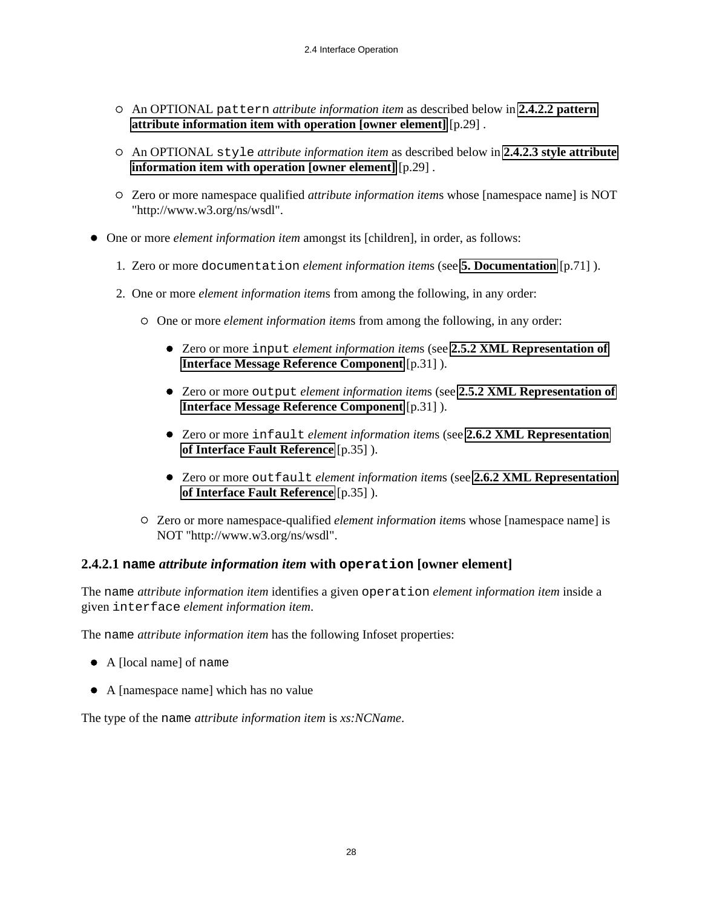- An OPTIONAL pattern *attribute information item* as described below in **[2.4.2.2 pattern](#page-28-0) [attribute information item with operation \[owner element\]](#page-28-0)** [p.29] .
- An OPTIONAL style *attribute information item* as described below in **[2.4.2.3 style attribute](#page-28-1) [information item with operation \[owner element\]](#page-28-1)** [p.29] .
- Zero or more namespace qualified *attribute information item*s whose [namespace name] is NOT "http://www.w3.org/ns/wsdl".
- One or more *element information item* amongst its [children], in order, as follows:
	- 1. Zero or more documentation *element information item*s (see **[5. Documentation](#page-70-1)** [p.71] ).
	- 2. One or more *element information item*s from among the following, in any order:
		- One or more *element information item*s from among the following, in any order:
			- Zero or more input *element information item*s (see **[2.5.2 XML Representation of](#page-30-0) [Interface Message Reference Component](#page-30-0)** [p.31] ).
			- Zero or more output *element information item*s (see **[2.5.2 XML Representation of](#page-30-0) [Interface Message Reference Component](#page-30-0)** [p.31] ).
			- Zero or more infault *element information item*s (see **[2.6.2 XML Representation](#page-34-0) [of Interface Fault Reference](#page-34-0)** [p.35] ).
			- Zero or more outfault *element information item*s (see **[2.6.2 XML Representation](#page-34-0) [of Interface Fault Reference](#page-34-0)** [p.35] ).
		- Zero or more namespace-qualified *element information item*s whose [namespace name] is NOT "http://www.w3.org/ns/wsdl".

#### <span id="page-27-0"></span>**2.4.2.1 name** *attribute information item* **with operation [owner element]**

The name *attribute information item* identifies a given operation *element information item* inside a given interface *element information item*.

The name *attribute information item* has the following Infoset properties:

- A [local name] of name
- A [namespace name] which has no value

The type of the name *attribute information item* is *xs:NCName*.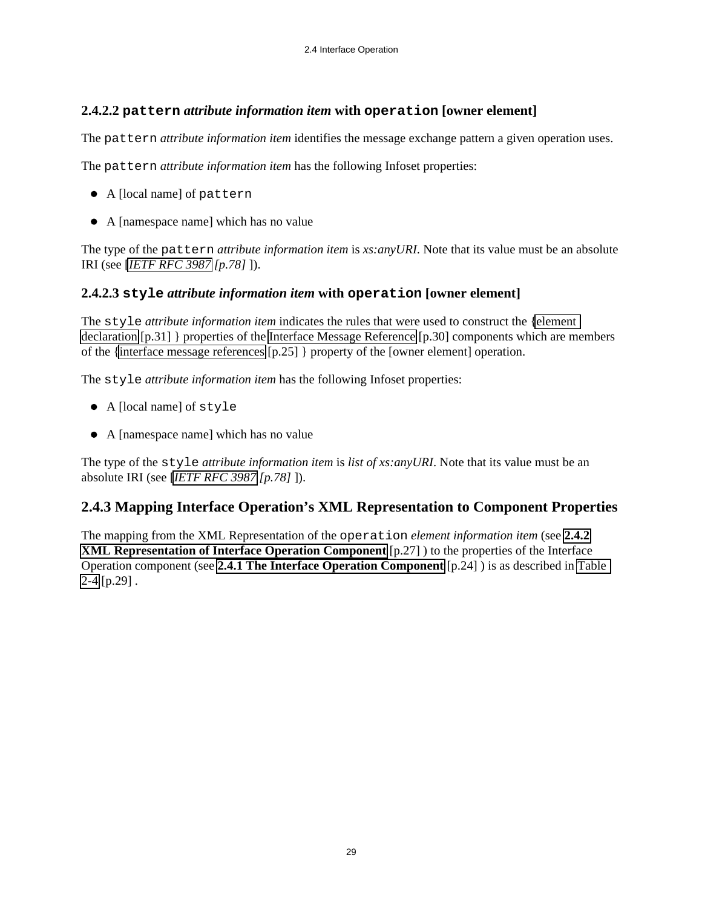#### <span id="page-28-0"></span>**2.4.2.2 pattern** *attribute information item* **with operation [owner element]**

The pattern *attribute information item* identifies the message exchange pattern a given operation uses.

The pattern *attribute information item* has the following Infoset properties:

- A [local name] of pattern
- A [namespace name] which has no value

The type of the pattern *attribute information item* is *xs:anyURI*. Note that its value must be an absolute IRI (see [*[IETF RFC 3987](#page-77-5) [p.78]* ]).

#### <span id="page-28-1"></span>**2.4.2.3 style** *attribute information item* **with operation [owner element]**

The style *attribute information item* indicates the rules that were used to construct the [{element](#page-30-1)  [declaration](#page-30-1) [p.31] } properties of the [Interface Message Reference](#page-29-2) [p.30] components which are members of the [{interface message references](#page-24-2) [p.25] } property of the [owner element] operation.

The style *attribute information item* has the following Infoset properties:

- A [local name] of style
- A [namespace name] which has no value

The type of the style *attribute information item* is *list of xs:anyURI*. Note that its value must be an absolute IRI (see [*[IETF RFC 3987](#page-77-5) [p.78]* ]).

### <span id="page-28-2"></span>**2.4.3 Mapping Interface Operation's XML Representation to Component Properties**

<span id="page-28-3"></span>The mapping from the XML Representation of the operation *element information item* (see **[2.4.2](#page-26-1) [XML Representation of Interface Operation Component](#page-26-1)** [p.27] ) to the properties of the Interface Operation component (see **[2.4.1 The Interface Operation Component](#page-23-2)** [p.24] ) is as described in [Table](#page-28-3)   $2-4$  [p.29].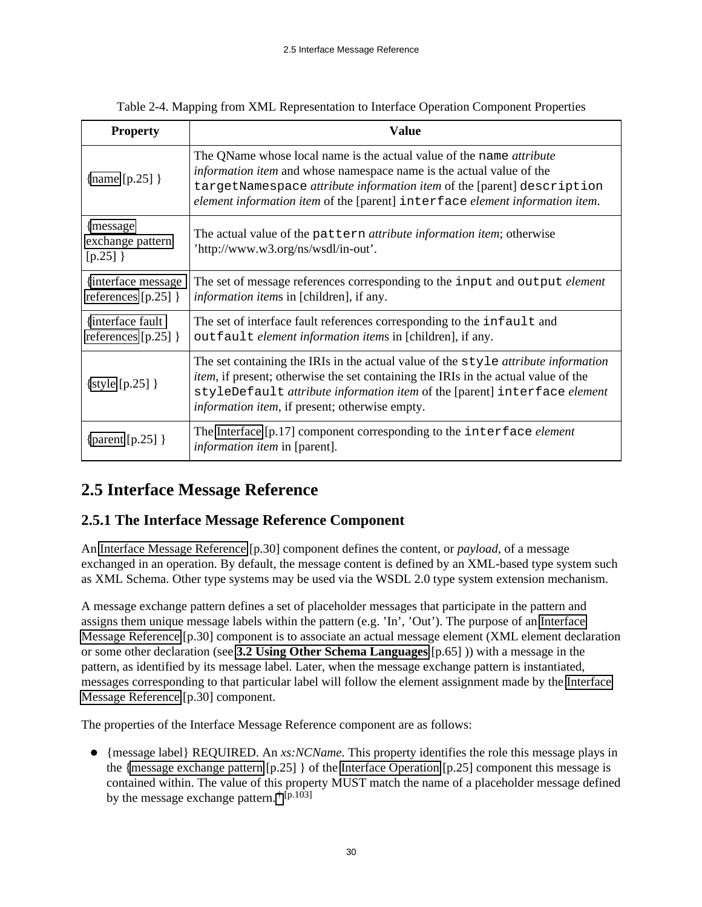| <b>Property</b>                              | Value                                                                                                                                                                                                                                                                                                                       |
|----------------------------------------------|-----------------------------------------------------------------------------------------------------------------------------------------------------------------------------------------------------------------------------------------------------------------------------------------------------------------------------|
| {name $[p.25]$ }                             | The QName whose local name is the actual value of the name <i>attribute</i><br><i>information item</i> and whose namespace name is the actual value of the<br>targetNamespace <i>attribute information item</i> of the [parent] description<br>element information item of the [parent] interface element information item. |
| {message}<br>exchange pattern<br>$[p.25]$ }  | The actual value of the pattern <i>attribute information item</i> ; otherwise<br>'http://www.w3.org/ns/wsdl/in-out'.                                                                                                                                                                                                        |
| {interface message}<br>references $[p.25]$ } | The set of message references corresponding to the input and output <i>element</i><br><i>information items</i> in [children], if any.                                                                                                                                                                                       |
| {interface fault}<br>references $[p.25]$ }   | The set of interface fault references corresponding to the infault and<br>outfault element information items in [children], if any.                                                                                                                                                                                         |
| $\{style [p.25] \}$                          | The set containing the IRIs in the actual value of the style <i>attribute information</i><br><i>item</i> , if present; otherwise the set containing the IRIs in the actual value of the<br>styleDefault attribute information item of the [parent] interface element<br>information item, if present; otherwise empty.      |
| {parent $[p.25]$ }                           | The Interface [p.17] component corresponding to the interface element<br><i>information item</i> in [parent].                                                                                                                                                                                                               |

| Table 2-4. Mapping from XML Representation to Interface Operation Component Properties |  |  |  |
|----------------------------------------------------------------------------------------|--|--|--|
|                                                                                        |  |  |  |
|                                                                                        |  |  |  |

## <span id="page-29-0"></span>**2.5 Interface Message Reference**

### <span id="page-29-1"></span>**2.5.1 The Interface Message Reference Component**

An [Interface Message Reference](#page-29-2) [p.30] component defines the content, or *payload*, of a message exchanged in an operation. By default, the message content is defined by an XML-based type system such as XML Schema. Other type systems may be used via the WSDL 2.0 type system extension mechanism.

A message exchange pattern defines a set of placeholder messages that participate in the pattern and assigns them unique message labels within the pattern (e.g. 'In', 'Out'). The purpose of an [Interface](#page-29-2) [Message Reference](#page-29-2) [p.30] component is to associate an actual message element (XML element declaration or some other declaration (see **[3.2 Using Other Schema Languages](#page-64-0)** [p.65] )) with a message in the pattern, as identified by its message label. Later, when the message exchange pattern is instantiated, messages corresponding to that particular label will follow the element assignment made by the [Interface](#page-29-2) [Message Reference](#page-29-2) [p.30] component.

<span id="page-29-3"></span><span id="page-29-2"></span>The properties of the Interface Message Reference component are as follows:

{message label} REQUIRED. An *xs:NCName*. This property identifies the role this message plays in the [{message exchange pattern](#page-24-3) [p.25] } of the [Interface Operation](#page-24-0) [p.25] component this message is contained within. The value of this property MUST match the name of a placeholder message defined by the message exchange pattern. [†](#page-102-0) [p.103]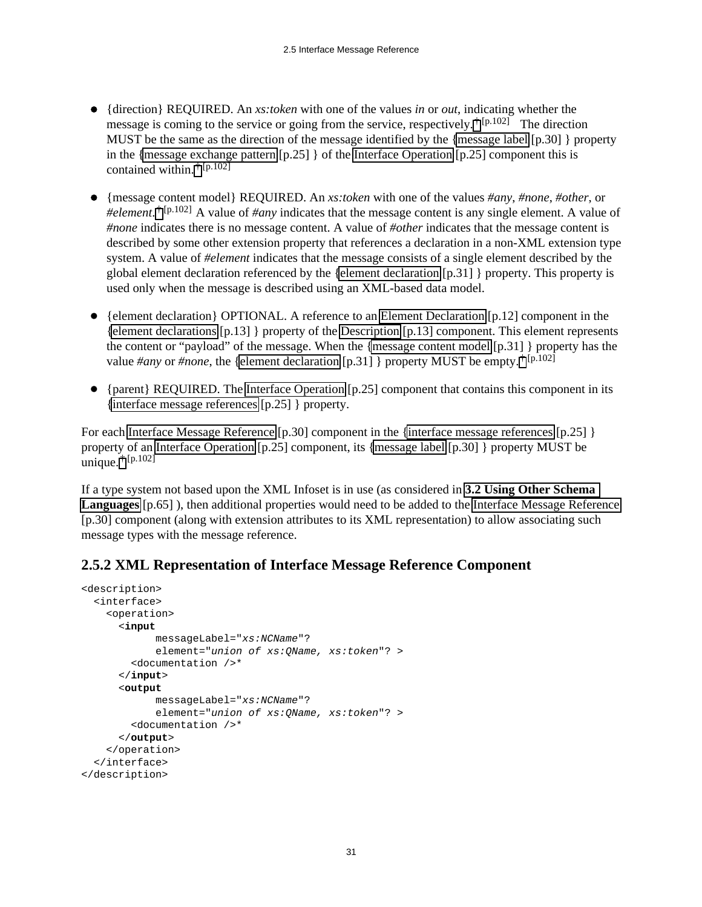- <span id="page-30-2"></span>{direction} REQUIRED. An *xs:token* with one of the values *in* or *out*, indicating whether the message is coming to the service or going from the service, respectively.  $\dagger$  [p.102] The direction MUST be the same as the direction of the message identified by the [{message label](#page-29-3) [p.30] } property in the [{message exchange pattern](#page-24-3) [p.25] } of the [Interface Operation](#page-24-0) [p.25] component this is contained within. [†](#page-101-0) [p.102]
- <span id="page-30-3"></span>{message content model} REQUIRED. An *xs:token* with one of the values *#any*, *#none*, *#other*, or  $\bullet$ *#element*. [†](#page-101-0) [p.102] A value of *#any* indicates that the message content is any single element. A value of *#none* indicates there is no message content. A value of *#other* indicates that the message content is described by some other extension property that references a declaration in a non-XML extension type system. A value of *#element* indicates that the message consists of a single element described by the global element declaration referenced by the [{element declaration](#page-30-1) [p.31] } property. This property is used only when the message is described using an XML-based data model.
- <span id="page-30-1"></span> $\bullet$ {element declaration} OPTIONAL. A reference to an [Element Declaration](#page-11-2) [p.12] component in the [{element declarations](#page-12-5) [p.13] } property of the [Description](#page-12-2) [p.13] component. This element represents the content or "payload" of the message. When the [{message content model](#page-30-3) [p.31] } property has the value  $\#any$  or  $\#none$ , the [{element declaration](#page-30-1) [p.31] } property MUST be empty.  $\dagger$  [p.102]
- <span id="page-30-4"></span> $\bullet$ {parent} REQUIRED. The [Interface Operation](#page-24-0) [p.25] component that contains this component in its [{interface message references](#page-24-2) [p.25] } property.

For each [Interface Message Reference](#page-29-2) [p.30] component in the [{interface message references](#page-24-2) [p.25] } property of an [Interface Operation](#page-24-0) [p.25] component, its [{message label](#page-29-3) [p.30] } property MUST be unique. [†](#page-101-0) [p.102]

If a type system not based upon the XML Infoset is in use (as considered in **[3.2 Using Other Schema](#page-64-0)  [Languages](#page-64-0)** [p.65] ), then additional properties would need to be added to the [Interface Message Reference](#page-29-2)  [p.30] component (along with extension attributes to its XML representation) to allow associating such message types with the message reference.

### <span id="page-30-0"></span>**2.5.2 XML Representation of Interface Message Reference Component**

```
<description>
   <interface>
     <operation>
       <input
             messageLabel="xs:NCName"?
             element="union of xs:QName, xs:token"? >
         <documentation />*
       </input>
       <output
             messageLabel="xs:NCName"?
             element="union of xs:QName, xs:token"? >
         <documentation />*
       </output>
     </operation>
   </interface>
</description>
```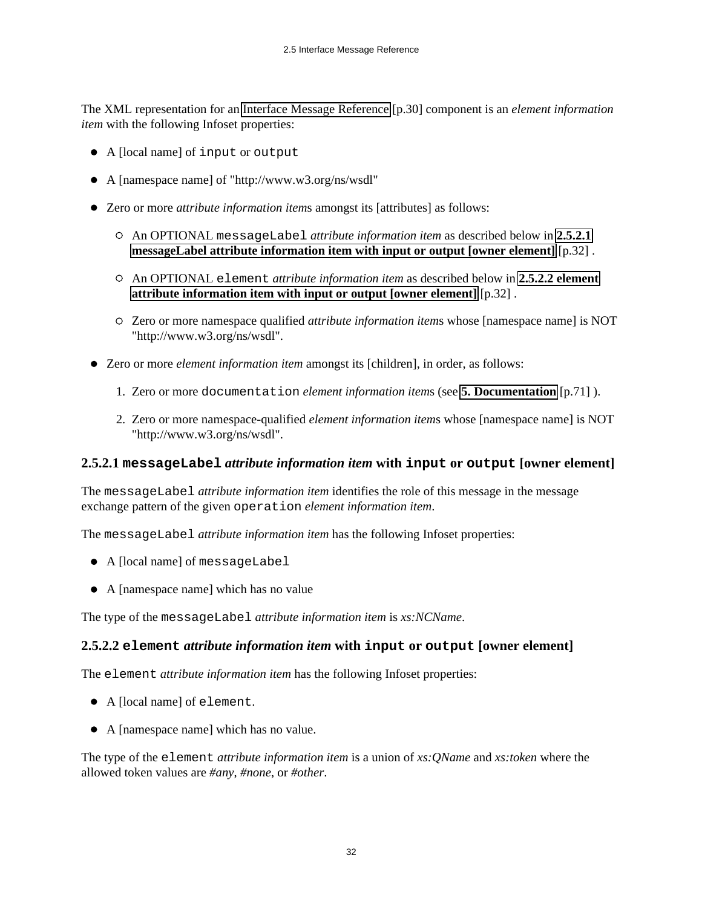The XML representation for an [Interface Message Reference](#page-29-2) [p.30] component is an *element information item* with the following Infoset properties:

- A [local name] of input or output
- A [namespace name] of "http://www.w3.org/ns/wsdl"
- Zero or more *attribute information item*s amongst its [attributes] as follows:
	- An OPTIONAL messageLabel *attribute information item* as described below in **[2.5.2.1](#page-31-0) [messageLabel attribute information item with input or output \[owner element\]](#page-31-0)** [p.32] .
	- An OPTIONAL element *attribute information item* as described below in **[2.5.2.2 element](#page-31-1) [attribute information item with input or output \[owner element\]](#page-31-1)** [p.32] .
	- Zero or more namespace qualified *attribute information item*s whose [namespace name] is NOT "http://www.w3.org/ns/wsdl".
- Zero or more *element information item* amongst its [children], in order, as follows:
	- 1. Zero or more documentation *element information item*s (see **[5. Documentation](#page-70-1)** [p.71] ).
	- 2. Zero or more namespace-qualified *element information item*s whose [namespace name] is NOT "http://www.w3.org/ns/wsdl".

#### <span id="page-31-0"></span>**2.5.2.1 messageLabel** *attribute information item* **with input or output [owner element]**

The messageLabel *attribute information item* identifies the role of this message in the message exchange pattern of the given operation *element information item*.

The messageLabel *attribute information item* has the following Infoset properties:

- A [local name] of messageLabel
- A [namespace name] which has no value

The type of the messageLabel *attribute information item* is *xs:NCName*.

#### <span id="page-31-1"></span>**2.5.2.2 element** *attribute information item* **with input or output [owner element]**

The element *attribute information item* has the following Infoset properties:

- A [local name] of element.
- A [namespace name] which has no value.

The type of the element *attribute information item* is a union of *xs:QName* and *xs:token* where the allowed token values are *#any*, *#none*, or *#other*.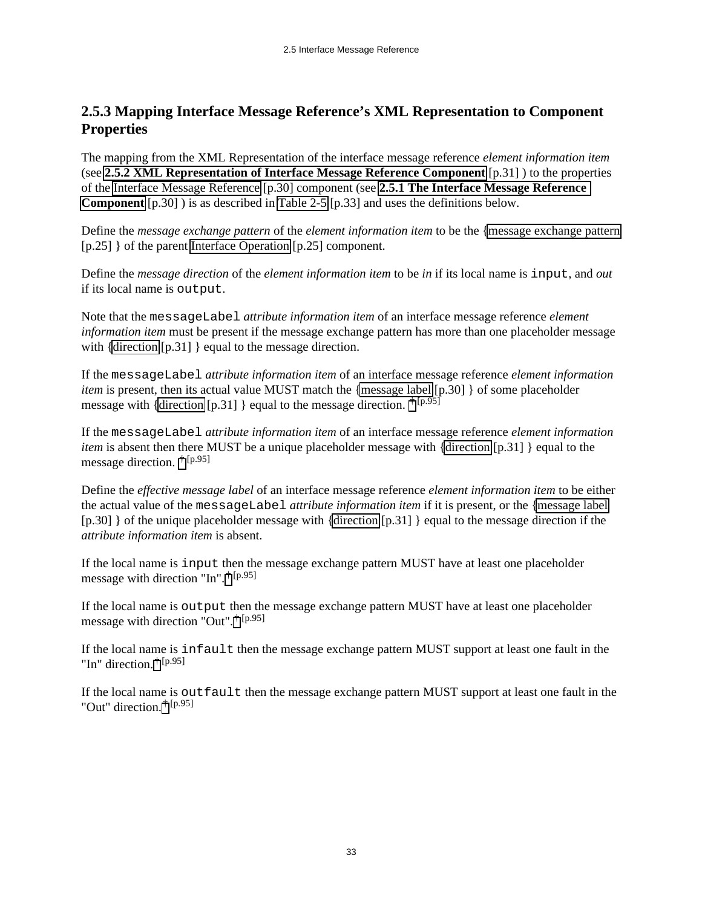### <span id="page-32-0"></span>**2.5.3 Mapping Interface Message Reference's XML Representation to Component Properties**

The mapping from the XML Representation of the interface message reference *element information item* (see **[2.5.2 XML Representation of Interface Message Reference Component](#page-30-0)** [p.31] ) to the properties of the [Interface Message Reference](#page-29-2) [p.30] component (see **[2.5.1 The Interface Message Reference](#page-29-1)  [Component](#page-29-1)** [p.30] ) is as described in [Table 2-5](#page-32-1) [p.33] and uses the definitions below.

Define the *message exchange pattern* of the *element information item* to be the [{message exchange pattern](#page-24-3)  [p.25] } of the parent [Interface Operation](#page-24-0) [p.25] component.

Define the *message direction* of the *element information item* to be *in* if its local name is input, and *out* if its local name is output.

Note that the messageLabel *attribute information item* of an interface message reference *element information item* must be present if the message exchange pattern has more than one placeholder message with [{direction](#page-30-2) [p.31] } equal to the message direction.

If the messageLabel *attribute information item* of an interface message reference *element information item* is present, then its actual value MUST match the [{message label](#page-29-3) [p.30] } of some placeholder message with [{direction](#page-30-2) [p.31] } equal to the message direction.  $\dagger$  [p.95]

If the messageLabel *attribute information item* of an interface message reference *element information item* is absent then there MUST be a unique placeholder message with [{direction](#page-30-2) [p.31] } equal to the message direction. [†](#page-94-0) [p.95]

Define the *effective message label* of an interface message reference *element information item* to be either the actual value of the messageLabel *attribute information item* if it is present, or the [{message label](#page-29-3)  [p.30] } of the unique placeholder message with [{direction](#page-30-2) [p.31] } equal to the message direction if the *attribute information item* is absent.

If the local name is input then the message exchange pattern MUST have at least one placeholder message with direction "In". [†](#page-94-0) [p.95]

If the local name is output then the message exchange pattern MUST have at least one placeholder message with direction "Out". [†](#page-94-0) [p.95]

If the local name is infault then the message exchange pattern MUST support at least one fault in the "In" direction. [†](#page-94-0) [p.95]

<span id="page-32-1"></span>If the local name is outfault then the message exchange pattern MUST support at least one fault in the "Out" direction. [†](#page-94-0) [p.95]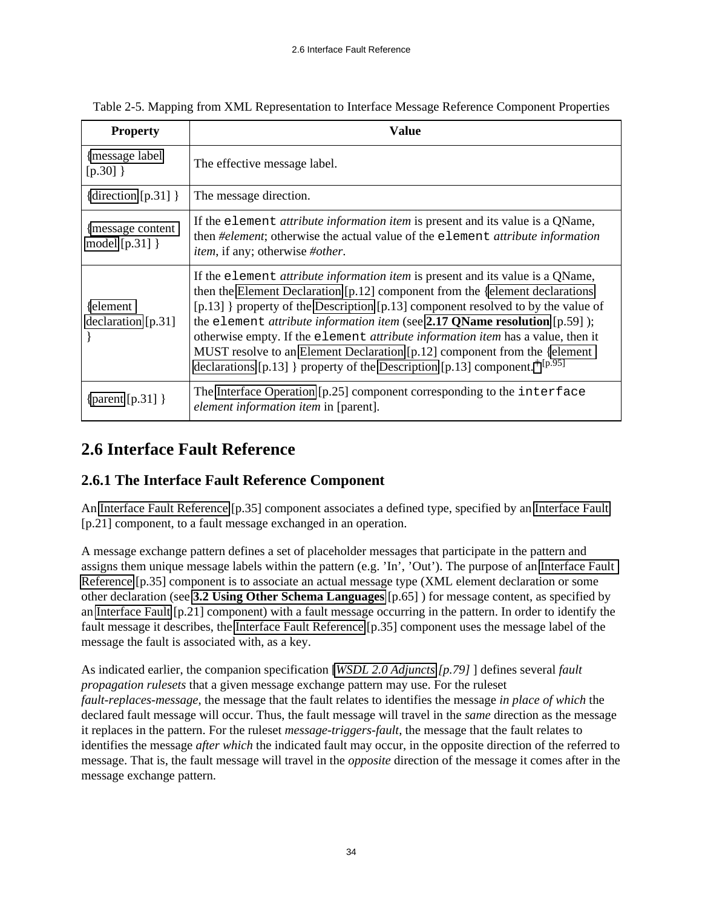| <b>Property</b>                      | Value                                                                                                                                                                                                                                                                                                                                                                                                                                                                                                                                                                                                            |
|--------------------------------------|------------------------------------------------------------------------------------------------------------------------------------------------------------------------------------------------------------------------------------------------------------------------------------------------------------------------------------------------------------------------------------------------------------------------------------------------------------------------------------------------------------------------------------------------------------------------------------------------------------------|
| message label<br>$[p.30]$ }          | The effective message label.                                                                                                                                                                                                                                                                                                                                                                                                                                                                                                                                                                                     |
| {direction [p.31] }                  | The message direction.                                                                                                                                                                                                                                                                                                                                                                                                                                                                                                                                                                                           |
| {message content<br>model $[p.31]$ } | If the element <i>attribute information item</i> is present and its value is a QName,<br>then #element; otherwise the actual value of the element <i>attribute information</i><br><i>item</i> , if any; otherwise #other.                                                                                                                                                                                                                                                                                                                                                                                        |
| {element}<br>declaration [p.31]      | If the element <i>attribute information item</i> is present and its value is a QName,<br>then the Element Declaration [p.12] component from the {element declarations<br>[p.13] } property of the Description [p.13] component resolved to by the value of<br>the element <i>attribute information item</i> (see $2.17$ QName resolution [p.59]);<br>otherwise empty. If the element <i>attribute information item</i> has a value, then it<br>MUST resolve to an Element Declaration [p.12] component from the {element<br>declarations [p.13] } property of the Description [p.13] component. $\dagger$ [p.95] |
| { $parent[p.31]$ }                   | The Interface Operation [p.25] component corresponding to the interface<br>element information item in [parent].                                                                                                                                                                                                                                                                                                                                                                                                                                                                                                 |

Table 2-5. Mapping from XML Representation to Interface Message Reference Component Properties

## <span id="page-33-0"></span>**2.6 Interface Fault Reference**

### <span id="page-33-1"></span>**2.6.1 The Interface Fault Reference Component**

An [Interface Fault Reference](#page-34-1) [p.35] component associates a defined type, specified by an [Interface Fault](#page-20-0)  [p.21] component, to a fault message exchanged in an operation.

A message exchange pattern defines a set of placeholder messages that participate in the pattern and assigns them unique message labels within the pattern (e.g. 'In', 'Out'). The purpose of an [Interface Fault](#page-34-1)  [Reference](#page-34-1) [p.35] component is to associate an actual message type (XML element declaration or some other declaration (see **[3.2 Using Other Schema Languages](#page-64-0)** [p.65] ) for message content, as specified by an [Interface Fault](#page-20-0) [p.21] component) with a fault message occurring in the pattern. In order to identify the fault message it describes, the [Interface Fault Reference](#page-34-1) [p.35] component uses the message label of the message the fault is associated with, as a key.

As indicated earlier, the companion specification [*[WSDL 2.0 Adjuncts](#page-78-1) [p.79]* ] defines several *fault propagation rulesets* that a given message exchange pattern may use. For the ruleset *fault-replaces-message*, the message that the fault relates to identifies the message *in place of which* the declared fault message will occur. Thus, the fault message will travel in the *same* direction as the message it replaces in the pattern. For the ruleset *message-triggers-fault*, the message that the fault relates to identifies the message *after which* the indicated fault may occur, in the opposite direction of the referred to message. That is, the fault message will travel in the *opposite* direction of the message it comes after in the message exchange pattern.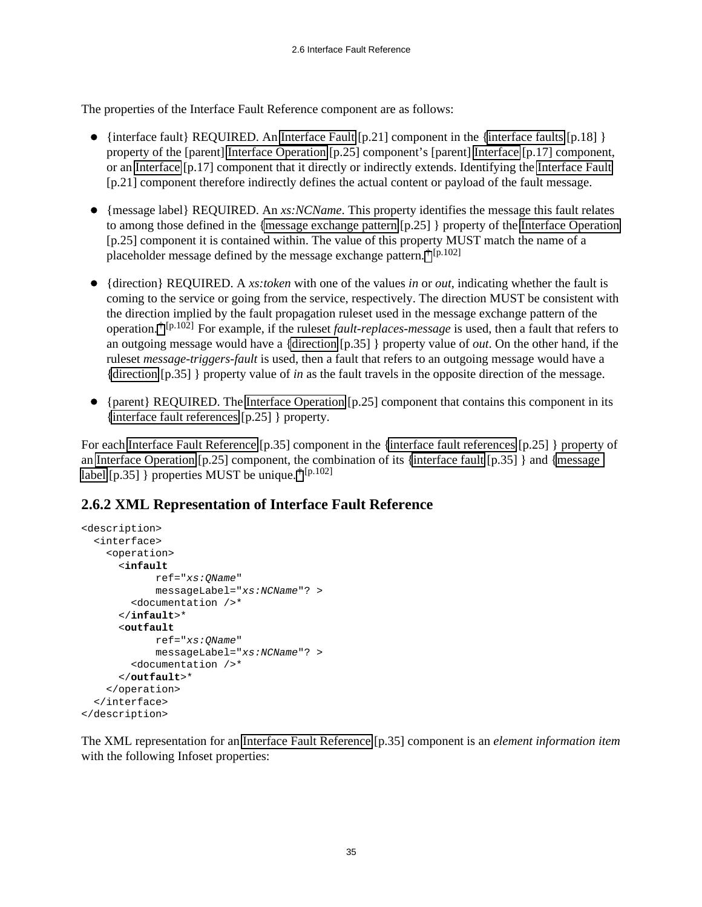<span id="page-34-3"></span><span id="page-34-1"></span>The properties of the Interface Fault Reference component are as follows:

- {interface fault} REQUIRED. An [Interface Fault](#page-20-0) [p.21] component in the [{interface faults](#page-17-2) [p.18] } property of the [parent] [Interface Operation](#page-24-0) [p.25] component's [parent] [Interface](#page-16-3) [p.17] component, or an [Interface](#page-16-3) [p.17] component that it directly or indirectly extends. Identifying the [Interface Fault](#page-20-0)  [p.21] component therefore indirectly defines the actual content or payload of the fault message.
- <span id="page-34-4"></span> $\bullet$ {message label} REQUIRED. An *xs:NCName*. This property identifies the message this fault relates to among those defined in the [{message exchange pattern](#page-24-3) [p.25] } property of the [Interface Operation](#page-24-0)  [p.25] component it is contained within. The value of this property MUST match the name of a placeholder message defined by the message exchange pattern. [†](#page-101-0) [p.102]
- <span id="page-34-2"></span> $\bullet$ {direction} REQUIRED. A *xs:token* with one of the values *in* or *out*, indicating whether the fault is coming to the service or going from the service, respectively. The direction MUST be consistent with the direction implied by the fault propagation ruleset used in the message exchange pattern of the operation. [†](#page-101-0) [p.102] For example, if the ruleset *fault-replaces-message* is used, then a fault that refers to an outgoing message would have a [{direction](#page-34-2) [p.35] } property value of *out*. On the other hand, if the ruleset *message-triggers-fault* is used, then a fault that refers to an outgoing message would have a [{direction](#page-34-2) [p.35] } property value of *in* as the fault travels in the opposite direction of the message.
- {parent} REQUIRED. The [Interface Operation](#page-24-0) [p.25] component that contains this component in its [{interface fault references](#page-24-4) [p.25] } property.

For each [Interface Fault Reference](#page-34-1) [p.35] component in the [{interface fault references](#page-24-4) [p.25] } property of an [Interface Operation](#page-24-0) [p.25] component, the combination of its [{interface fault](#page-34-3) [p.35] } and [{message](#page-34-4)  [label](#page-34-4) [p.35] } properties MUST be unique.  $\frac{[p.102]}{[p.102]}$ 

### <span id="page-34-0"></span>**2.6.2 XML Representation of Interface Fault Reference**

```
<description>
   <interface>
     <operation>
       <infault
             ref="xs:QName"
             messageLabel="xs:NCName"? >
         <documentation />*
       </infault>*
       <outfault
             ref="xs:QName"
             messageLabel="xs:NCName"? >
         <documentation />*
       </outfault>*
     </operation>
   </interface>
</description>
```
The XML representation for an [Interface Fault Reference](#page-34-1) [p.35] component is an *element information item* with the following Infoset properties: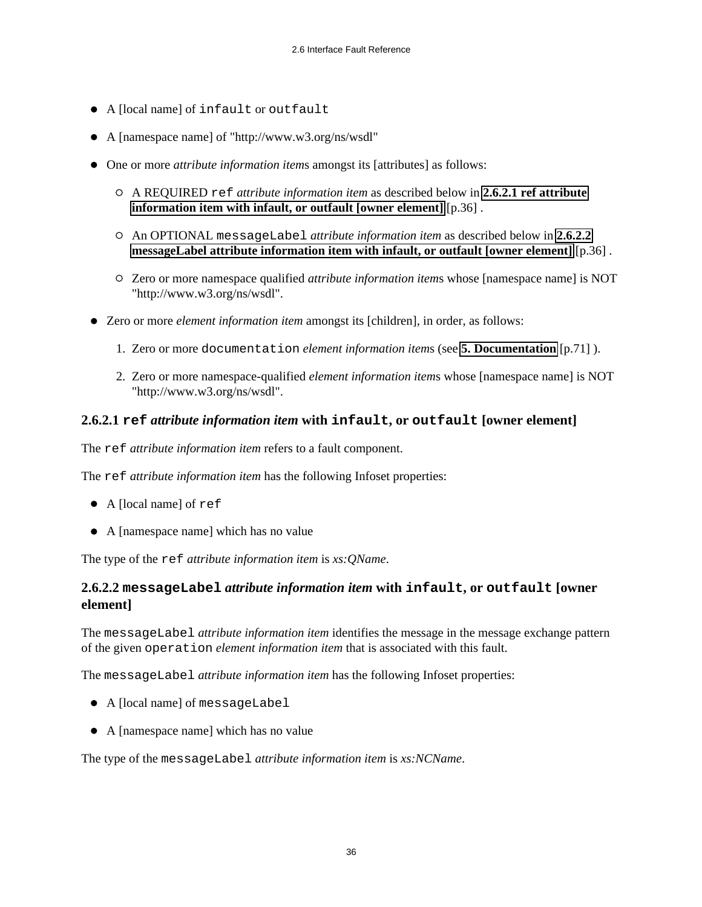- A [local name] of infault or outfault
- A [namespace name] of "http://www.w3.org/ns/wsdl"
- One or more *attribute information item*s amongst its [attributes] as follows:
	- A REQUIRED ref *attribute information item* as described below in **[2.6.2.1 ref attribute](#page-35-0) [information item with infault, or outfault \[owner element\]](#page-35-0)** [p.36] .
	- An OPTIONAL messageLabel *attribute information item* as described below in **[2.6.2.2](#page-35-1) [messageLabel attribute information item with infault, or outfault \[owner element\]](#page-35-1)** [p.36] .
	- Zero or more namespace qualified *attribute information item*s whose [namespace name] is NOT "http://www.w3.org/ns/wsdl".
- Zero or more *element information item* amongst its [children], in order, as follows:
	- 1. Zero or more documentation *element information item*s (see **[5. Documentation](#page-70-1)** [p.71] ).
	- 2. Zero or more namespace-qualified *element information item*s whose [namespace name] is NOT "http://www.w3.org/ns/wsdl".

#### <span id="page-35-0"></span>**2.6.2.1 ref** *attribute information item* **with infault, or outfault [owner element]**

The ref *attribute information item* refers to a fault component.

The ref *attribute information item* has the following Infoset properties:

- A [local name] of ref
- A [namespace name] which has no value

The type of the ref *attribute information item* is *xs:QName*.

#### <span id="page-35-1"></span>**2.6.2.2 messageLabel** *attribute information item* **with infault, or outfault [owner element]**

The messageLabel *attribute information item* identifies the message in the message exchange pattern of the given operation *element information item* that is associated with this fault.

The messageLabel *attribute information item* has the following Infoset properties:

- A [local name] of messageLabel
- A [namespace name] which has no value

The type of the messageLabel *attribute information item* is *xs:NCName*.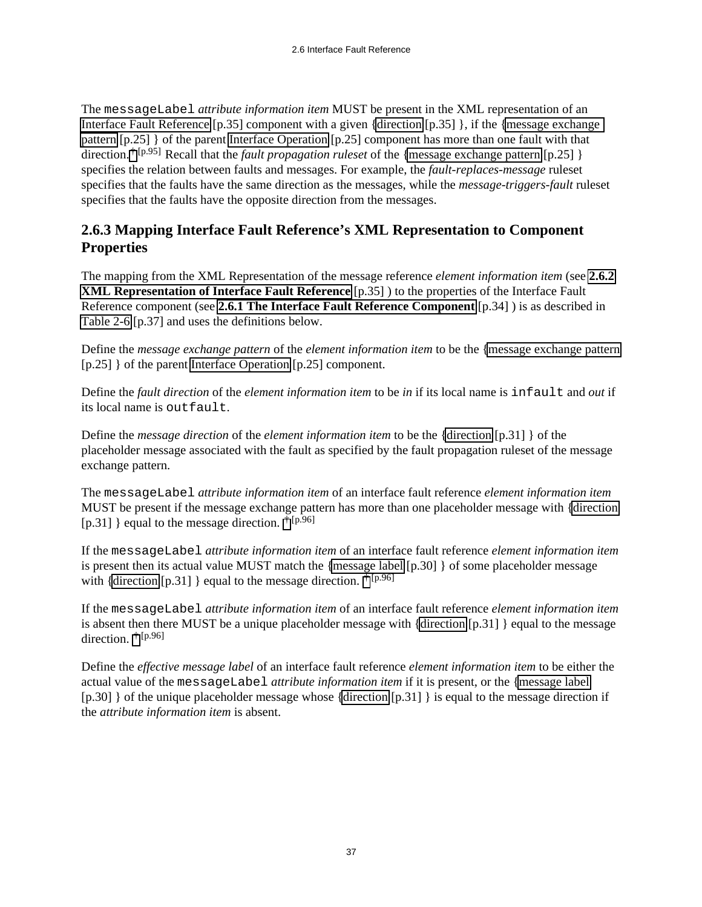The messageLabel *attribute information item* MUST be present in the XML representation of an [Interface Fault Reference](#page-34-0) [p.35] component with a given [{direction](#page-34-1) [p.35] }, if the [{message exchange](#page-24-0)  [pattern](#page-24-0) [p.25] } of the parent [Interface Operation](#page-24-1) [p.25] component has more than one fault with that direction. [†](#page-94-0) [p.95] Recall that the *fault propagation ruleset* of the [{message exchange pattern](#page-24-0) [p.25] } specifies the relation between faults and messages. For example, the *fault-replaces-message* ruleset specifies that the faults have the same direction as the messages, while the *message-triggers-fault* ruleset specifies that the faults have the opposite direction from the messages.

# **2.6.3 Mapping Interface Fault Reference's XML Representation to Component Properties**

The mapping from the XML Representation of the message reference *element information item* (see **[2.6.2](#page-34-2) [XML Representation of Interface Fault Reference](#page-34-2)** [p.35] ) to the properties of the Interface Fault Reference component (see **[2.6.1 The Interface Fault Reference Component](#page-33-0)** [p.34] ) is as described in [Table 2-6](#page-36-0) [p.37] and uses the definitions below.

Define the *message exchange pattern* of the *element information item* to be the [{message exchange pattern](#page-24-0)  [p.25] } of the parent [Interface Operation](#page-24-1) [p.25] component.

Define the *fault direction* of the *element information item* to be *in* if its local name is infault and *out* if its local name is outfault.

Define the *message direction* of the *element information item* to be the [{direction](#page-30-0) [p.31] } of the placeholder message associated with the fault as specified by the fault propagation ruleset of the message exchange pattern.

The messageLabel *attribute information item* of an interface fault reference *element information item* MUST be present if the message exchange pattern has more than one placeholder message with [{direction](#page-30-0)  [p.31] } equal to the message direction.  $\dagger$  [p.96]

If the messageLabel *attribute information item* of an interface fault reference *element information item* is present then its actual value MUST match the [{message label](#page-29-0)  $[p.30]$  } of some placeholder message with [{direction](#page-30-0) [p.31] } equal to the message direction.  $\dagger$  [p.96]

If the messageLabel *attribute information item* of an interface fault reference *element information item* is absent then there MUST be a unique placeholder message with [{direction](#page-30-0) [p.31] } equal to the message direction. [†](#page-95-0) [p.96]

<span id="page-36-0"></span>Define the *effective message label* of an interface fault reference *element information item* to be either the actual value of the messageLabel *attribute information item* if it is present, or the [{message label](#page-29-0)  [p.30] } of the unique placeholder message whose [{direction](#page-30-0) [p.31] } is equal to the message direction if the *attribute information item* is absent.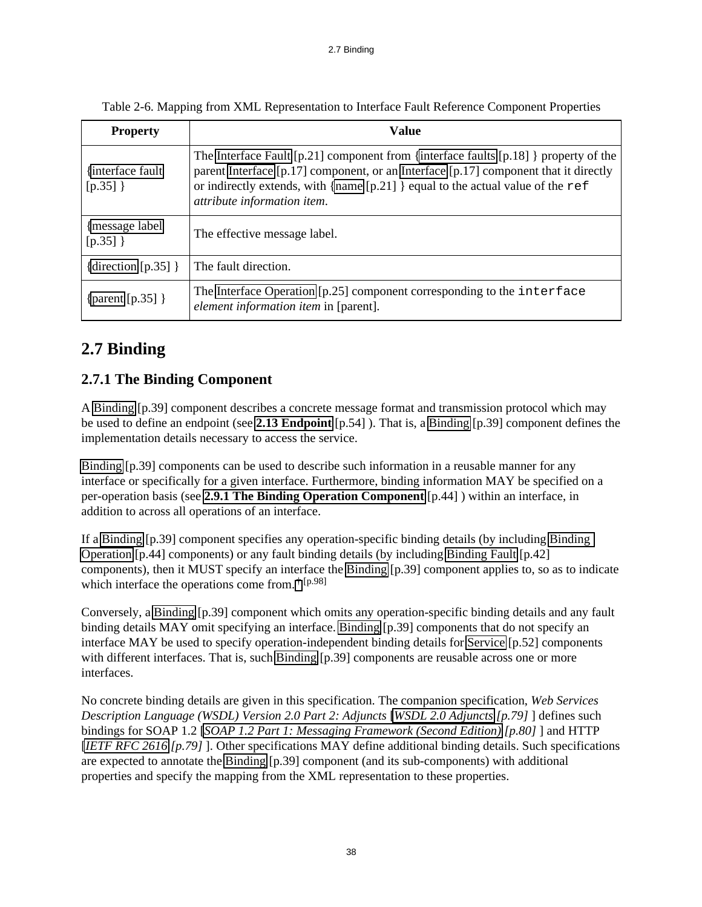| <b>Property</b>                 | <b>Value</b>                                                                                                                                                                                                                                                                                         |
|---------------------------------|------------------------------------------------------------------------------------------------------------------------------------------------------------------------------------------------------------------------------------------------------------------------------------------------------|
| {interface fault}<br>$[p.35]$ } | The Interface Fault [p.21] component from {interface faults [p.18] } property of the<br>parent Interface $[p.17]$ component, or an Interface $[p.17]$ component that it directly<br>or indirectly extends, with {name $[p.21]$ } equal to the actual value of the ref<br>attribute information item. |
| {message label}<br>$[p.35]$ }   | The effective message label.                                                                                                                                                                                                                                                                         |
| {direction $[p.35]$ }           | The fault direction.                                                                                                                                                                                                                                                                                 |
| {parent $[p.35]$ }              | The Interface Operation $[p.25]$ component corresponding to the interface<br>element information item in [parent].                                                                                                                                                                                   |

Table 2-6. Mapping from XML Representation to Interface Fault Reference Component Properties

# **2.7 Binding**

## <span id="page-37-0"></span>**2.7.1 The Binding Component**

A [Binding](#page-38-0) [p.39] component describes a concrete message format and transmission protocol which may be used to define an endpoint (see **[2.13 Endpoint](#page-53-0)** [p.54] ). That is, a [Binding](#page-38-0) [p.39] component defines the implementation details necessary to access the service.

[Binding](#page-38-0) [p.39] components can be used to describe such information in a reusable manner for any interface or specifically for a given interface. Furthermore, binding information MAY be specified on a per-operation basis (see **[2.9.1 The Binding Operation Component](#page-43-0)** [p.44] ) within an interface, in addition to across all operations of an interface.

If a [Binding](#page-38-0) [p.39] component specifies any operation-specific binding details (by including [Binding](#page-43-1)  [Operation](#page-43-1) [p.44] components) or any fault binding details (by including [Binding Fault](#page-41-0) [p.42] components), then it MUST specify an interface the [Binding](#page-38-0) [p.39] component applies to, so as to indicate which interface the operations come from.  $\dagger$  [p.98]

Conversely, a [Binding](#page-38-0) [p.39] component which omits any operation-specific binding details and any fault binding details MAY omit specifying an interface. [Binding](#page-38-0) [p.39] components that do not specify an interface MAY be used to specify operation-independent binding details for [Service](#page-51-0) [p.52] components with different interfaces. That is, such [Binding](#page-38-0) [p.39] components are reusable across one or more interfaces.

No concrete binding details are given in this specification. The companion specification, *Web Services Description Language (WSDL) Version 2.0 Part 2: Adjuncts* [*[WSDL 2.0 Adjuncts](#page-78-0) [p.79]* ] defines such bindings for SOAP 1.2 [*SOAP 1.2 Part 1: Messaging Framework (Second Edition)* [p.80] ] and HTTP [*[IETF RFC 2616](#page-78-1) [p.79]* ]. Other specifications MAY define additional binding details. Such specifications are expected to annotate the [Binding](#page-38-0) [p.39] component (and its sub-components) with additional properties and specify the mapping from the XML representation to these properties.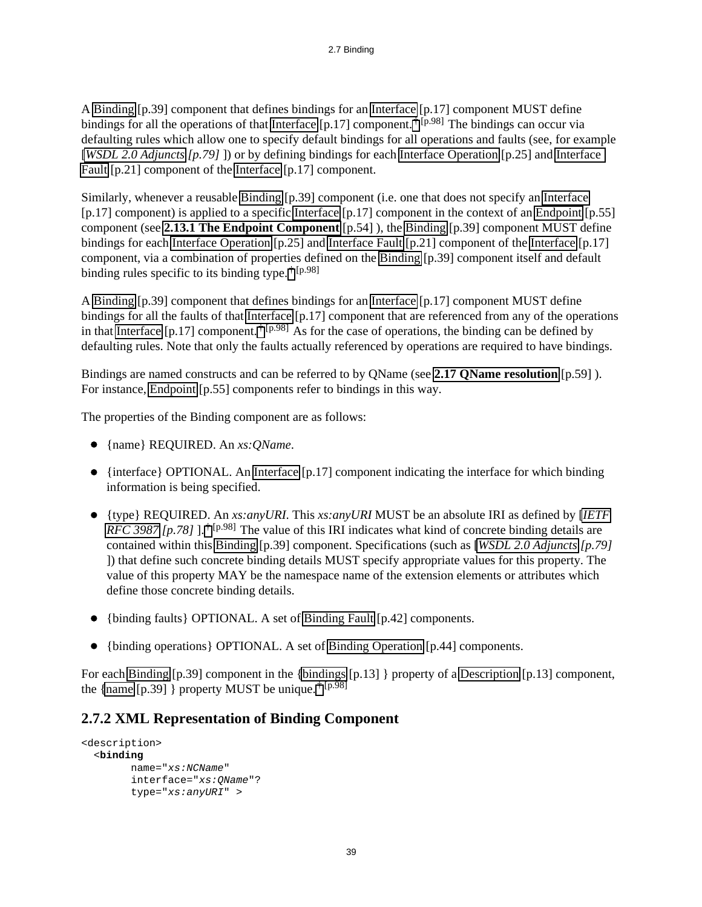A [Binding](#page-38-0) [p.39] component that defines bindings for an [Interface](#page-16-0) [p.17] component MUST define bindings for all the operations of that [Interface](#page-16-0)  $[p.17]$  component.  $\dagger$  [p.98] The bindings can occur via defaulting rules which allow one to specify default bindings for all operations and faults (see, for example [*[WSDL 2.0 Adjuncts](#page-78-0) [p.79]* ]) or by defining bindings for each [Interface Operation](#page-24-1) [p.25] and [Interface](#page-20-0)  [Fault](#page-20-0) [p.21] component of the [Interface](#page-16-0) [p.17] component.

Similarly, whenever a reusable [Binding](#page-38-0) [p.39] component (i.e. one that does not specify an [Interface](#page-16-0)  [p.17] component) is applied to a specific [Interface](#page-16-0) [p.17] component in the context of an [Endpoint](#page-54-0) [p.55] component (see **[2.13.1 The Endpoint Component](#page-53-1)** [p.54] ), the [Binding](#page-38-0) [p.39] component MUST define bindings for each [Interface Operation](#page-24-1) [p.25] and [Interface Fault](#page-20-0) [p.21] component of the [Interface](#page-16-0) [p.17] component, via a combination of properties defined on the [Binding](#page-38-0) [p.39] component itself and default binding rules specific to its binding type.  $\dagger$  [p.98]

A [Binding](#page-38-0) [p.39] component that defines bindings for an [Interface](#page-16-0) [p.17] component MUST define bindings for all the faults of that [Interface](#page-16-0) [p.17] component that are referenced from any of the operations in that [Interface](#page-16-0) [p.17] component.  $\dagger$  [p.98] As for the case of operations, the binding can be defined by defaulting rules. Note that only the faults actually referenced by operations are required to have bindings.

Bindings are named constructs and can be referred to by QName (see **[2.17 QName resolution](#page-58-0)** [p.59] ). For instance, [Endpoint](#page-54-0) [p.55] components refer to bindings in this way.

<span id="page-38-1"></span><span id="page-38-0"></span>The properties of the Binding component are as follows:

- {name} REQUIRED. An *xs:QName*.
- <span id="page-38-3"></span>• {interface} OPTIONAL. An [Interface](#page-16-0) [p.17] component indicating the interface for which binding information is being specified.
- <span id="page-38-4"></span>{type} REQUIRED. An *xs:anyURI*. This *xs:anyURI* MUST be an absolute IRI as defined by [*[IETF](#page-77-0) [RFC 3987](#page-77-0) [p.78]* ]. <sup>[†](#page-97-0) [p.98]</sup> The value of this IRI indicates what kind of concrete binding details are contained within this [Binding](#page-38-0) [p.39] component. Specifications (such as [*[WSDL 2.0 Adjuncts](#page-78-0) [p.79]*  ]) that define such concrete binding details MUST specify appropriate values for this property. The value of this property MAY be the namespace name of the extension elements or attributes which define those concrete binding details.
- <span id="page-38-5"></span>{binding faults} OPTIONAL. A set of [Binding Fault](#page-41-0) [p.42] components.
- {binding operations} OPTIONAL. A set of [Binding Operation](#page-43-1) [p.44] components.

<span id="page-38-6"></span>For each [Binding](#page-38-0) [p.39] component in the [{bindings](#page-12-0) [p.13] } property of a [Description](#page-12-1) [p.13] component, the [{name](#page-38-1)  $[p.39]$  } property MUST be unique.<sup>[†](#page-97-0)  $[p.98]$ </sup>

### <span id="page-38-2"></span>**2.7.2 XML Representation of Binding Component**

```
<description>
   <binding
         name="xs:NCName" 
         interface="xs:QName"?
         type="xs:anyURI" >
```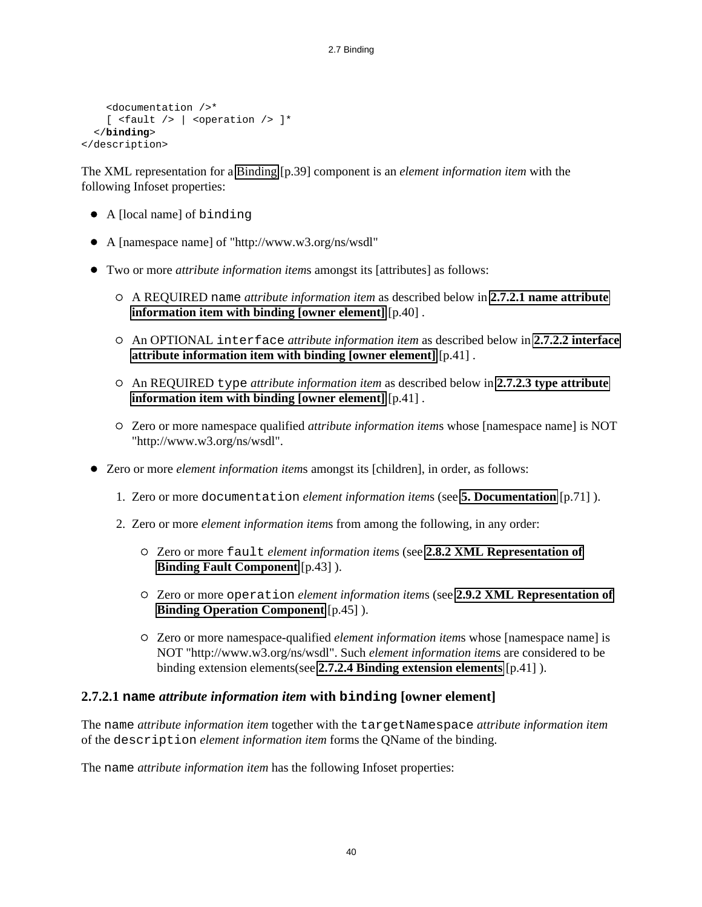```
 <documentation />*
    [ <fault /> | <operation /> ]*
   </binding>
</description>
```
The XML representation for a [Binding](#page-38-0) [p.39] component is an *element information item* with the following Infoset properties:

- A [local name] of binding
- A [namespace name] of "http://www.w3.org/ns/wsdl"
- Two or more *attribute information item*s amongst its [attributes] as follows:
	- A REQUIRED name *attribute information item* as described below in **[2.7.2.1 name attribute](#page-39-0) [information item with binding \[owner element\]](#page-39-0)** [p.40] .
	- An OPTIONAL interface *attribute information item* as described below in **[2.7.2.2 interface](#page-40-0) [attribute information item with binding \[owner element\]](#page-40-0)** [p.41] .
	- An REQUIRED type *attribute information item* as described below in **[2.7.2.3 type attribute](#page-40-1) [information item with binding \[owner element\]](#page-40-1)** [p.41] .
	- Zero or more namespace qualified *attribute information item*s whose [namespace name] is NOT "http://www.w3.org/ns/wsdl".
- Zero or more *element information item*s amongst its [children], in order, as follows:
	- 1. Zero or more documentation *element information item*s (see **[5. Documentation](#page-70-0)** [p.71] ).
	- 2. Zero or more *element information item*s from among the following, in any order:
		- Zero or more fault *element information item*s (see **[2.8.2 XML Representation of](#page-42-0) [Binding Fault Component](#page-42-0)** [p.43] ).
		- Zero or more operation *element information item*s (see **[2.9.2 XML Representation of](#page-44-0) [Binding Operation Component](#page-44-0)** [p.45] ).
		- Zero or more namespace-qualified *element information item*s whose [namespace name] is NOT "http://www.w3.org/ns/wsdl". Such *element information item*s are considered to be binding extension elements(see **[2.7.2.4 Binding extension elements](#page-40-2)** [p.41] ).

#### <span id="page-39-0"></span>**2.7.2.1 name** *attribute information item* **with binding [owner element]**

The name *attribute information item* together with the targetNamespace *attribute information item* of the description *element information item* forms the QName of the binding.

The name *attribute information item* has the following Infoset properties: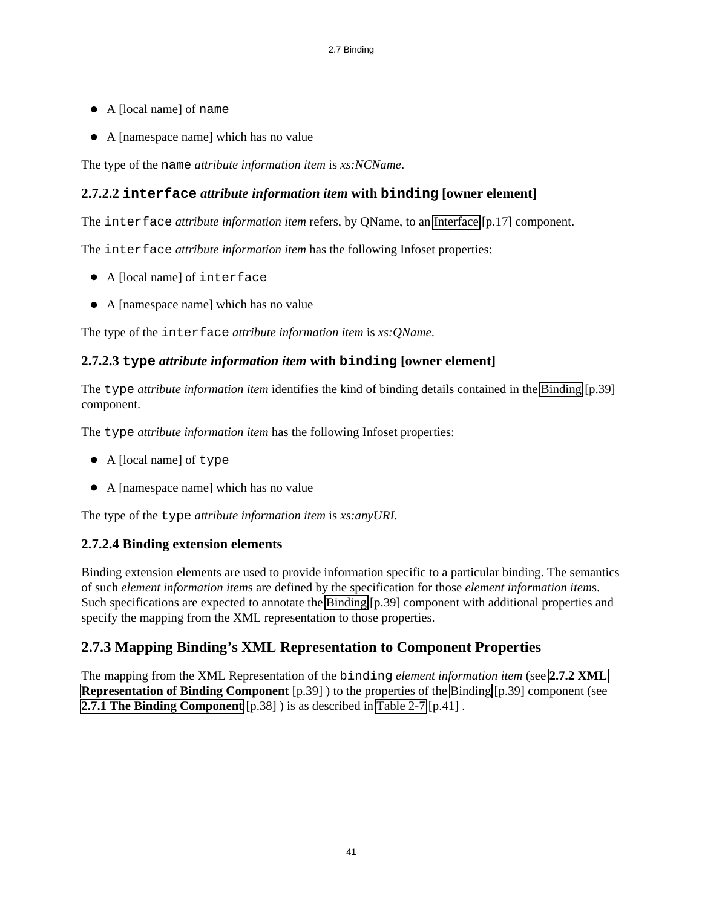- A [local name] of name
- A [namespace name] which has no value

The type of the name *attribute information item* is *xs:NCName*.

### <span id="page-40-0"></span>**2.7.2.2 interface** *attribute information item* **with binding [owner element]**

The interface *attribute information item* refers, by QName, to an [Interface](#page-16-0) [p.17] component.

The interface *attribute information item* has the following Infoset properties:

- A [local name] of interface
- A [namespace name] which has no value

The type of the interface *attribute information item* is *xs:QName*.

### <span id="page-40-1"></span>**2.7.2.3 type** *attribute information item* **with binding [owner element]**

The type *attribute information item* identifies the kind of binding details contained in the [Binding](#page-38-0) [p.39] component.

The type *attribute information item* has the following Infoset properties:

- A [local name] of type
- A [namespace name] which has no value

The type of the type *attribute information item* is *xs:anyURI*.

### <span id="page-40-2"></span>**2.7.2.4 Binding extension elements**

Binding extension elements are used to provide information specific to a particular binding. The semantics of such *element information item*s are defined by the specification for those *element information item*s. Such specifications are expected to annotate the [Binding](#page-38-0) [p.39] component with additional properties and specify the mapping from the XML representation to those properties.

### **2.7.3 Mapping Binding's XML Representation to Component Properties**

<span id="page-40-3"></span>The mapping from the XML Representation of the binding *element information item* (see **[2.7.2 XML](#page-38-2) [Representation of Binding Component](#page-38-2)** [p.39] ) to the properties of the [Binding](#page-38-0) [p.39] component (see **[2.7.1 The Binding Component](#page-37-0)** [p.38] ) is as described in [Table 2-7](#page-40-3) [p.41] .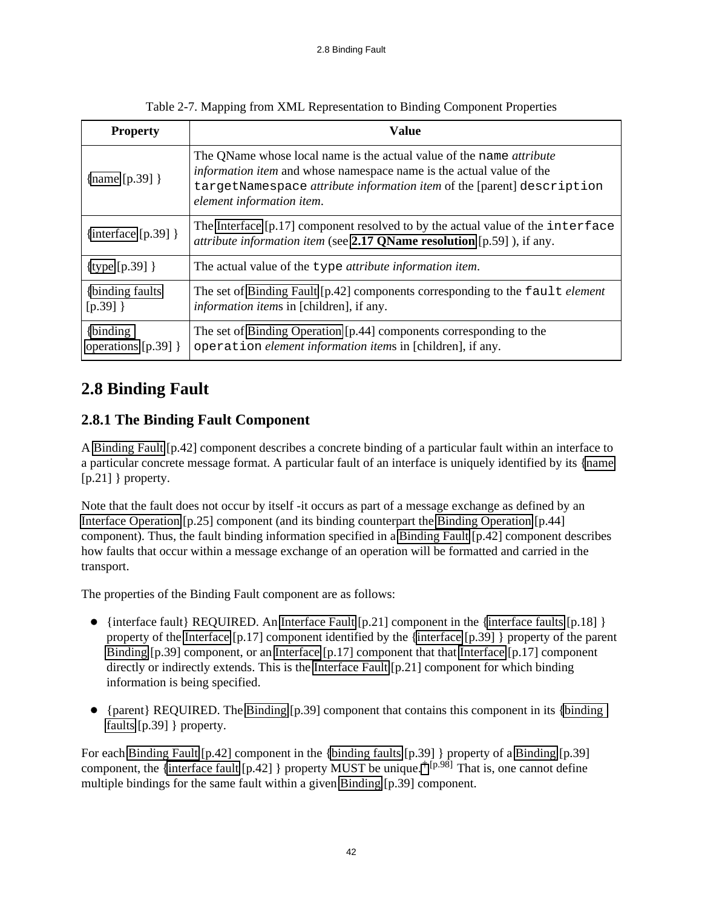| <b>Property</b>                   | <b>Value</b>                                                                                                                                                                                                                                                      |
|-----------------------------------|-------------------------------------------------------------------------------------------------------------------------------------------------------------------------------------------------------------------------------------------------------------------|
| { $name[p.39]$ }                  | The QName whose local name is the actual value of the name <i>attribute</i><br>information item and whose namespace name is the actual value of the<br>targetNamespace <i>attribute information item</i> of the [parent] description<br>element information item. |
| {interface $[p.39]$ }             | The Interface $[p.17]$ component resolved to by the actual value of the interface<br><i>attribute information item</i> (see $2.17$ QName resolution [p.59]), if any.                                                                                              |
| $\{type [p.39] \}$                | The actual value of the type <i>attribute information item</i> .                                                                                                                                                                                                  |
| {binding faults}<br>$[p.39]$ }    | The set of Binding Fault [p.42] components corresponding to the fault element<br>information items in [children], if any.                                                                                                                                         |
| {binding<br>operations $[p.39]$ } | The set of Binding Operation [p.44] components corresponding to the<br>operation element information items in [children], if any.                                                                                                                                 |

Table 2-7. Mapping from XML Representation to Binding Component Properties

# **2.8 Binding Fault**

# <span id="page-41-2"></span>**2.8.1 The Binding Fault Component**

A [Binding Fault](#page-41-0) [p.42] component describes a concrete binding of a particular fault within an interface to a particular concrete message format. A particular fault of an interface is uniquely identified by its [{name](#page-20-1)  [p.21] } property.

Note that the fault does not occur by itself -it occurs as part of a message exchange as defined by an [Interface Operation](#page-24-1) [p.25] component (and its binding counterpart the [Binding Operation](#page-43-1) [p.44] component). Thus, the fault binding information specified in a [Binding Fault](#page-41-0) [p.42] component describes how faults that occur within a message exchange of an operation will be formatted and carried in the transport.

<span id="page-41-1"></span><span id="page-41-0"></span>The properties of the Binding Fault component are as follows:

- $\bullet$  {interface fault} REQUIRED. An [Interface Fault](#page-20-0) [p.21] component in the [{interface faults](#page-17-0) [p.18] } property of the [Interface](#page-16-0) [p.17] component identified by the [{interface](#page-38-3) [p.39] } property of the parent [Binding](#page-38-0) [p.39] component, or an [Interface](#page-16-0) [p.17] component that that [Interface](#page-16-0) [p.17] component directly or indirectly extends. This is the [Interface Fault](#page-20-0) [p.21] component for which binding information is being specified.
- <span id="page-41-3"></span> $\bullet$ {parent} REQUIRED. The [Binding](#page-38-0) [p.39] component that contains this component in its [{binding](#page-38-5)  [faults](#page-38-5) [p.39] } property.

For each [Binding Fault](#page-41-0) [p.42] component in the [{binding faults](#page-38-5) [p.39] } property of a [Binding](#page-38-0) [p.39] component, the [{interface fault](#page-41-1)  $[p.42]$  } property MUST be unique.<sup>[†](#page-97-0)  $[p.98]$ </sup> That is, one cannot define multiple bindings for the same fault within a given [Binding](#page-38-0) [p.39] component.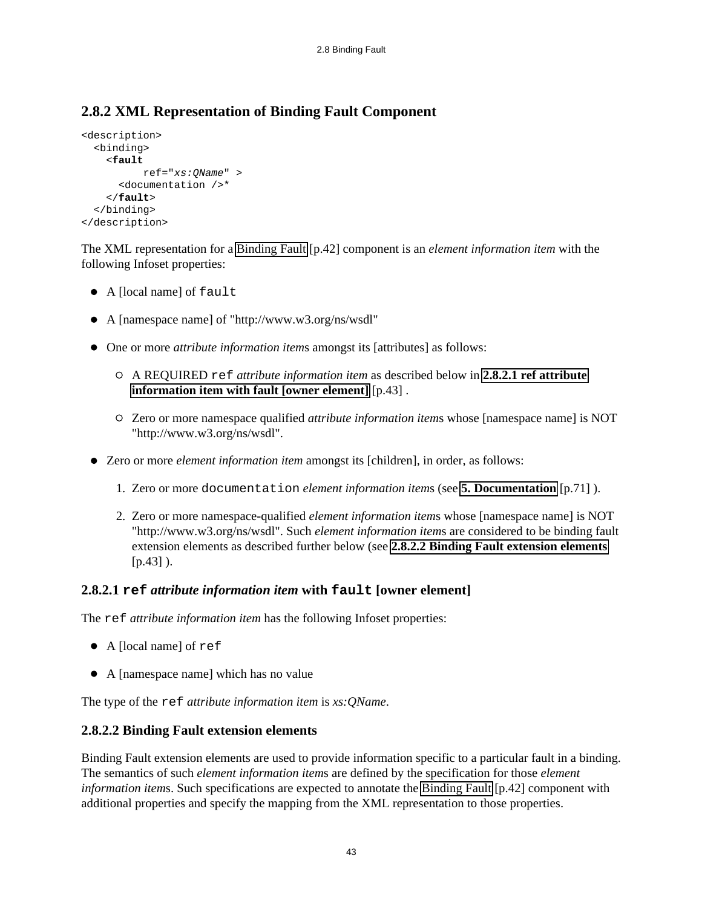## <span id="page-42-0"></span>**2.8.2 XML Representation of Binding Fault Component**

```
<description>
   <binding>
     <fault
           ref="xs:QName" >
       <documentation />*
     </fault>
   </binding>
</description>
```
The XML representation for a [Binding Fault](#page-41-0) [p.42] component is an *element information item* with the following Infoset properties:

- A [local name] of fault
- A [namespace name] of "http://www.w3.org/ns/wsdl"
- One or more *attribute information item*s amongst its [attributes] as follows:
	- A REQUIRED ref *attribute information item* as described below in **[2.8.2.1 ref attribute](#page-42-1) [information item with fault \[owner element\]](#page-42-1)** [p.43] .
	- Zero or more namespace qualified *attribute information item*s whose [namespace name] is NOT "http://www.w3.org/ns/wsdl".
- Zero or more *element information item* amongst its [children], in order, as follows:
	- 1. Zero or more documentation *element information item*s (see **[5. Documentation](#page-70-0)** [p.71] ).
	- 2. Zero or more namespace-qualified *element information item*s whose [namespace name] is NOT "http://www.w3.org/ns/wsdl". Such *element information item*s are considered to be binding fault extension elements as described further below (see **[2.8.2.2 Binding Fault extension elements](#page-42-2)** [p.43]).

### <span id="page-42-1"></span>**2.8.2.1 ref** *attribute information item* **with fault [owner element]**

The ref *attribute information item* has the following Infoset properties:

- A [local name] of ref
- A [namespace name] which has no value

The type of the ref *attribute information item* is *xs:QName*.

#### <span id="page-42-2"></span>**2.8.2.2 Binding Fault extension elements**

Binding Fault extension elements are used to provide information specific to a particular fault in a binding. The semantics of such *element information item*s are defined by the specification for those *element information item*s. Such specifications are expected to annotate the [Binding Fault](#page-41-0) [p.42] component with additional properties and specify the mapping from the XML representation to those properties.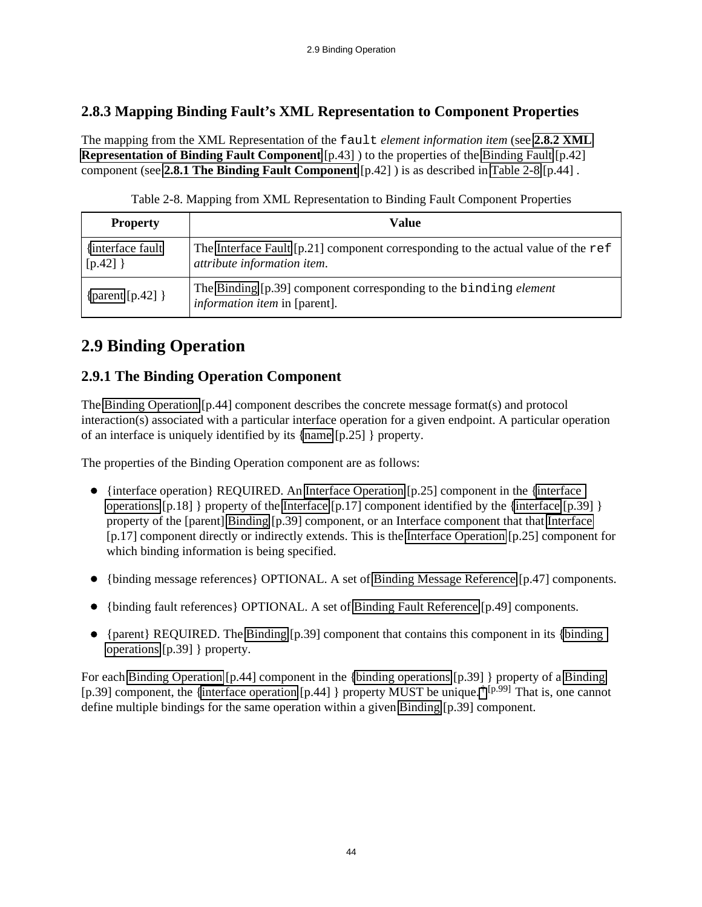### **2.8.3 Mapping Binding Fault's XML Representation to Component Properties**

The mapping from the XML Representation of the fault *element information item* (see **[2.8.2 XML](#page-42-0) [Representation of Binding Fault Component](#page-42-0)** [p.43] ) to the properties of the [Binding Fault](#page-41-0) [p.42] component (see **[2.8.1 The Binding Fault Component](#page-41-2)** [p.42] ) is as described in [Table 2-8](#page-43-2) [p.44] .

| Table 2-8. Mapping from XML Representation to Binding Fault Component Properties |  |
|----------------------------------------------------------------------------------|--|
|                                                                                  |  |

<span id="page-43-2"></span>

| <b>Property</b>                 | Value                                                                                                              |
|---------------------------------|--------------------------------------------------------------------------------------------------------------------|
| {interface fault}<br>$[p.42]$ } | The Interface Fault $[p.21]$ component corresponding to the actual value of the ref<br>attribute information item. |
| {parent $[p.42]$ }              | The Binding [p.39] component corresponding to the binding <i>element</i><br><i>information item</i> in [parent].   |

# **2.9 Binding Operation**

### <span id="page-43-0"></span>**2.9.1 The Binding Operation Component**

The [Binding Operation](#page-43-1) [p.44] component describes the concrete message format(s) and protocol interaction(s) associated with a particular interface operation for a given endpoint. A particular operation of an interface is uniquely identified by its [{name](#page-24-2) [p.25] } property.

<span id="page-43-3"></span><span id="page-43-1"></span>The properties of the Binding Operation component are as follows:

- {interface operation} REQUIRED. An [Interface Operation](#page-24-1) [p.25] component in the {interface [operations](#page-17-1)  $[p.18]$  } property of the [Interface](#page-16-0)  $[p.17]$  component identified by the [{interface](#page-38-3)  $[p.39]$  } property of the [parent] [Binding](#page-38-0) [p.39] component, or an Interface component that that [Interface](#page-16-0)  [p.17] component directly or indirectly extends. This is the [Interface Operation](#page-24-1) [p.25] component for which binding information is being specified.
- <span id="page-43-4"></span>{binding message references} OPTIONAL. A set of [Binding Message Reference](#page-46-0) [p.47] components.
- <span id="page-43-5"></span>{binding fault references} OPTIONAL. A set of [Binding Fault Reference](#page-48-0) [p.49] components.
- <span id="page-43-6"></span> $\bullet$  {parent} REQUIRED. The [Binding](#page-38-0) [p.39] component that contains this component in its {binding} [operations](#page-38-6) [p.39] } property.

For each [Binding Operation](#page-43-1) [p.44] component in the [{binding operations](#page-38-6) [p.39] } property of a [Binding](#page-38-0)  [p.39] component, the [{interface operation](#page-43-3) [p.44] } property MUST be unique.  $\dagger$  [p.99] That is, one cannot define multiple bindings for the same operation within a given [Binding](#page-38-0) [p.39] component.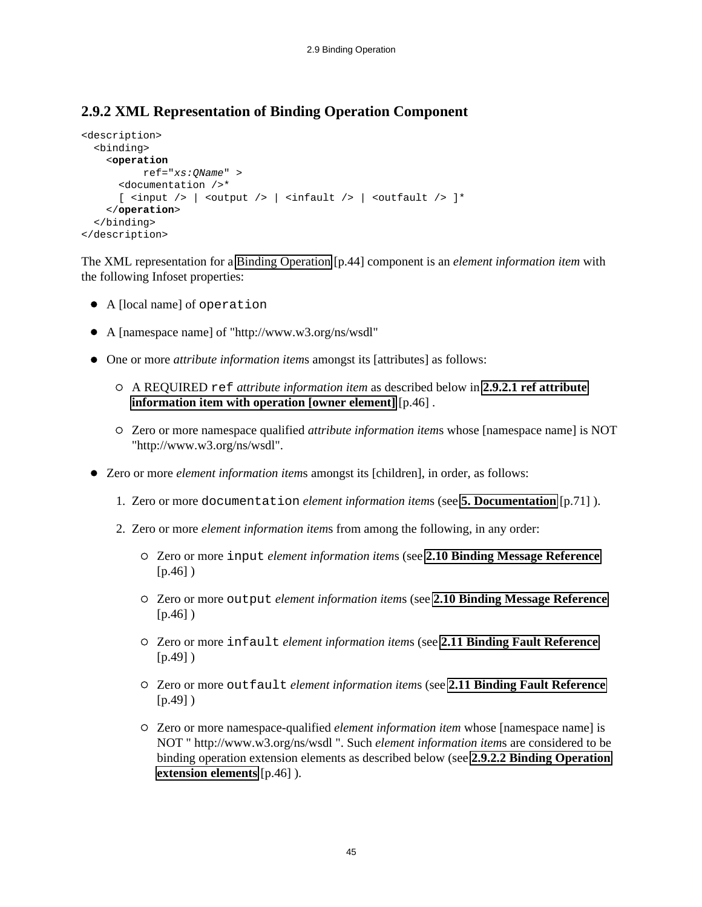### <span id="page-44-0"></span>**2.9.2 XML Representation of Binding Operation Component**

```
<description>
   <binding>
     <operation
          ref="xs:QName" >
       <documentation />*
      [ <input /> | <output /> | <infault /> | <outfault /> ]*
     </operation>
   </binding>
</description>
```
The XML representation for a [Binding Operation](#page-43-1) [p.44] component is an *element information item* with the following Infoset properties:

- A [local name] of operation
- A [namespace name] of "http://www.w3.org/ns/wsdl"
- One or more *attribute information item*s amongst its [attributes] as follows:
	- A REQUIRED ref *attribute information item* as described below in **[2.9.2.1 ref attribute](#page-45-0) [information item with operation \[owner element\]](#page-45-0)** [p.46] .
	- Zero or more namespace qualified *attribute information item*s whose [namespace name] is NOT "http://www.w3.org/ns/wsdl".
- Zero or more *element information item*s amongst its [children], in order, as follows:
	- 1. Zero or more documentation *element information item*s (see **[5. Documentation](#page-70-0)** [p.71] ).
	- 2. Zero or more *element information item*s from among the following, in any order:
		- Zero or more input *element information item*s (see **[2.10 Binding Message Reference](#page-45-1)** [p.46])
		- Zero or more output *element information item*s (see **[2.10 Binding Message Reference](#page-45-1)** [p.46])
		- Zero or more infault *element information item*s (see **[2.11 Binding Fault Reference](#page-48-1)**  $[p.49]$ )
		- Zero or more outfault *element information item*s (see **[2.11 Binding Fault Reference](#page-48-1)** [p.49])
		- Zero or more namespace-qualified *element information item* whose [namespace name] is NOT " http://www.w3.org/ns/wsdl ". Such *element information item*s are considered to be binding operation extension elements as described below (see **[2.9.2.2 Binding Operation](#page-45-2) [extension elements](#page-45-2)** [p.46] ).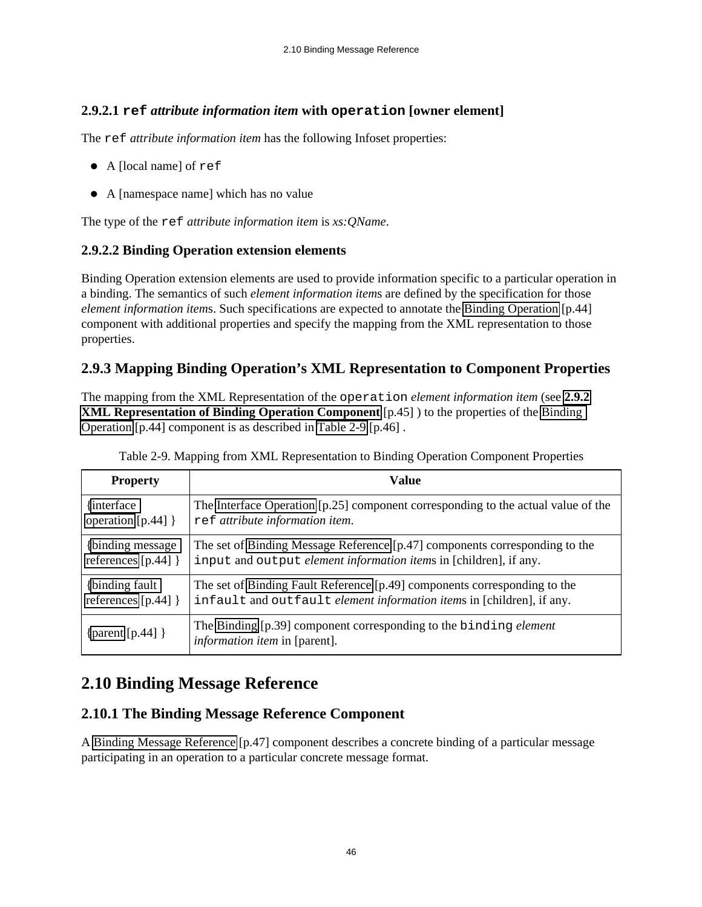## <span id="page-45-0"></span>**2.9.2.1 ref** *attribute information item* **with operation [owner element]**

The ref *attribute information item* has the following Infoset properties:

- A [local name] of ref
- A [namespace name] which has no value

The type of the ref *attribute information item* is *xs:QName*.

### <span id="page-45-2"></span>**2.9.2.2 Binding Operation extension elements**

Binding Operation extension elements are used to provide information specific to a particular operation in a binding. The semantics of such *element information item*s are defined by the specification for those *element information item*s. Such specifications are expected to annotate the [Binding Operation](#page-43-1) [p.44] component with additional properties and specify the mapping from the XML representation to those properties.

# **2.9.3 Mapping Binding Operation's XML Representation to Component Properties**

The mapping from the XML Representation of the operation *element information item* (see **[2.9.2](#page-44-0) [XML Representation of Binding Operation Component](#page-44-0)** [p.45] ) to the properties of the Binding [Operation](#page-43-1) [p.44] component is as described in [Table 2-9](#page-45-3) [p.46] .

<span id="page-45-3"></span>

| <b>Property</b>       | Value                                                                                                            |
|-----------------------|------------------------------------------------------------------------------------------------------------------|
| {interface}           | The Interface Operation [p.25] component corresponding to the actual value of the                                |
| operation $[p.44]$ }  | ref attribute information item.                                                                                  |
| {binding message}     | The set of Binding Message Reference [p.47] components corresponding to the                                      |
| references $[p.44]$ } | input and output <i>element information items</i> in [children], if any.                                         |
| {binding fault}       | The set of Binding Fault Reference [p.49] components corresponding to the                                        |
| references $[p.44]$ } | infault and outfault element information items in [children], if any.                                            |
| {parent $[p.44]$ }    | The Binding [p.39] component corresponding to the binding <i>element</i><br><i>information item</i> in [parent]. |

Table 2-9. Mapping from XML Representation to Binding Operation Component Properties

# <span id="page-45-1"></span>**2.10 Binding Message Reference**

# **2.10.1 The Binding Message Reference Component**

A [Binding Message Reference](#page-46-0) [p.47] component describes a concrete binding of a particular message participating in an operation to a particular concrete message format.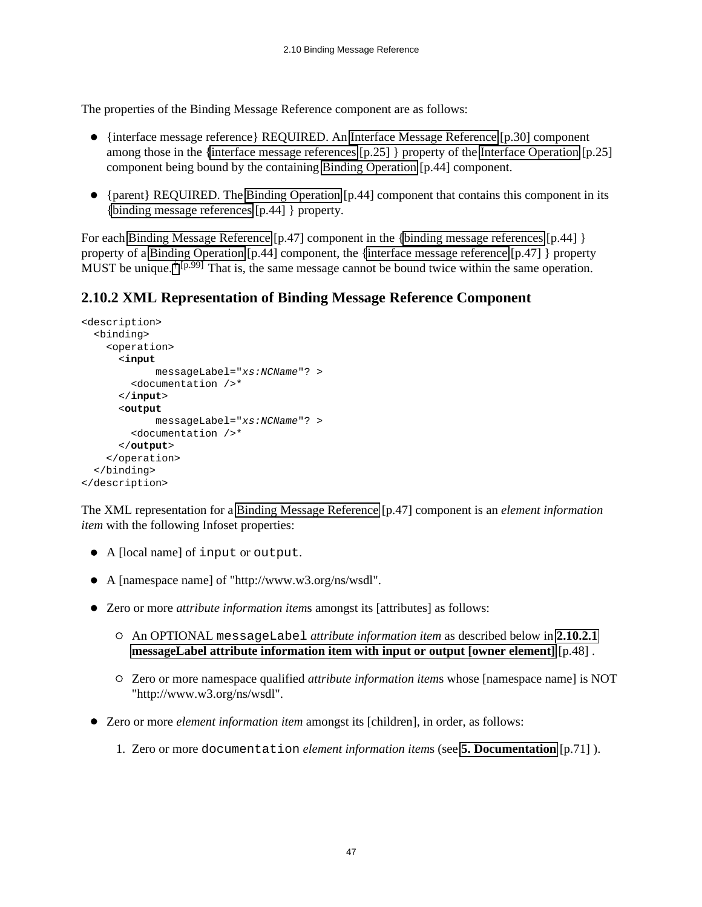<span id="page-46-1"></span><span id="page-46-0"></span>The properties of the Binding Message Reference component are as follows:

- {interface message reference} REQUIRED. An [Interface Message Reference](#page-29-1) [p.30] component among those in the [{interface message references](#page-24-3) [p.25] } property of the [Interface Operation](#page-24-1) [p.25] component being bound by the containing [Binding Operation](#page-43-1) [p.44] component.
- {parent} REQUIRED. The [Binding Operation](#page-43-1) [p.44] component that contains this component in its  $\bullet$ [{binding message references](#page-43-4) [p.44] } property.

For each [Binding Message Reference](#page-46-0) [p.47] component in the [{binding message references](#page-43-4) [p.44] } property of a [Binding Operation](#page-43-1) [p.44] component, the [{interface message reference](#page-46-1) [p.47] } property MUST be unique. <sup>[†](#page-98-0) [p.99]</sup> That is, the same message cannot be bound twice within the same operation.

### <span id="page-46-2"></span>**2.10.2 XML Representation of Binding Message Reference Component**

```
<description>
   <binding>
     <operation>
       <input
             messageLabel="xs:NCName"? >
         <documentation />*
       </input>
       <output
             messageLabel="xs:NCName"? >
         <documentation />*
       </output>
     </operation>
   </binding>
</description>
```
The XML representation for a [Binding Message Reference](#page-46-0) [p.47] component is an *element information item* with the following Infoset properties:

- A [local name] of input or output.
- A [namespace name] of "http://www.w3.org/ns/wsdl".
- Zero or more *attribute information item*s amongst its [attributes] as follows:
	- An OPTIONAL messageLabel *attribute information item* as described below in **[2.10.2.1](#page-47-0) [messageLabel attribute information item with input or output \[owner element\]](#page-47-0)** [p.48] .
	- Zero or more namespace qualified *attribute information item*s whose [namespace name] is NOT "http://www.w3.org/ns/wsdl".
- Zero or more *element information item* amongst its [children], in order, as follows:
	- 1. Zero or more documentation *element information item*s (see **[5. Documentation](#page-70-0)** [p.71] ).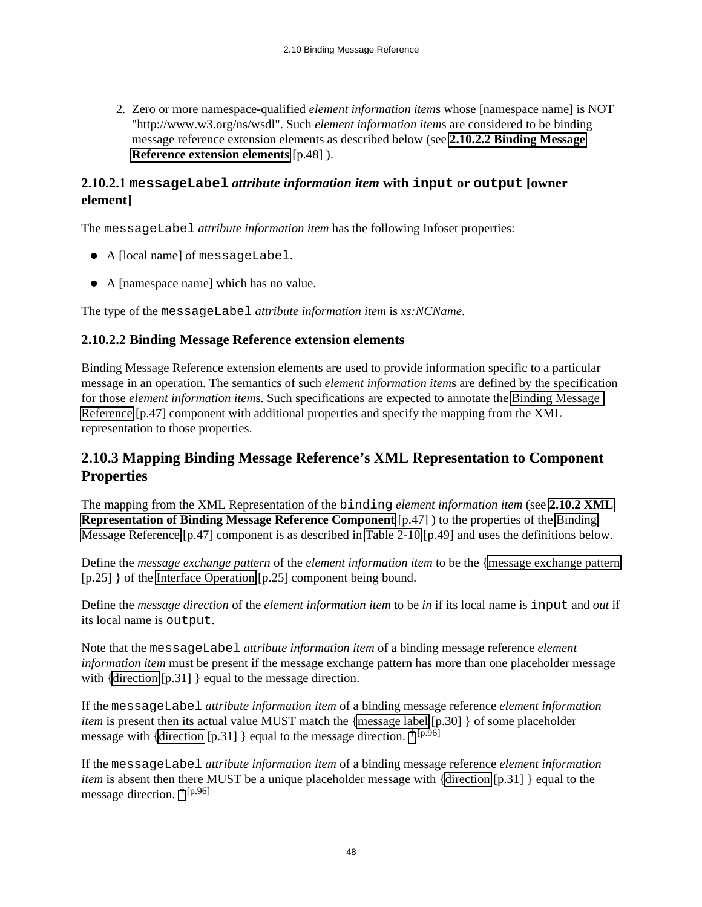2. Zero or more namespace-qualified *element information item*s whose [namespace name] is NOT "http://www.w3.org/ns/wsdl". Such *element information item*s are considered to be binding message reference extension elements as described below (see **[2.10.2.2 Binding Message](#page-47-1) [Reference extension elements](#page-47-1)** [p.48] ).

### <span id="page-47-0"></span>**2.10.2.1 messageLabel** *attribute information item* **with input or output [owner element]**

The messageLabel *attribute information item* has the following Infoset properties:

- A [local name] of messageLabel.
- A [namespace name] which has no value.

The type of the messageLabel *attribute information item* is *xs:NCName*.

### <span id="page-47-1"></span>**2.10.2.2 Binding Message Reference extension elements**

Binding Message Reference extension elements are used to provide information specific to a particular message in an operation. The semantics of such *element information item*s are defined by the specification for those *element information item*s. Such specifications are expected to annotate the [Binding Message](#page-46-0)  [Reference](#page-46-0) [p.47] component with additional properties and specify the mapping from the XML representation to those properties.

# **2.10.3 Mapping Binding Message Reference's XML Representation to Component Properties**

The mapping from the XML Representation of the binding *element information item* (see **[2.10.2 XML](#page-46-2) [Representation of Binding Message Reference Component](#page-46-2)** [p.47] ) to the properties of the [Binding](#page-46-0) [Message Reference](#page-46-0) [p.47] component is as described in [Table 2-10](#page-48-2) [p.49] and uses the definitions below.

Define the *message exchange pattern* of the *element information item* to be the [{message exchange pattern](#page-24-0)  [p.25] } of the [Interface Operation](#page-24-1) [p.25] component being bound.

Define the *message direction* of the *element information item* to be *in* if its local name is input and *out* if its local name is output.

Note that the messageLabel *attribute information item* of a binding message reference *element information item* must be present if the message exchange pattern has more than one placeholder message with [{direction](#page-30-0) [p.31] } equal to the message direction.

If the messageLabel *attribute information item* of a binding message reference *element information item* is present then its actual value MUST match the [{message label](#page-29-0) [p.30] } of some placeholder message with [{direction](#page-30-0) [p.31] } equal to the message direction.  $\dagger$  [p.96]

If the messageLabel *attribute information item* of a binding message reference *element information item* is absent then there MUST be a unique placeholder message with [{direction](#page-30-0) [p.31] } equal to the message direction. [†](#page-95-0) [p.96]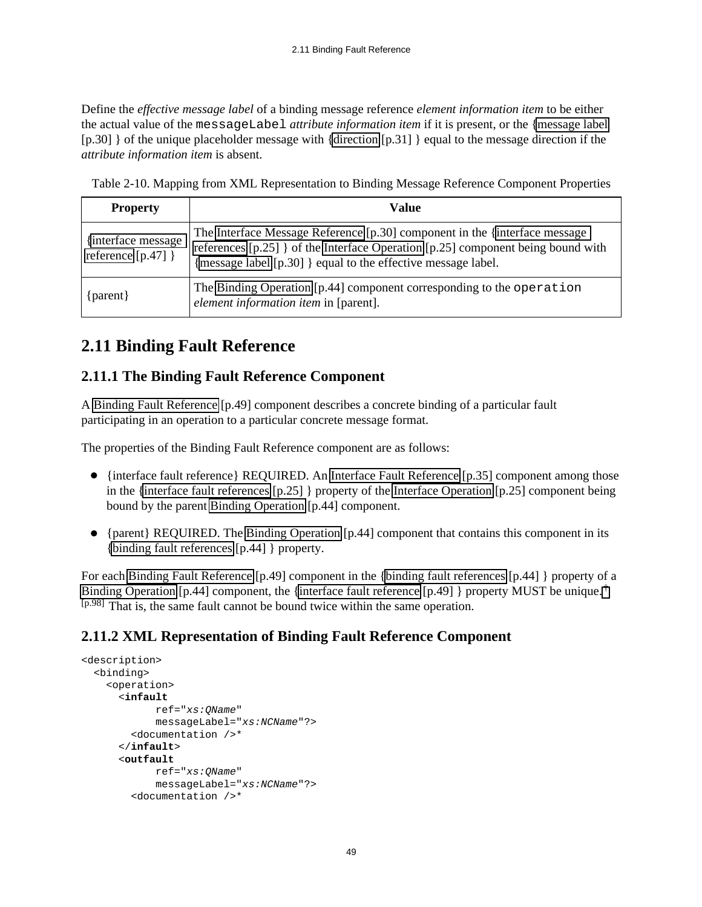Define the *effective message label* of a binding message reference *element information item* to be either the actual value of the messageLabel *attribute information item* if it is present, or the [{message label](#page-29-0)  [p.30] } of the unique placeholder message with [{direction](#page-30-0) [p.31] } equal to the message direction if the *attribute information item* is absent.

Table 2-10. Mapping from XML Representation to Binding Message Reference Component Properties

<span id="page-48-2"></span>

| <b>Property</b>                          | Value                                                                                                                                                                                                                             |
|------------------------------------------|-----------------------------------------------------------------------------------------------------------------------------------------------------------------------------------------------------------------------------------|
| {interface message<br>reference $[p.47]$ | The Interface Message Reference [p.30] component in the {interface message<br>references $[p.25]$ of the Interface Operation $[p.25]$ component being bound with<br>{message label [p.30] } equal to the effective message label. |
| $\{parent\}$                             | The Binding Operation [p.44] component corresponding to the operation<br><i>element information item</i> in [parent].                                                                                                             |

# <span id="page-48-1"></span>**2.11 Binding Fault Reference**

# **2.11.1 The Binding Fault Reference Component**

A [Binding Fault Reference](#page-48-0) [p.49] component describes a concrete binding of a particular fault participating in an operation to a particular concrete message format.

<span id="page-48-3"></span><span id="page-48-0"></span>The properties of the Binding Fault Reference component are as follows:

- {interface fault reference} REQUIRED. An [Interface Fault Reference](#page-34-0) [p.35] component among those in the [{interface fault references](#page-24-4) [p.25] } property of the [Interface Operation](#page-24-1) [p.25] component being bound by the parent [Binding Operation](#page-43-1) [p.44] component.
- {parent} REQUIRED. The [Binding Operation](#page-43-1) [p.44] component that contains this component in its  $\bullet$ [{binding fault references](#page-43-5) [p.44] } property.

For each [Binding Fault Reference](#page-48-0) [p.49] component in the [{binding fault references](#page-43-5) [p.44] } property of a [Binding Operation](#page-43-1) [p.44] component, the [{interface fault reference](#page-48-3) [p.49] } property MUST be unique. † [p.98] That is, the same fault cannot be bound twice within the same operation.

# <span id="page-48-4"></span>**2.11.2 XML Representation of Binding Fault Reference Component**

```
<description>
   <binding>
     <operation>
       <infault
             ref="xs:QName"
             messageLabel="xs:NCName"?>
         <documentation />*
       </infault>
       <outfault
             ref="xs:QName"
             messageLabel="xs:NCName"?>
         <documentation />*
```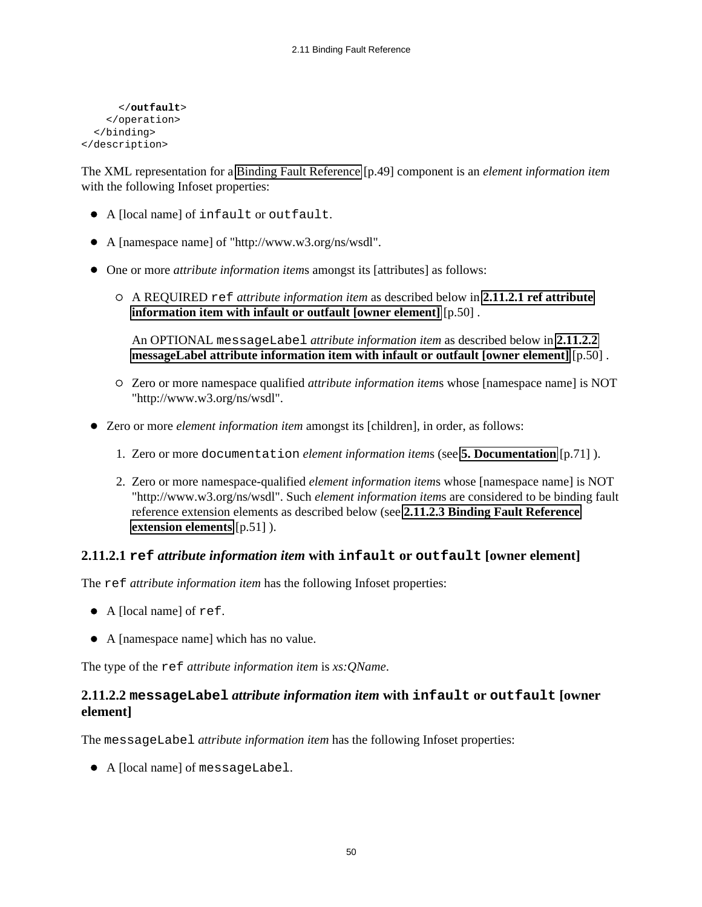```
 </outfault>
     </operation>
   </binding>
</description>
```
The XML representation for a [Binding Fault Reference](#page-48-0) [p.49] component is an *element information item* with the following Infoset properties:

- A [local name] of infault or outfault.
- A [namespace name] of "http://www.w3.org/ns/wsdl".
- One or more *attribute information item*s amongst its [attributes] as follows:
	- A REQUIRED ref *attribute information item* as described below in **[2.11.2.1 ref attribute](#page-49-0) [information item with infault or outfault \[owner element\]](#page-49-0)** [p.50] .

An OPTIONAL messageLabel *attribute information item* as described below in **[2.11.2.2](#page-49-1) [messageLabel attribute information item with infault or outfault \[owner element\]](#page-49-1)** [p.50].

- Zero or more namespace qualified *attribute information item*s whose [namespace name] is NOT "http://www.w3.org/ns/wsdl".
- Zero or more *element information item* amongst its [children], in order, as follows:
	- 1. Zero or more documentation *element information item*s (see **[5. Documentation](#page-70-0)** [p.71] ).
	- 2. Zero or more namespace-qualified *element information item*s whose [namespace name] is NOT "http://www.w3.org/ns/wsdl". Such *element information item*s are considered to be binding fault reference extension elements as described below (see **[2.11.2.3 Binding Fault Reference](#page-50-0) [extension elements](#page-50-0)** [p.51] ).

#### <span id="page-49-0"></span>**2.11.2.1 ref** *attribute information item* **with infault or outfault [owner element]**

The ref *attribute information item* has the following Infoset properties:

- A [local name] of ref.
- A [namespace name] which has no value.

The type of the ref *attribute information item* is *xs:QName*.

#### <span id="page-49-1"></span>**2.11.2.2 messageLabel** *attribute information item* **with infault or outfault [owner element]**

The messageLabel *attribute information item* has the following Infoset properties:

A [local name] of messageLabel.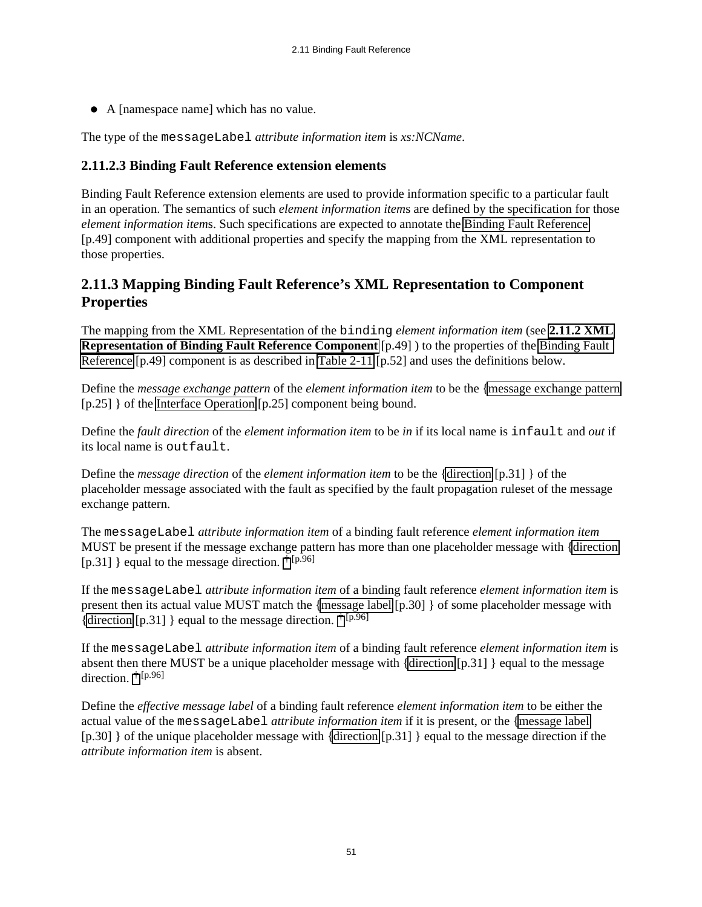A [namespace name] which has no value.

The type of the messageLabel *attribute information item* is *xs:NCName*.

#### <span id="page-50-0"></span>**2.11.2.3 Binding Fault Reference extension elements**

Binding Fault Reference extension elements are used to provide information specific to a particular fault in an operation. The semantics of such *element information item*s are defined by the specification for those *element information item*s. Such specifications are expected to annotate the [Binding Fault Reference](#page-48-0)  [p.49] component with additional properties and specify the mapping from the XML representation to those properties.

### **2.11.3 Mapping Binding Fault Reference's XML Representation to Component Properties**

The mapping from the XML Representation of the binding *element information item* (see **[2.11.2 XML](#page-48-4) [Representation of Binding Fault Reference Component](#page-48-4)** [p.49] ) to the properties of the Binding Fault [Reference](#page-48-0) [p.49] component is as described in [Table 2-11](#page-51-1) [p.52] and uses the definitions below.

Define the *message exchange pattern* of the *element information item* to be the [{message exchange pattern](#page-24-0)  [p.25] } of the [Interface Operation](#page-24-1) [p.25] component being bound.

Define the *fault direction* of the *element information item* to be *in* if its local name is infault and *out* if its local name is outfault.

Define the *message direction* of the *element information item* to be the [{direction](#page-30-0) [p.31] } of the placeholder message associated with the fault as specified by the fault propagation ruleset of the message exchange pattern.

The messageLabel *attribute information item* of a binding fault reference *element information item* MUST be present if the message exchange pattern has more than one placeholder message with [{direction](#page-30-0)  [p.31] } equal to the message direction.  $\frac{1}{2}$  [p.96]

If the messageLabel *attribute information item* of a binding fault reference *element information item* is present then its actual value MUST match the [{message label](#page-29-0) [p.30] } of some placeholder message with [{direction](#page-30-0) [p.31] } equal to the message direction.  $\dagger$  [p.96]

If the messageLabel *attribute information item* of a binding fault reference *element information item* is absent then there MUST be a unique placeholder message with [{direction](#page-30-0) [p.31] } equal to the message direction. [†](#page-95-0) [p.96]

Define the *effective message label* of a binding fault reference *element information item* to be either the actual value of the messageLabel *attribute information item* if it is present, or the [{message label](#page-29-0)  [p.30] } of the unique placeholder message with [{direction](#page-30-0) [p.31] } equal to the message direction if the *attribute information item* is absent.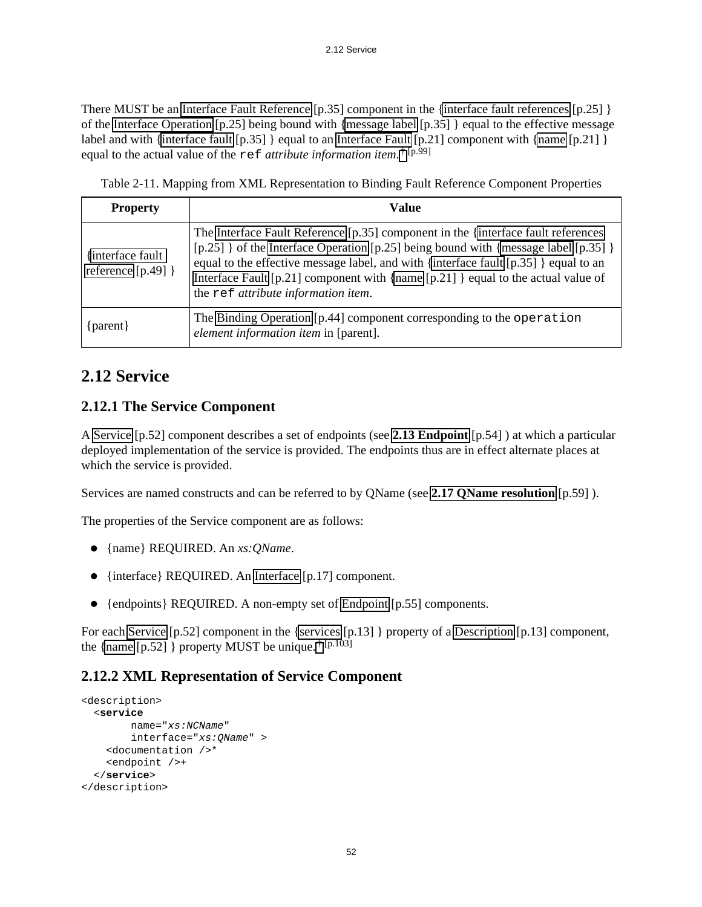There MUST be an [Interface Fault Reference](#page-34-0) [p.35] component in the [{interface fault references](#page-24-4) [p.25] } of the [Interface Operation](#page-24-1) [p.25] being bound with [{message label](#page-34-4) [p.35] } equal to the effective message label and with [{interface fault](#page-34-3) [p.35] } equal to an [Interface Fault](#page-20-0) [p.21] component with [{name](#page-20-1) [p.21] } equal to the actual value of the ref *attribute information item*. [†](#page-98-0) [p.99]

Table 2-11. Mapping from XML Representation to Binding Fault Reference Component Properties

<span id="page-51-1"></span>

| <b>Property</b>                           | Value                                                                                                                                                                                                                                                                                                                                                                                      |  |  |
|-------------------------------------------|--------------------------------------------------------------------------------------------------------------------------------------------------------------------------------------------------------------------------------------------------------------------------------------------------------------------------------------------------------------------------------------------|--|--|
| {interface fault}<br>reference $[p.49]$ } | The Interface Fault Reference [p.35] component in the {interface fault references<br>[p.25] of the Interface Operation [p.25] being bound with {message label [p.35] }<br>equal to the effective message label, and with {interface fault [p.35] } equal to an<br>Interface Fault [p.21] component with {name [p.21] } equal to the actual value of<br>the ref attribute information item. |  |  |
| { parent }                                | The Binding Operation [p.44] component corresponding to the operation<br>element information item in [parent].                                                                                                                                                                                                                                                                             |  |  |

# **2.12 Service**

## **2.12.1 The Service Component**

A [Service](#page-51-0) [p.52] component describes a set of endpoints (see **[2.13 Endpoint](#page-53-0)** [p.54] ) at which a particular deployed implementation of the service is provided. The endpoints thus are in effect alternate places at which the service is provided.

Services are named constructs and can be referred to by QName (see **[2.17 QName resolution](#page-58-0)** [p.59] ).

<span id="page-51-2"></span><span id="page-51-0"></span>The properties of the Service component are as follows:

- {name} REQUIRED. An *xs:QName*.
- <span id="page-51-4"></span>• {interface} REQUIRED. An [Interface](#page-16-0) [p.17] component.
- {endpoints} REQUIRED. A non-empty set of [Endpoint](#page-54-0) [p.55] components.

<span id="page-51-5"></span>For each [Service](#page-51-0) [p.52] component in the [{services](#page-12-2) [p.13] } property of a [Description](#page-12-1) [p.13] component, the [{name](#page-51-2)  $[p.52]$  } property MUST be unique.<sup>[†](#page-102-0) [p.103]</sup>

### <span id="page-51-3"></span>**2.12.2 XML Representation of Service Component**

```
<description>
   <service
         name="xs:NCName" 
         interface="xs:QName" >
     <documentation />*
     <endpoint />+
   </service>
</description>
```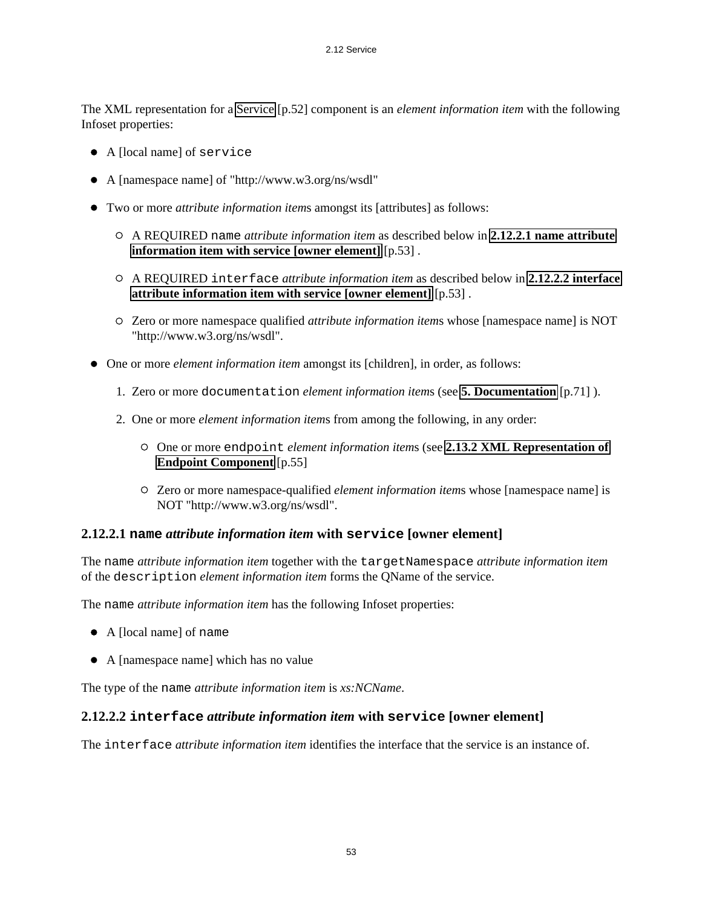The XML representation for a [Service](#page-51-0) [p.52] component is an *element information item* with the following Infoset properties:

- A [local name] of service
- A [namespace name] of "http://www.w3.org/ns/wsdl"
- Two or more *attribute information item*s amongst its [attributes] as follows:
	- A REQUIRED name *attribute information item* as described below in **[2.12.2.1 name attribute](#page-52-0) [information item with service \[owner element\]](#page-52-0)** [p.53] .
	- A REQUIRED interface *attribute information item* as described below in **[2.12.2.2 interface](#page-52-1) [attribute information item with service \[owner element\]](#page-52-1)** [p.53] .
	- Zero or more namespace qualified *attribute information item*s whose [namespace name] is NOT "http://www.w3.org/ns/wsdl".
- One or more *element information item* amongst its [children], in order, as follows:
	- 1. Zero or more documentation *element information item*s (see **[5. Documentation](#page-70-0)** [p.71] ).
	- 2. One or more *element information item*s from among the following, in any order:
		- One or more endpoint *element information item*s (see **[2.13.2 XML Representation of](#page-54-1) [Endpoint Component](#page-54-1)** [p.55]
		- Zero or more namespace-qualified *element information item*s whose [namespace name] is NOT "http://www.w3.org/ns/wsdl".

#### <span id="page-52-0"></span>**2.12.2.1 name** *attribute information item* **with service [owner element]**

The name *attribute information item* together with the targetNamespace *attribute information item* of the description *element information item* forms the QName of the service.

The name *attribute information item* has the following Infoset properties:

- A [local name] of name
- A [namespace name] which has no value

The type of the name *attribute information item* is *xs:NCName*.

#### <span id="page-52-1"></span>**2.12.2.2 interface** *attribute information item* **with service [owner element]**

The interface *attribute information item* identifies the interface that the service is an instance of.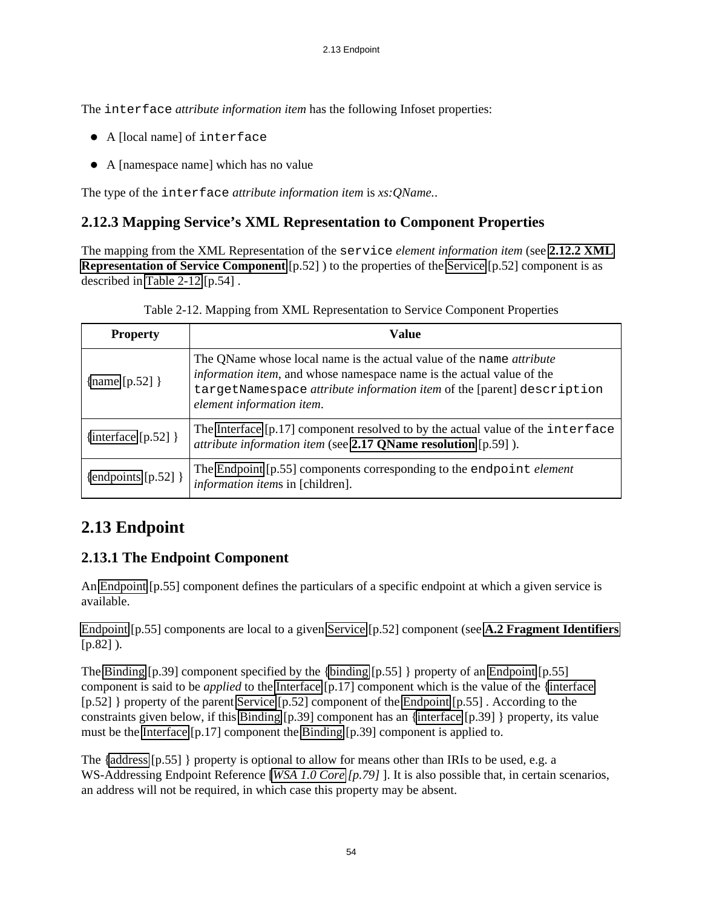The interface *attribute information item* has the following Infoset properties:

- A [local name] of interface
- A [namespace name] which has no value

The type of the interface *attribute information item* is *xs:QName.*.

### **2.12.3 Mapping Service's XML Representation to Component Properties**

The mapping from the XML Representation of the service *element information item* (see **[2.12.2 XML](#page-51-3) [Representation of Service Component](#page-51-3)** [p.52] ) to the properties of the [Service](#page-51-0) [p.52] component is as described in [Table 2-12](#page-53-2) [p.54] .

|  |  | Table 2-12. Mapping from XML Representation to Service Component Properties |
|--|--|-----------------------------------------------------------------------------|
|  |  |                                                                             |

<span id="page-53-2"></span>

| <b>Property</b>       | Value                                                                                                                                                                                                                                                       |
|-----------------------|-------------------------------------------------------------------------------------------------------------------------------------------------------------------------------------------------------------------------------------------------------------|
| {name [ $p.52$ ] }    | The QName whose local name is the actual value of the name <i>attribute</i><br>information item, and whose namespace name is the actual value of the<br>targetNamespace attribute information item of the [parent] description<br>element information item. |
| {interface $[p.52]$ } | The Interface $[p.17]$ component resolved to by the actual value of the interface<br>attribute information item (see 2.17 QName resolution [p.59]).                                                                                                         |
| {endpoints $[p.52]$ } | The Endpoint [p.55] components corresponding to the endpoint <i>element</i><br><i>information items</i> in [children].                                                                                                                                      |

# <span id="page-53-0"></span>**2.13 Endpoint**

### <span id="page-53-1"></span>**2.13.1 The Endpoint Component**

An [Endpoint](#page-54-0) [p.55] component defines the particulars of a specific endpoint at which a given service is available.

[Endpoint](#page-54-0) [p.55] components are local to a given [Service](#page-51-0) [p.52] component (see **[A.2 Fragment Identifiers](#page-81-0)** [p.82] ).

The [Binding](#page-38-0) [p.39] component specified by the [{binding](#page-54-2) [p.55] } property of an [Endpoint](#page-54-0) [p.55] component is said to be *applied* to the [Interface](#page-16-0) [p.17] component which is the value of the [{interface](#page-51-4)  [p.52] } property of the parent [Service](#page-51-0) [p.52] component of the [Endpoint](#page-54-0) [p.55] . According to the constraints given below, if this [Binding](#page-38-0) [p.39] component has an [{interface](#page-38-3) [p.39] } property, its value must be the [Interface](#page-16-0) [p.17] component the [Binding](#page-38-0) [p.39] component is applied to.

The [{address](#page-54-3) [p.55] } property is optional to allow for means other than IRIs to be used, e.g. a WS-Addressing Endpoint Reference [*[WSA 1.0 Core](#page-78-2) [p.79]* ]. It is also possible that, in certain scenarios, an address will not be required, in which case this property may be absent.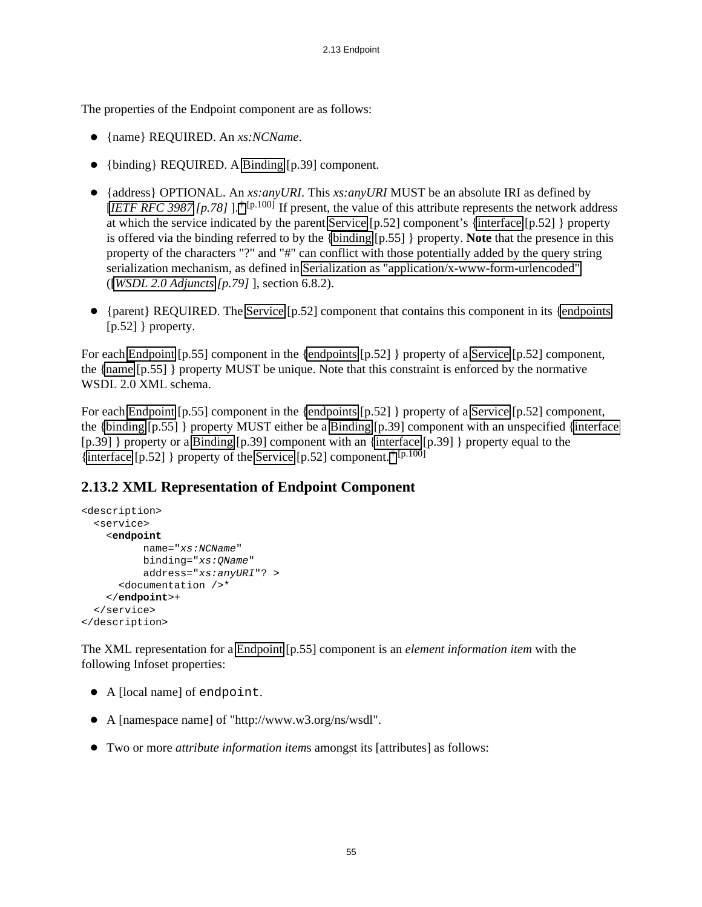<span id="page-54-4"></span><span id="page-54-0"></span>The properties of the Endpoint component are as follows:

- {name} REQUIRED. An *xs:NCName*.
- <span id="page-54-2"></span>{binding} REQUIRED. A [Binding](#page-38-0) [p.39] component.
- <span id="page-54-3"></span>{address} OPTIONAL. An *xs:anyURI*. This *xs:anyURI* MUST be an absolute IRI as defined by [*[IETF RFC 3987](#page-77-0) [p.78]* ]. <sup>[†](#page-99-0) [p.100]</sup> If present, the value of this attribute represents the network address at which the service indicated by the parent [Service](#page-51-0) [p.52] component's [{interface](#page-51-4) [p.52] } property is offered via the binding referred to by the [{binding](#page-54-2) [p.55] } property. **Note** that the presence in this property of the characters "?" and "#" can conflict with those potentially added by the query string serialization mechanism, as defined in [Serialization as "application/x-www-form-urlencoded"](http://www.w3.org/TR/2007/REC-wsdl20-adjuncts-20070626/#_http_x-www-form-urlencoded)  ([*[WSDL 2.0 Adjuncts](#page-78-0) [p.79]* ], section 6.8.2).
- <span id="page-54-5"></span> $\bullet$  {parent} REQUIRED. The [Service](#page-51-0) [p.52] component that contains this component in its {endpoints [p.52] } property.

For each [Endpoint](#page-54-0) [p.55] component in the [{endpoints](#page-51-5) [p.52] } property of a [Service](#page-51-0) [p.52] component, the [{name](#page-54-4) [p.55] } property MUST be unique. Note that this constraint is enforced by the normative WSDL 2.0 XML schema.

For each [Endpoint](#page-54-0) [p.55] component in the [{endpoints](#page-51-5) [p.52] } property of a [Service](#page-51-0) [p.52] component, the [{binding](#page-54-2) [p.55] } property MUST either be a [Binding](#page-38-0) [p.39] component with an unspecified [{interface](#page-38-3)  [p.39] } property or a [Binding](#page-38-0) [p.39] component with an [{interface](#page-38-3) [p.39] } property equal to the [{interface](#page-51-4) [p.52] } property of the [Service](#page-51-0) [p.52] component.  $\dagger$  [p.100]

# <span id="page-54-1"></span>**2.13.2 XML Representation of Endpoint Component**

```
<description>
   <service>
     <endpoint
           name="xs:NCName" 
            binding="xs:QName"
           address="xs:anyURI"? >
       <documentation />*
     </endpoint>+
   </service>
</description>
```
The XML representation for a [Endpoint](#page-54-0) [p.55] component is an *element information item* with the following Infoset properties:

- A [local name] of endpoint.
- A [namespace name] of "http://www.w3.org/ns/wsdl".
- Two or more *attribute information item*s amongst its [attributes] as follows: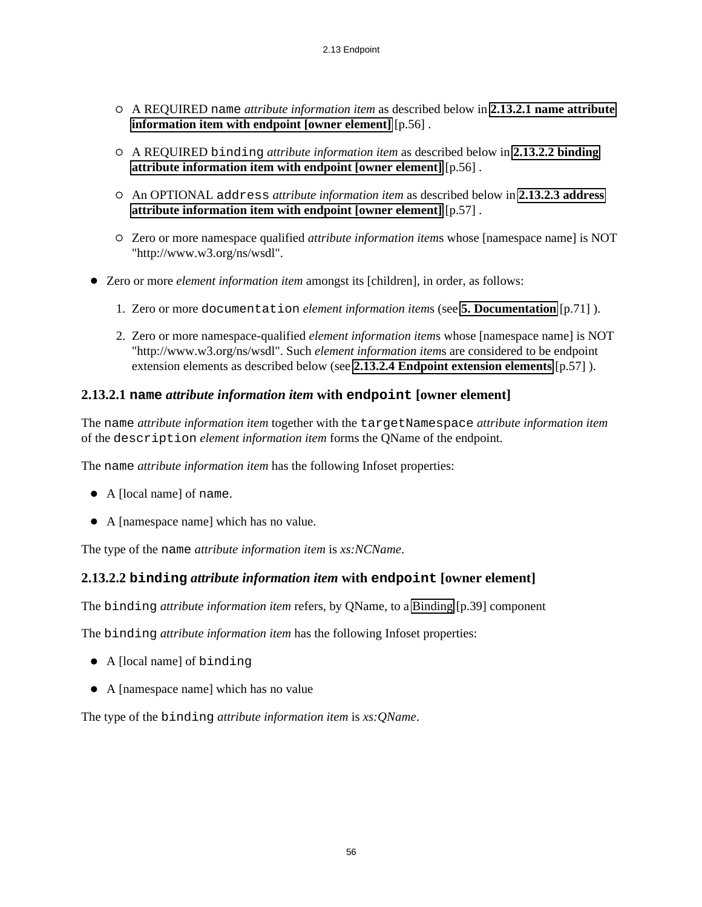- A REQUIRED name *attribute information item* as described below in **[2.13.2.1 name attribute](#page-55-0) [information item with endpoint \[owner element\]](#page-55-0)** [p.56] .
- A REQUIRED binding *attribute information item* as described below in **[2.13.2.2 binding](#page-55-1) [attribute information item with endpoint \[owner element\]](#page-55-1)** [p.56] .
- An OPTIONAL address *attribute information item* as described below in **[2.13.2.3 address](#page-56-0) [attribute information item with endpoint \[owner element\]](#page-56-0)** [p.57] .
- Zero or more namespace qualified *attribute information item*s whose [namespace name] is NOT "http://www.w3.org/ns/wsdl".
- Zero or more *element information item* amongst its [children], in order, as follows:
	- 1. Zero or more documentation *element information item*s (see **[5. Documentation](#page-70-0)** [p.71] ).
	- 2. Zero or more namespace-qualified *element information item*s whose [namespace name] is NOT "http://www.w3.org/ns/wsdl". Such *element information item*s are considered to be endpoint extension elements as described below (see **[2.13.2.4 Endpoint extension elements](#page-56-1)** [p.57] ).

#### <span id="page-55-0"></span>**2.13.2.1 name** *attribute information item* **with endpoint [owner element]**

The name *attribute information item* together with the targetNamespace *attribute information item* of the description *element information item* forms the QName of the endpoint.

The name *attribute information item* has the following Infoset properties:

- A [local name] of name.
- A [namespace name] which has no value.

The type of the name *attribute information item* is *xs:NCName*.

#### <span id="page-55-1"></span>**2.13.2.2 binding** *attribute information item* **with endpoint [owner element]**

The binding *attribute information item* refers, by QName, to a [Binding](#page-38-0) [p.39] component

The binding *attribute information item* has the following Infoset properties:

- A [local name] of binding
- A [namespace name] which has no value

The type of the binding *attribute information item* is *xs:QName*.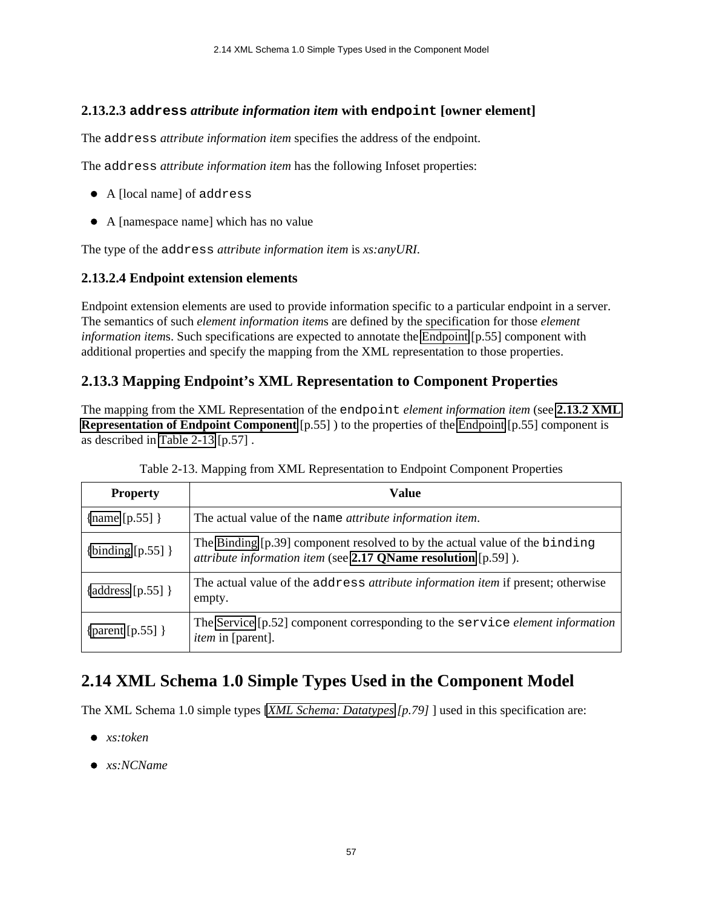### <span id="page-56-0"></span>**2.13.2.3 address** *attribute information item* **with endpoint [owner element]**

The address *attribute information item* specifies the address of the endpoint.

The address *attribute information item* has the following Infoset properties:

- A [local name] of address
- A [namespace name] which has no value

The type of the address *attribute information item* is *xs:anyURI*.

#### <span id="page-56-1"></span>**2.13.2.4 Endpoint extension elements**

Endpoint extension elements are used to provide information specific to a particular endpoint in a server. The semantics of such *element information item*s are defined by the specification for those *element information item*s. Such specifications are expected to annotate the [Endpoint](#page-54-0) [p.55] component with additional properties and specify the mapping from the XML representation to those properties.

### **2.13.3 Mapping Endpoint's XML Representation to Component Properties**

The mapping from the XML Representation of the endpoint *element information item* (see **[2.13.2 XML](#page-54-1) [Representation of Endpoint Component](#page-54-1)** [p.55] ) to the properties of the [Endpoint](#page-54-0) [p.55] component is as described in [Table 2-13](#page-56-2) [p.57] .

<span id="page-56-2"></span>

| <b>Property</b>     | Value                                                                                                                                         |
|---------------------|-----------------------------------------------------------------------------------------------------------------------------------------------|
| [name [p.55] $\}$   | The actual value of the name <i>attribute information item</i> .                                                                              |
| {binding $[p.55]$ } | The Binding [p.39] component resolved to by the actual value of the binding<br>attribute information item (see 2.17 QName resolution [p.59]). |
| {address [p.55] }   | The actual value of the address <i>attribute information item</i> if present; otherwise<br>empty.                                             |
| $\{parent[p.55]\}$  | The Service $[p.52]$ component corresponding to the service <i>element information</i><br><i>item</i> in [parent].                            |

|  |  |  | Table 2-13. Mapping from XML Representation to Endpoint Component Properties |
|--|--|--|------------------------------------------------------------------------------|
|  |  |  |                                                                              |

# <span id="page-56-3"></span>**2.14 XML Schema 1.0 Simple Types Used in the Component Model**

The XML Schema 1.0 simple types [*[XML Schema: Datatypes](#page-78-3) [p.79]* ] used in this specification are:

- *xs:token*
- *xs:NCName*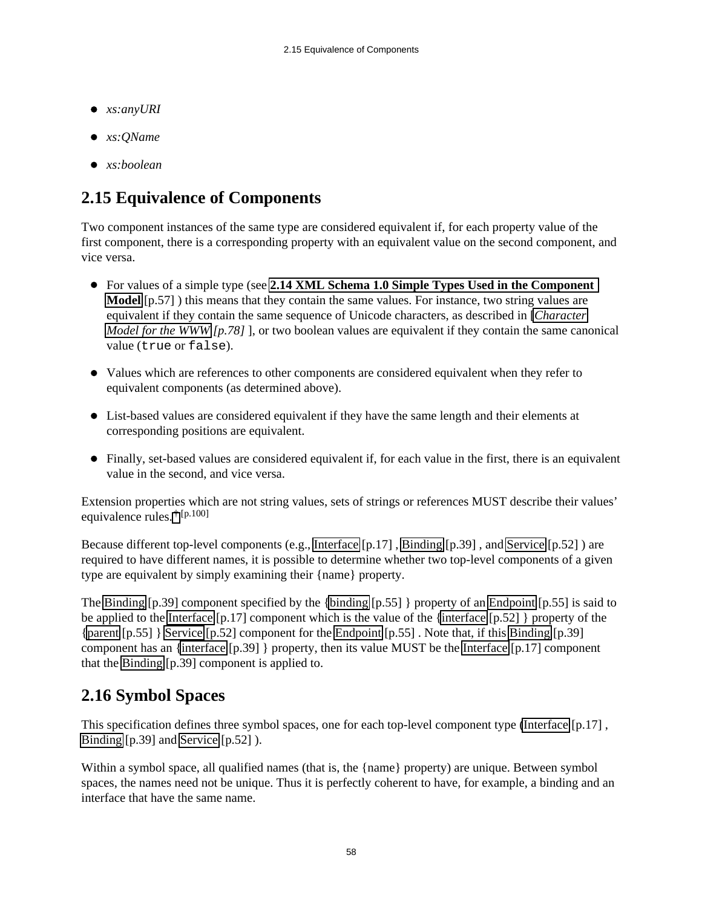- *xs:anyURI*
- *xs:QName*
- *xs:boolean*

# <span id="page-57-1"></span>**2.15 Equivalence of Components**

Two component instances of the same type are considered equivalent if, for each property value of the first component, there is a corresponding property with an equivalent value on the second component, and vice versa.

- For values of a simple type (see **[2.14 XML Schema 1.0 Simple Types Used in the Component](#page-56-3)  [Model](#page-56-3)** [p.57] ) this means that they contain the same values. For instance, two string values are equivalent if they contain the same sequence of Unicode characters, as described in [*[Character](#page-77-1) [Model for the WWW](#page-77-1) [p.78]* ], or two boolean values are equivalent if they contain the same canonical value (true or false).
- Values which are references to other components are considered equivalent when they refer to equivalent components (as determined above).
- List-based values are considered equivalent if they have the same length and their elements at corresponding positions are equivalent.
- Finally, set-based values are considered equivalent if, for each value in the first, there is an equivalent value in the second, and vice versa.

Extension properties which are not string values, sets of strings or references MUST describe their values' equivalence rules. [†](#page-99-0) [p.100]

Because different top-level components (e.g., [Interface](#page-16-0) [p.17] , [Binding](#page-38-0) [p.39] , and [Service](#page-51-0) [p.52] ) are required to have different names, it is possible to determine whether two top-level components of a given type are equivalent by simply examining their {name} property.

The [Binding](#page-38-0) [p.39] component specified by the [{binding](#page-54-2) [p.55] } property of an [Endpoint](#page-54-0) [p.55] is said to be applied to the [Interface](#page-16-0) [p.17] component which is the value of the [{interface](#page-51-4) [p.52] } property of the [{parent](#page-54-5) [p.55] } [Service](#page-51-0) [p.52] component for the [Endpoint](#page-54-0) [p.55] . Note that, if this [Binding](#page-38-0) [p.39] component has an [{interface](#page-38-3) [p.39] } property, then its value MUST be the [Interface](#page-16-0) [p.17] component that the [Binding](#page-38-0) [p.39] component is applied to.

# **2.16 Symbol Spaces**

This specification defines three symbol spaces, one for each top-level component type [\(Interface](#page-16-0) [p.17] , [Binding](#page-38-0) [p.39] and [Service](#page-51-0) [p.52] ).

<span id="page-57-0"></span>Within a symbol space, all qualified names (that is, the {name} property) are unique. Between symbol spaces, the names need not be unique. Thus it is perfectly coherent to have, for example, a binding and an interface that have the same name.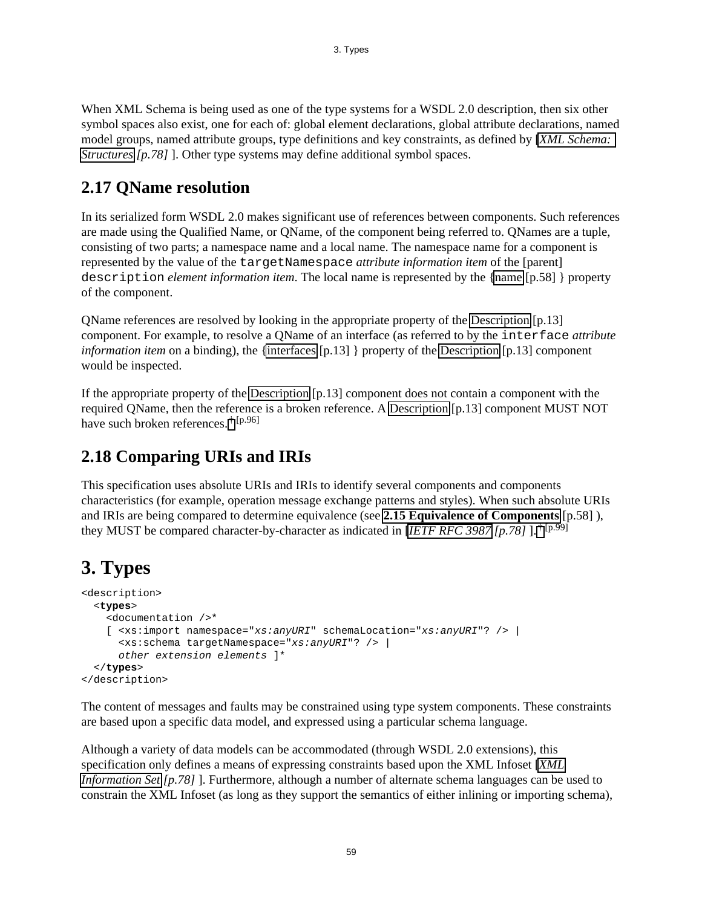When XML Schema is being used as one of the type systems for a WSDL 2.0 description, then six other symbol spaces also exist, one for each of: global element declarations, global attribute declarations, named model groups, named attribute groups, type definitions and key constraints, as defined by [*[XML Schema:](#page-77-2)  [Structures](#page-77-2) [p.78]* ]. Other type systems may define additional symbol spaces.

# <span id="page-58-0"></span>**2.17 QName resolution**

In its serialized form WSDL 2.0 makes significant use of references between components. Such references are made using the Qualified Name, or QName, of the component being referred to. QNames are a tuple, consisting of two parts; a namespace name and a local name. The namespace name for a component is represented by the value of the targetNamespace *attribute information item* of the [parent] description *element information item*. The local name is represented by the [{name](#page-57-0) [p.58] } property of the component.

QName references are resolved by looking in the appropriate property of the [Description](#page-12-1) [p.13] component. For example, to resolve a QName of an interface (as referred to by the interface *attribute information item* on a binding), the [{interfaces](#page-12-3) [p.13] } property of the [Description](#page-12-1) [p.13] component would be inspected.

If the appropriate property of the [Description](#page-12-1) [p.13] component does not contain a component with the required QName, then the reference is a broken reference. A [Description](#page-12-1) [p.13] component MUST NOT have such broken references.<sup>[†](#page-95-0) [p.96]</sup>

# **2.18 Comparing URIs and IRIs**

This specification uses absolute URIs and IRIs to identify several components and components characteristics (for example, operation message exchange patterns and styles). When such absolute URIs and IRIs are being compared to determine equivalence (see **[2.15 Equivalence of Components](#page-57-1)** [p.58] ), they MUST be compared character-by-character as indicated in [*[IETF RFC 3987](#page-77-0) [p.78]* ]. [†](#page-98-0) [p.99]

# **3. Types**

```
<description>
  <types>
    <documentation />*
     [ <xs:import namespace="xs:anyURI" schemaLocation="xs:anyURI"? /> |
       <xs:schema targetNamespace="xs:anyURI"? /> |
       other extension elements ]*
   </types>
</description>
```
The content of messages and faults may be constrained using type system components. These constraints are based upon a specific data model, and expressed using a particular schema language.

Although a variety of data models can be accommodated (through WSDL 2.0 extensions), this specification only defines a means of expressing constraints based upon the XML Infoset [*[XML](#page-77-3) [Information Set](#page-77-3) [p.78]* ]. Furthermore, although a number of alternate schema languages can be used to constrain the XML Infoset (as long as they support the semantics of either inlining or importing schema),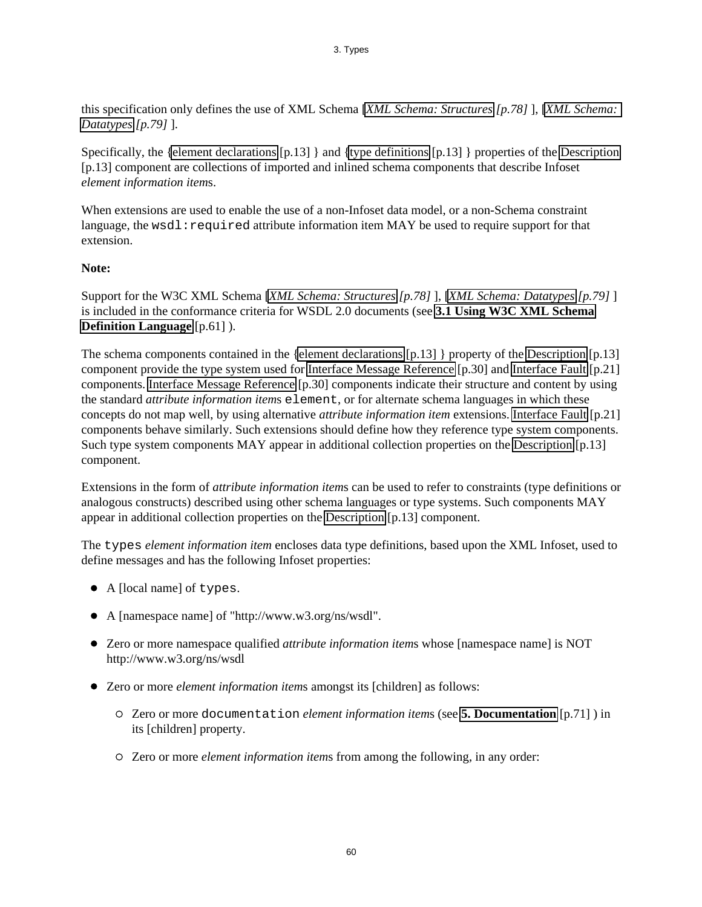this specification only defines the use of XML Schema [*[XML Schema: Structures](#page-77-2) [p.78]* ], [*[XML Schema:](#page-78-3)  [Datatypes](#page-78-3) [p.79]* ].

Specifically, the [{element declarations](#page-12-4) [p.13] } and [{type definitions](#page-12-5) [p.13] } properties of the [Description](#page-12-1)  [p.13] component are collections of imported and inlined schema components that describe Infoset *element information item*s.

When extensions are used to enable the use of a non-Infoset data model, or a non-Schema constraint language, the wsdl:required attribute information item MAY be used to require support for that extension.

#### **Note:**

Support for the W3C XML Schema [*[XML Schema: Structures](#page-77-2) [p.78]* ], [*[XML Schema: Datatypes](#page-78-3) [p.79]* ] is included in the conformance criteria for WSDL 2.0 documents (see **[3.1 Using W3C XML Schema](#page-60-0) [Definition Language](#page-60-0)** [p.61] ).

The schema components contained in the [{element declarations](#page-12-4) [p.13] } property of the [Description](#page-12-1) [p.13] component provide the type system used for [Interface Message Reference](#page-29-1) [p.30] and [Interface Fault](#page-20-0) [p.21] components. [Interface Message Reference](#page-29-1) [p.30] components indicate their structure and content by using the standard *attribute information item*s element, or for alternate schema languages in which these concepts do not map well, by using alternative *attribute information item* extensions. [Interface Fault](#page-20-0) [p.21] components behave similarly. Such extensions should define how they reference type system components. Such type system components MAY appear in additional collection properties on the [Description](#page-12-1) [p.13] component.

Extensions in the form of *attribute information item*s can be used to refer to constraints (type definitions or analogous constructs) described using other schema languages or type systems. Such components MAY appear in additional collection properties on the [Description](#page-12-1) [p.13] component.

The types *element information item* encloses data type definitions, based upon the XML Infoset, used to define messages and has the following Infoset properties:

- A [local name] of types.
- A [namespace name] of "http://www.w3.org/ns/wsdl".
- Zero or more namespace qualified *attribute information item*s whose [namespace name] is NOT http://www.w3.org/ns/wsdl
- Zero or more *element information item*s amongst its [children] as follows:
	- Zero or more documentation *element information item*s (see **[5. Documentation](#page-70-0)** [p.71] ) in its [children] property.
	- Zero or more *element information item*s from among the following, in any order: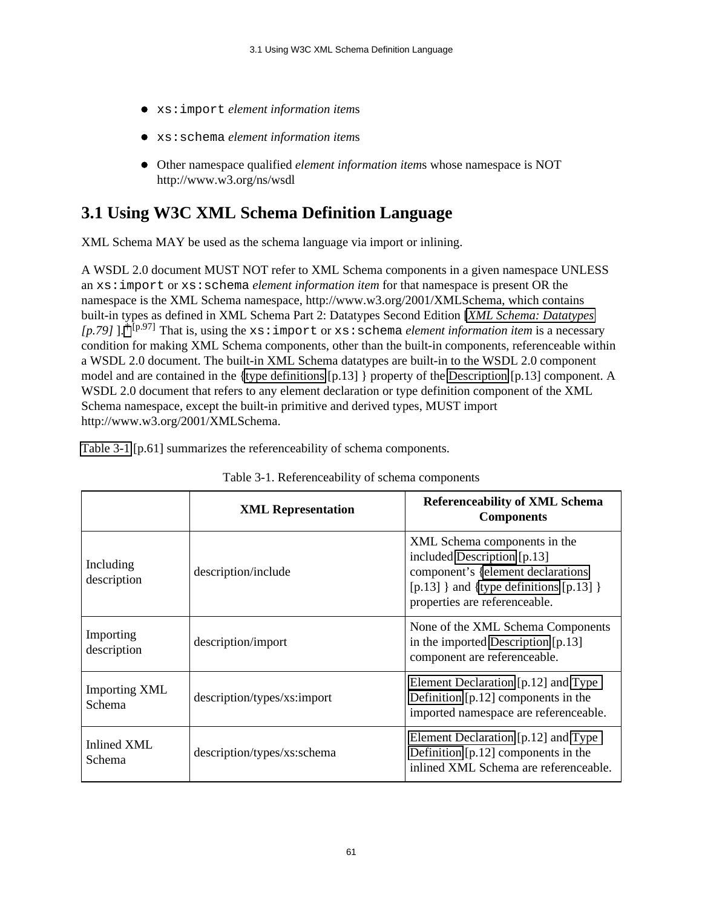- xs:import *element information item*s
- xs:schema *element information item*s
- Other namespace qualified *element information item*s whose namespace is NOT http://www.w3.org/ns/wsdl

# <span id="page-60-0"></span>**3.1 Using W3C XML Schema Definition Language**

XML Schema MAY be used as the schema language via import or inlining.

A WSDL 2.0 document MUST NOT refer to XML Schema components in a given namespace UNLESS an xs:import or xs:schema *element information item* for that namespace is present OR the namespace is the XML Schema namespace, http://www.w3.org/2001/XMLSchema, which contains built-in types as defined in XML Schema Part 2: Datatypes Second Edition [*[XML Schema: Datatypes](#page-78-3)  [p.79]* ]. [†](#page-96-0) [p.97] That is, using the xs:import or xs:schema *element information item* is a necessary condition for making XML Schema components, other than the built-in components, referenceable within a WSDL 2.0 document. The built-in XML Schema datatypes are built-in to the WSDL 2.0 component model and are contained in the [{type definitions](#page-12-5) [p.13] } property of the [Description](#page-12-1) [p.13] component. A WSDL 2.0 document that refers to any element declaration or type definition component of the XML Schema namespace, except the built-in primitive and derived types, MUST import http://www.w3.org/2001/XMLSchema.

<span id="page-60-1"></span>[Table 3-1](#page-60-1) [p.61] summarizes the referenceability of schema components.

|                                | <b>XML Representation</b>   | <b>Referenceability of XML Schema</b><br><b>Components</b>                                                                                                                         |
|--------------------------------|-----------------------------|------------------------------------------------------------------------------------------------------------------------------------------------------------------------------------|
| Including<br>description       | description/include         | XML Schema components in the<br>included Description [p.13]<br>component's {element declarations<br>[ $p.13$ ] and {type definitions [ $p.13$ ] }<br>properties are referenceable. |
| Importing<br>description       | description/import          | None of the XML Schema Components<br>in the imported Description [p.13]<br>component are referenceable.                                                                            |
| <b>Importing XML</b><br>Schema | description/types/xs:import | Element Declaration [p.12] and Type<br>Definition [p.12] components in the<br>imported namespace are referenceable.                                                                |
| Inlined XML<br>Schema          | description/types/xs:schema | Element Declaration [p.12] and Type<br>Definition [p.12] components in the<br>inlined XML Schema are referenceable.                                                                |

|  | Table 3-1. Referenceability of schema components |  |  |
|--|--------------------------------------------------|--|--|
|  |                                                  |  |  |
|  |                                                  |  |  |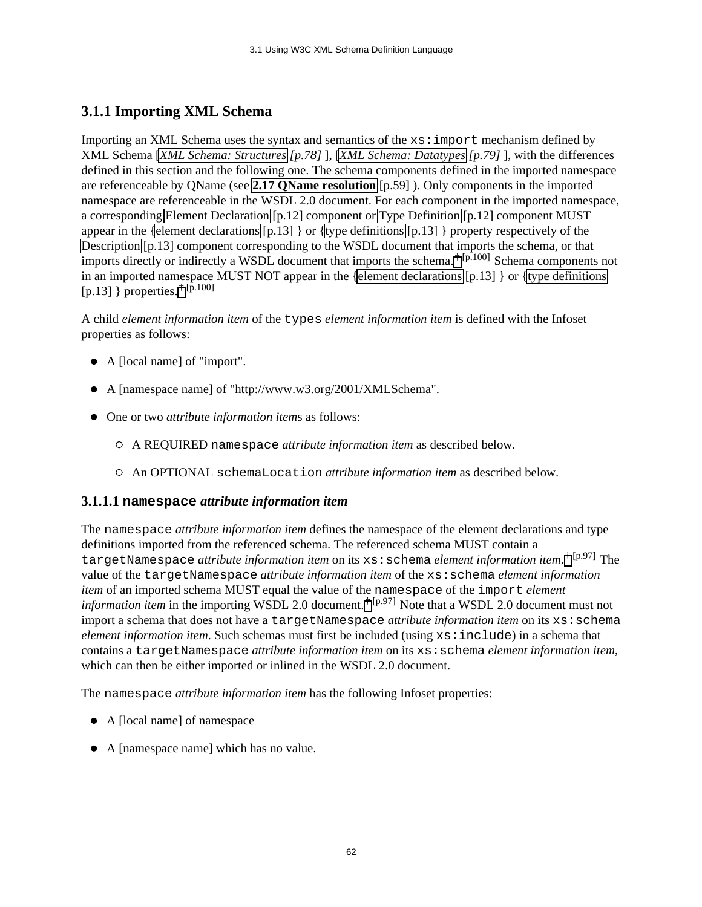# **3.1.1 Importing XML Schema**

Importing an XML Schema uses the syntax and semantics of the  $xs:import mechanism$  defined by XML Schema [*[XML Schema: Structures](#page-77-2) [p.78]* ], [*[XML Schema: Datatypes](#page-78-3) [p.79]* ], with the differences defined in this section and the following one. The schema components defined in the imported namespace are referenceable by QName (see **[2.17 QName resolution](#page-58-0)** [p.59] ). Only components in the imported namespace are referenceable in the WSDL 2.0 document. For each component in the imported namespace, a corresponding [Element Declaration](#page-11-0) [p.12] component or [Type Definition](#page-11-1) [p.12] component MUST appear in the [{element declarations](#page-12-4)  $[p.13]$  } or [{type definitions](#page-12-5)  $[p.13]$  } property respectively of the [Description](#page-12-1) [p.13] component corresponding to the WSDL document that imports the schema, or that imports directly or indirectly a WSDL document that imports the schema. [†](#page-99-0) [p.100] Schema components not in an imported namespace MUST NOT appear in the [{element declarations](#page-12-4)  $[p.13]$  } or {type definitions [p.13] } properties.  $\dagger$  [p.100]

A child *element information item* of the types *element information item* is defined with the Infoset properties as follows:

- A [local name] of "import".
- A [namespace name] of "http://www.w3.org/2001/XMLSchema".
- One or two *attribute information item*s as follows:
	- A REQUIRED namespace *attribute information item* as described below.
	- An OPTIONAL schemaLocation *attribute information item* as described below.

#### **3.1.1.1 namespace** *attribute information item*

The namespace *attribute information item* defines the namespace of the element declarations and type definitions imported from the referenced schema. The referenced schema MUST contain a targetNamespace *attribute information item* on its xs:schema *element information item*. [†](#page-96-0) [p.97] The value of the targetNamespace *attribute information item* of the xs:schema *element information item* of an imported schema MUST equal the value of the namespace of the import *element information item* in the importing WSDL 2.0 document. <sup>[†](#page-96-0) [p.97]</sup> Note that a WSDL 2.0 document must not import a schema that does not have a targetNamespace *attribute information item* on its xs:schema *element information item.* Such schemas must first be included (using  $xs:$  include) in a schema that contains a targetNamespace *attribute information item* on its xs:schema *element information item*, which can then be either imported or inlined in the WSDL 2.0 document.

The namespace *attribute information item* has the following Infoset properties:

- A [local name] of namespace
- A [namespace name] which has no value.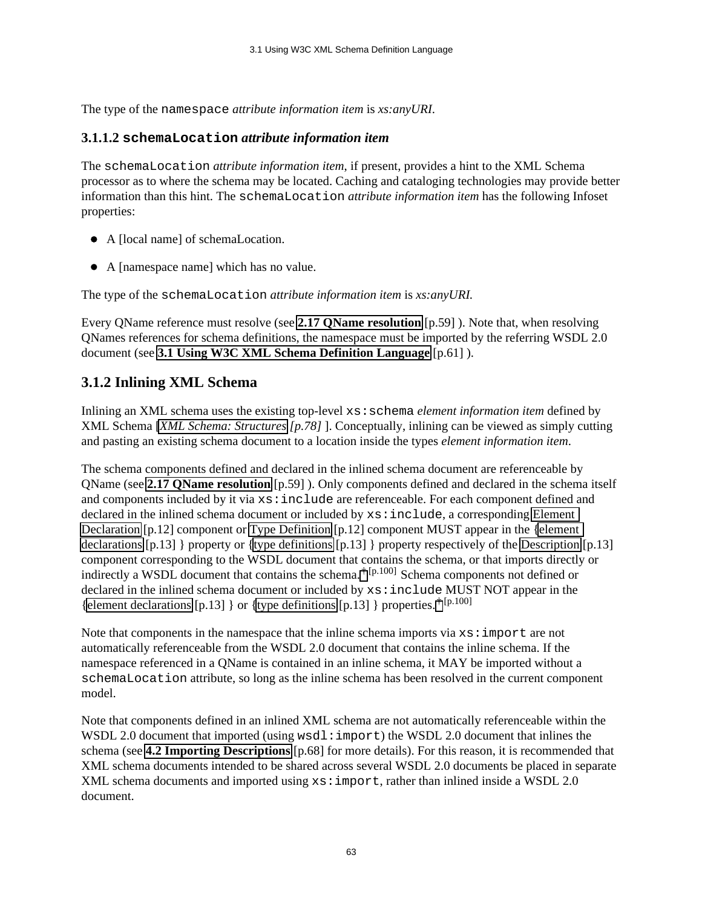The type of the namespace *attribute information item* is *xs:anyURI*.

#### **3.1.1.2 schemaLocation** *attribute information item*

The schemaLocation *attribute information item*, if present, provides a hint to the XML Schema processor as to where the schema may be located. Caching and cataloging technologies may provide better information than this hint. The schemaLocation *attribute information item* has the following Infoset properties:

- A [local name] of schemaLocation.
- A [namespace name] which has no value.

The type of the schemaLocation *attribute information item* is *xs:anyURI.*

Every QName reference must resolve (see **[2.17 QName resolution](#page-58-0)** [p.59] ). Note that, when resolving QNames references for schema definitions, the namespace must be imported by the referring WSDL 2.0 document (see **[3.1 Using W3C XML Schema Definition Language](#page-60-0)** [p.61] ).

## **3.1.2 Inlining XML Schema**

Inlining an XML schema uses the existing top-level xs:schema *element information item* defined by XML Schema [*[XML Schema: Structures](#page-77-2) [p.78]* ]. Conceptually, inlining can be viewed as simply cutting and pasting an existing schema document to a location inside the types *element information item*.

The schema components defined and declared in the inlined schema document are referenceable by QName (see **[2.17 QName resolution](#page-58-0)** [p.59] ). Only components defined and declared in the schema itself and components included by it via xs:include are referenceable. For each component defined and declared in the inlined schema document or included by  $xs$ : include, a corresponding Element [Declaration](#page-11-0) [p.12] component or [Type Definition](#page-11-1) [p.12] component MUST appear in the [{element](#page-12-4)  [declarations](#page-12-4) [p.13] } property or [{type definitions](#page-12-5) [p.13] } property respectively of the [Description](#page-12-1) [p.13] component corresponding to the WSDL document that contains the schema, or that imports directly or indirectly a WSDL document that contains the schema. [†](#page-99-0) [p.100] Schema components not defined or declared in the inlined schema document or included by  $xs:inc1$ ude MUST NOT appear in the [{element declarations](#page-12-4) [p.13] } or [{type definitions](#page-12-5) [p.13] } properties.  $\dagger$  [p.100]

Note that components in the namespace that the inline schema imports via  $xs:import are not$ automatically referenceable from the WSDL 2.0 document that contains the inline schema. If the namespace referenced in a QName is contained in an inline schema, it MAY be imported without a schemaLocation attribute, so long as the inline schema has been resolved in the current component model.

Note that components defined in an inlined XML schema are not automatically referenceable within the WSDL 2.0 document that imported (using wsdl: $\text{import}$ ) the WSDL 2.0 document that inlines the schema (see **[4.2 Importing Descriptions](#page-67-0)** [p.68] for more details). For this reason, it is recommended that XML schema documents intended to be shared across several WSDL 2.0 documents be placed in separate XML schema documents and imported using  $xs:$  import, rather than inlined inside a WSDL 2.0 document.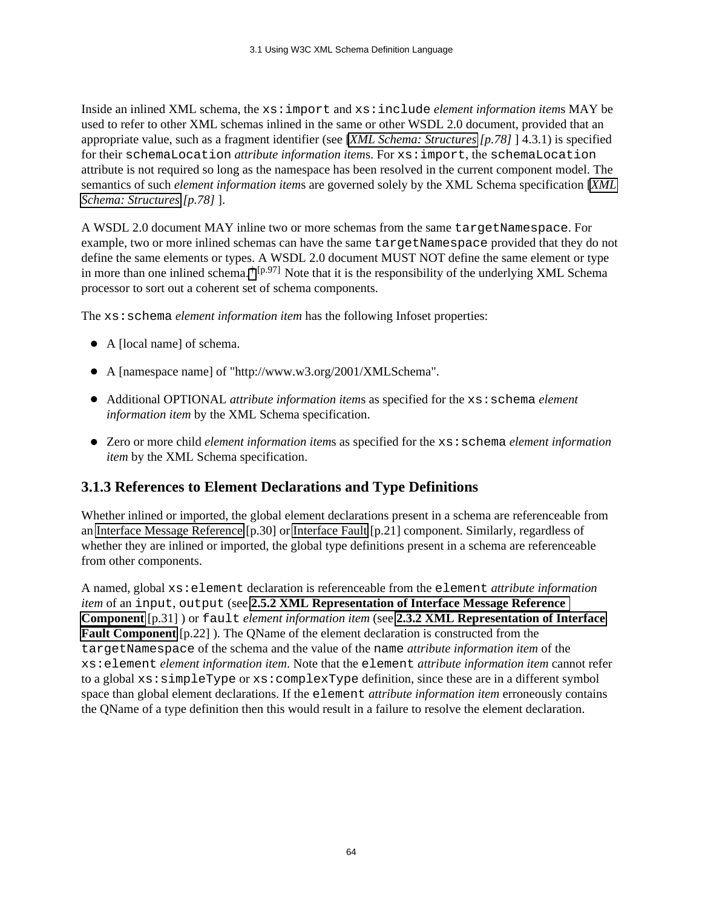Inside an inlined XML schema, the xs:import and xs:include *element information item*s MAY be used to refer to other XML schemas inlined in the same or other WSDL 2.0 document, provided that an appropriate value, such as a fragment identifier (see [*[XML Schema: Structures](#page-77-2) [p.78]* ] 4.3.1) is specified for their schemaLocation *attribute information item*s. For xs:import, the schemaLocation attribute is not required so long as the namespace has been resolved in the current component model. The semantics of such *element information item*s are governed solely by the XML Schema specification [*[XML](#page-77-2) [Schema: Structures](#page-77-2) [p.78]* ].

A WSDL 2.0 document MAY inline two or more schemas from the same targetNamespace. For example, two or more inlined schemas can have the same targetNamespace provided that they do not define the same elements or types. A WSDL 2.0 document MUST NOT define the same element or type in more than one inlined schema.  $\dagger$  [p.97] Note that it is the responsibility of the underlying XML Schema processor to sort out a coherent set of schema components.

The xs:schema *element information item* has the following Infoset properties:

- A [local name] of schema.
- A [namespace name] of "http://www.w3.org/2001/XMLSchema".
- Additional OPTIONAL *attribute information item*s as specified for the xs:schema *element information item* by the XML Schema specification.
- Zero or more child *element information items* as specified for the xs: schema *element information item* by the XML Schema specification.

### **3.1.3 References to Element Declarations and Type Definitions**

Whether inlined or imported, the global element declarations present in a schema are referenceable from an [Interface Message Reference](#page-29-1) [p.30] or [Interface Fault](#page-20-0) [p.21] component. Similarly, regardless of whether they are inlined or imported, the global type definitions present in a schema are referenceable from other components.

A named, global xs:element declaration is referenceable from the element *attribute information item* of an input, output (see **[2.5.2 XML Representation of Interface Message Reference](#page-30-1)  [Component](#page-30-1)** [p.31] ) or fault *element information item* (see **[2.3.2 XML Representation of Interface](#page-21-0) [Fault Component](#page-21-0)** [p.22] ). The QName of the element declaration is constructed from the targetNamespace of the schema and the value of the name *attribute information item* of the xs:element *element information item*. Note that the element *attribute information item* cannot refer to a global xs:simpleType or xs:complexType definition, since these are in a different symbol space than global element declarations. If the element *attribute information item* erroneously contains the QName of a type definition then this would result in a failure to resolve the element declaration.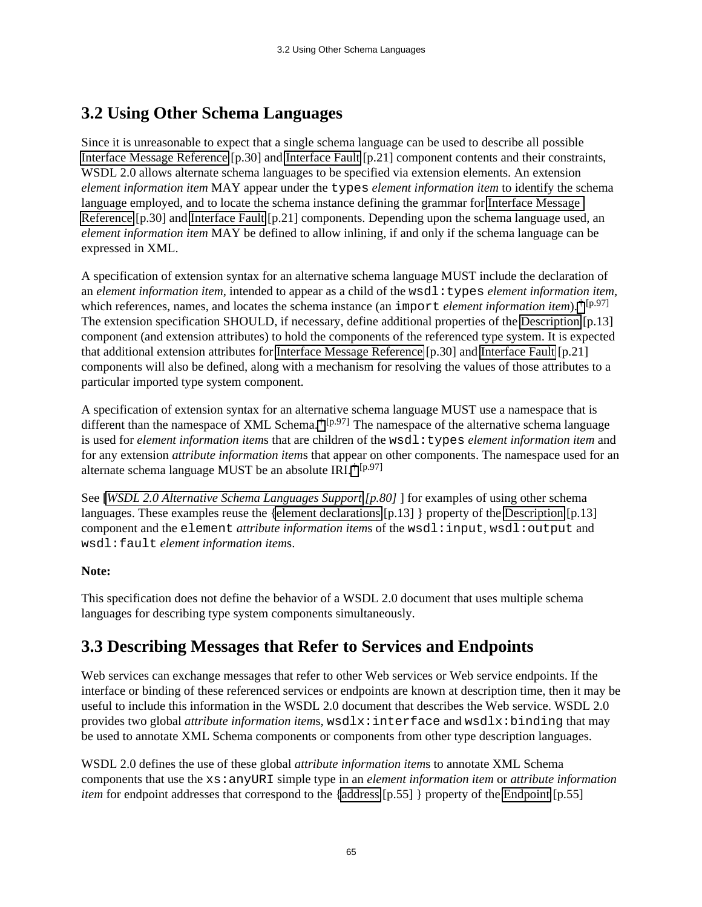# **3.2 Using Other Schema Languages**

Since it is unreasonable to expect that a single schema language can be used to describe all possible [Interface Message Reference](#page-29-1) [p.30] and [Interface Fault](#page-20-0) [p.21] component contents and their constraints, WSDL 2.0 allows alternate schema languages to be specified via extension elements. An extension *element information item* MAY appear under the types *element information item* to identify the schema language employed, and to locate the schema instance defining the grammar for [Interface Message](#page-29-1)  [Reference](#page-29-1) [p.30] and [Interface Fault](#page-20-0) [p.21] components. Depending upon the schema language used, an *element information item* MAY be defined to allow inlining, if and only if the schema language can be expressed in XML.

A specification of extension syntax for an alternative schema language MUST include the declaration of an *element information item*, intended to appear as a child of the wsdl: types *element information item*, which references, names, and locates the schema instance (an import *element information item*). <sup>[†](#page-96-0) [p.97]</sup> The extension specification SHOULD, if necessary, define additional properties of the [Description](#page-12-1) [p.13] component (and extension attributes) to hold the components of the referenced type system. It is expected that additional extension attributes for [Interface Message Reference](#page-29-1) [p.30] and [Interface Fault](#page-20-0) [p.21] components will also be defined, along with a mechanism for resolving the values of those attributes to a particular imported type system component.

A specification of extension syntax for an alternative schema language MUST use a namespace that is different than the namespace of XML Schema.<sup>[†](#page-96-0) [p.97]</sup> The namespace of the alternative schema language is used for *element information item*s that are children of the wsdl:types *element information item* and for any extension *attribute information item*s that appear on other components. The namespace used for an alternate schema language MUST be an absolute IRI.  $\dagger$  [p.97]

See [[WSDL 2.0 Alternative Schema Languages Support](#page-79-1) [p.80] ] for examples of using other schema languages. These examples reuse the [{element declarations](#page-12-4) [p.13] } property of the [Description](#page-12-1) [p.13] component and the element *attribute information item*s of the wsdl:input, wsdl:output and wsdl:fault *element information item*s.

### **Note:**

This specification does not define the behavior of a WSDL 2.0 document that uses multiple schema languages for describing type system components simultaneously.

# **3.3 Describing Messages that Refer to Services and Endpoints**

Web services can exchange messages that refer to other Web services or Web service endpoints. If the interface or binding of these referenced services or endpoints are known at description time, then it may be useful to include this information in the WSDL 2.0 document that describes the Web service. WSDL 2.0 provides two global *attribute information items*, wsdlx: interface and wsdlx: binding that may be used to annotate XML Schema components or components from other type description languages.

WSDL 2.0 defines the use of these global *attribute information item*s to annotate XML Schema components that use the xs:anyURI simple type in an *element information item* or *attribute information item* for endpoint addresses that correspond to the [{address](#page-54-3) [p.55] } property of the [Endpoint](#page-54-0) [p.55]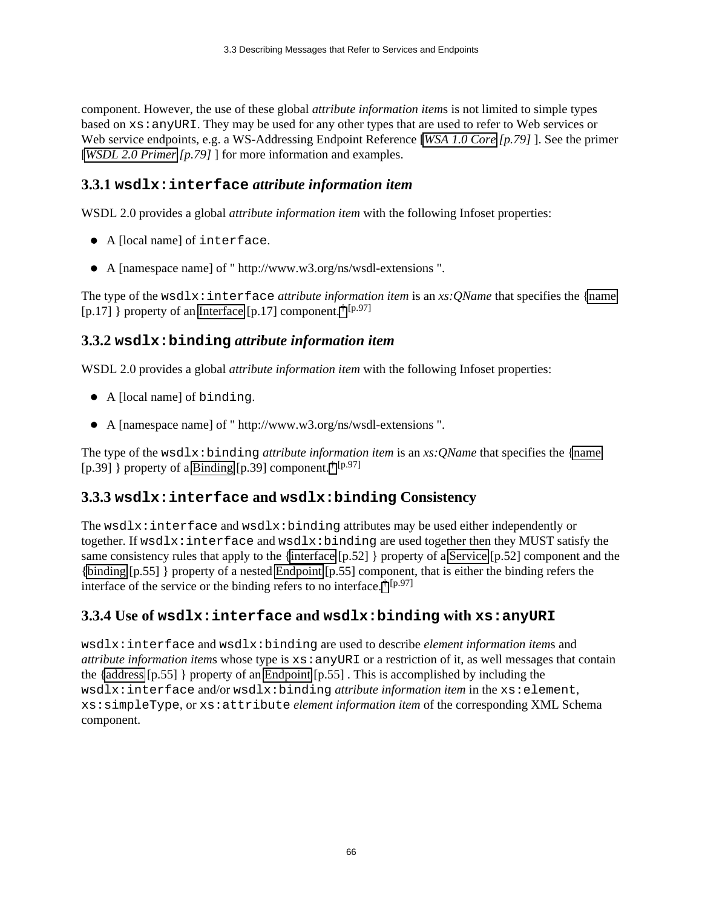component. However, the use of these global *attribute information item*s is not limited to simple types based on xs:anyURI. They may be used for any other types that are used to refer to Web services or Web service endpoints, e.g. a WS-Addressing Endpoint Reference [*[WSA 1.0 Core](#page-78-2) [p.79]* ]. See the primer [*[WSDL 2.0 Primer](#page-78-4) [p.79]* ] for more information and examples.

### **3.3.1 wsdlx:interface** *attribute information item*

WSDL 2.0 provides a global *attribute information item* with the following Infoset properties:

- A [local name] of interface.
- A [namespace name] of " http://www.w3.org/ns/wsdl-extensions ".

The type of the wsdlx:interface *attribute information item* is an *xs:QName* that specifies the [{name](#page-16-1)  [p.17] } property of an [Interface](#page-16-0) [p.17] component.<sup>[†](#page-96-0) [p.97]</sup>

### **3.3.2 wsdlx:binding** *attribute information item*

WSDL 2.0 provides a global *attribute information item* with the following Infoset properties:

- A [local name] of binding.
- A [namespace name] of " http://www.w3.org/ns/wsdl-extensions ".

The type of the wsdlx:binding *attribute information item* is an *xs:QName* that specifies the [{name](#page-38-1)  [p.39] } property of a [Binding](#page-38-0) [p.39] component.  $\dagger$  [p.97]

### **3.3.3 wsdlx:interface and wsdlx:binding Consistency**

The wsdlx: interface and wsdlx: binding attributes may be used either independently or together. If wsdlx:interface and wsdlx:binding are used together then they MUST satisfy the same consistency rules that apply to the [{interface](#page-51-4) [p.52] } property of a [Service](#page-51-0) [p.52] component and the [{binding](#page-54-2) [p.55] } property of a nested [Endpoint](#page-54-0) [p.55] component, that is either the binding refers the interface of the service or the binding refers to no interface. [†](#page-96-0) [p.97]

# **3.3.4 Use of wsdlx:interface and wsdlx:binding with xs:anyURI**

wsdlx:interface and wsdlx:binding are used to describe *element information item*s and *attribute information items* whose type is  $x s : any \text{URI}$  or a restriction of it, as well messages that contain the [{address](#page-54-3) [p.55] } property of an [Endpoint](#page-54-0) [p.55] . This is accomplished by including the wsdlx:interface and/or wsdlx:binding *attribute information item* in the xs:element, xs:simpleType, or xs:attribute *element information item* of the corresponding XML Schema component.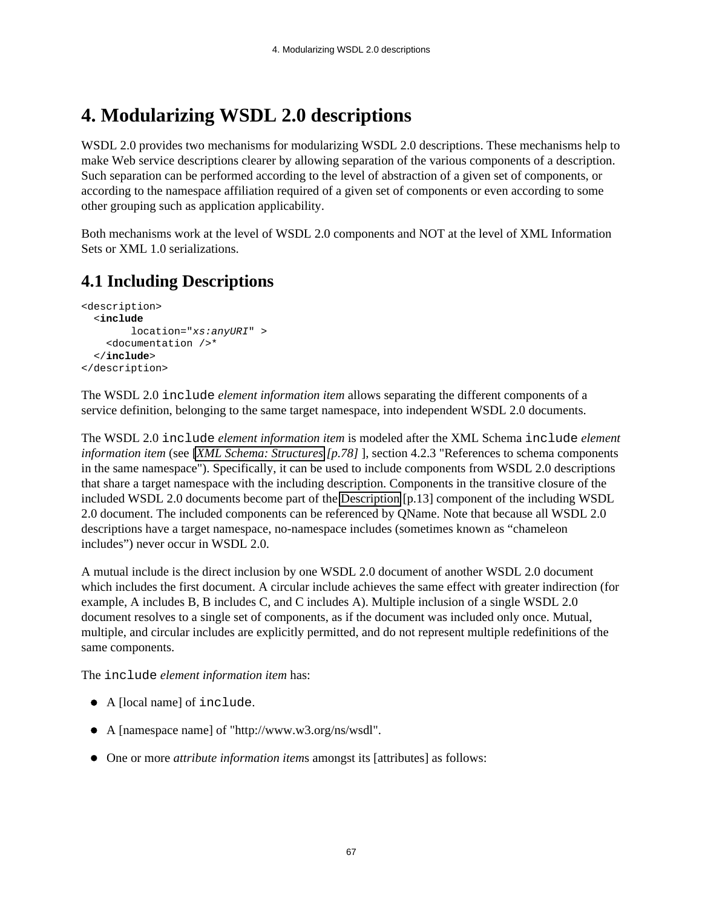# **4. Modularizing WSDL 2.0 descriptions**

WSDL 2.0 provides two mechanisms for modularizing WSDL 2.0 descriptions. These mechanisms help to make Web service descriptions clearer by allowing separation of the various components of a description. Such separation can be performed according to the level of abstraction of a given set of components, or according to the namespace affiliation required of a given set of components or even according to some other grouping such as application applicability.

Both mechanisms work at the level of WSDL 2.0 components and NOT at the level of XML Information Sets or XML 1.0 serializations.

# **4.1 Including Descriptions**

```
<description>
   <include
         location="xs:anyURI" >
     <documentation />*
   </include>
</description>
```
The WSDL 2.0 include *element information item* allows separating the different components of a service definition, belonging to the same target namespace, into independent WSDL 2.0 documents.

The WSDL 2.0 include *element information item* is modeled after the XML Schema include *element information item* (see [*[XML Schema: Structures](#page-77-2) [p.78]* ], section 4.2.3 "References to schema components in the same namespace"). Specifically, it can be used to include components from WSDL 2.0 descriptions that share a target namespace with the including description. Components in the transitive closure of the included WSDL 2.0 documents become part of the [Description](#page-12-1) [p.13] component of the including WSDL 2.0 document. The included components can be referenced by QName. Note that because all WSDL 2.0 descriptions have a target namespace, no-namespace includes (sometimes known as "chameleon includes") never occur in WSDL 2.0.

A mutual include is the direct inclusion by one WSDL 2.0 document of another WSDL 2.0 document which includes the first document. A circular include achieves the same effect with greater indirection (for example, A includes B, B includes C, and C includes A). Multiple inclusion of a single WSDL 2.0 document resolves to a single set of components, as if the document was included only once. Mutual, multiple, and circular includes are explicitly permitted, and do not represent multiple redefinitions of the same components.

The include *element information item* has:

- A [local name] of include.
- A [namespace name] of "http://www.w3.org/ns/wsdl".
- One or more *attribute information item*s amongst its [attributes] as follows: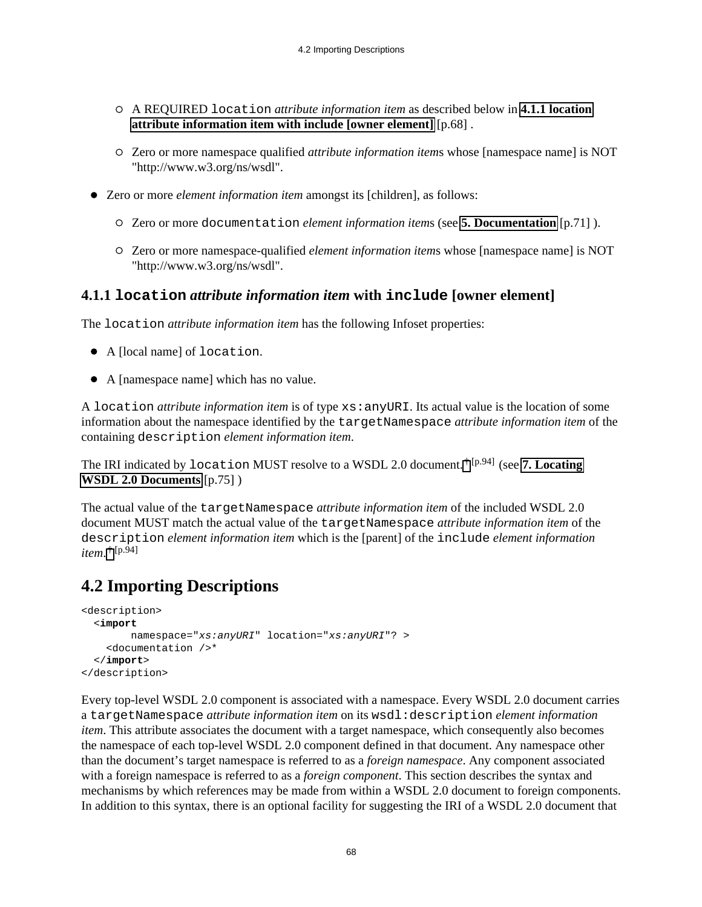- A REQUIRED location *attribute information item* as described below in **[4.1.1 location](#page-67-1) [attribute information item with include \[owner element\]](#page-67-1)** [p.68] .
- Zero or more namespace qualified *attribute information item*s whose [namespace name] is NOT "http://www.w3.org/ns/wsdl".
- Zero or more *element information item* amongst its [children], as follows:
	- Zero or more documentation *element information item*s (see **[5. Documentation](#page-70-0)** [p.71] ).
	- Zero or more namespace-qualified *element information item*s whose [namespace name] is NOT "http://www.w3.org/ns/wsdl".

### <span id="page-67-1"></span>**4.1.1 location** *attribute information item* **with include [owner element]**

The location *attribute information item* has the following Infoset properties:

- A [local name] of location.
- A [namespace name] which has no value.

A location *attribute information item* is of type xs:anyURI. Its actual value is the location of some information about the namespace identified by the targetNamespace *attribute information item* of the containing description *element information item*.

The IRI indicated by location MUST resolve to a WSDL 2.0 document. [†](#page-93-0) [p.94] (see **[7. Locating](#page-74-0) [WSDL 2.0 Documents](#page-74-0)** [p.75] )

The actual value of the targetNamespace *attribute information item* of the included WSDL 2.0 document MUST match the actual value of the targetNamespace *attribute information item* of the description *element information item* which is the [parent] of the include *element information item*. [†](#page-93-0) [p.94]

# <span id="page-67-0"></span>**4.2 Importing Descriptions**

```
<description>
   <import
         namespace="xs:anyURI" location="xs:anyURI"? >
     <documentation />*
   </import>
</description>
```
Every top-level WSDL 2.0 component is associated with a namespace. Every WSDL 2.0 document carries a targetNamespace *attribute information item* on its wsdl:description *element information item*. This attribute associates the document with a target namespace, which consequently also becomes the namespace of each top-level WSDL 2.0 component defined in that document. Any namespace other than the document's target namespace is referred to as a *foreign namespace*. Any component associated with a foreign namespace is referred to as a *foreign component*. This section describes the syntax and mechanisms by which references may be made from within a WSDL 2.0 document to foreign components. In addition to this syntax, there is an optional facility for suggesting the IRI of a WSDL 2.0 document that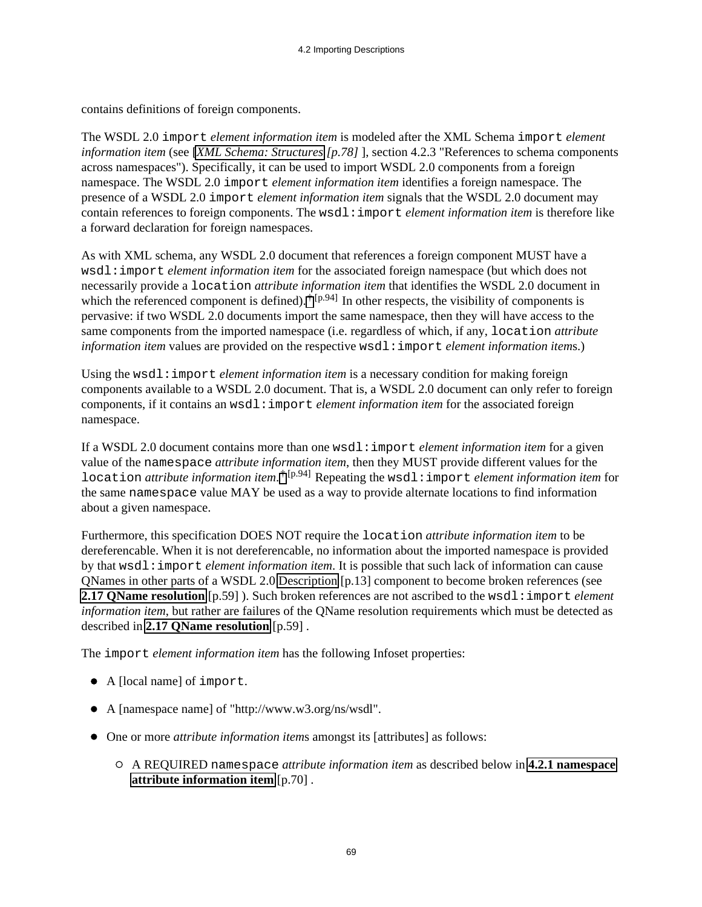contains definitions of foreign components.

The WSDL 2.0 import *element information item* is modeled after the XML Schema import *element information item* (see [*[XML Schema: Structures](#page-77-2) [p.78]* ], section 4.2.3 "References to schema components across namespaces"). Specifically, it can be used to import WSDL 2.0 components from a foreign namespace. The WSDL 2.0 import *element information item* identifies a foreign namespace. The presence of a WSDL 2.0 import *element information item* signals that the WSDL 2.0 document may contain references to foreign components. The wsdl:import *element information item* is therefore like a forward declaration for foreign namespaces.

As with XML schema, any WSDL 2.0 document that references a foreign component MUST have a wsdl:import *element information item* for the associated foreign namespace (but which does not necessarily provide a location *attribute information item* that identifies the WSDL 2.0 document in which the referenced component is defined).  $\dagger$  [p.94] In other respects, the visibility of components is pervasive: if two WSDL 2.0 documents import the same namespace, then they will have access to the same components from the imported namespace (i.e. regardless of which, if any, location *attribute information item* values are provided on the respective wsdl: import *element information items.*)

Using the wsdl:import *element information item* is a necessary condition for making foreign components available to a WSDL 2.0 document. That is, a WSDL 2.0 document can only refer to foreign components, if it contains an wsdl:import *element information item* for the associated foreign namespace.

If a WSDL 2.0 document contains more than one wsdl:import *element information item* for a given value of the namespace *attribute information item*, then they MUST provide different values for the location *attribute information item*. [†](#page-93-0) [p.94] Repeating the wsdl:import *element information item* for the same namespace value MAY be used as a way to provide alternate locations to find information about a given namespace.

Furthermore, this specification DOES NOT require the location *attribute information item* to be dereferencable. When it is not dereferencable, no information about the imported namespace is provided by that wsdl:import *element information item*. It is possible that such lack of information can cause QNames in other parts of a WSDL 2.0 [Description](#page-12-1) [p.13] component to become broken references (see **[2.17 QName resolution](#page-58-0)** [p.59] ). Such broken references are not ascribed to the wsdl:import *element information item*, but rather are failures of the QName resolution requirements which must be detected as described in **[2.17 QName resolution](#page-58-0)** [p.59] .

The import *element information item* has the following Infoset properties:

- A [local name] of import.
- A [namespace name] of "http://www.w3.org/ns/wsdl".
- One or more *attribute information item*s amongst its [attributes] as follows:
	- A REQUIRED namespace *attribute information item* as described below in **[4.2.1 namespace](#page-69-0) [attribute information item](#page-69-0)** [p.70] .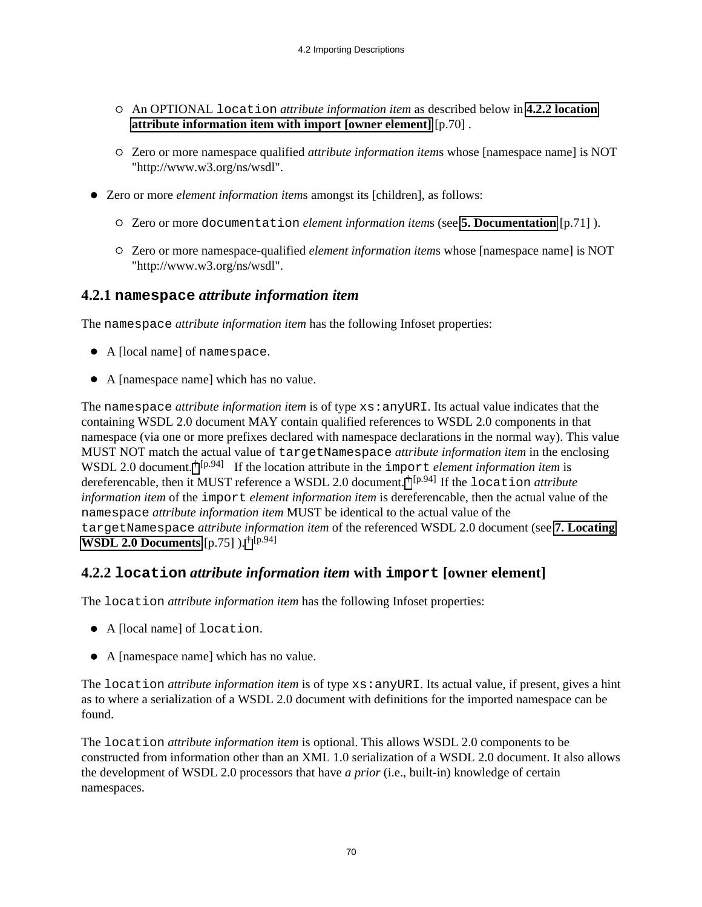- An OPTIONAL location *attribute information item* as described below in **[4.2.2 location](#page-69-1) [attribute information item with import \[owner element\]](#page-69-1)** [p.70] .
- Zero or more namespace qualified *attribute information item*s whose [namespace name] is NOT "http://www.w3.org/ns/wsdl".
- Zero or more *element information item*s amongst its [children], as follows:
	- Zero or more documentation *element information item*s (see **[5. Documentation](#page-70-0)** [p.71] ).
	- Zero or more namespace-qualified *element information item*s whose [namespace name] is NOT "http://www.w3.org/ns/wsdl".

### <span id="page-69-0"></span>**4.2.1 namespace** *attribute information item*

The namespace *attribute information item* has the following Infoset properties:

- A [local name] of namespace.
- A [namespace name] which has no value.

The namespace *attribute information item* is of type xs:anyURI. Its actual value indicates that the containing WSDL 2.0 document MAY contain qualified references to WSDL 2.0 components in that namespace (via one or more prefixes declared with namespace declarations in the normal way). This value MUST NOT match the actual value of targetNamespace *attribute information item* in the enclosing WSDL 2.0 document. <sup>[†](#page-93-0) [p.94]</sup> If the location attribute in the import *element information item* is dereferencable, then it MUST reference a WSDL 2.0 document. [†](#page-93-0) [p.94] If the location *attribute information item* of the import *element information item* is dereferencable, then the actual value of the namespace *attribute information item* MUST be identical to the actual value of the targetNamespace *attribute information item* of the referenced WSDL 2.0 document (see **[7. Locating](#page-74-0) [WSDL 2.0 Documents](#page-74-0)**  $[p.75]$  ). <sup>[†](#page-93-0)  $[p.94]$ </sup>

### <span id="page-69-1"></span>**4.2.2 location** *attribute information item* **with import [owner element]**

The location *attribute information item* has the following Infoset properties:

- A [local name] of location.
- A [namespace name] which has no value.

The location *attribute information item* is of type xs:anyURI. Its actual value, if present, gives a hint as to where a serialization of a WSDL 2.0 document with definitions for the imported namespace can be found.

The location *attribute information item* is optional. This allows WSDL 2.0 components to be constructed from information other than an XML 1.0 serialization of a WSDL 2.0 document. It also allows the development of WSDL 2.0 processors that have *a prior* (i.e., built-in) knowledge of certain namespaces.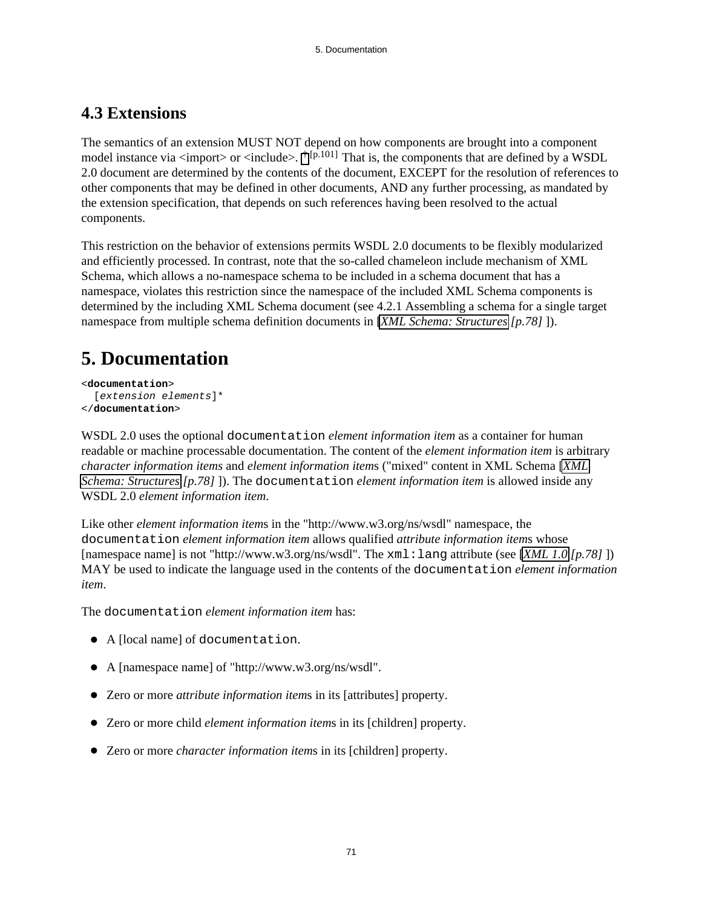# **4.3 Extensions**

The semantics of an extension MUST NOT depend on how components are brought into a component model instance via  $\langle$ import $\rangle$  or  $\langle$ include $\rangle$ .  $\dagger$  [p.101] That is, the components that are defined by a WSDL 2.0 document are determined by the contents of the document, EXCEPT for the resolution of references to other components that may be defined in other documents, AND any further processing, as mandated by the extension specification, that depends on such references having been resolved to the actual components.

This restriction on the behavior of extensions permits WSDL 2.0 documents to be flexibly modularized and efficiently processed. In contrast, note that the so-called chameleon include mechanism of XML Schema, which allows a no-namespace schema to be included in a schema document that has a namespace, violates this restriction since the namespace of the included XML Schema components is determined by the including XML Schema document (see 4.2.1 Assembling a schema for a single target namespace from multiple schema definition documents in [*[XML Schema: Structures](#page-77-2) [p.78]* ]).

# <span id="page-70-0"></span>**5. Documentation**

```
<documentation>
   [extension elements]*
</documentation>
```
WSDL 2.0 uses the optional documentation *element information item* as a container for human readable or machine processable documentation. The content of the *element information item* is arbitrary *character information items* and *element information item*s ("mixed" content in XML Schema [*[XML](#page-77-2) [Schema: Structures](#page-77-2) [p.78]* ]). The documentation *element information item* is allowed inside any WSDL 2.0 *element information item*.

Like other *element information item*s in the "http://www.w3.org/ns/wsdl" namespace, the documentation *element information item* allows qualified *attribute information item*s whose [namespace name] is not "http://www.w3.org/ns/wsdl". The xml:lang attribute (see [*[XML 1.0](#page-77-4) [p.78]* ]) MAY be used to indicate the language used in the contents of the documentation *element information item*.

The documentation *element information item* has:

- A [local name] of documentation.
- A [namespace name] of "http://www.w3.org/ns/wsdl".
- Zero or more *attribute information item*s in its [attributes] property.
- Zero or more child *element information item*s in its [children] property.
- Zero or more *character information item*s in its [children] property.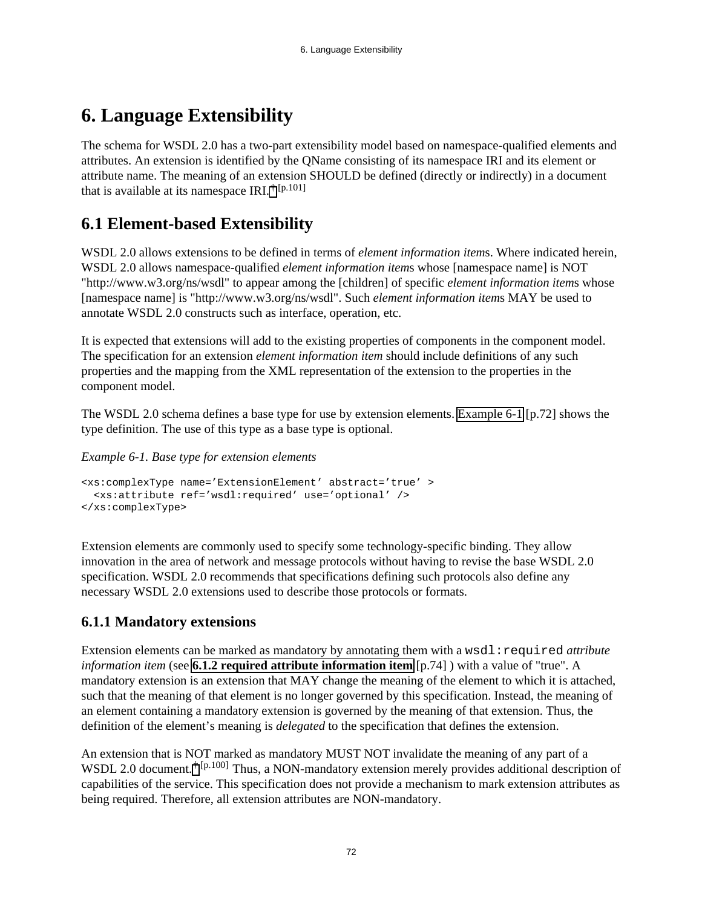# **6. Language Extensibility**

The schema for WSDL 2.0 has a two-part extensibility model based on namespace-qualified elements and attributes. An extension is identified by the QName consisting of its namespace IRI and its element or attribute name. The meaning of an extension SHOULD be defined (directly or indirectly) in a document that is available at its namespace IRI.<sup>[†](#page-100-0) [p.101]</sup>

# **6.1 Element-based Extensibility**

WSDL 2.0 allows extensions to be defined in terms of *element information item*s. Where indicated herein, WSDL 2.0 allows namespace-qualified *element information item*s whose [namespace name] is NOT "http://www.w3.org/ns/wsdl" to appear among the [children] of specific *element information item*s whose [namespace name] is "http://www.w3.org/ns/wsdl". Such *element information item*s MAY be used to annotate WSDL 2.0 constructs such as interface, operation, etc.

It is expected that extensions will add to the existing properties of components in the component model. The specification for an extension *element information item* should include definitions of any such properties and the mapping from the XML representation of the extension to the properties in the component model.

The WSDL 2.0 schema defines a base type for use by extension elements. [Example 6-1](#page-71-0) [p.72] shows the type definition. The use of this type as a base type is optional.

<span id="page-71-0"></span>*Example 6-1. Base type for extension elements*

```
<xs:complexType name='ExtensionElement' abstract='true' >
  <xs:attribute ref='wsdl:required' use='optional' />
</xs:complexType>
```
Extension elements are commonly used to specify some technology-specific binding. They allow innovation in the area of network and message protocols without having to revise the base WSDL 2.0 specification. WSDL 2.0 recommends that specifications defining such protocols also define any necessary WSDL 2.0 extensions used to describe those protocols or formats.

# **6.1.1 Mandatory extensions**

Extension elements can be marked as mandatory by annotating them with a wsdl:required *attribute information item* (see **[6.1.2 required attribute information item](#page-72-0)** [p.74] ) with a value of "true". A mandatory extension is an extension that MAY change the meaning of the element to which it is attached, such that the meaning of that element is no longer governed by this specification. Instead, the meaning of an element containing a mandatory extension is governed by the meaning of that extension. Thus, the definition of the element's meaning is *delegated* to the specification that defines the extension.

An extension that is NOT marked as mandatory MUST NOT invalidate the meaning of any part of a WSDL 2.0 document.<sup>[†](#page-99-0) [p.100]</sup> Thus, a NON-mandatory extension merely provides additional description of capabilities of the service. This specification does not provide a mechanism to mark extension attributes as being required. Therefore, all extension attributes are NON-mandatory.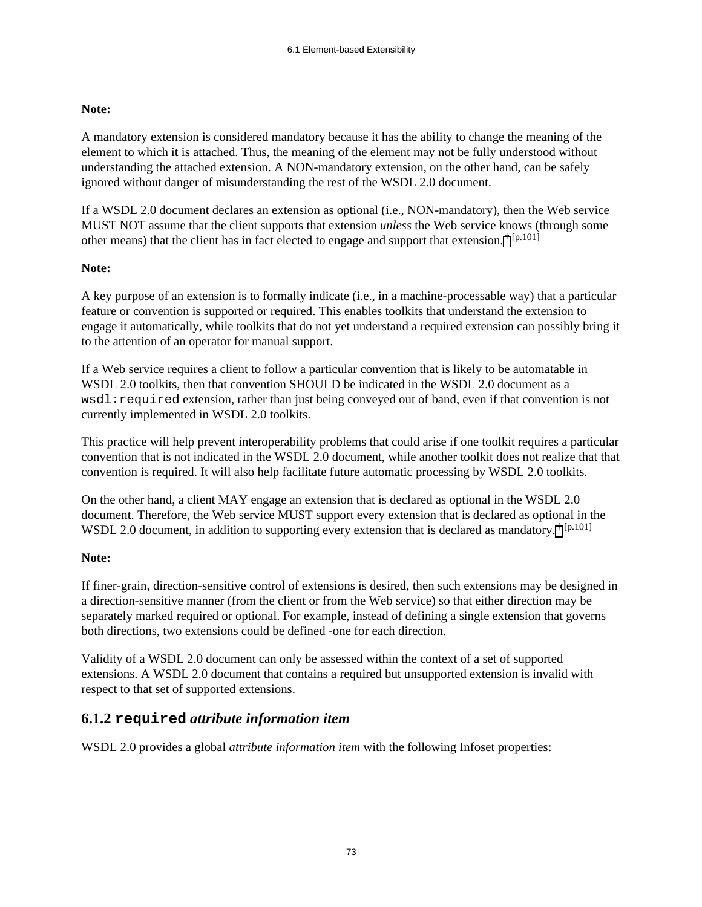### **Note:**

A mandatory extension is considered mandatory because it has the ability to change the meaning of the element to which it is attached. Thus, the meaning of the element may not be fully understood without understanding the attached extension. A NON-mandatory extension, on the other hand, can be safely ignored without danger of misunderstanding the rest of the WSDL 2.0 document.

<span id="page-72-0"></span>If a WSDL 2.0 document declares an extension as optional (i.e., NON-mandatory), then the Web service MUST NOT assume that the client supports that extension *unless* the Web service knows (through some other means) that the client has in fact elected to engage and support that extension.<sup>[†](#page-100-0) [p.101]</sup>

### **Note:**

A key purpose of an extension is to formally indicate (i.e., in a machine-processable way) that a particular feature or convention is supported or required. This enables toolkits that understand the extension to engage it automatically, while toolkits that do not yet understand a required extension can possibly bring it to the attention of an operator for manual support.

If a Web service requires a client to follow a particular convention that is likely to be automatable in WSDL 2.0 toolkits, then that convention SHOULD be indicated in the WSDL 2.0 document as a wsdl:required extension, rather than just being conveyed out of band, even if that convention is not currently implemented in WSDL 2.0 toolkits.

This practice will help prevent interoperability problems that could arise if one toolkit requires a particular convention that is not indicated in the WSDL 2.0 document, while another toolkit does not realize that that convention is required. It will also help facilitate future automatic processing by WSDL 2.0 toolkits.

<span id="page-72-1"></span>On the other hand, a client MAY engage an extension that is declared as optional in the WSDL 2.0 document. Therefore, the Web service MUST support every extension that is declared as optional in the WSDL 2.0 document, in addition to supporting every extension that is declared as mandatory.<sup>[†](#page-100-0) [p.101]</sup>

### **Note:**

If finer-grain, direction-sensitive control of extensions is desired, then such extensions may be designed in a direction-sensitive manner (from the client or from the Web service) so that either direction may be separately marked required or optional. For example, instead of defining a single extension that governs both directions, two extensions could be defined -one for each direction.

Validity of a WSDL 2.0 document can only be assessed within the context of a set of supported extensions. A WSDL 2.0 document that contains a required but unsupported extension is invalid with respect to that set of supported extensions.

### **6.1.2 required** *attribute information item*

WSDL 2.0 provides a global *attribute information item* with the following Infoset properties: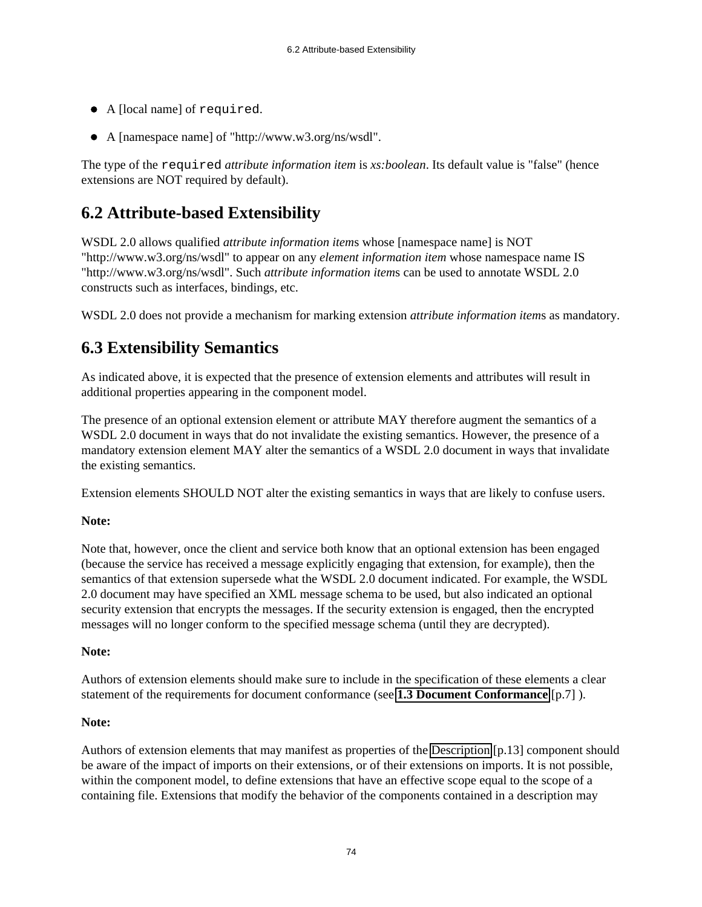- A [local name] of required.
- A [namespace name] of "http://www.w3.org/ns/wsdl".

The type of the required *attribute information item* is *xs:boolean*. Its default value is "false" (hence extensions are NOT required by default).

# **6.2 Attribute-based Extensibility**

WSDL 2.0 allows qualified *attribute information item*s whose [namespace name] is NOT "http://www.w3.org/ns/wsdl" to appear on any *element information item* whose namespace name IS "http://www.w3.org/ns/wsdl". Such *attribute information item*s can be used to annotate WSDL 2.0 constructs such as interfaces, bindings, etc.

WSDL 2.0 does not provide a mechanism for marking extension *attribute information item*s as mandatory.

# **6.3 Extensibility Semantics**

As indicated above, it is expected that the presence of extension elements and attributes will result in additional properties appearing in the component model.

The presence of an optional extension element or attribute MAY therefore augment the semantics of a WSDL 2.0 document in ways that do not invalidate the existing semantics. However, the presence of a mandatory extension element MAY alter the semantics of a WSDL 2.0 document in ways that invalidate the existing semantics.

Extension elements SHOULD NOT alter the existing semantics in ways that are likely to confuse users.

### **Note:**

Note that, however, once the client and service both know that an optional extension has been engaged (because the service has received a message explicitly engaging that extension, for example), then the semantics of that extension supersede what the WSDL 2.0 document indicated. For example, the WSDL 2.0 document may have specified an XML message schema to be used, but also indicated an optional security extension that encrypts the messages. If the security extension is engaged, then the encrypted messages will no longer conform to the specified message schema (until they are decrypted).

### **Note:**

Authors of extension elements should make sure to include in the specification of these elements a clear statement of the requirements for document conformance (see **[1.3 Document Conformance](#page-6-0)** [p.7] ).

#### **Note:**

Authors of extension elements that may manifest as properties of the [Description](#page-12-0) [p.13] component should be aware of the impact of imports on their extensions, or of their extensions on imports. It is not possible, within the component model, to define extensions that have an effective scope equal to the scope of a containing file. Extensions that modify the behavior of the components contained in a description may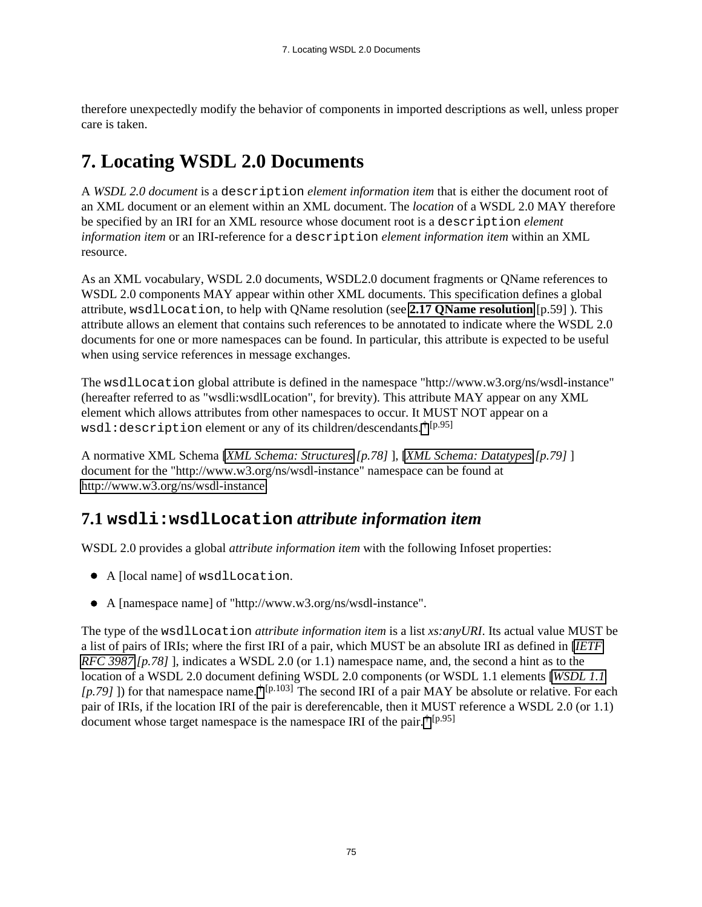therefore unexpectedly modify the behavior of components in imported descriptions as well, unless proper care is taken.

# <span id="page-74-0"></span>**7. Locating WSDL 2.0 Documents**

A *WSDL 2.0 document* is a description *element information item* that is either the document root of an XML document or an element within an XML document. The *location* of a WSDL 2.0 MAY therefore be specified by an IRI for an XML resource whose document root is a description *element information item* or an IRI-reference for a description *element information item* within an XML resource.

As an XML vocabulary, WSDL 2.0 documents, WSDL2.0 document fragments or QName references to WSDL 2.0 components MAY appear within other XML documents. This specification defines a global attribute, wsdlLocation, to help with QName resolution (see **[2.17 QName resolution](#page-58-0)** [p.59] ). This attribute allows an element that contains such references to be annotated to indicate where the WSDL 2.0 documents for one or more namespaces can be found. In particular, this attribute is expected to be useful when using service references in message exchanges.

<span id="page-74-1"></span>The wsdlLocation global attribute is defined in the namespace "http://www.w3.org/ns/wsdl-instance" (hereafter referred to as "wsdli:wsdlLocation", for brevity). This attribute MAY appear on any XML element which allows attributes from other namespaces to occur. It MUST NOT appear on a wsdl:description element or any of its children/descendants. [†](#page-94-0) [p.95]

A normative XML Schema [*[XML Schema: Structures](#page-77-0) [p.78]* ], [*[XML Schema: Datatypes](#page-78-0) [p.79]* ] document for the "http://www.w3.org/ns/wsdl-instance" namespace can be found at [http://www.w3.org/ns/wsdl-instance.](http://www.w3.org/ns/wsdl-instance)

# **7.1 wsdli:wsdlLocation** *attribute information item*

WSDL 2.0 provides a global *attribute information item* with the following Infoset properties:

- A [local name] of wsdlLocation.
- A [namespace name] of "http://www.w3.org/ns/wsdl-instance".

<span id="page-74-3"></span><span id="page-74-2"></span>The type of the wsdlLocation *attribute information item* is a list *xs:anyURI*. Its actual value MUST be a list of pairs of IRIs; where the first IRI of a pair, which MUST be an absolute IRI as defined in [*[IETF](#page-77-1) [RFC 3987](#page-77-1) [p.78]* ], indicates a WSDL 2.0 (or 1.1) namespace name, and, the second a hint as to the location of a WSDL 2.0 document defining WSDL 2.0 components (or WSDL 1.1 elements [*[WSDL 1.1](#page-78-1)  [p.79] ]*) for that namespace name.<sup>[†](#page-102-0) [p.103]</sup> The second IRI of a pair MAY be absolute or relative. For each pair of IRIs, if the location IRI of the pair is dereferencable, then it MUST reference a WSDL 2.0 (or 1.1) document whose target namespace is the namespace IRI of the pair.  $\dagger$  [p.95]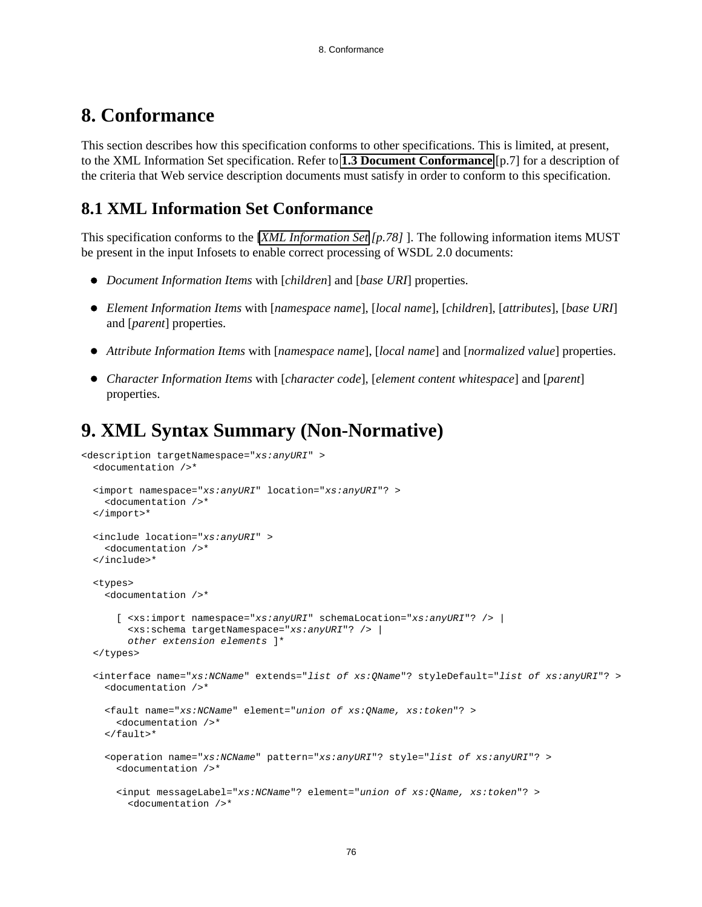# **8. Conformance**

This section describes how this specification conforms to other specifications. This is limited, at present, to the XML Information Set specification. Refer to **[1.3 Document Conformance](#page-6-0)** [p.7] for a description of the criteria that Web service description documents must satisfy in order to conform to this specification.

# **8.1 XML Information Set Conformance**

This specification conforms to the [*[XML Information Set](#page-77-2) [p.78]* ]. The following information items MUST be present in the input Infosets to enable correct processing of WSDL 2.0 documents:

- *Document Information Items* with [*children*] and [*base URI*] properties.
- *Element Information Items* with [*namespace name*], [*local name*], [*children*], [*attributes*], [*base URI*] and [*parent*] properties.
- *Attribute Information Items* with [*namespace name*], [*local name*] and [*normalized value*] properties.
- *Character Information Items* with [*character code*], [*element content whitespace*] and [*parent*] properties.

# **9. XML Syntax Summary (Non-Normative)**

```
<description targetNamespace="xs:anyURI" >
   <documentation />*
   <import namespace="xs:anyURI" location="xs:anyURI"? >
     <documentation />*
   </import>*
   <include location="xs:anyURI" >
     <documentation />*
   </include>*
   <types>
     <documentation />*
       [ <xs:import namespace="xs:anyURI" schemaLocation="xs:anyURI"? /> |
         <xs:schema targetNamespace="xs:anyURI"? /> |
         other extension elements ]*
   </types>
   <interface name="xs:NCName" extends="list of xs:QName"? styleDefault="list of xs:anyURI"? >
     <documentation />*
     <fault name="xs:NCName" element="union of xs:QName, xs:token"? >
      <documentation />*
     </fault>*
     <operation name="xs:NCName" pattern="xs:anyURI"? style="list of xs:anyURI"? >
       <documentation />*
       <input messageLabel="xs:NCName"? element="union of xs:QName, xs:token"? >
         <documentation />*
```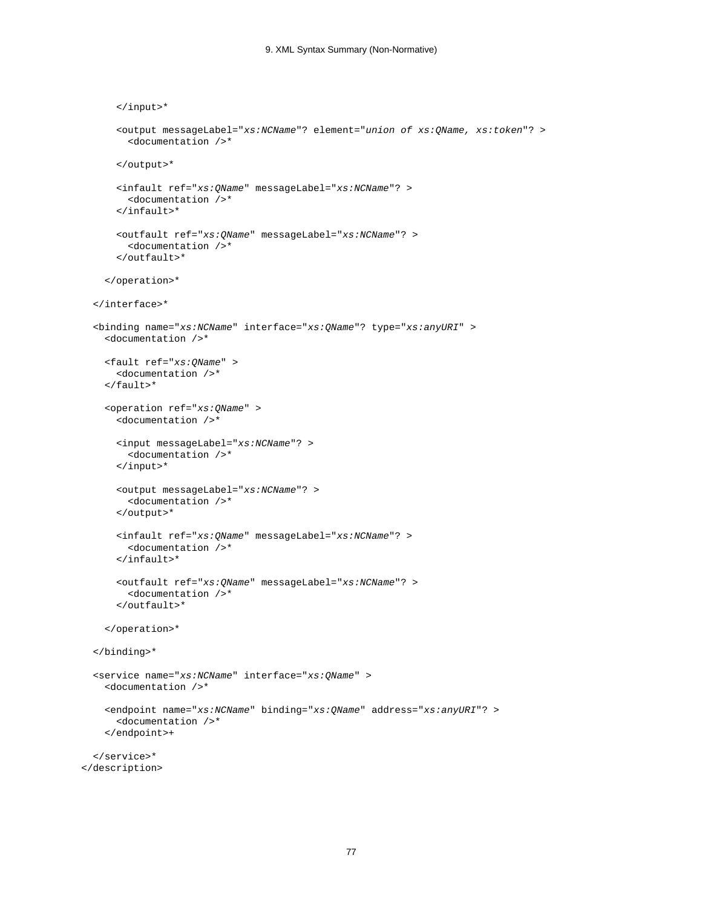```
 </input>*
       <output messageLabel="xs:NCName"? element="union of xs:QName, xs:token"? >
         <documentation />*
       </output>*
       <infault ref="xs:QName" messageLabel="xs:NCName"? >
         <documentation />*
       </infault>*
       <outfault ref="xs:QName" messageLabel="xs:NCName"? >
         <documentation />*
       </outfault>*
     </operation>*
   </interface>*
   <binding name="xs:NCName" interface="xs:QName"? type="xs:anyURI" >
     <documentation />*
     <fault ref="xs:QName" >
       <documentation />*
     </fault>*
     <operation ref="xs:QName" >
       <documentation />*
       <input messageLabel="xs:NCName"? >
         <documentation />*
       </input>*
       <output messageLabel="xs:NCName"? >
         <documentation />*
       </output>*
       <infault ref="xs:QName" messageLabel="xs:NCName"? >
         <documentation />*
       </infault>*
       <outfault ref="xs:QName" messageLabel="xs:NCName"? >
         <documentation />*
       </outfault>*
     </operation>*
   </binding>*
   <service name="xs:NCName" interface="xs:QName" >
     <documentation />*
     <endpoint name="xs:NCName" binding="xs:QName" address="xs:anyURI"? >
       <documentation />*
     </endpoint>+
   </service>*
</description>
```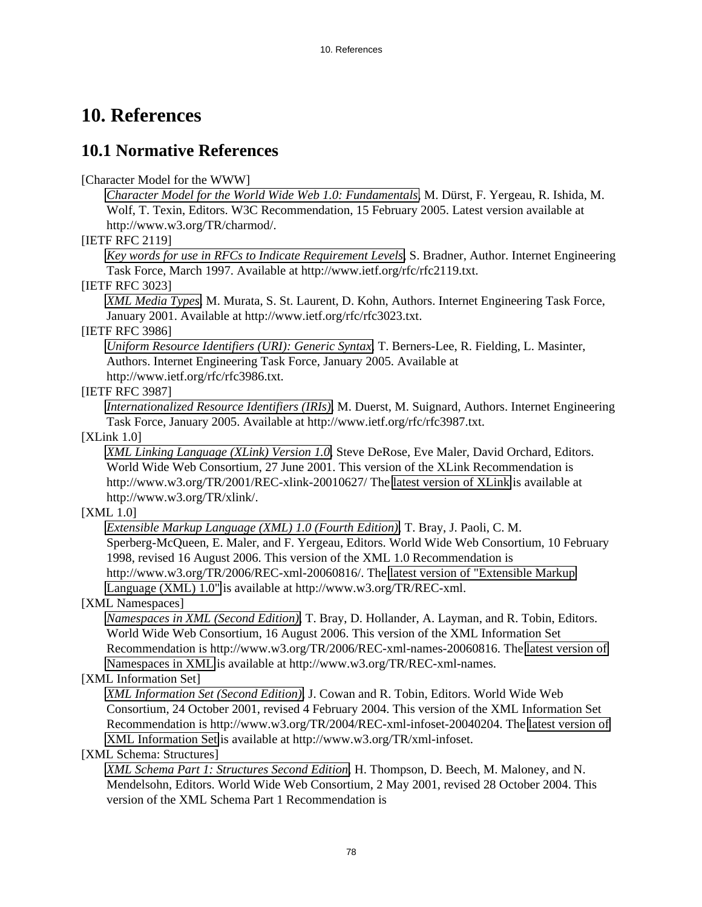# **10. References**

## **10.1 Normative References**

### [Character Model for the WWW]

*[Character Model for the World Wide Web 1.0: Fundamentals](http://www.w3.org/TR/2005/REC-charmod-20050215/)*, M. Dürst, F. Yergeau, R. Ishida, M. Wolf, T. Texin, Editors. W3C Recommendation, 15 February 2005. Latest version available at http://www.w3.org/TR/charmod/.

### [IETF RFC 2119]

*[Key words for use in RFCs to Indicate Requirement Levels](http://www.ietf.org/rfc/rfc2119.txt)*, S. Bradner, Author. Internet Engineering Task Force, March 1997. Available at http://www.ietf.org/rfc/rfc2119.txt.

### <span id="page-77-3"></span>[IETF RFC 3023]

*[XML Media Types](http://www.ietf.org/rfc/rfc3023.txt)*, M. Murata, S. St. Laurent, D. Kohn, Authors. Internet Engineering Task Force, January 2001. Available at http://www.ietf.org/rfc/rfc3023.txt.

### <span id="page-77-4"></span>[IETF RFC 3986]

*[Uniform Resource Identifiers \(URI\): Generic Syntax](http://www.ietf.org/rfc/rfc3986.txt)*, T. Berners-Lee, R. Fielding, L. Masinter, Authors. Internet Engineering Task Force, January 2005. Available at http://www.ietf.org/rfc/rfc3986.txt.

## <span id="page-77-1"></span>[IETF RFC 3987]

*[Internationalized Resource Identifiers \(IRIs\)](http://www.ietf.org/rfc/rfc3987.txt)*, M. Duerst, M. Suignard, Authors. Internet Engineering Task Force, January 2005. Available at http://www.ietf.org/rfc/rfc3987.txt.

#### [XLink 1.0]

*[XML Linking Language \(XLink\) Version 1.0](http://www.w3.org/TR/2001/REC-xlink-20010627/)*, Steve DeRose, Eve Maler, David Orchard, Editors. World Wide Web Consortium, 27 June 2001. This version of the XLink Recommendation is http://www.w3.org/TR/2001/REC-xlink-20010627/ The [latest version of XLink](http://www.w3.org/TR/xlink/) is available at http://www.w3.org/TR/xlink/.

### [XML 1.0]

*[Extensible Markup Language \(XML\) 1.0 \(Fourth Edition\)](http://www.w3.org/TR/2006/REC-xml-20060816/)*, T. Bray, J. Paoli, C. M. Sperberg-McQueen, E. Maler, and F. Yergeau, Editors. World Wide Web Consortium, 10 February 1998, revised 16 August 2006. This version of the XML 1.0 Recommendation is http://www.w3.org/TR/2006/REC-xml-20060816/. The [latest version of "Extensible Markup](http://www.w3.org/TR/REC-xml) [Language \(XML\) 1.0"](http://www.w3.org/TR/REC-xml) is available at http://www.w3.org/TR/REC-xml.

### [XML Namespaces]

*[Namespaces in XML \(Second Edition\)](http://www.w3.org/TR/2006/REC-xml-names-20060816)*, T. Bray, D. Hollander, A. Layman, and R. Tobin, Editors. World Wide Web Consortium, 16 August 2006. This version of the XML Information Set Recommendation is http://www.w3.org/TR/2006/REC-xml-names-20060816. The [latest version of](http://www.w3.org/TR/REC-xml-names) [Namespaces in XML](http://www.w3.org/TR/REC-xml-names) is available at http://www.w3.org/TR/REC-xml-names.

### <span id="page-77-2"></span>[XML Information Set]

*[XML Information Set \(Second Edition\)](http://www.w3.org/TR/2004/REC-xml-infoset-20040204)*, J. Cowan and R. Tobin, Editors. World Wide Web Consortium, 24 October 2001, revised 4 February 2004. This version of the XML Information Set Recommendation is http://www.w3.org/TR/2004/REC-xml-infoset-20040204. The [latest version of](http://www.w3.org/TR/xml-infoset) [XML Information Set](http://www.w3.org/TR/xml-infoset) is available at http://www.w3.org/TR/xml-infoset.

#### <span id="page-77-0"></span>[XML Schema: Structures]

*[XML Schema Part 1: Structures Second Edition](http://www.w3.org/TR/2004/REC-xmlschema-1-20041028/)*, H. Thompson, D. Beech, M. Maloney, and N. Mendelsohn, Editors. World Wide Web Consortium, 2 May 2001, revised 28 October 2004. This version of the XML Schema Part 1 Recommendation is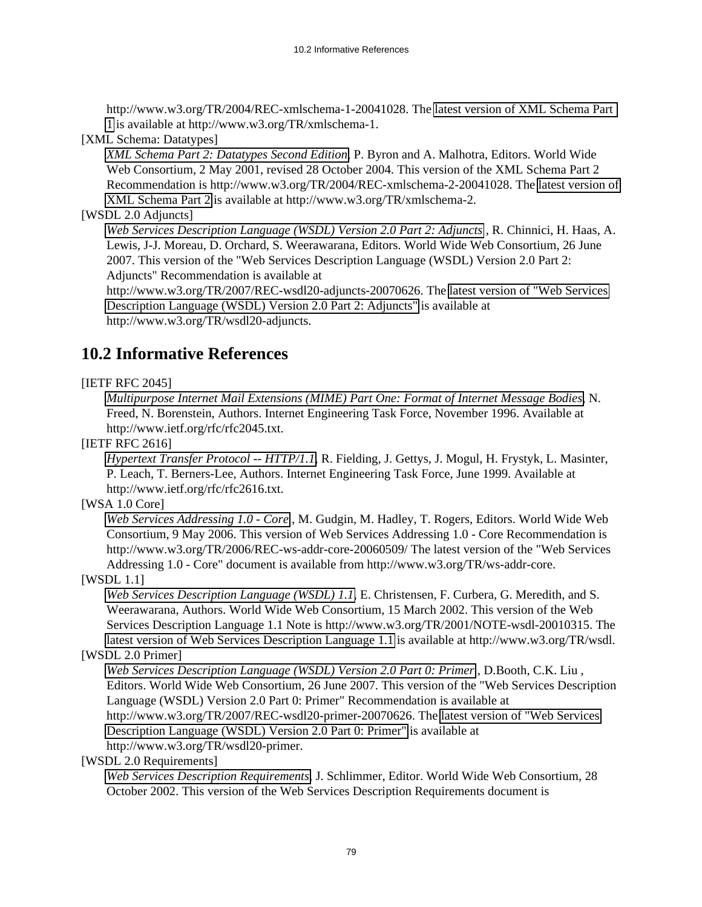http://www.w3.org/TR/2004/REC-xmlschema-1-20041028. The [latest version of XML Schema Part](http://www.w3.org/TR/xmlschema-1/)  [1](http://www.w3.org/TR/xmlschema-1/) is available at http://www.w3.org/TR/xmlschema-1.

<span id="page-78-0"></span>[XML Schema: Datatypes]

*[XML Schema Part 2: Datatypes Second Edition](http://www.w3.org/TR/2004/REC-xmlschema-2-20041028/)*, P. Byron and A. Malhotra, Editors. World Wide Web Consortium, 2 May 2001, revised 28 October 2004. This version of the XML Schema Part 2 Recommendation is http://www.w3.org/TR/2004/REC-xmlschema-2-20041028. The [latest version of](http://www.w3.org/TR/xmlschema-2/) [XML Schema Part 2](http://www.w3.org/TR/xmlschema-2/) is available at http://www.w3.org/TR/xmlschema-2.

### <span id="page-78-2"></span>[WSDL 2.0 Adjuncts]

*[Web Services Description Language \(WSDL\) Version 2.0 Part 2: Adjuncts](http://www.w3.org/TR/2007/REC-wsdl20-adjuncts-20070626)* , R. Chinnici, H. Haas, A. Lewis, J-J. Moreau, D. Orchard, S. Weerawarana, Editors. World Wide Web Consortium, 26 June 2007. This version of the "Web Services Description Language (WSDL) Version 2.0 Part 2: Adjuncts" Recommendation is available at

http://www.w3.org/TR/2007/REC-wsdl20-adjuncts-20070626. The [latest version of "Web Services](http://www.w3.org/TR/wsdl20-adjuncts) [Description Language \(WSDL\) Version 2.0 Part 2: Adjuncts"](http://www.w3.org/TR/wsdl20-adjuncts) is available at http://www.w3.org/TR/wsdl20-adjuncts.

# **10.2 Informative References**

### [IETF RFC 2045]

*[Multipurpose Internet Mail Extensions \(MIME\) Part One: Format of Internet Message Bodies](http://www.ietf.org/rfc/rfc2045.txt)*, N. Freed, N. Borenstein, Authors. Internet Engineering Task Force, November 1996. Available at http://www.ietf.org/rfc/rfc2045.txt.

### [IETF RFC 2616]

*[Hypertext Transfer Protocol -- HTTP/1.1](http://www.ietf.org/rfc/rfc2616.txt)*, R. Fielding, J. Gettys, J. Mogul, H. Frystyk, L. Masinter, P. Leach, T. Berners-Lee, Authors. Internet Engineering Task Force, June 1999. Available at http://www.ietf.org/rfc/rfc2616.txt.

#### [WSA 1.0 Core]

*[Web Services Addressing 1.0 - Core](http://www.w3.org/TR/2006/REC-ws-addr-core-20060509/)* , M. Gudgin, M. Hadley, T. Rogers, Editors. World Wide Web Consortium, 9 May 2006. This version of Web Services Addressing 1.0 - Core Recommendation is http://www.w3.org/TR/2006/REC-ws-addr-core-20060509/ The latest version of the "Web Services Addressing 1.0 - Core" document is available from http://www.w3.org/TR/ws-addr-core.

### <span id="page-78-1"></span>[WSDL 1.1]

*[Web Services Description Language \(WSDL\) 1.1](http://www.w3.org/TR/2001/NOTE-wsdl-20010315)*, E. Christensen, F. Curbera, G. Meredith, and S. Weerawarana, Authors. World Wide Web Consortium, 15 March 2002. This version of the Web Services Description Language 1.1 Note is http://www.w3.org/TR/2001/NOTE-wsdl-20010315. The [latest version of Web Services Description Language 1.1](http://www.w3.org/TR/wsdl) is available at http://www.w3.org/TR/wsdl.

### [WSDL 2.0 Primer]

*[Web Services Description Language \(WSDL\) Version 2.0 Part 0: Primer](http://www.w3.org/TR/2007/REC-wsdl20-primer-20070626)* , D.Booth, C.K. Liu , Editors. World Wide Web Consortium, 26 June 2007. This version of the "Web Services Description Language (WSDL) Version 2.0 Part 0: Primer" Recommendation is available at http://www.w3.org/TR/2007/REC-wsdl20-primer-20070626. The [latest version of "Web Services](http://www.w3.org/TR/wsdl20-primer) [Description Language \(WSDL\) Version 2.0 Part 0: Primer"](http://www.w3.org/TR/wsdl20-primer) is available at http://www.w3.org/TR/wsdl20-primer.

#### [WSDL 2.0 Requirements]

*[Web Services Description Requirements](http://www.w3.org/TR/2002/WD-ws-desc-reqs-20021028)*, J. Schlimmer, Editor. World Wide Web Consortium, 28 October 2002. This version of the Web Services Description Requirements document is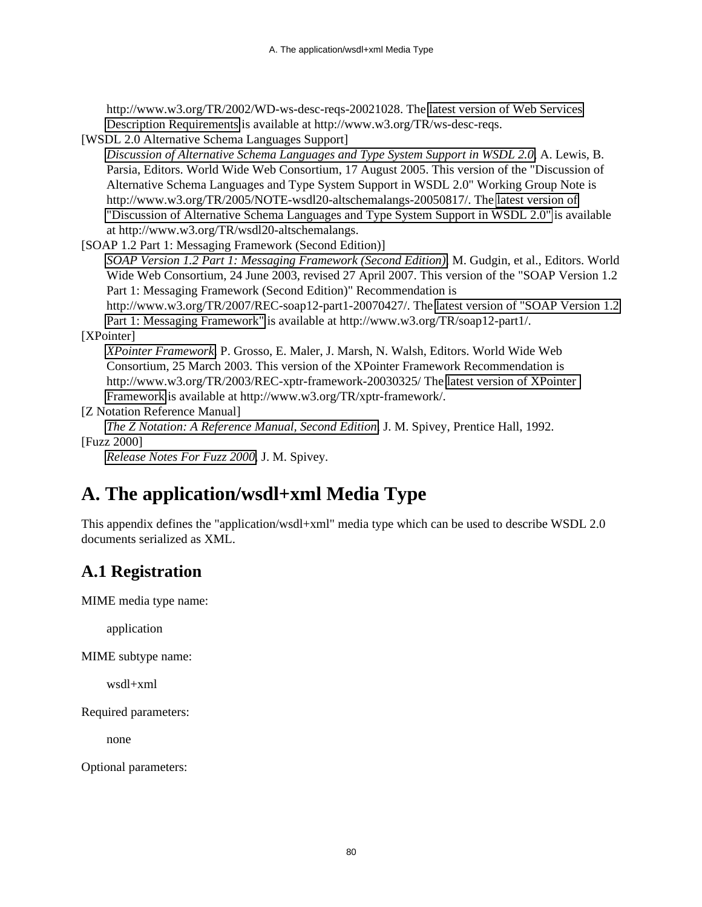http://www.w3.org/TR/2002/WD-ws-desc-reqs-20021028. The [latest version of Web Services](http://www.w3.org/TR/ws-desc-reqs/) [Description Requirements](http://www.w3.org/TR/ws-desc-reqs/) is available at http://www.w3.org/TR/ws-desc-reqs.

[WSDL 2.0 Alternative Schema Languages Support]

*[Discussion of Alternative Schema Languages and Type System Support in WSDL 2.0](http://www.w3.org/TR/2005/NOTE-wsdl20-altschemalangs-20050817/)*, A. Lewis, B. Parsia, Editors. World Wide Web Consortium, 17 August 2005. This version of the "Discussion of Alternative Schema Languages and Type System Support in WSDL 2.0" Working Group Note is http://www.w3.org/TR/2005/NOTE-wsdl20-altschemalangs-20050817/. The [latest version of](http://www.w3.org/TR/wsdl20-altschemalangs) ["Discussion of Alternative Schema Languages and Type System Support in WSDL 2.0"](http://www.w3.org/TR/wsdl20-altschemalangs) is available at http://www.w3.org/TR/wsdl20-altschemalangs.

[SOAP 1.2 Part 1: Messaging Framework (Second Edition)]

*[SOAP Version 1.2 Part 1: Messaging Framework \(Second Edition\)](http://www.w3.org/TR/2007/REC-soap12-part1-20070427/)*, M. Gudgin, et al., Editors. World Wide Web Consortium, 24 June 2003, revised 27 April 2007. This version of the "SOAP Version 1.2 Part 1: Messaging Framework (Second Edition)" Recommendation is

http://www.w3.org/TR/2007/REC-soap12-part1-20070427/. The [latest version of "SOAP Version 1.2](http://www.w3.org/TR/soap12-part1/) [Part 1: Messaging Framework"](http://www.w3.org/TR/soap12-part1/) is available at http://www.w3.org/TR/soap12-part1/.

<span id="page-79-0"></span>[XPointer]

*[XPointer Framework](http://www.w3.org/TR/2003/REC-xptr-framework-20030325/)*, P. Grosso, E. Maler, J. Marsh, N. Walsh, Editors. World Wide Web Consortium, 25 March 2003. This version of the XPointer Framework Recommendation is http://www.w3.org/TR/2003/REC-xptr-framework-20030325/ The [latest version of XPointer](http://www.w3.org/TR/xptr-framework/)  [Framework](http://www.w3.org/TR/xptr-framework/) is available at http://www.w3.org/TR/xptr-framework/.

[Z Notation Reference Manual]

*[The Z Notation: A Reference Manual, Second Edition](http://spivey.oriel.ox.ac.uk/mike/zrm/index.html)*, J. M. Spivey, Prentice Hall, 1992. [Fuzz 2000]

*[Release Notes For Fuzz 2000](http://spivey.oriel.ox.ac.uk/mike/fuzz/)*, J. M. Spivey.

# **A. The application/wsdl+xml Media Type**

This appendix defines the "application/wsdl+xml" media type which can be used to describe WSDL 2.0 documents serialized as XML.

# **A.1 Registration**

MIME media type name:

application

MIME subtype name:

wsdl+xml

Required parameters:

none

Optional parameters: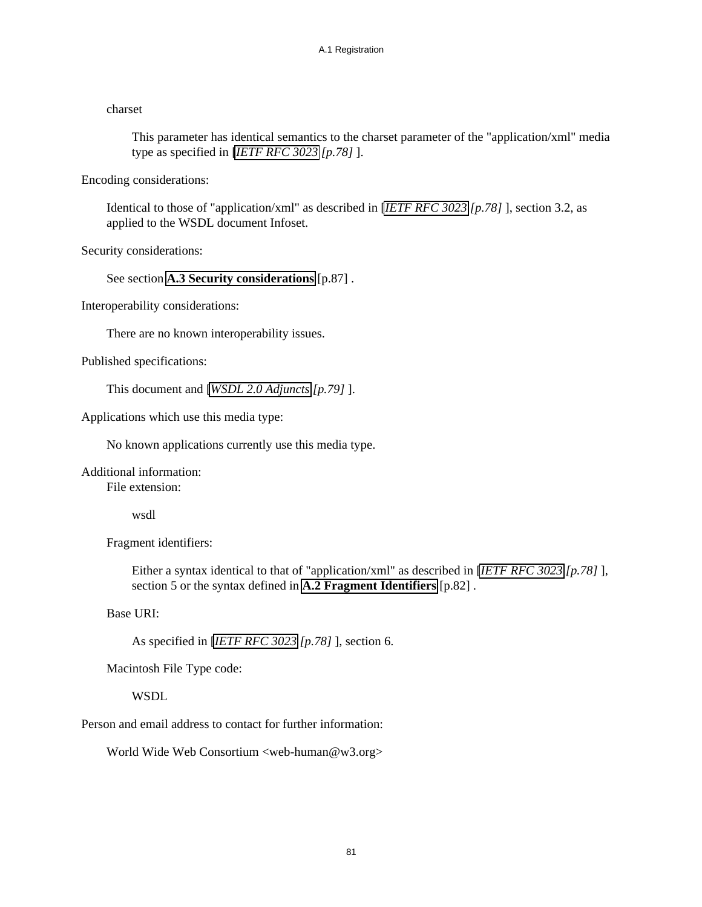#### charset

This parameter has identical semantics to the charset parameter of the "application/xml" media type as specified in [*[IETF RFC 3023](#page-77-3) [p.78]* ].

Encoding considerations:

Identical to those of "application/xml" as described in [*[IETF RFC 3023](#page-77-3) [p.78]* ], section 3.2, as applied to the WSDL document Infoset.

Security considerations:

See section **[A.3 Security considerations](#page-86-0)** [p.87] .

Interoperability considerations:

There are no known interoperability issues.

Published specifications:

This document and [*[WSDL 2.0 Adjuncts](#page-78-2) [p.79]* ].

Applications which use this media type:

No known applications currently use this media type.

Additional information: File extension:

wsdl

Fragment identifiers:

Either a syntax identical to that of "application/xml" as described in [*[IETF RFC 3023](#page-77-3) [p.78]* ], section 5 or the syntax defined in **[A.2 Fragment Identifiers](#page-81-0)** [p.82] .

Base URI:

As specified in [*[IETF RFC 3023](#page-77-3) [p.78]* ], section 6.

Macintosh File Type code:

**WSDL** 

Person and email address to contact for further information:

World Wide Web Consortium <web-human@w3.org>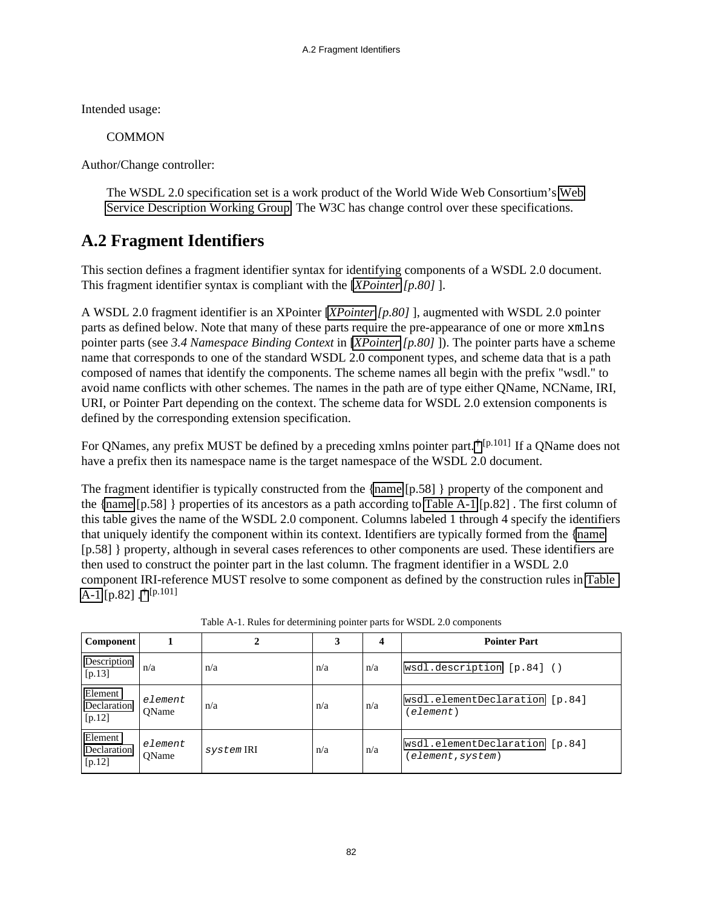Intended usage:

**COMMON** 

Author/Change controller:

The WSDL 2.0 specification set is a work product of the World Wide Web Consortium's [Web](http://www.w3.org/2002/ws/desc/) [Service Description Working Group.](http://www.w3.org/2002/ws/desc/) The W3C has change control over these specifications.

# <span id="page-81-0"></span>**A.2 Fragment Identifiers**

This section defines a fragment identifier syntax for identifying components of a WSDL 2.0 document. This fragment identifier syntax is compliant with the [*[XPointer](#page-79-0) [p.80]* ].

A WSDL 2.0 fragment identifier is an XPointer [*[XPointer](#page-79-0) [p.80]* ], augmented with WSDL 2.0 pointer parts as defined below. Note that many of these parts require the pre-appearance of one or more xmlns pointer parts (see *3.4 Namespace Binding Context* in [*[XPointer](#page-79-0) [p.80]* ]). The pointer parts have a scheme name that corresponds to one of the standard WSDL 2.0 component types, and scheme data that is a path composed of names that identify the components. The scheme names all begin with the prefix "wsdl." to avoid name conflicts with other schemes. The names in the path are of type either QName, NCName, IRI, URI, or Pointer Part depending on the context. The scheme data for WSDL 2.0 extension components is defined by the corresponding extension specification.

<span id="page-81-2"></span>For QNames, any prefix MUST be defined by a preceding xmlns pointer part. <sup>[†](#page-100-0) [p.101]</sup> If a OName does not have a prefix then its namespace name is the target namespace of the WSDL 2.0 document.

<span id="page-81-3"></span>The fragment identifier is typically constructed from the [{name](#page-57-0) [p.58] } property of the component and the [{name](#page-57-0) [p.58] } properties of its ancestors as a path according to [Table A-1](#page-81-1) [p.82] . The first column of this table gives the name of the WSDL 2.0 component. Columns labeled 1 through 4 specify the identifiers that uniquely identify the component within its context. Identifiers are typically formed from the [{name](#page-57-0)  [p.58] } property, although in several cases references to other components are used. These identifiers are then used to construct the pointer part in the last column. The fragment identifier in a WSDL 2.0 component IRI-reference MUST resolve to some component as defined by the construction rules in [Table](#page-81-1)  [A-1](#page-81-1)  $[p.82]$ .  $\uparrow$   $[p.101]$ 

<span id="page-81-1"></span>

| <b>Component</b>                 |                  |            | 3   | 4   | <b>Pointer Part</b>                                 |  |  |
|----------------------------------|------------------|------------|-----|-----|-----------------------------------------------------|--|--|
| Description<br>[p.13]            | n/a              | n/a        | n/a | n/a | wsdl.description [p.84] ()                          |  |  |
| Element<br>Declaration<br>[p.12] | element<br>OName | n/a        | n/a | n/a | wsdl.elementDeclaration [p.84]<br>(element)         |  |  |
| Element<br>Declaration<br>[p.12] | element<br>OName | system IRI | n/a | n/a | wsdl.elementDeclaration [p.84]<br>(element, system) |  |  |

Table A-1. Rules for determining pointer parts for WSDL 2.0 components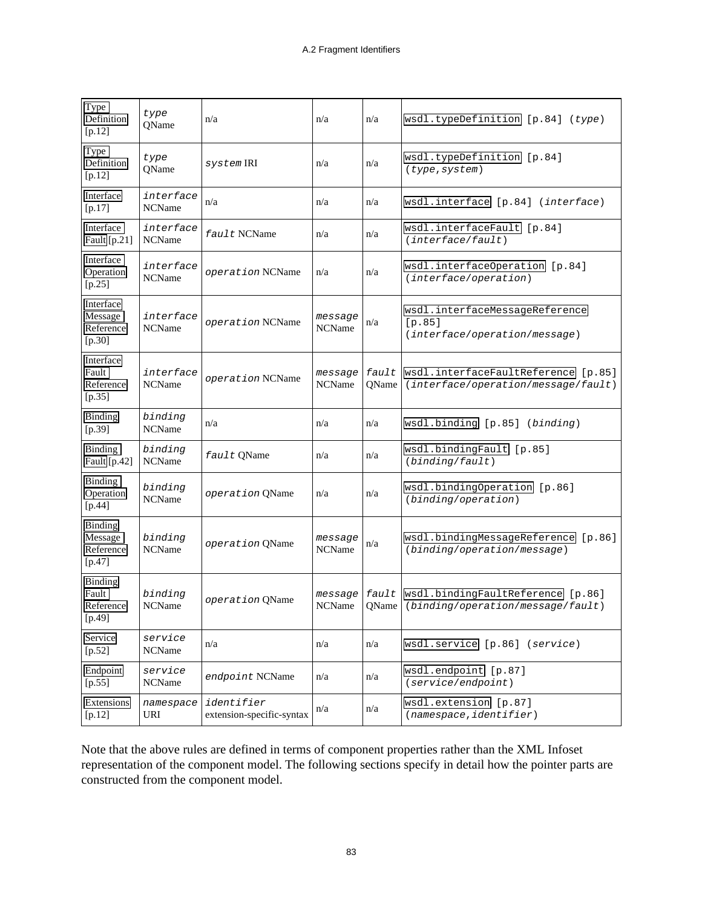| Type<br>Definition<br>[p.12]                     | type<br>OName              | n/a                                     | n/a                      | n/a                   | wsdl.typeDefinition [p.84] (type)                                          |  |
|--------------------------------------------------|----------------------------|-----------------------------------------|--------------------------|-----------------------|----------------------------------------------------------------------------|--|
| Type<br>Definition<br>[p.12]                     | type<br><b>QName</b>       | system IRI                              | n/a                      | n/a                   | wsdl.typeDefinition [p.84]<br>(type, system)                               |  |
| Interface<br>$[p.17]$                            | interface<br><b>NCName</b> | n/a                                     | n/a                      | n/a                   | wsdl.interface [p.84] (interface)                                          |  |
| Interface<br>Fault [p.21]                        | interface<br><b>NCName</b> | fault NCName                            | n/a                      | n/a                   | wsdl.interfaceFault [p.84]<br>(interface/fault)                            |  |
| Interface<br>Operation<br>$[p.25]$               | interface<br><b>NCName</b> | operation NCName                        | n/a                      | n/a                   | wsdl.interfaceOperation [p.84]<br>(interface/operation)                    |  |
| Interface<br>Message<br>Reference<br>$[p.30]$    | interface<br><b>NCName</b> | operation NCName                        | message<br><b>NCName</b> | n/a                   | wsdl.interfaceMessageReference<br>[p.85]<br>(interface/operation/message)  |  |
| Interface<br>Fault<br>Reference<br>[p.35]        | interface<br><b>NCName</b> | operation NCName                        | message<br><b>NCName</b> | fault<br><b>QName</b> | wsdl.interfaceFaultReference [p.85]<br>(interface/operation/message/fault) |  |
| Binding<br>$[p.39]$                              | binding<br><b>NCName</b>   | n/a                                     | n/a                      | n/a                   | wsdl.binding [p.85] (binding)                                              |  |
| Binding<br>Fault [p.42]                          | binding<br><b>NCName</b>   | fault QName                             | n/a                      | n/a                   | wsdl.bindingFault [p.85]<br>(binding/fault)                                |  |
| Binding<br>Operation<br>$[p.44]$                 | binding<br><b>NCName</b>   | operation QName                         | n/a                      | n/a                   | wsdl.bindingOperation [p.86]<br>(binding/operation)                        |  |
| Binding<br>Message<br>Reference<br>$[p.47]$      | binding<br><b>NCName</b>   | operation QName                         | message<br><b>NCName</b> | n/a                   | wsdl.bindingMessageReference [p.86]<br>(binding/operation/message)         |  |
| <b>Binding</b><br>Fault<br>Reference<br>$[p.49]$ | binding<br><b>NCName</b>   | operation QName                         | message<br><b>NCName</b> | fault<br><b>QName</b> | wsdl.bindingFaultReference [p.86]<br>(binding/operation/message/fault)     |  |
| Service<br>$[p.52]$                              | service<br><b>NCName</b>   | n/a                                     | n/a                      | n/a                   | wsdl.service [p.86] (service)                                              |  |
| Endpoint<br>$[p.55]$                             | service<br>NCName          | endpoint NCName                         | n/a                      | n/a                   | wsdl.endpoint [p.87]<br>(serve/endpoint)                                   |  |
| Extensions<br>$[p.12]$                           | namespace<br>URI           | identifier<br>extension-specific-syntax | n/a                      | n/a                   | wsdl.extension [p.87]<br>(namespace, identifier)                           |  |

Note that the above rules are defined in terms of component properties rather than the XML Infoset representation of the component model. The following sections specify in detail how the pointer parts are constructed from the component model.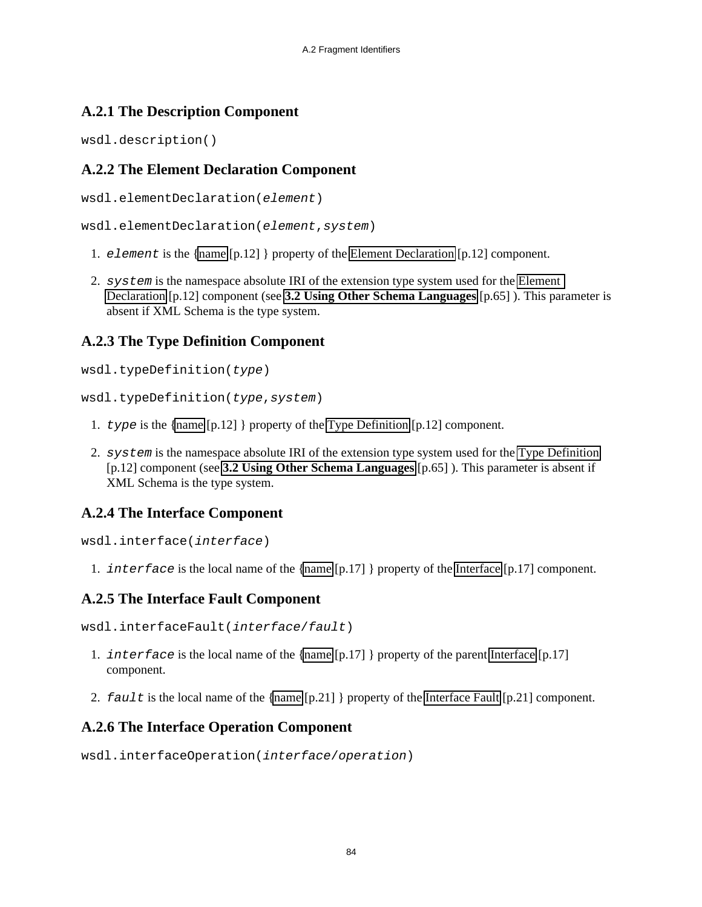### <span id="page-83-0"></span>**A.2.1 The Description Component**

wsdl.description()

### <span id="page-83-1"></span>**A.2.2 The Element Declaration Component**

wsdl.elementDeclaration(element)

wsdl.elementDeclaration(element,system)

- 1. element is the [{name](#page-11-3) [p.12] } property of the [Element Declaration](#page-11-0) [p.12] component.
- 2. system is the namespace absolute IRI of the extension type system used for the [Element](#page-11-0)  [Declaration](#page-11-0) [p.12] component (see **[3.2 Using Other Schema Languages](#page-64-0)** [p.65] ). This parameter is absent if XML Schema is the type system.

### <span id="page-83-2"></span>**A.2.3 The Type Definition Component**

wsdl.typeDefinition(type)

wsdl.typeDefinition(type,system)

- 1. type is the [{name](#page-11-4) [p.12] } property of the [Type Definition](#page-11-1) [p.12] component.
- 2. system is the namespace absolute IRI of the extension type system used for the [Type Definition](#page-11-1)  [p.12] component (see **[3.2 Using Other Schema Languages](#page-64-0)** [p.65] ). This parameter is absent if XML Schema is the type system.

## <span id="page-83-3"></span>**A.2.4 The Interface Component**

wsdl.interface(interface)

1. interface is the local name of the [{name](#page-16-1) [p.17] } property of the [Interface](#page-16-0) [p.17] component.

### <span id="page-83-4"></span>**A.2.5 The Interface Fault Component**

wsdl.interfaceFault(interface/fault)

- 1. *interface* is the local name of the [{name](#page-16-1)  $[p.17]$  } property of the parent [Interface](#page-16-0)  $[p.17]$ component.
- 2. fault is the local name of the [{name](#page-20-1) [p.21] } property of the [Interface Fault](#page-20-0) [p.21] component.

### <span id="page-83-5"></span>**A.2.6 The Interface Operation Component**

wsdl.interfaceOperation(interface/operation)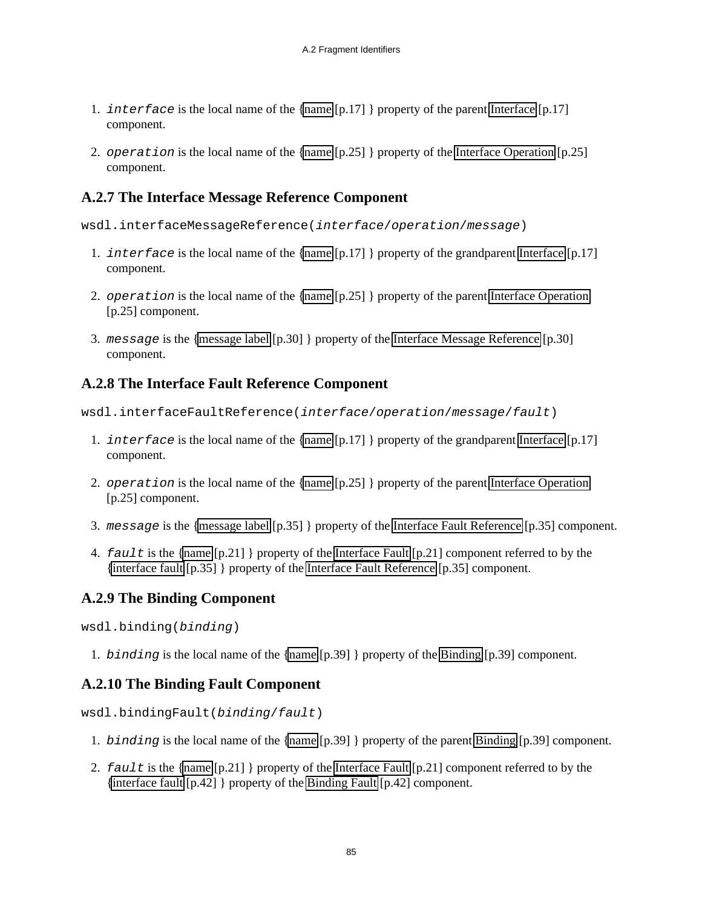- 1. *interface* is the local name of the [{name](#page-16-1)  $[p.17]$  } property of the parent [Interface](#page-16-0)  $[p.17]$ component.
- 2. operation is the local name of the [{name](#page-24-1)  $[p.25]$  } property of the [Interface Operation](#page-24-0)  $[p.25]$ component.

### <span id="page-84-0"></span>**A.2.7 The Interface Message Reference Component**

wsdl.interfaceMessageReference(interface/operation/message)

- 1. interface is the local name of the [{name](#page-16-1)  $[p.17]$  } property of the grandparent [Interface](#page-16-0)  $[p.17]$ component.
- 2. operation is the local name of the  ${name [p.25]}$  ${name [p.25]}$  property of the parent Interface Operation [p.25] component.
- 3. message is the [{message label](#page-29-1) [p.30] } property of the [Interface Message Reference](#page-29-0) [p.30] component.

## <span id="page-84-1"></span>**A.2.8 The Interface Fault Reference Component**

wsdl.interfaceFaultReference(interface/operation/message/fault)

- 1. *interface* is the local name of the  $\{\text{name }[p.17]\}$  $\{\text{name }[p.17]\}$  $\{\text{name }[p.17]\}$  property of the grandparent [Interface](#page-16-0)  $[p.17]$ component.
- 2. operation is the local name of the [{name](#page-24-1)  $[p.25]$  } property of the parent Interface Operation [p.25] component.
- 3. message is the [{message label](#page-34-1) [p.35] } property of the [Interface Fault Reference](#page-34-0) [p.35] component.
- 4.  $f \in \{ \text{name} \}$  [p.21] } property of the [Interface Fault](#page-20-0) [p.21] component referred to by the [{interface fault](#page-34-2) [p.35] } property of the [Interface Fault Reference](#page-34-0) [p.35] component.

### <span id="page-84-2"></span>**A.2.9 The Binding Component**

wsdl.binding(binding)

1. binding is the local name of the [{name](#page-38-1) [p.39] } property of the [Binding](#page-38-0) [p.39] component.

### <span id="page-84-3"></span>**A.2.10 The Binding Fault Component**

wsdl.bindingFault(binding/fault)

- 1. binding is the local name of the [{name](#page-38-1) [p.39] } property of the parent [Binding](#page-38-0) [p.39] component.
- 2.  $f \in \text{I}$  is the [{name](#page-20-1) [p.21] } property of the [Interface Fault](#page-20-0) [p.21] component referred to by the [{interface fault](#page-41-1) [p.42] } property of the [Binding Fault](#page-41-0) [p.42] component.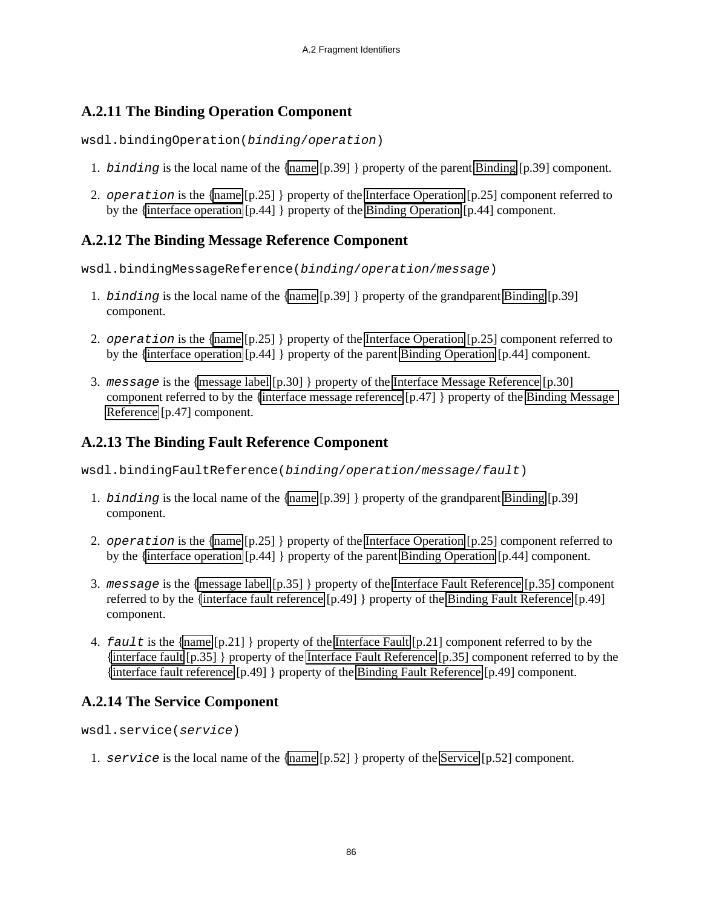## <span id="page-85-0"></span>**A.2.11 The Binding Operation Component**

wsdl.bindingOperation(binding/operation)

- 1. binding is the local name of the [{name](#page-38-1) [p.39] } property of the parent [Binding](#page-38-0) [p.39] component.
- 2. operation is the [{name](#page-24-1) [p.25] } property of the [Interface Operation](#page-24-0) [p.25] component referred to by the [{interface operation](#page-43-1) [p.44] } property of the [Binding Operation](#page-43-0) [p.44] component.

## <span id="page-85-1"></span>**A.2.12 The Binding Message Reference Component**

wsdl.bindingMessageReference(binding/operation/message)

- 1. binding is the local name of the [{name](#page-38-1) [p.39] } property of the grandparent [Binding](#page-38-0) [p.39] component.
- 2. operation is the [{name](#page-24-1) [p.25] } property of the [Interface Operation](#page-24-0) [p.25] component referred to by the [{interface operation](#page-43-1) [p.44] } property of the parent [Binding Operation](#page-43-0) [p.44] component.
- 3. message is the [{message label](#page-29-1) [p.30] } property of the [Interface Message Reference](#page-29-0) [p.30] component referred to by the [{interface message reference](#page-46-1) [p.47] } property of the [Binding Message](#page-46-0)  [Reference](#page-46-0) [p.47] component.

## <span id="page-85-2"></span>**A.2.13 The Binding Fault Reference Component**

wsdl.bindingFaultReference(binding/operation/message/fault)

- 1. binding is the local name of the [{name](#page-38-1)  $[p.39]$  } property of the grandparent [Binding](#page-38-0)  $[p.39]$ component.
- 2. operation is the [{name](#page-24-1) [p.25] } property of the [Interface Operation](#page-24-0) [p.25] component referred to by the [{interface operation](#page-43-1) [p.44] } property of the parent [Binding Operation](#page-43-0) [p.44] component.
- 3. message is the [{message label](#page-34-1) [p.35] } property of the [Interface Fault Reference](#page-34-0) [p.35] component referred to by the [{interface fault reference](#page-48-1) [p.49] } property of the [Binding Fault Reference](#page-48-0) [p.49] component.
- 4. fault is the [{name](#page-20-1) [p.21] } property of the [Interface Fault](#page-20-0) [p.21] component referred to by the [{interface fault](#page-34-2) [p.35] } property of the [Interface Fault Reference](#page-34-0) [p.35] component referred to by the [{interface fault reference](#page-48-1) [p.49] } property of the [Binding Fault Reference](#page-48-0) [p.49] component.

## <span id="page-85-3"></span>**A.2.14 The Service Component**

wsdl.service(service)

1. service is the local name of the [{name](#page-51-1)  $[p.52]$  } property of the [Service](#page-51-0)  $[p.52]$  component.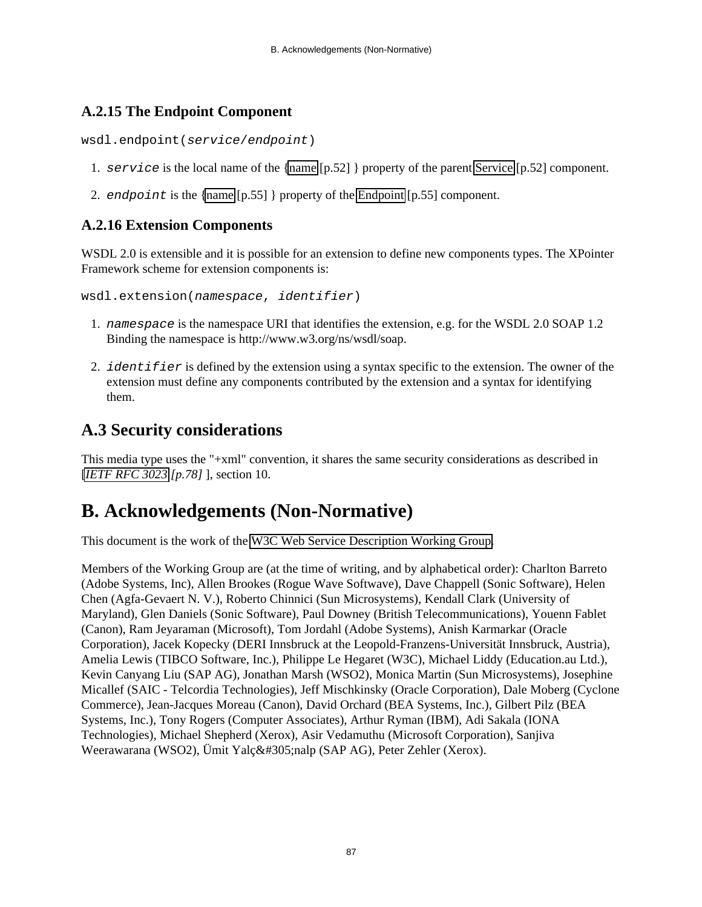## <span id="page-86-1"></span>**A.2.15 The Endpoint Component**

wsdl.endpoint(service/endpoint)

- 1. service is the local name of the [{name](#page-51-1) [p.52] } property of the parent [Service](#page-51-0) [p.52] component.
- 2. endpoint is the [{name](#page-54-1) [p.55] } property of the [Endpoint](#page-54-0) [p.55] component.

## <span id="page-86-2"></span>**A.2.16 Extension Components**

WSDL 2.0 is extensible and it is possible for an extension to define new components types. The XPointer Framework scheme for extension components is:

wsdl.extension(namespace, identifier)

- 1. namespace is the namespace URI that identifies the extension, e.g. for the WSDL 2.0 SOAP 1.2 Binding the namespace is http://www.w3.org/ns/wsdl/soap.
- 2. *identifier* is defined by the extension using a syntax specific to the extension. The owner of the extension must define any components contributed by the extension and a syntax for identifying them.

# <span id="page-86-0"></span>**A.3 Security considerations**

This media type uses the "+xml" convention, it shares the same security considerations as described in [*[IETF RFC 3023](#page-77-3) [p.78]* ], section 10.

# **B. Acknowledgements (Non-Normative)**

This document is the work of the [W3C Web Service Description Working Group.](http://www.w3.org/2002/ws/desc/)

Members of the Working Group are (at the time of writing, and by alphabetical order): Charlton Barreto (Adobe Systems, Inc), Allen Brookes (Rogue Wave Softwave), Dave Chappell (Sonic Software), Helen Chen (Agfa-Gevaert N. V.), Roberto Chinnici (Sun Microsystems), Kendall Clark (University of Maryland), Glen Daniels (Sonic Software), Paul Downey (British Telecommunications), Youenn Fablet (Canon), Ram Jeyaraman (Microsoft), Tom Jordahl (Adobe Systems), Anish Karmarkar (Oracle Corporation), Jacek Kopecky (DERI Innsbruck at the Leopold-Franzens-Universität Innsbruck, Austria), Amelia Lewis (TIBCO Software, Inc.), Philippe Le Hegaret (W3C), Michael Liddy (Education.au Ltd.), Kevin Canyang Liu (SAP AG), Jonathan Marsh (WSO2), Monica Martin (Sun Microsystems), Josephine Micallef (SAIC - Telcordia Technologies), Jeff Mischkinsky (Oracle Corporation), Dale Moberg (Cyclone Commerce), Jean-Jacques Moreau (Canon), David Orchard (BEA Systems, Inc.), Gilbert Pilz (BEA Systems, Inc.), Tony Rogers (Computer Associates), Arthur Ryman (IBM), Adi Sakala (IONA Technologies), Michael Shepherd (Xerox), Asir Vedamuthu (Microsoft Corporation), Sanjiva Weerawarana (WSO2), Ümit Yalçınalp (SAP AG), Peter Zehler (Xerox).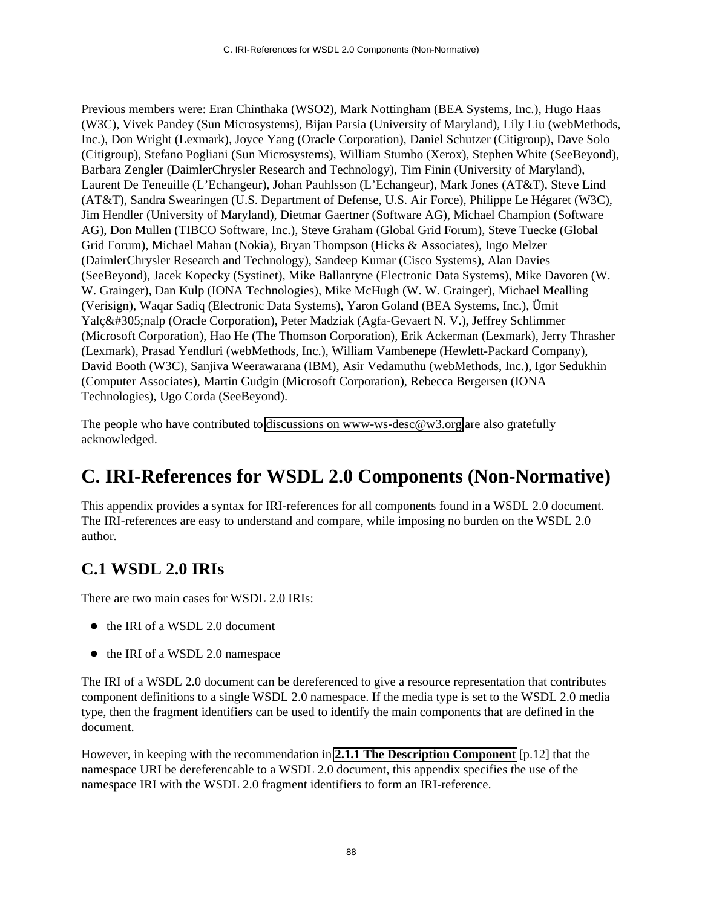Previous members were: Eran Chinthaka (WSO2), Mark Nottingham (BEA Systems, Inc.), Hugo Haas (W3C), Vivek Pandey (Sun Microsystems), Bijan Parsia (University of Maryland), Lily Liu (webMethods, Inc.), Don Wright (Lexmark), Joyce Yang (Oracle Corporation), Daniel Schutzer (Citigroup), Dave Solo (Citigroup), Stefano Pogliani (Sun Microsystems), William Stumbo (Xerox), Stephen White (SeeBeyond), Barbara Zengler (DaimlerChrysler Research and Technology), Tim Finin (University of Maryland), Laurent De Teneuille (L'Echangeur), Johan Pauhlsson (L'Echangeur), Mark Jones (AT&T), Steve Lind (AT&T), Sandra Swearingen (U.S. Department of Defense, U.S. Air Force), Philippe Le Hégaret (W3C), Jim Hendler (University of Maryland), Dietmar Gaertner (Software AG), Michael Champion (Software AG), Don Mullen (TIBCO Software, Inc.), Steve Graham (Global Grid Forum), Steve Tuecke (Global Grid Forum), Michael Mahan (Nokia), Bryan Thompson (Hicks & Associates), Ingo Melzer (DaimlerChrysler Research and Technology), Sandeep Kumar (Cisco Systems), Alan Davies (SeeBeyond), Jacek Kopecky (Systinet), Mike Ballantyne (Electronic Data Systems), Mike Davoren (W. W. Grainger), Dan Kulp (IONA Technologies), Mike McHugh (W. W. Grainger), Michael Mealling (Verisign), Waqar Sadiq (Electronic Data Systems), Yaron Goland (BEA Systems, Inc.), Ümit Yalçınalp (Oracle Corporation), Peter Madziak (Agfa-Gevaert N. V.), Jeffrey Schlimmer (Microsoft Corporation), Hao He (The Thomson Corporation), Erik Ackerman (Lexmark), Jerry Thrasher (Lexmark), Prasad Yendluri (webMethods, Inc.), William Vambenepe (Hewlett-Packard Company), David Booth (W3C), Sanjiva Weerawarana (IBM), Asir Vedamuthu (webMethods, Inc.), Igor Sedukhin (Computer Associates), Martin Gudgin (Microsoft Corporation), Rebecca Bergersen (IONA Technologies), Ugo Corda (SeeBeyond).

The people who have contributed to [discussions on www-ws-desc@w3.org](http://lists.w3.org/Archives/Public/www-ws-desc/) are also gratefully acknowledged.

# **C. IRI-References for WSDL 2.0 Components (Non-Normative)**

This appendix provides a syntax for IRI-references for all components found in a WSDL 2.0 document. The IRI-references are easy to understand and compare, while imposing no burden on the WSDL 2.0 author.

# **C.1 WSDL 2.0 IRIs**

There are two main cases for WSDL 2.0 IRIs:

- $\bullet$  the IRI of a WSDL 2.0 document
- the IRI of a WSDL 2.0 namespace

The IRI of a WSDL 2.0 document can be dereferenced to give a resource representation that contributes component definitions to a single WSDL 2.0 namespace. If the media type is set to the WSDL 2.0 media type, then the fragment identifiers can be used to identify the main components that are defined in the document.

However, in keeping with the recommendation in **[2.1.1 The Description Component](#page-11-5)** [p.12] that the namespace URI be dereferencable to a WSDL 2.0 document, this appendix specifies the use of the namespace IRI with the WSDL 2.0 fragment identifiers to form an IRI-reference.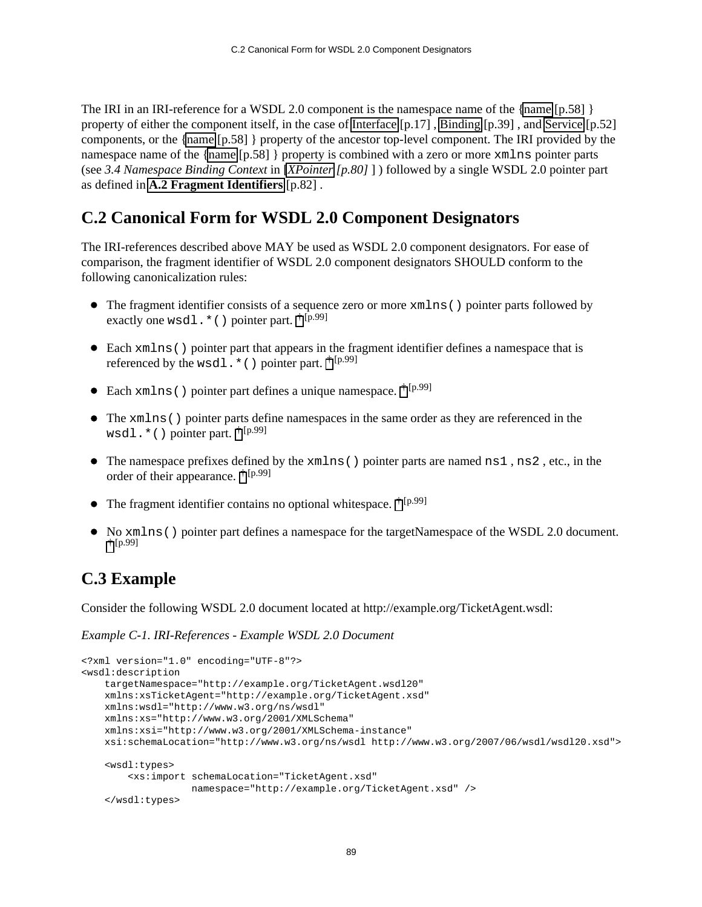The IRI in an IRI-reference for a WSDL 2.0 component is the namespace name of the [{name](#page-57-0) [p.58] } property of either the component itself, in the case of [Interface](#page-16-0) [p.17] , [Binding](#page-38-0) [p.39] , and [Service](#page-51-0) [p.52] components, or the [{name](#page-57-0) [p.58] } property of the ancestor top-level component. The IRI provided by the namespace name of the [{name](#page-57-0) [p.58] } property is combined with a zero or more xmlns pointer parts (see *3.4 Namespace Binding Context* in [*[XPointer](#page-79-0) [p.80]* ] ) followed by a single WSDL 2.0 pointer part as defined in **[A.2 Fragment Identifiers](#page-81-0)** [p.82] .

## **C.2 Canonical Form for WSDL 2.0 Component Designators**

The IRI-references described above MAY be used as WSDL 2.0 component designators. For ease of comparison, the fragment identifier of WSDL 2.0 component designators SHOULD conform to the following canonicalization rules:

- <span id="page-88-0"></span>• The fragment identifier consists of a sequence zero or more xmlns() pointer parts followed by exactly one wsdl.  $*($ ) pointer part.  $\dagger$ [p.99]
- <span id="page-88-1"></span>Each xmlns() pointer part that appears in the fragment identifier defines a namespace that is referenced by the wsdl.  $*( )$  pointer part.  $\dagger$  [p.99]
- <span id="page-88-2"></span>• Each xmlns() pointer part defines a unique namespace.  $\dagger$  [p.99]
- <span id="page-88-3"></span>The xmlns() pointer parts define namespaces in the same order as they are referenced in the wsdl.  $*( )$  pointer part.  $\dagger$  [p.99]
- <span id="page-88-4"></span> $\bullet$  The namespace prefixes defined by the xmlns () pointer parts are named ns1, ns2, etc., in the order of their appearance. [†](#page-98-0) [p.99]
- <span id="page-88-5"></span> $\bullet$  The fragment identifier contains no optional whitespace. <sup>[†](#page-98-0) [p.99]</sup>
- <span id="page-88-6"></span>No xmlns() pointer part defines a namespace for the targetNamespace of the WSDL 2.0 document. [†](#page-98-0) [p.99]

# **C.3 Example**

Consider the following WSDL 2.0 document located at http://example.org/TicketAgent.wsdl:

*Example C-1. IRI-References - Example WSDL 2.0 Document*

```
<?xml version="1.0" encoding="UTF-8"?>
<wsdl:description 
    targetNamespace="http://example.org/TicketAgent.wsdl20" 
    xmlns:xsTicketAgent="http://example.org/TicketAgent.xsd" 
    xmlns:wsdl="http://www.w3.org/ns/wsdl" 
    xmlns:xs="http://www.w3.org/2001/XMLSchema" 
    xmlns:xsi="http://www.w3.org/2001/XMLSchema-instance" 
    xsi:schemaLocation="http://www.w3.org/ns/wsdl http://www.w3.org/2007/06/wsdl/wsdl20.xsd">
     <wsdl:types>
         <xs:import schemaLocation="TicketAgent.xsd" 
                    namespace="http://example.org/TicketAgent.xsd" />
     </wsdl:types>
```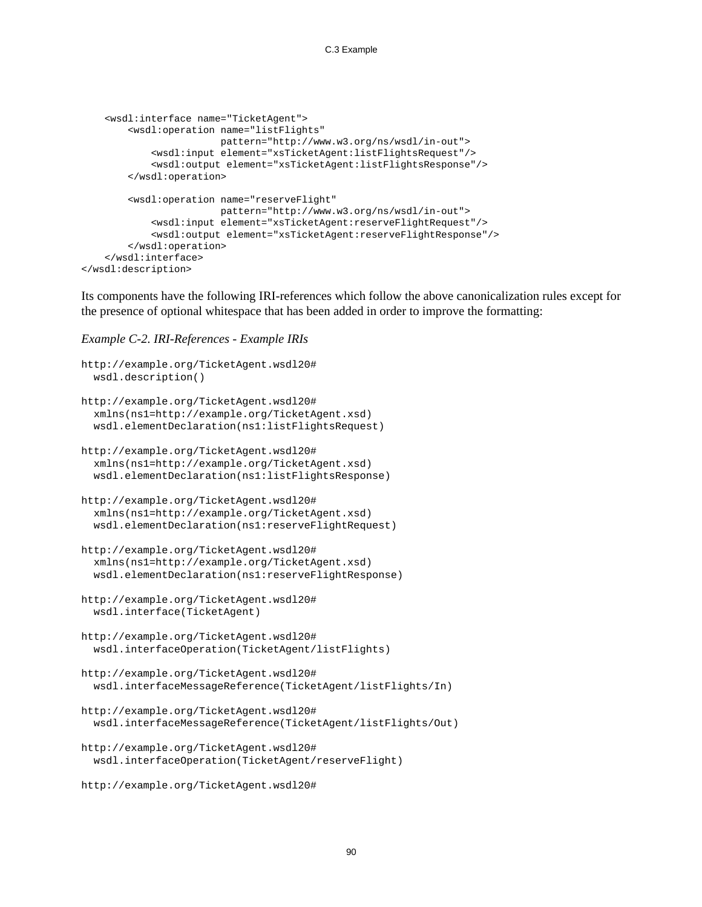```
 <wsdl:interface name="TicketAgent">
         <wsdl:operation name="listFlights"
                         pattern="http://www.w3.org/ns/wsdl/in-out">
             <wsdl:input element="xsTicketAgent:listFlightsRequest"/>
             <wsdl:output element="xsTicketAgent:listFlightsResponse"/>
         </wsdl:operation>
         <wsdl:operation name="reserveFlight"
                         pattern="http://www.w3.org/ns/wsdl/in-out">
             <wsdl:input element="xsTicketAgent:reserveFlightRequest"/>
             <wsdl:output element="xsTicketAgent:reserveFlightResponse"/>
         </wsdl:operation>
     </wsdl:interface>
</wsdl:description>
```
Its components have the following IRI-references which follow the above canonicalization rules except for the presence of optional whitespace that has been added in order to improve the formatting:

*Example C-2. IRI-References - Example IRIs*

```
http://example.org/TicketAgent.wsdl20#
   wsdl.description() 
http://example.org/TicketAgent.wsdl20#
   xmlns(ns1=http://example.org/TicketAgent.xsd)
   wsdl.elementDeclaration(ns1:listFlightsRequest) 
http://example.org/TicketAgent.wsdl20#
   xmlns(ns1=http://example.org/TicketAgent.xsd)
   wsdl.elementDeclaration(ns1:listFlightsResponse) 
http://example.org/TicketAgent.wsdl20#
   xmlns(ns1=http://example.org/TicketAgent.xsd)
   wsdl.elementDeclaration(ns1:reserveFlightRequest) 
http://example.org/TicketAgent.wsdl20#
   xmlns(ns1=http://example.org/TicketAgent.xsd)
   wsdl.elementDeclaration(ns1:reserveFlightResponse) 
http://example.org/TicketAgent.wsdl20#
   wsdl.interface(TicketAgent) 
http://example.org/TicketAgent.wsdl20#
   wsdl.interfaceOperation(TicketAgent/listFlights) 
http://example.org/TicketAgent.wsdl20#
   wsdl.interfaceMessageReference(TicketAgent/listFlights/In) 
http://example.org/TicketAgent.wsdl20#
   wsdl.interfaceMessageReference(TicketAgent/listFlights/Out) 
http://example.org/TicketAgent.wsdl20#
   wsdl.interfaceOperation(TicketAgent/reserveFlight)
http://example.org/TicketAgent.wsdl20#
```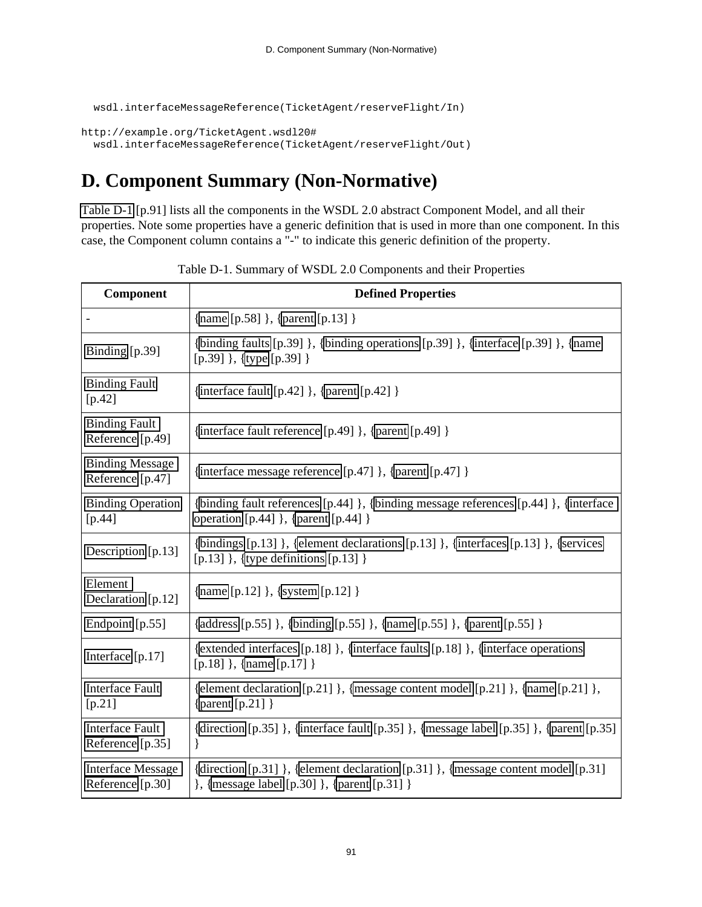```
 wsdl.interfaceMessageReference(TicketAgent/reserveFlight/In)
```

```
http://example.org/TicketAgent.wsdl20#
   wsdl.interfaceMessageReference(TicketAgent/reserveFlight/Out)
```
# **D. Component Summary (Non-Normative)**

[Table D-1](#page-90-0) [p.91] lists all the components in the WSDL 2.0 abstract Component Model, and all their properties. Note some properties have a generic definition that is used in more than one component. In this case, the Component column contains a "-" to indicate this generic definition of the property.

<span id="page-90-0"></span>

| Component                                    | <b>Defined Properties</b>                                                                                                         |  |  |  |
|----------------------------------------------|-----------------------------------------------------------------------------------------------------------------------------------|--|--|--|
|                                              | {name [p.58] }, {parent [p.13] }                                                                                                  |  |  |  |
| Binding [p.39]                               | {binding faults [p.39] }, {binding operations [p.39] }, {interface [p.39] }, {name<br>$[p.39]$ }, {type $[p.39]$ }                |  |  |  |
| <b>Binding Fault</b><br>$[p.42]$             | {interface fault [p.42] }, {parent [p.42] }                                                                                       |  |  |  |
| <b>Binding Fault</b><br>Reference [p.49]     | {interface fault reference $[p.49]$ }, {parent $[p.49]$ }                                                                         |  |  |  |
| <b>Binding Message</b><br>Reference [p.47]   | {interface message reference [p.47] }, {parent [p.47] }                                                                           |  |  |  |
| <b>Binding Operation</b><br>$[p.44]$         | {binding fault references [p.44] }, {binding message references [p.44] }, {interface}<br>operation $[p.44]$ }, {parent $[p.44]$ } |  |  |  |
| Description [p.13]                           | {bindings [p.13] }, {element declarations [p.13] }, {interfaces [p.13] }, {services}<br>[p.13] }, {type definitions $[p.13]$ }    |  |  |  |
| Element<br>Declaration [p.12]                | $\{name [p.12] \}, \{system [p.12] \}$                                                                                            |  |  |  |
| Endpoint [p.55]                              | {address [p.55] }, {binding [p.55] }, {name [p.55] }, {parent [p.55] }                                                            |  |  |  |
| Interface [p.17]                             | {extended interfaces [p.18] }, {interface faults [p.18] }, {interface operations<br>[p.18] }, {name [p.17] }                      |  |  |  |
| <b>Interface Fault</b><br>$[p.21]$           | {element declaration $[p.21]$ }, {message content model $[p.21]$ }, {name $[p.21]$ },<br>{parent $[p.21]$ }                       |  |  |  |
| <b>Interface Fault</b><br>Reference [p.35]   | {direction [p.35] }, {interface fault [p.35] }, {message label [p.35] }, {parent [p.35]<br>$\mathcal{E}$                          |  |  |  |
| <b>Interface Message</b><br>Reference [p.30] | {direction [p.31] }, {element declaration [p.31] }, {message content model [p.31]<br>}, {message label [p.30] }, {parent [p.31] } |  |  |  |

Table D-1. Summary of WSDL 2.0 Components and their Properties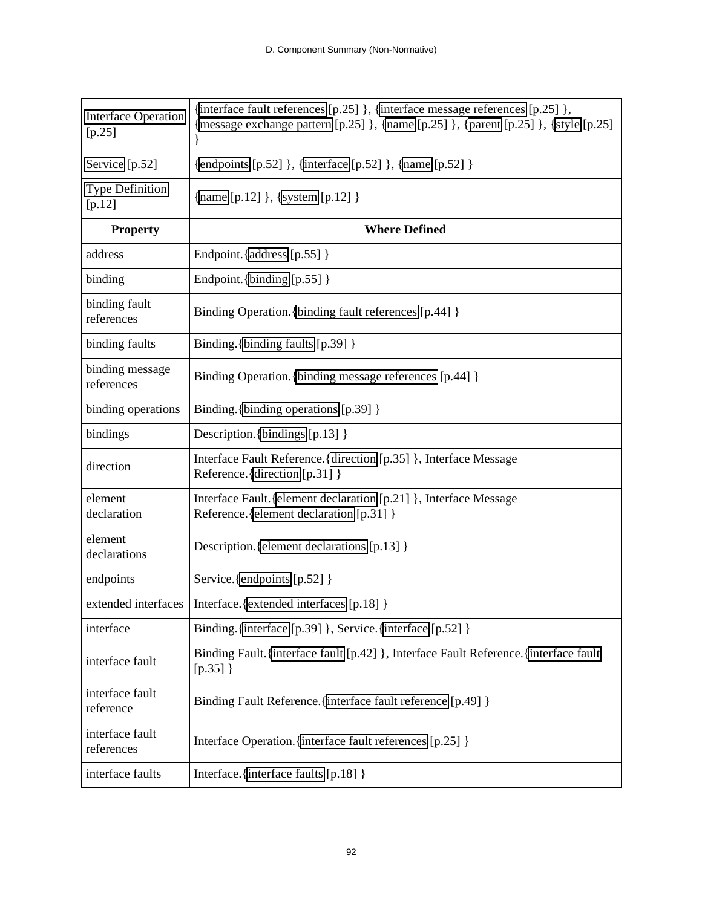| <b>Interface Operation</b><br>$[p.25]$ | {interface fault references [p.25] }, {interface message references [p.25] },<br>{message exchange pattern [p.25] }, {name [p.25] }, {parent [p.25] }, {style [p.25] |
|----------------------------------------|----------------------------------------------------------------------------------------------------------------------------------------------------------------------|
| Service [p.52]                         | {endpoints [p.52] }, {interface [p.52] }, {name [p.52] }                                                                                                             |
| <b>Type Definition</b><br>$[p.12]$     | $\{name [p.12] \}, \{system [p.12] \}$                                                                                                                               |
| <b>Property</b>                        | <b>Where Defined</b>                                                                                                                                                 |
| address                                | Endpoint. {address [p.55] }                                                                                                                                          |
| binding                                | Endpoint. {binding $[p.55]$ }                                                                                                                                        |
| binding fault<br>references            | Binding Operation. {binding fault references [p.44] }                                                                                                                |
| binding faults                         | Binding. {binding faults [p.39] }                                                                                                                                    |
| binding message<br>references          | Binding Operation. {binding message references [p.44] }                                                                                                              |
| binding operations                     | Binding. {binding operations [p.39] }                                                                                                                                |
| bindings                               | Description. {bindings $[p.13]$ }                                                                                                                                    |
| direction                              | Interface Fault Reference. {direction [p.35] }, Interface Message<br>Reference. {direction [p.31] }                                                                  |
| element<br>declaration                 | Interface Fault. { element declaration [p.21] }, Interface Message<br>Reference. {element declaration [p.31] }                                                       |
| element<br>declarations                | Description. {element declarations [p.13] }                                                                                                                          |
| endpoints                              | Service. {endpoints [p.52] }                                                                                                                                         |
| extended interfaces                    | Interface. {extended interfaces [p.18] }                                                                                                                             |
| interface                              | Binding. {interface [p.39] }, Service. {interface [p.52] }                                                                                                           |
| interface fault                        | Binding Fault. {interface fault [p.42] }, Interface Fault Reference. {interface fault<br>$[p.35]$ }                                                                  |
| interface fault<br>reference           | Binding Fault Reference. {interface fault reference [p.49] }                                                                                                         |
| interface fault<br>references          | Interface Operation. {interface fault references [p.25] }                                                                                                            |
| interface faults                       | Interface. {interface faults [p.18] }                                                                                                                                |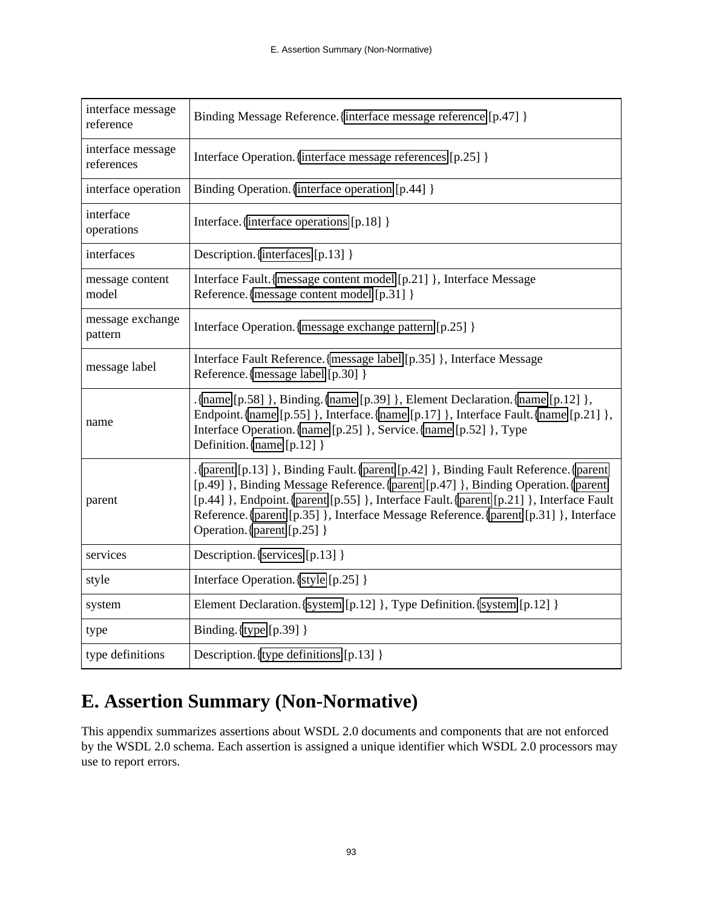| interface message<br>reference  | Binding Message Reference. {interface message reference [p.47] }                                                                                                                                                                                                                                                                                                                               |
|---------------------------------|------------------------------------------------------------------------------------------------------------------------------------------------------------------------------------------------------------------------------------------------------------------------------------------------------------------------------------------------------------------------------------------------|
| interface message<br>references | Interface Operation. {interface message references [p.25] }                                                                                                                                                                                                                                                                                                                                    |
| interface operation             | Binding Operation. {interface operation [p.44] }                                                                                                                                                                                                                                                                                                                                               |
| interface<br>operations         | Interface. {interface operations [p.18] }                                                                                                                                                                                                                                                                                                                                                      |
| interfaces                      | Description. {interfaces [p.13] }                                                                                                                                                                                                                                                                                                                                                              |
| message content<br>model        | Interface Fault. {message content model [p.21] }, Interface Message<br>Reference. {message content model [p.31] }                                                                                                                                                                                                                                                                              |
| message exchange<br>pattern     | Interface Operation. {message exchange pattern [p.25] }                                                                                                                                                                                                                                                                                                                                        |
| message label                   | Interface Fault Reference. {message label [p.35] }, Interface Message<br>Reference. {message label [p.30] }                                                                                                                                                                                                                                                                                    |
| name                            | .{name [p.58] }, Binding.{name [p.39] }, Element Declaration.{name [p.12] },<br>Endpoint. {name [p.55] }, Interface. {name [p.17] }, Interface Fault. {name [p.21] },<br>Interface Operation. {name [p.25] }, Service. {name [p.52] }, Type<br>Definition. {name [p.12] }                                                                                                                      |
| parent                          | . {parent [p.13] }, Binding Fault. {parent [p.42] }, Binding Fault Reference. {parent<br>[p.49] }, Binding Message Reference. {parent [p.47] }, Binding Operation. {parent<br>[p.44] }, Endpoint. {parent [p.55] }, Interface Fault. {parent [p.21] }, Interface Fault<br>Reference. {parent [p.35] }, Interface Message Reference. {parent [p.31] }, Interface<br>Operation. {parent [p.25] } |
| services                        | Description. { services [p.13] }                                                                                                                                                                                                                                                                                                                                                               |
| style                           | Interface Operation. { style [p.25] }                                                                                                                                                                                                                                                                                                                                                          |
| system                          | Element Declaration. {system [p.12] }, Type Definition. {system [p.12] }                                                                                                                                                                                                                                                                                                                       |
| type                            | Binding. $\{type [p.39]\}$                                                                                                                                                                                                                                                                                                                                                                     |
| type definitions                | Description. {type definitions [p.13] }                                                                                                                                                                                                                                                                                                                                                        |

# **E. Assertion Summary (Non-Normative)**

This appendix summarizes assertions about WSDL 2.0 documents and components that are not enforced by the WSDL 2.0 schema. Each assertion is assigned a unique identifier which WSDL 2.0 processors may use to report errors.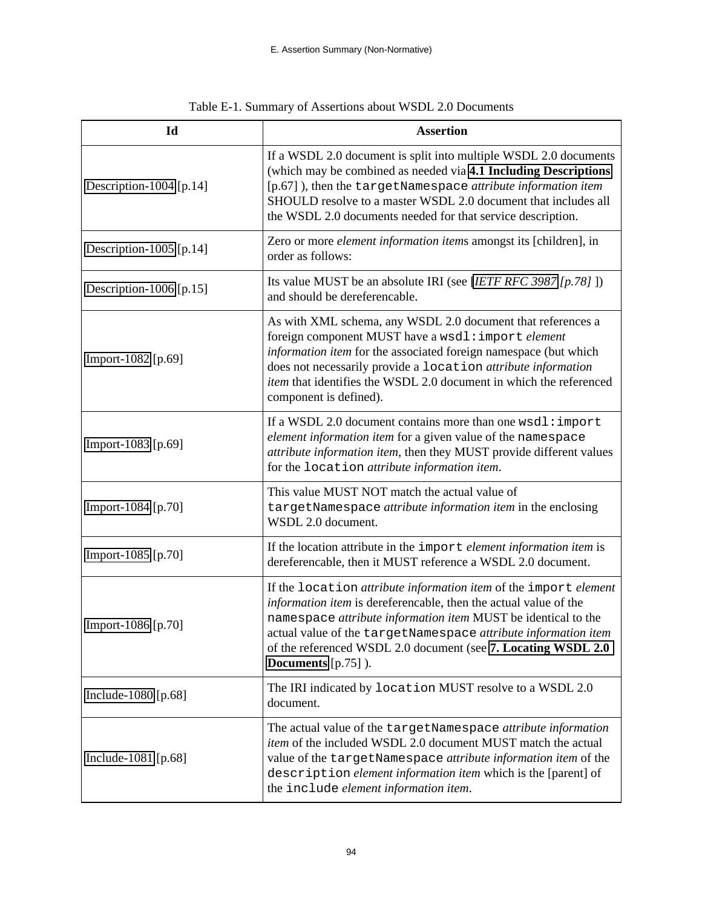| Id                      | <b>Assertion</b>                                                                                                                                                                                                                                                                                                                                                  |  |  |  |  |
|-------------------------|-------------------------------------------------------------------------------------------------------------------------------------------------------------------------------------------------------------------------------------------------------------------------------------------------------------------------------------------------------------------|--|--|--|--|
| Description-1004 [p.14] | If a WSDL 2.0 document is split into multiple WSDL 2.0 documents<br>(which may be combined as needed via 4.1 Including Descriptions<br>[p.67]), then the targetNamespace attribute information item<br>SHOULD resolve to a master WSDL 2.0 document that includes all<br>the WSDL 2.0 documents needed for that service description.                              |  |  |  |  |
| Description-1005 [p.14] | Zero or more <i>element information items</i> amongst its [children], in<br>order as follows:                                                                                                                                                                                                                                                                     |  |  |  |  |
| Description-1006 [p.15] | Its value MUST be an absolute IRI (see [IETF RFC 3987 [p.78] ])<br>and should be dereferencable.                                                                                                                                                                                                                                                                  |  |  |  |  |
| Import-1082 [p.69]      | As with XML schema, any WSDL 2.0 document that references a<br>foreign component MUST have a wsdl: import element<br>information item for the associated foreign namespace (but which<br>does not necessarily provide a location attribute information<br>item that identifies the WSDL 2.0 document in which the referenced<br>component is defined).            |  |  |  |  |
| Import-1083 [p.69]      | If a WSDL 2.0 document contains more than one wsdl: import<br>element information item for a given value of the namespace<br>attribute information item, then they MUST provide different values<br>for the location attribute information item.                                                                                                                  |  |  |  |  |
| Import-1084 [p.70]      | This value MUST NOT match the actual value of<br>targetNamespace attribute information item in the enclosing<br>WSDL 2.0 document.                                                                                                                                                                                                                                |  |  |  |  |
| Import-1085 [p.70]      | If the location attribute in the import element information item is<br>dereferencable, then it MUST reference a WSDL 2.0 document.                                                                                                                                                                                                                                |  |  |  |  |
| Import-1086 [p.70]      | If the location attribute information item of the import element<br>information item is dereferencable, then the actual value of the<br>namespace attribute information item MUST be identical to the<br>actual value of the targetNamespace attribute information item<br>of the referenced WSDL 2.0 document (see 7. Locating WSDL 2.0<br>Documents $[p.75]$ ). |  |  |  |  |
| Include-1080 [p.68]     | The IRI indicated by location MUST resolve to a WSDL 2.0<br>document.                                                                                                                                                                                                                                                                                             |  |  |  |  |
| Include-1081 [p.68]     | The actual value of the targetNamespace attribute information<br><i>item</i> of the included WSDL 2.0 document MUST match the actual<br>value of the targetNamespace attribute information item of the<br>description element information item which is the [parent] of<br>the include element information item.                                                  |  |  |  |  |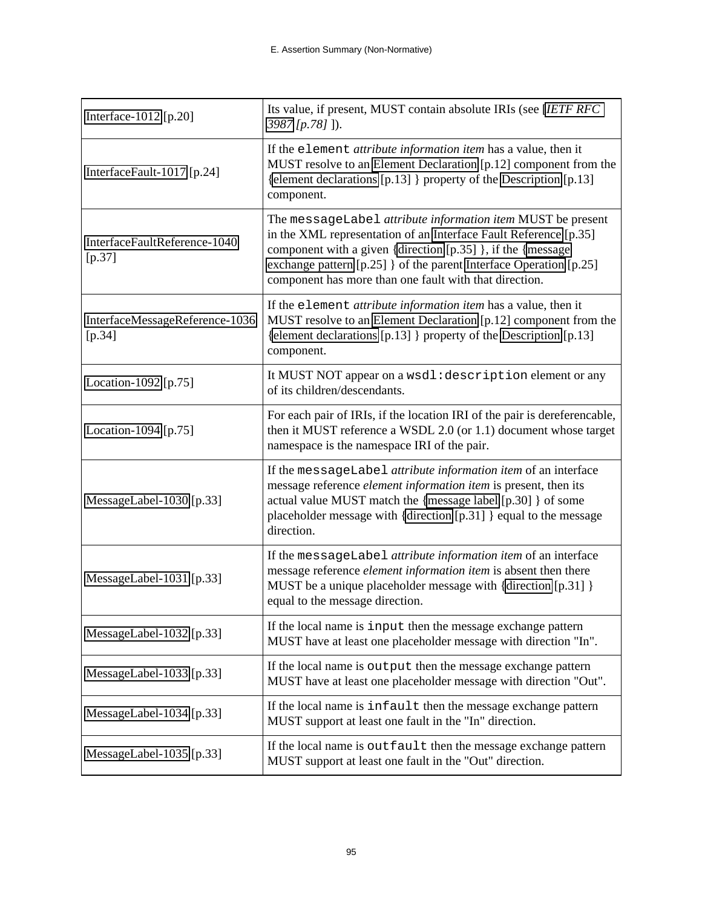<span id="page-94-0"></span>

| Interface-1012 [p.20]                      | Its value, if present, MUST contain absolute IRIs (see [IETF RFC<br>3987 [p.78] ]).                                                                                                                                                                                                                                             |  |  |  |  |
|--------------------------------------------|---------------------------------------------------------------------------------------------------------------------------------------------------------------------------------------------------------------------------------------------------------------------------------------------------------------------------------|--|--|--|--|
| InterfaceFault-1017 [p.24]                 | If the element <i>attribute information item</i> has a value, then it<br>MUST resolve to an Element Declaration [p.12] component from the<br>{element declarations [p.13] } property of the Description [p.13]<br>component.                                                                                                    |  |  |  |  |
| InterfaceFaultReference-1040<br>[p.37]     | The messageLabel attribute information item MUST be present<br>in the XML representation of an Interface Fault Reference [p.35]<br>component with a given {direction [p.35] }, if the {message}<br>exchange pattern [p.25] } of the parent Interface Operation [p.25]<br>component has more than one fault with that direction. |  |  |  |  |
| InterfaceMessageReference-1036<br>$[p.34]$ | If the element <i>attribute information item</i> has a value, then it<br>MUST resolve to an Element Declaration [p.12] component from the<br>{element declarations [p.13] } property of the Description [p.13]<br>component.                                                                                                    |  |  |  |  |
| Location-1092 [p.75]                       | It MUST NOT appear on a wsdl: description element or any<br>of its children/descendants.                                                                                                                                                                                                                                        |  |  |  |  |
| Location-1094 [p.75]                       | For each pair of IRIs, if the location IRI of the pair is dereferencable,<br>then it MUST reference a WSDL $2.0$ (or 1.1) document whose target<br>namespace is the namespace IRI of the pair.                                                                                                                                  |  |  |  |  |
| MessageLabel-1030 [p.33]                   | If the messageLabel attribute information item of an interface<br>message reference <i>element information item</i> is present, then its<br>actual value MUST match the {message label [p.30] } of some<br>placeholder message with {direction [p.31] } equal to the message<br>direction.                                      |  |  |  |  |
| MessageLabel-1031 [p.33]                   | If the messageLabel <i>attribute information item</i> of an interface<br>message reference element information item is absent then there<br>MUST be a unique placeholder message with {direction [p.31] }<br>equal to the message direction.                                                                                    |  |  |  |  |
| MessageLabel-1032 [p.33]                   | If the local name is input then the message exchange pattern<br>MUST have at least one placeholder message with direction "In".                                                                                                                                                                                                 |  |  |  |  |
| MessageLabel-1033 [p.33]                   | If the local name is output then the message exchange pattern<br>MUST have at least one placeholder message with direction "Out".                                                                                                                                                                                               |  |  |  |  |
| MessageLabel-1034 [p.33]                   | If the local name is infault then the message exchange pattern<br>MUST support at least one fault in the "In" direction.                                                                                                                                                                                                        |  |  |  |  |
| MessageLabel-1035 [p.33]                   | If the local name is outfault then the message exchange pattern<br>MUST support at least one fault in the "Out" direction.                                                                                                                                                                                                      |  |  |  |  |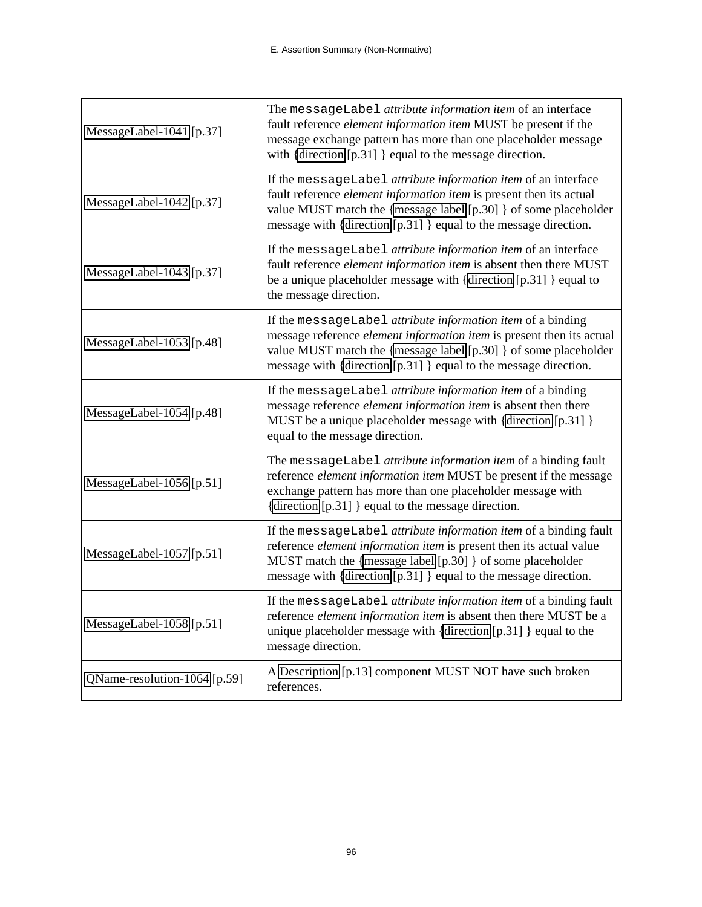| MessageLabel-1041 [p.37]     | The messageLabel <i>attribute information item</i> of an interface<br>fault reference element information item MUST be present if the<br>message exchange pattern has more than one placeholder message<br>with {direction [p.31] } equal to the message direction.                         |
|------------------------------|---------------------------------------------------------------------------------------------------------------------------------------------------------------------------------------------------------------------------------------------------------------------------------------------|
| MessageLabel-1042 [p.37]     | If the messageLabel <i>attribute information item</i> of an interface<br>fault reference <i>element information item</i> is present then its actual<br>value MUST match the {message label [p.30] } of some placeholder<br>message with {direction [p.31] } equal to the message direction. |
| MessageLabel-1043 [p.37]     | If the messageLabel attribute information item of an interface<br>fault reference element information item is absent then there MUST<br>be a unique placeholder message with {direction [p.31] } equal to<br>the message direction.                                                         |
| MessageLabel-1053 [p.48]     | If the messageLabel attribute information item of a binding<br>message reference <i>element information item</i> is present then its actual<br>value MUST match the {message label [p.30] } of some placeholder<br>message with {direction [p.31] } equal to the message direction.         |
| MessageLabel-1054 [p.48]     | If the messageLabel <i>attribute information item</i> of a binding<br>message reference <i>element information item</i> is absent then there<br>MUST be a unique placeholder message with {direction [p.31] }<br>equal to the message direction.                                            |
| MessageLabel-1056 [p.51]     | The messageLabel attribute information item of a binding fault<br>reference element information item MUST be present if the message<br>exchange pattern has more than one placeholder message with<br>{direction [p.31] } equal to the message direction.                                   |
| MessageLabel-1057 [p.51]     | If the messageLabel attribute information item of a binding fault<br>reference <i>element information item</i> is present then its actual value<br>MUST match the {message label [p.30] } of some placeholder<br>message with {direction [p.31] } equal to the message direction.           |
| MessageLabel-1058 [p.51]     | If the messageLabel <i>attribute information item</i> of a binding fault<br>reference element information item is absent then there MUST be a<br>unique placeholder message with {direction [p.31] } equal to the<br>message direction.                                                     |
| QName-resolution-1064 [p.59] | A Description [p.13] component MUST NOT have such broken<br>references.                                                                                                                                                                                                                     |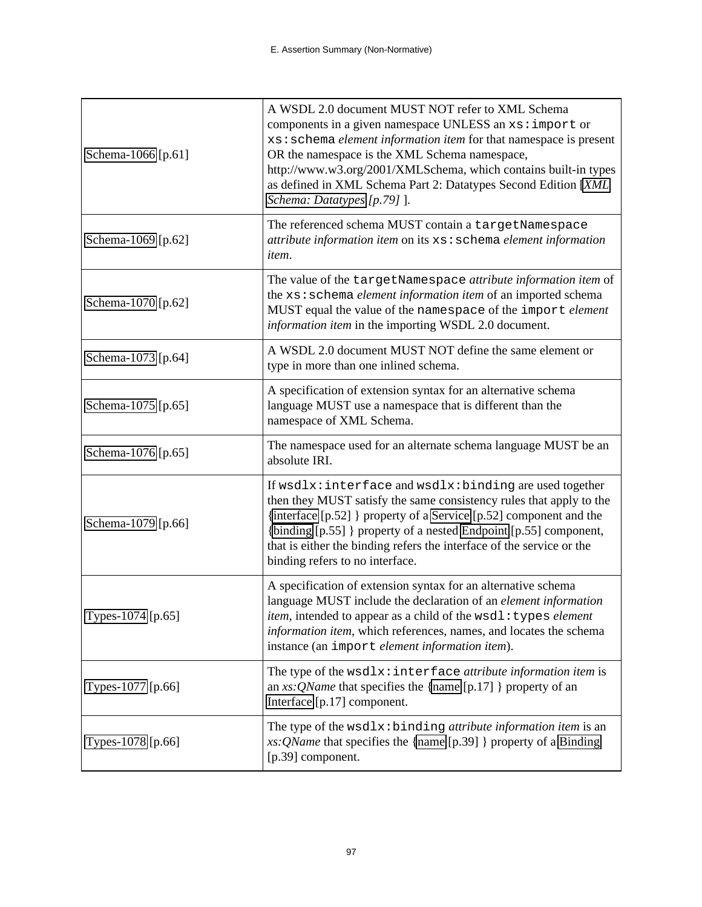| Schema-1066 [p.61] | A WSDL 2.0 document MUST NOT refer to XML Schema<br>components in a given namespace UNLESS an xs: import or<br>xs: schema <i>element information item</i> for that namespace is present<br>OR the namespace is the XML Schema namespace,<br>http://www.w3.org/2001/XMLSchema, which contains built-in types<br>as defined in XML Schema Part 2: Datatypes Second Edition [XML<br>Schema: Datatypes [p.79] ]. |
|--------------------|--------------------------------------------------------------------------------------------------------------------------------------------------------------------------------------------------------------------------------------------------------------------------------------------------------------------------------------------------------------------------------------------------------------|
| Schema-1069 [p.62] | The referenced schema MUST contain a targetNamespace<br>attribute information item on its xs: schema element information<br><i>item.</i>                                                                                                                                                                                                                                                                     |
| Schema-1070 [p.62] | The value of the targetNamespace attribute information item of<br>the xs: schema element information item of an imported schema<br>MUST equal the value of the namespace of the import element<br>information item in the importing WSDL 2.0 document.                                                                                                                                                       |
| Schema-1073 [p.64] | A WSDL 2.0 document MUST NOT define the same element or<br>type in more than one inlined schema.                                                                                                                                                                                                                                                                                                             |
| Schema-1075 [p.65] | A specification of extension syntax for an alternative schema<br>language MUST use a namespace that is different than the<br>namespace of XML Schema.                                                                                                                                                                                                                                                        |
| Schema-1076 [p.65] | The namespace used for an alternate schema language MUST be an<br>absolute IRI.                                                                                                                                                                                                                                                                                                                              |
| Schema-1079 [p.66] | If wsdlx: interface and wsdlx: binding are used together<br>then they MUST satisfy the same consistency rules that apply to the<br>{interface [p.52] } property of a Service [p.52] component and the<br>{binding [p.55] } property of a nested Endpoint [p.55] component,<br>that is either the binding refers the interface of the service or the<br>binding refers to no interface.                       |
| Types-1074 [p.65]  | A specification of extension syntax for an alternative schema<br>language MUST include the declaration of an element information<br>item, intended to appear as a child of the wsdl: types element<br>information item, which references, names, and locates the schema<br>instance (an import element information item).                                                                                    |
| Types-1077 [p.66]  | The type of the wsdlx: interface attribute information item is<br>an $xs:QName$ that specifies the {name [p.17] } property of an<br>Interface [p.17] component.                                                                                                                                                                                                                                              |
| Types-1078 [p.66]  | The type of the $wsdlx:binding$ attribute information item is an<br>$xs:QName$ that specifies the {name [p.39] } property of a Binding<br>[p.39] component.                                                                                                                                                                                                                                                  |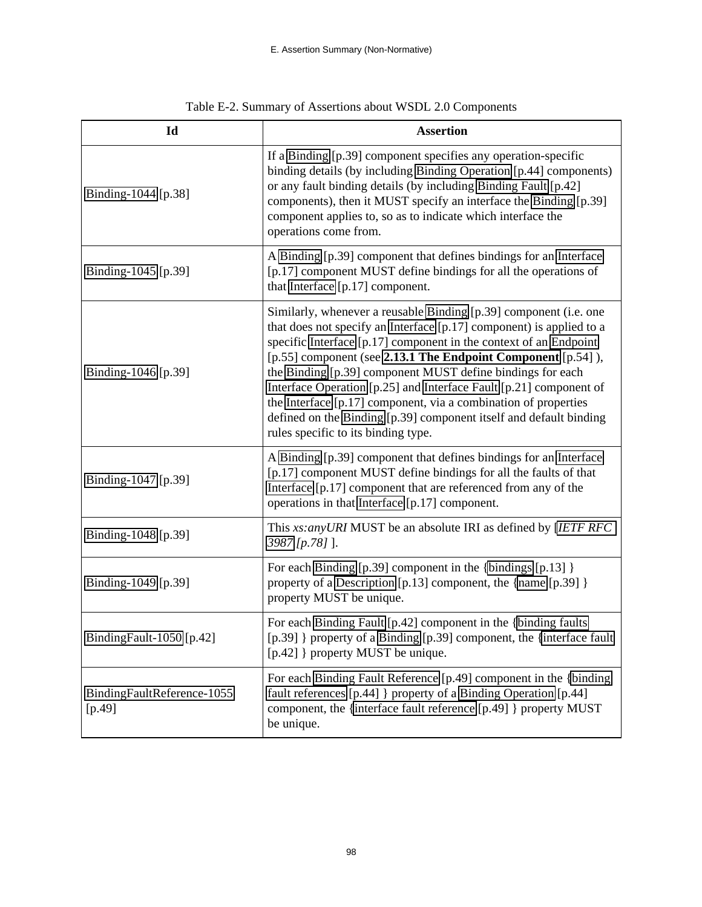| Id                                     | <b>Assertion</b>                                                                                                                                                                                                                                                                                                                                                                                                                                                                                                                                                                                   |
|----------------------------------------|----------------------------------------------------------------------------------------------------------------------------------------------------------------------------------------------------------------------------------------------------------------------------------------------------------------------------------------------------------------------------------------------------------------------------------------------------------------------------------------------------------------------------------------------------------------------------------------------------|
| Binding-1044 [p.38]                    | If a Binding [p.39] component specifies any operation-specific<br>binding details (by including Binding Operation [p.44] components)<br>or any fault binding details (by including Binding Fault [p.42]<br>components), then it MUST specify an interface the Binding [p.39]<br>component applies to, so as to indicate which interface the<br>operations come from.                                                                                                                                                                                                                               |
| Binding-1045 [p.39]                    | A Binding [p.39] component that defines bindings for an Interface<br>[p.17] component MUST define bindings for all the operations of<br>that Interface [p.17] component.                                                                                                                                                                                                                                                                                                                                                                                                                           |
| Binding-1046 [p.39]                    | Similarly, whenever a reusable Binding [p.39] component (i.e. one<br>that does not specify an Interface [p.17] component) is applied to a<br>specific Interface [p.17] component in the context of an Endpoint<br>[p.55] component (see 2.13.1 The Endpoint Component [p.54]),<br>the Binding [p.39] component MUST define bindings for each<br>Interface Operation [p.25] and Interface Fault [p.21] component of<br>the Interface [p.17] component, via a combination of properties<br>defined on the Binding [p.39] component itself and default binding<br>rules specific to its binding type. |
| Binding-1047 [p.39]                    | A Binding [p.39] component that defines bindings for an Interface<br>[p.17] component MUST define bindings for all the faults of that<br>Interface [p.17] component that are referenced from any of the<br>operations in that Interface [p.17] component.                                                                                                                                                                                                                                                                                                                                          |
| Binding-1048 [p.39]                    | This xs: any URI MUST be an absolute IRI as defined by [IETF RFC<br>3987 [p.78] ].                                                                                                                                                                                                                                                                                                                                                                                                                                                                                                                 |
| Binding-1049 [p.39]                    | For each Binding $[p.39]$ component in the {bindings $[p.13]$ }<br>property of a Description [p.13] component, the {name [p.39] }<br>property MUST be unique.                                                                                                                                                                                                                                                                                                                                                                                                                                      |
| BindingFault-1050 [p.42]               | For each Binding Fault [p.42] component in the {binding faults<br>[p.39] } property of a Binding [p.39] component, the {interface fault<br>[p.42] } property MUST be unique.                                                                                                                                                                                                                                                                                                                                                                                                                       |
| BindingFaultReference-1055<br>$[p.49]$ | For each Binding Fault Reference [p.49] component in the {binding<br>fault references [p.44] } property of a Binding Operation [p.44]<br>component, the {interface fault reference [p.49] } property MUST<br>be unique.                                                                                                                                                                                                                                                                                                                                                                            |

| Table E-2. Summary of Assertions about WSDL 2.0 Components |  |  |  |
|------------------------------------------------------------|--|--|--|
|                                                            |  |  |  |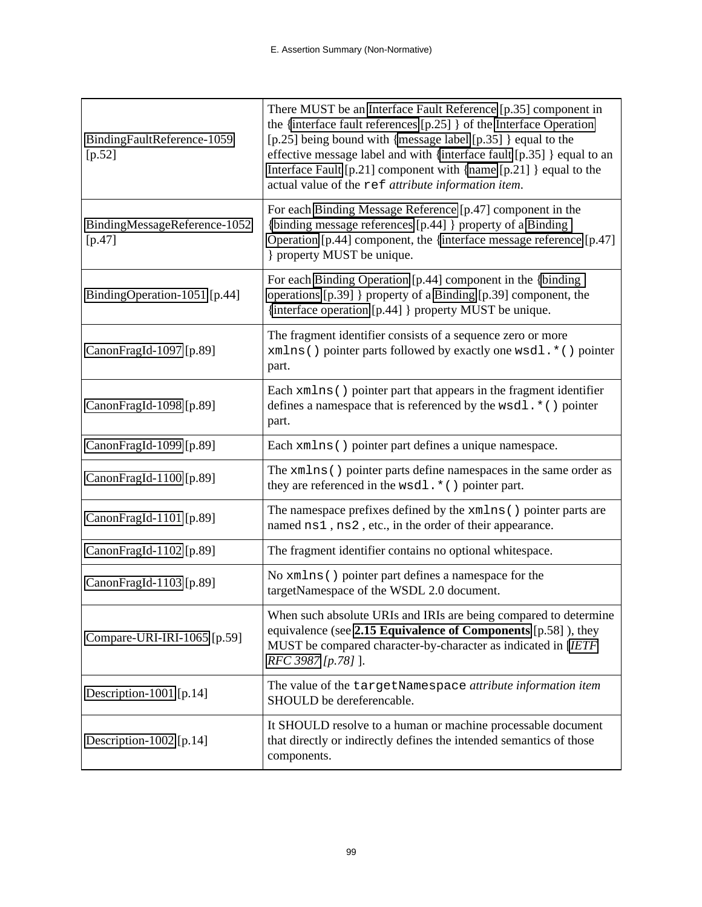<span id="page-98-0"></span>

| BindingFaultReference-1059<br>$[p.52]$   | There MUST be an Interface Fault Reference [p.35] component in<br>the {interface fault references [p.25] } of the Interface Operation<br>[p.25] being bound with {message label [p.35] } equal to the<br>effective message label and with {interface fault [p.35] } equal to an<br>Interface Fault [p.21] component with {name [p.21] } equal to the<br>actual value of the ref attribute information item. |
|------------------------------------------|-------------------------------------------------------------------------------------------------------------------------------------------------------------------------------------------------------------------------------------------------------------------------------------------------------------------------------------------------------------------------------------------------------------|
| BindingMessageReference-1052<br>$[p.47]$ | For each Binding Message Reference [p.47] component in the<br>{binding message references [p.44] } property of a Binding<br>Operation [p.44] component, the {interface message reference [p.47]<br>} property MUST be unique.                                                                                                                                                                               |
| BindingOperation-1051 [p.44]             | For each Binding Operation [p.44] component in the {binding<br>operations [p.39] } property of a Binding [p.39] component, the<br>{interface operation [p.44] } property MUST be unique.                                                                                                                                                                                                                    |
| CanonFragId-1097 [p.89]                  | The fragment identifier consists of a sequence zero or more<br>xmlns () pointer parts followed by exactly one wsdl. * () pointer<br>part.                                                                                                                                                                                                                                                                   |
| CanonFragId-1098 [p.89]                  | Each xmlns () pointer part that appears in the fragment identifier<br>defines a namespace that is referenced by the wsdl. * () pointer<br>part.                                                                                                                                                                                                                                                             |
| CanonFragId-1099 [p.89]                  | Each xmlns () pointer part defines a unique namespace.                                                                                                                                                                                                                                                                                                                                                      |
| CanonFragId-1100 [p.89]                  | The xmlns () pointer parts define namespaces in the same order as<br>they are referenced in the wsdl. * () pointer part.                                                                                                                                                                                                                                                                                    |
| CanonFragId-1101 [p.89]                  | The namespace prefixes defined by the xmlns () pointer parts are<br>named ns1, ns2, etc., in the order of their appearance.                                                                                                                                                                                                                                                                                 |
| CanonFragId-1102 [p.89]                  | The fragment identifier contains no optional whitespace.                                                                                                                                                                                                                                                                                                                                                    |
| CanonFragId-1103 [p.89]                  | No xmlns () pointer part defines a namespace for the<br>targetNamespace of the WSDL 2.0 document.                                                                                                                                                                                                                                                                                                           |
| Compare-URI-IRI-1065 [p.59]              | When such absolute URIs and IRIs are being compared to determine<br>equivalence (see 2.15 Equivalence of Components [p.58]), they<br>MUST be compared character-by-character as indicated in [IETF<br>RFC 3987 [p.78] ].                                                                                                                                                                                    |
| Description-1001 [p.14]                  | The value of the targetNamespace attribute information item<br>SHOULD be dereferencable.                                                                                                                                                                                                                                                                                                                    |
| Description-1002 [p.14]                  | It SHOULD resolve to a human or machine processable document<br>that directly or indirectly defines the intended semantics of those<br>components.                                                                                                                                                                                                                                                          |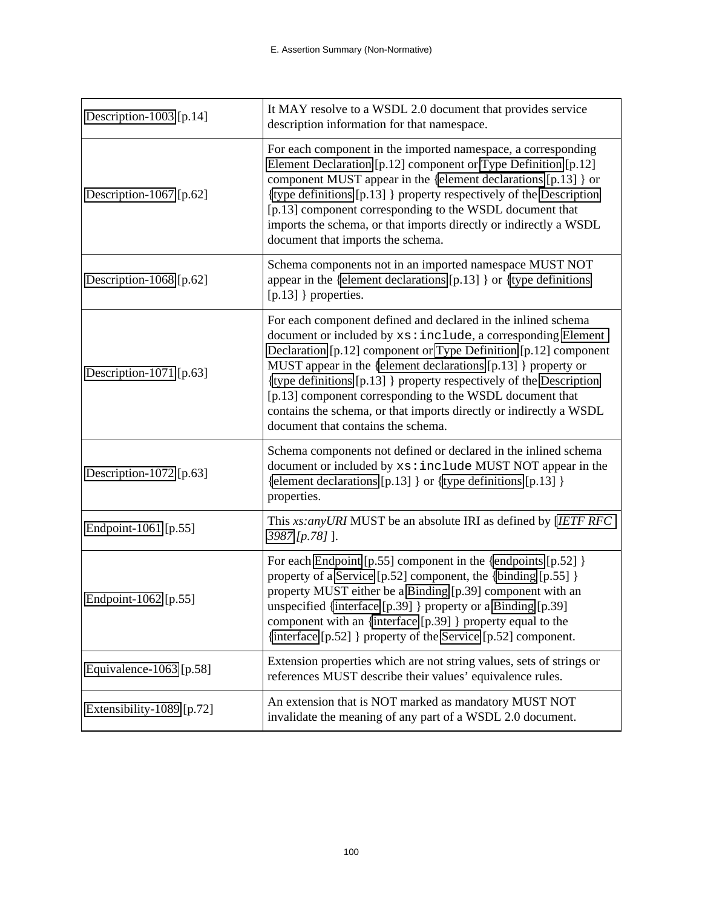| Description-1003 [p.14]   | It MAY resolve to a WSDL 2.0 document that provides service<br>description information for that namespace.                                                                                                                                                                                                                                                                                                                                                                                                       |
|---------------------------|------------------------------------------------------------------------------------------------------------------------------------------------------------------------------------------------------------------------------------------------------------------------------------------------------------------------------------------------------------------------------------------------------------------------------------------------------------------------------------------------------------------|
| Description-1067 [p.62]   | For each component in the imported namespace, a corresponding<br>Element Declaration [p.12] component or Type Definition [p.12]<br>component MUST appear in the {element declarations [p.13] } or<br>{type definitions [p.13] } property respectively of the Description<br>[p.13] component corresponding to the WSDL document that<br>imports the schema, or that imports directly or indirectly a WSDL<br>document that imports the schema.                                                                   |
| Description-1068 [p.62]   | Schema components not in an imported namespace MUST NOT<br>appear in the {element declarations $[p.13]$ } or {type definitions<br>$[p.13]$ } properties.                                                                                                                                                                                                                                                                                                                                                         |
| Description-1071 [p.63]   | For each component defined and declared in the inlined schema<br>document or included by xs:include, a corresponding Element<br>Declaration [p.12] component or Type Definition [p.12] component<br>MUST appear in the {element declarations [p.13] } property or<br>{type definitions [p.13] } property respectively of the Description<br>[p.13] component corresponding to the WSDL document that<br>contains the schema, or that imports directly or indirectly a WSDL<br>document that contains the schema. |
| Description-1072 [p.63]   | Schema components not defined or declared in the inlined schema<br>document or included by xs:include MUST NOT appear in the<br>{element declarations [p.13] } or {type definitions [p.13] }<br>properties.                                                                                                                                                                                                                                                                                                      |
| Endpoint-1061 [p.55]      | This xs: any URI MUST be an absolute IRI as defined by [IETF RFC<br>3987 [p.78] ].                                                                                                                                                                                                                                                                                                                                                                                                                               |
| Endpoint-1062 [p.55]      | For each Endpoint [p.55] component in the {endpoints [p.52] }<br>property of a Service [p.52] component, the {binding [p.55] }<br>property MUST either be a Binding [p.39] component with an<br>unspecified {interface [p.39] } property or a Binding [p.39]<br>component with an {interface [p.39] } property equal to the<br>{interface [p.52] } property of the Service [p.52] component.                                                                                                                     |
| Equivalence-1063 [p.58]   | Extension properties which are not string values, sets of strings or<br>references MUST describe their values' equivalence rules.                                                                                                                                                                                                                                                                                                                                                                                |
| Extensibility-1089 [p.72] | An extension that is NOT marked as mandatory MUST NOT<br>invalidate the meaning of any part of a WSDL 2.0 document.                                                                                                                                                                                                                                                                                                                                                                                              |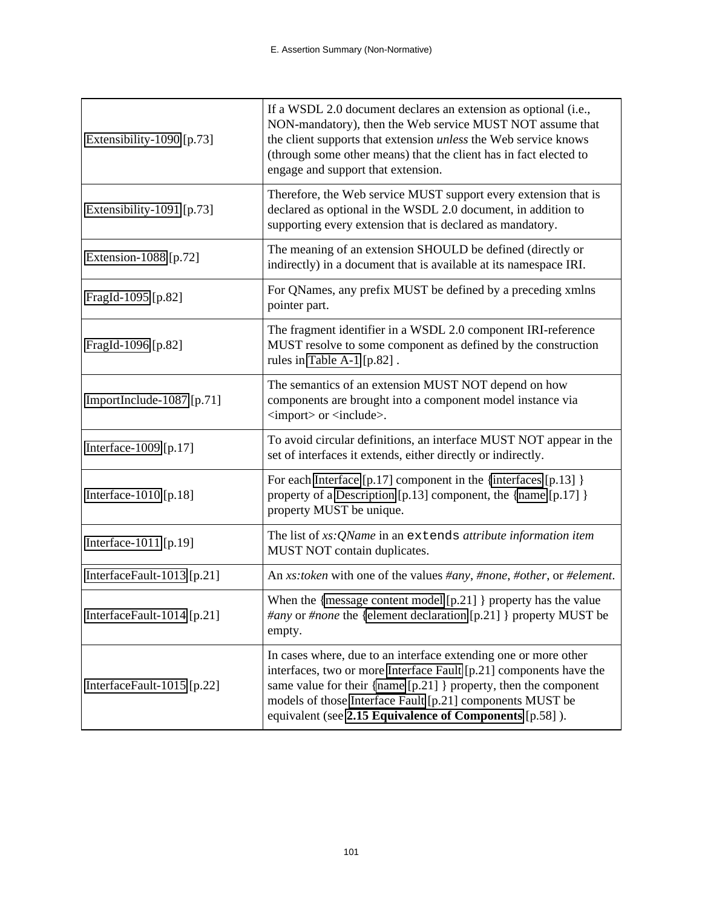<span id="page-100-0"></span>

| Extensibility-1090 [p.73]  | If a WSDL 2.0 document declares an extension as optional (i.e.,<br>NON-mandatory), then the Web service MUST NOT assume that<br>the client supports that extension <i>unless</i> the Web service knows<br>(through some other means) that the client has in fact elected to<br>engage and support that extension.                   |
|----------------------------|-------------------------------------------------------------------------------------------------------------------------------------------------------------------------------------------------------------------------------------------------------------------------------------------------------------------------------------|
| Extensibility-1091 [p.73]  | Therefore, the Web service MUST support every extension that is<br>declared as optional in the WSDL 2.0 document, in addition to<br>supporting every extension that is declared as mandatory.                                                                                                                                       |
| Extension-1088 [p.72]      | The meaning of an extension SHOULD be defined (directly or<br>indirectly) in a document that is available at its namespace IRI.                                                                                                                                                                                                     |
| FragId-1095 [p.82]         | For QNames, any prefix MUST be defined by a preceding xmlns<br>pointer part.                                                                                                                                                                                                                                                        |
| FragId-1096 [p.82]         | The fragment identifier in a WSDL 2.0 component IRI-reference<br>MUST resolve to some component as defined by the construction<br>rules in Table A-1 [p.82].                                                                                                                                                                        |
| ImportInclude-1087 [p.71]  | The semantics of an extension MUST NOT depend on how<br>components are brought into a component model instance via<br><import> or <include>.</include></import>                                                                                                                                                                     |
| Interface-1009 [p.17]      | To avoid circular definitions, an interface MUST NOT appear in the<br>set of interfaces it extends, either directly or indirectly.                                                                                                                                                                                                  |
| Interface-1010 [p.18]      | For each Interface [p.17] component in the {interfaces [p.13] }<br>property of a Description [p.13] component, the {name [p.17] }<br>property MUST be unique.                                                                                                                                                                       |
| Interface-1011 [p.19]      | The list of xs: QName in an extends attribute information item<br>MUST NOT contain duplicates.                                                                                                                                                                                                                                      |
| InterfaceFault-1013 [p.21] | An xs:token with one of the values #any, #none, #other, or #element.                                                                                                                                                                                                                                                                |
| InterfaceFault-1014 [p.21] | When the {message content model $[p.21]$ } property has the value<br>#any or #none the {element declaration [p.21] } property MUST be<br>empty.                                                                                                                                                                                     |
| InterfaceFault-1015 [p.22] | In cases where, due to an interface extending one or more other<br>interfaces, two or more Interface Fault [p.21] components have the<br>same value for their { $name[p.21]$ } property, then the component<br>models of those Interface Fault [p.21] components MUST be<br>equivalent (see 2.15 Equivalence of Components [p.58]). |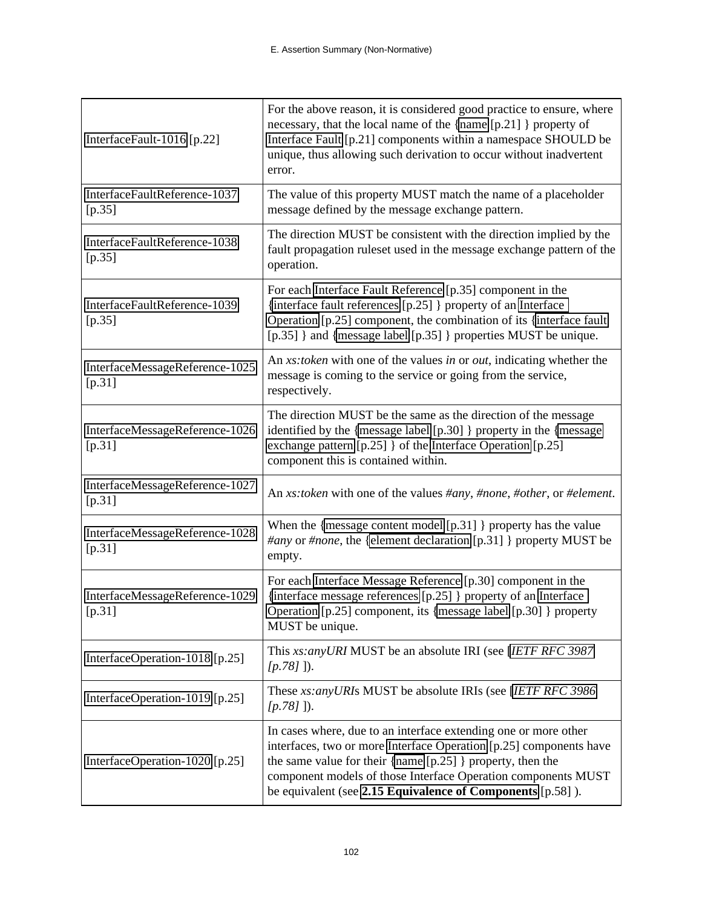| InterfaceFault-1016 [p.22]                 | For the above reason, it is considered good practice to ensure, where<br>necessary, that the local name of the {name [p.21] } property of<br>Interface Fault [p.21] components within a namespace SHOULD be<br>unique, thus allowing such derivation to occur without inadvertent<br>error.                                          |
|--------------------------------------------|--------------------------------------------------------------------------------------------------------------------------------------------------------------------------------------------------------------------------------------------------------------------------------------------------------------------------------------|
| InterfaceFaultReference-1037<br>[p.35]     | The value of this property MUST match the name of a placeholder<br>message defined by the message exchange pattern.                                                                                                                                                                                                                  |
| InterfaceFaultReference-1038<br>$[p.35]$   | The direction MUST be consistent with the direction implied by the<br>fault propagation ruleset used in the message exchange pattern of the<br>operation.                                                                                                                                                                            |
| InterfaceFaultReference-1039<br>[p.35]     | For each Interface Fault Reference [p.35] component in the<br>{interface fault references [p.25] } property of an Interface<br>Operation [p.25] component, the combination of its {interface fault<br>[p.35] } and {message label [p.35] } properties MUST be unique.                                                                |
| InterfaceMessageReference-1025<br>$[p.31]$ | An <i>xs:token</i> with one of the values in or <i>out</i> , indicating whether the<br>message is coming to the service or going from the service,<br>respectively.                                                                                                                                                                  |
| InterfaceMessageReference-1026<br>[p.31]   | The direction MUST be the same as the direction of the message<br>identified by the {message label [p.30] } property in the {message}<br>exchange pattern [p.25] } of the Interface Operation [p.25]<br>component this is contained within.                                                                                          |
| InterfaceMessageReference-1027<br>$[p.31]$ | An <i>xs:token</i> with one of the values # <i>any</i> , # <i>none</i> , # <i>other</i> , or # <i>element</i> .                                                                                                                                                                                                                      |
| InterfaceMessageReference-1028<br>$[p.31]$ | When the {message content model [p.31] } property has the value<br>#any or #none, the {element declaration [p.31] } property MUST be<br>empty.                                                                                                                                                                                       |
| InterfaceMessageReference-1029<br>$[p.31]$ | For each Interface Message Reference [p.30] component in the<br>{interface message references [p.25] } property of an Interface<br>Operation [p.25] component, its {message label [p.30] } property<br>MUST be unique.                                                                                                               |
| InterfaceOperation-1018 [p.25]             | This xs: any URI MUST be an absolute IRI (see [IETF RFC 3987]<br>$[p.78]$ ]).                                                                                                                                                                                                                                                        |
| InterfaceOperation-1019 [p.25]             | These xs: any URIs MUST be absolute IRIs (see [IETF RFC 3986]<br>$[p.78]$ ]).                                                                                                                                                                                                                                                        |
| InterfaceOperation-1020 [p.25]             | In cases where, due to an interface extending one or more other<br>interfaces, two or more Interface Operation [p.25] components have<br>the same value for their {name $[p.25]$ } property, then the<br>component models of those Interface Operation components MUST<br>be equivalent (see 2.15 Equivalence of Components [p.58]). |